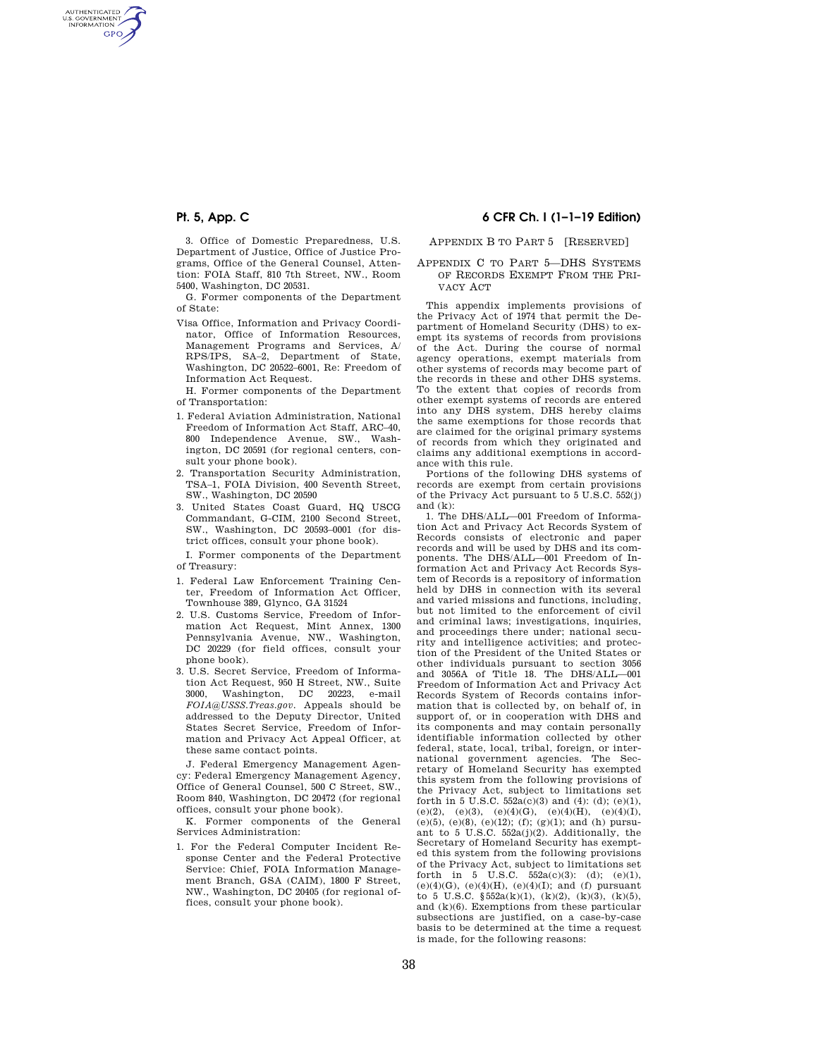AUTHENTICATED<br>U.S. GOVERNMENT<br>INFORMATION **GPO** 

> 3. Office of Domestic Preparedness, U.S. Department of Justice, Office of Justice Programs, Office of the General Counsel, Attention: FOIA Staff, 810 7th Street, NW., Room 5400, Washington, DC 20531.

> G. Former components of the Department of State:

- Visa Office, Information and Privacy Coordinator, Office of Information Resources, Management Programs and Services, A/ RPS/IPS, SA–2, Department of State, Washington, DC 20522–6001, Re: Freedom of Information Act Request.
- H. Former components of the Department of Transportation:
- 1. Federal Aviation Administration, National Freedom of Information Act Staff, ARC–40, 800 Independence Avenue, SW., Washington, DC 20591 (for regional centers, consult your phone book).
- 2. Transportation Security Administration, TSA–1, FOIA Division, 400 Seventh Street, SW., Washington, DC 20590
- 3. United States Coast Guard, HQ USCG Commandant, G-CIM, 2100 Second Street, SW., Washington, DC 20593–0001 (for district offices, consult your phone book).

I. Former components of the Department of Treasury:

- 1. Federal Law Enforcement Training Center, Freedom of Information Act Officer, Townhouse 389, Glynco, GA 31524
- 2. U.S. Customs Service, Freedom of Information Act Request, Mint Annex, 1300 Pennsylvania Avenue, NW., Washington, DC 20229 (for field offices, consult your phone book).
- 3. U.S. Secret Service, Freedom of Information Act Request, 950 H Street, NW., Suite 3000, Washington, DC 20223, e-mail *FOIA@USSS.Treas.gov.* Appeals should be addressed to the Deputy Director, United States Secret Service, Freedom of Information and Privacy Act Appeal Officer, at these same contact points.

J. Federal Emergency Management Agency: Federal Emergency Management Agency, Office of General Counsel, 500 C Street, SW., Room 840, Washington, DC 20472 (for regional offices, consult your phone book).

K. Former components of the General Services Administration:

1. For the Federal Computer Incident Response Center and the Federal Protective Service: Chief, FOIA Information Management Branch, GSA (CAIM), 1800 F Street, NW., Washington, DC 20405 (for regional offices, consult your phone book).

# **Pt. 5, App. C 6 CFR Ch. I (1–1–19 Edition)**

### APPENDIX B TO PART 5 [RESERVED]

APPENDIX C TO PART 5—DHS SYSTEMS OF RECORDS EXEMPT FROM THE PRI-VACY ACT

This appendix implements provisions of the Privacy Act of 1974 that permit the Department of Homeland Security (DHS) to exempt its systems of records from provisions of the Act. During the course of normal agency operations, exempt materials from other systems of records may become part of the records in these and other DHS systems. To the extent that copies of records from other exempt systems of records are entered into any DHS system, DHS hereby claims the same exemptions for those records that are claimed for the original primary systems of records from which they originated and claims any additional exemptions in accordance with this rule.

Portions of the following DHS systems of records are exempt from certain provisions of the Privacy Act pursuant to 5 U.S.C. 552(j) and  $(k)$ :

1. The DHS/ALL—001 Freedom of Information Act and Privacy Act Records System of Records consists of electronic and paper records and will be used by DHS and its components. The DHS/ALL—001 Freedom of Information Act and Privacy Act Records System of Records is a repository of information held by DHS in connection with its several and varied missions and functions, including, but not limited to the enforcement of civil and criminal laws; investigations, inquiries and proceedings there under; national security and intelligence activities; and protection of the President of the United States or other individuals pursuant to section 3056 and 3056A of Title  $18$ . The DHS/ALL $-001$ Freedom of Information Act and Privacy Act Records System of Records contains information that is collected by, on behalf of, in support of, or in cooperation with DHS and its components and may contain personally identifiable information collected by other federal, state, local, tribal, foreign, or international government agencies. The Secretary of Homeland Security has exempted this system from the following provisions of the Privacy Act, subject to limitations set forth in 5 U.S.C.  $552a(c)(3)$  and (4): (d); (e)(1), (e)(2), (e)(3), (e)(4)(G), (e)(4)(H), (e)(4)(I), (e)(5), (e)(8), (e)(12); (f); (g)(1); and (h) pursuant to 5 U.S.C. 552a(j)(2). Additionally, the Secretary of Homeland Security has exempted this system from the following provisions of the Privacy Act, subject to limitations set forth in  $5 \text{ U.S.C. } 552a(c)(3)$ ; (d); (e)(1), (e)(4)(G), (e)(4)(H), (e)(4)(I); and (f) pursuant to 5 U.S.C.  $$552a(k)(1), (k)(2), (k)(3), (k)(5),$ and  $(k)(6)$ . Exemptions from these particular subsections are justified, on a case-by-case basis to be determined at the time a request is made, for the following reasons: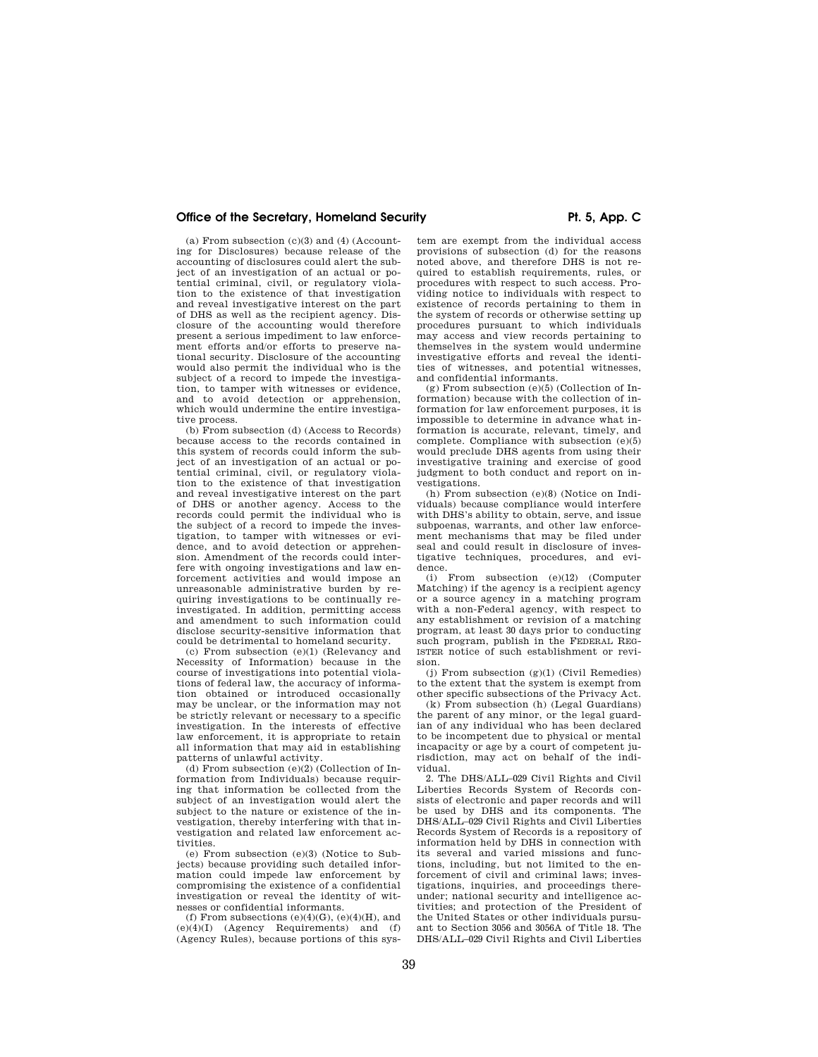(a) From subsection  $(c)(3)$  and  $(4)$  (Accounting for Disclosures) because release of the accounting of disclosures could alert the subject of an investigation of an actual or potential criminal, civil, or regulatory violation to the existence of that investigation and reveal investigative interest on the part of DHS as well as the recipient agency. Disclosure of the accounting would therefore present a serious impediment to law enforcement efforts and/or efforts to preserve national security. Disclosure of the accounting would also permit the individual who is the subject of a record to impede the investigation, to tamper with witnesses or evidence, and to avoid detection or apprehension, which would undermine the entire investigative process.

(b) From subsection (d) (Access to Records) because access to the records contained in this system of records could inform the subject of an investigation of an actual or potential criminal, civil, or regulatory violation to the existence of that investigation and reveal investigative interest on the part of DHS or another agency. Access to the records could permit the individual who is the subject of a record to impede the investigation, to tamper with witnesses or evidence, and to avoid detection or apprehension. Amendment of the records could interfere with ongoing investigations and law enforcement activities and would impose an unreasonable administrative burden by requiring investigations to be continually reinvestigated. In addition, permitting access and amendment to such information could disclose security-sensitive information that could be detrimental to homeland security.

(c) From subsection (e)(1) (Relevancy and Necessity of Information) because in the course of investigations into potential violations of federal law, the accuracy of information obtained or introduced occasionally may be unclear, or the information may not be strictly relevant or necessary to a specific investigation. In the interests of effective law enforcement, it is appropriate to retain all information that may aid in establishing patterns of unlawful activity.

(d) From subsection (e)(2) (Collection of Information from Individuals) because requiring that information be collected from the subject of an investigation would alert the subject to the nature or existence of the investigation, thereby interfering with that investigation and related law enforcement activities.

(e) From subsection (e)(3) (Notice to Subjects) because providing such detailed information could impede law enforcement by compromising the existence of a confidential investigation or reveal the identity of witnesses or confidential informants.

(f) From subsections  $(e)(4)(G)$ ,  $(e)(4)(H)$ , and (e)(4)(I) (Agency Requirements) and (f) (Agency Rules), because portions of this sys-

tem are exempt from the individual access provisions of subsection (d) for the reasons noted above, and therefore DHS is not required to establish requirements, rules, or procedures with respect to such access. Providing notice to individuals with respect to existence of records pertaining to them in the system of records or otherwise setting up procedures pursuant to which individuals may access and view records pertaining to themselves in the system would undermine investigative efforts and reveal the identities of witnesses, and potential witnesses, and confidential informants.

 $(g)$  From subsection  $(e)(5)$  (Collection of Information) because with the collection of information for law enforcement purposes, it is impossible to determine in advance what information is accurate, relevant, timely, and complete. Compliance with subsection (e)(5) would preclude DHS agents from using their investigative training and exercise of good judgment to both conduct and report on investigations.

(h) From subsection (e)(8) (Notice on Individuals) because compliance would interfere with DHS's ability to obtain, serve, and issue subpoenas, warrants, and other law enforcement mechanisms that may be filed under seal and could result in disclosure of investigative techniques, procedures, and evidence.

(i) From subsection (e)(12) (Computer Matching) if the agency is a recipient agency or a source agency in a matching program with a non-Federal agency, with respect to any establishment or revision of a matching program, at least 30 days prior to conducting such program, publish in the FEDERAL REG-ISTER notice of such establishment or revision.

(j) From subsection  $(g)(1)$  (Civil Remedies) to the extent that the system is exempt from other specific subsections of the Privacy Act.

(k) From subsection (h) (Legal Guardians) the parent of any minor, or the legal guardian of any individual who has been declared to be incompetent due to physical or mental incapacity or age by a court of competent jurisdiction, may act on behalf of the individual.

2. The DHS/ALL–029 Civil Rights and Civil Liberties Records System of Records consists of electronic and paper records and will be used by DHS and its components. The DHS/ALL–029 Civil Rights and Civil Liberties Records System of Records is a repository of information held by DHS in connection with its several and varied missions and functions, including, but not limited to the enforcement of civil and criminal laws; investigations, inquiries, and proceedings thereunder; national security and intelligence activities; and protection of the President of the United States or other individuals pursuant to Section 3056 and 3056A of Title 18. The DHS/ALL–029 Civil Rights and Civil Liberties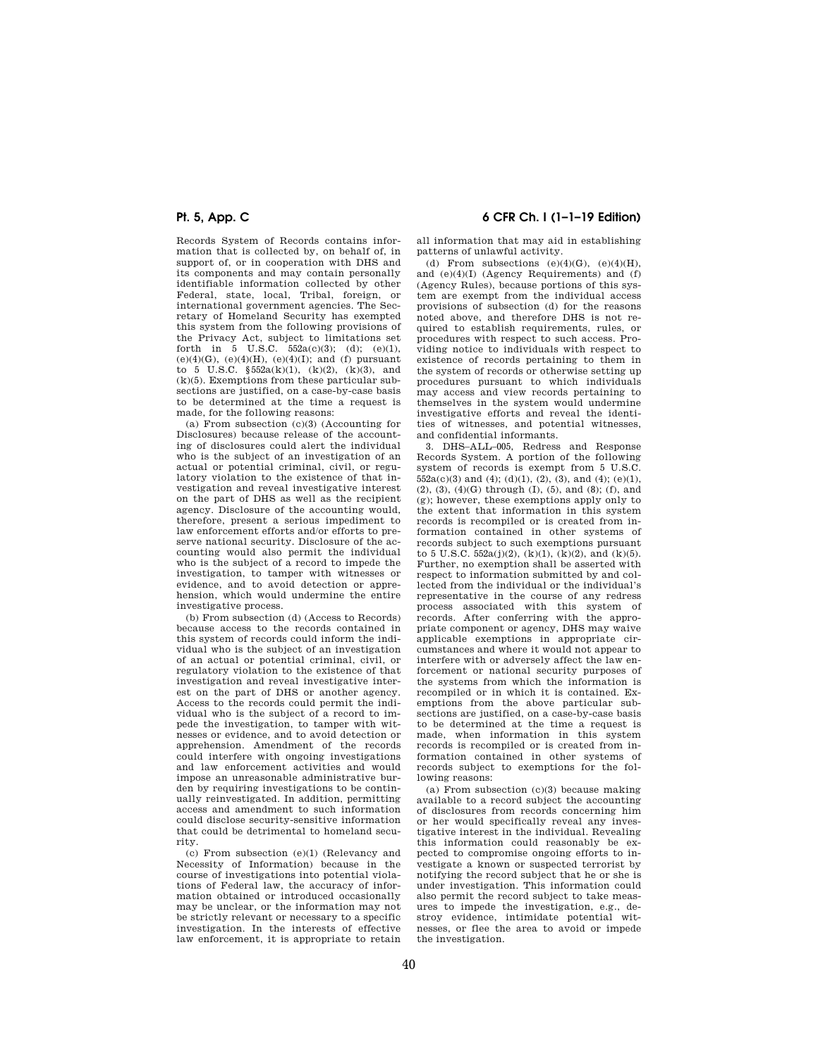Records System of Records contains information that is collected by, on behalf of, in support of, or in cooperation with DHS and its components and may contain personally identifiable information collected by other Federal, state, local, Tribal, foreign, or international government agencies. The Secretary of Homeland Security has exempted this system from the following provisions of the Privacy Act, subject to limitations set forth in 5 U.S.C.  $552a(c)(3)$ ; (d); (e)(1), (e)(4)(G), (e)(4)(H), (e)(4)(I); and (f) pursuant to 5 U.S.C.  $\S 552a(k)(1)$ ,  $(k)(2)$ ,  $(k)(3)$ , and  $(k)(5)$ . Exemptions from these particular subsections are justified, on a case-by-case basis to be determined at the time a request is made, for the following reasons:

(a) From subsection (c)(3) (Accounting for Disclosures) because release of the accounting of disclosures could alert the individual who is the subject of an investigation of an actual or potential criminal, civil, or regulatory violation to the existence of that investigation and reveal investigative interest on the part of DHS as well as the recipient agency. Disclosure of the accounting would, therefore, present a serious impediment to law enforcement efforts and/or efforts to preserve national security. Disclosure of the accounting would also permit the individual who is the subject of a record to impede the investigation, to tamper with witnesses or evidence, and to avoid detection or apprehension, which would undermine the entire investigative process.

(b) From subsection (d) (Access to Records) because access to the records contained in this system of records could inform the individual who is the subject of an investigation of an actual or potential criminal, civil, or regulatory violation to the existence of that investigation and reveal investigative interest on the part of DHS or another agency. Access to the records could permit the individual who is the subject of a record to impede the investigation, to tamper with witnesses or evidence, and to avoid detection or apprehension. Amendment of the records could interfere with ongoing investigations and law enforcement activities and would impose an unreasonable administrative burden by requiring investigations to be continually reinvestigated. In addition, permitting access and amendment to such information could disclose security-sensitive information that could be detrimental to homeland security.

(c) From subsection (e)(1) (Relevancy and Necessity of Information) because in the course of investigations into potential violations of Federal law, the accuracy of information obtained or introduced occasionally may be unclear, or the information may not be strictly relevant or necessary to a specific investigation. In the interests of effective law enforcement, it is appropriate to retain

## **Pt. 5, App. C 6 CFR Ch. I (1–1–19 Edition)**

all information that may aid in establishing patterns of unlawful activity.

(d) From subsections  $(e)(4)(G)$ ,  $(e)(4)(H)$ , and  $(e)(4)(I)$  (Agency Requirements) and  $(f)$ (Agency Rules), because portions of this system are exempt from the individual access provisions of subsection (d) for the reasons noted above, and therefore DHS is not required to establish requirements, rules, or procedures with respect to such access. Providing notice to individuals with respect to existence of records pertaining to them in the system of records or otherwise setting up procedures pursuant to which individuals may access and view records pertaining to themselves in the system would undermine investigative efforts and reveal the identities of witnesses, and potential witnesses, and confidential informants.

3. DHS–ALL–005, Redress and Response Records System. A portion of the following system of records is exempt from 5 U.S.C.  $552a(c)(3)$  and  $(4)$ ;  $(d)(1)$ ,  $(2)$ ,  $(3)$ , and  $(4)$ ;  $(e)(1)$ , (2), (3), (4)(G) through (I), (5), and (8); (f), and (g); however, these exemptions apply only to the extent that information in this system records is recompiled or is created from information contained in other systems of records subject to such exemptions pursuant to 5 U.S.C.  $552a(j)(2)$ ,  $(k)(1)$ ,  $(k)(2)$ , and  $(k)(5)$ . Further, no exemption shall be asserted with respect to information submitted by and collected from the individual or the individual's representative in the course of any redress process associated with this system of records. After conferring with the appropriate component or agency, DHS may waive applicable exemptions in appropriate circumstances and where it would not appear to interfere with or adversely affect the law enforcement or national security purposes of the systems from which the information is recompiled or in which it is contained. Exemptions from the above particular subsections are justified, on a case-by-case basis to be determined at the time a request is made, when information in this system records is recompiled or is created from information contained in other systems of records subject to exemptions for the following reasons:

(a) From subsection  $(c)(3)$  because making available to a record subject the accounting of disclosures from records concerning him or her would specifically reveal any investigative interest in the individual. Revealing this information could reasonably be expected to compromise ongoing efforts to investigate a known or suspected terrorist by notifying the record subject that he or she is under investigation. This information could also permit the record subject to take measures to impede the investigation, e.g., destroy evidence, intimidate potential witnesses, or flee the area to avoid or impede the investigation.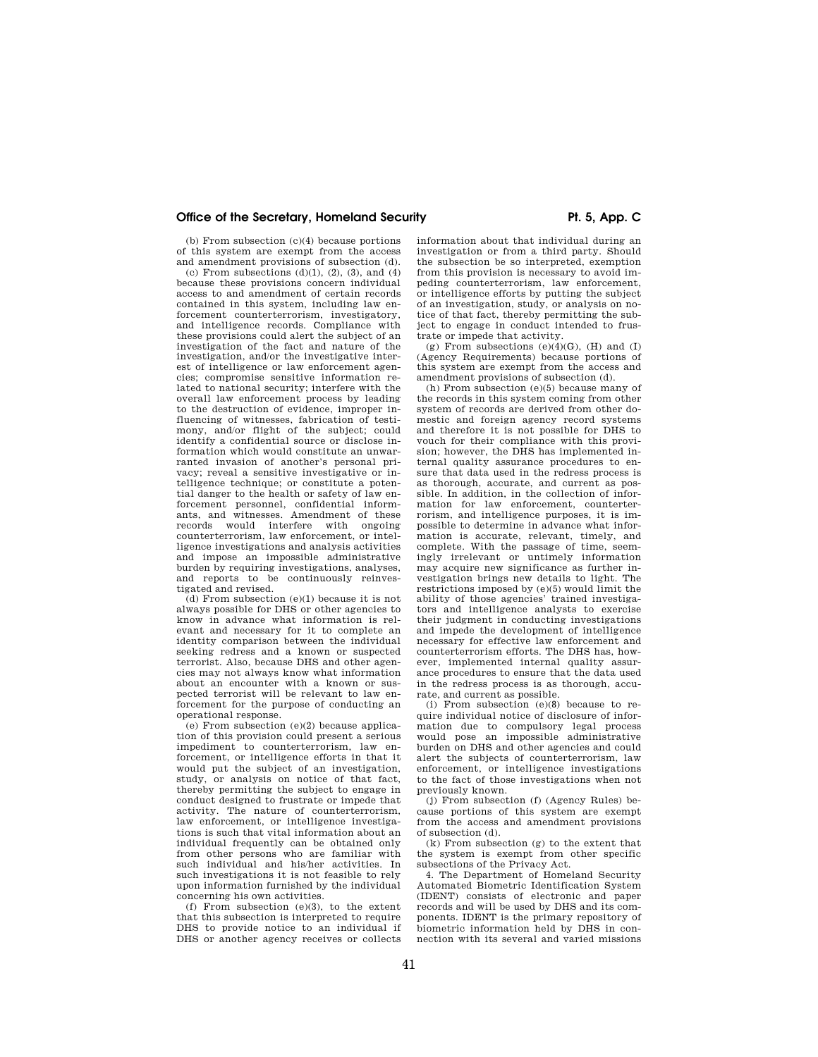(b) From subsection (c)(4) because portions of this system are exempt from the access and amendment provisions of subsection (d).

(c) From subsections  $(d)(1)$ ,  $(2)$ ,  $(3)$ , and  $(4)$ because these provisions concern individual access to and amendment of certain records contained in this system, including law enforcement counterterrorism, investigatory, and intelligence records. Compliance with these provisions could alert the subject of an investigation of the fact and nature of the investigation, and/or the investigative interest of intelligence or law enforcement agencies; compromise sensitive information related to national security; interfere with the overall law enforcement process by leading to the destruction of evidence, improper influencing of witnesses, fabrication of testimony, and/or flight of the subject; could identify a confidential source or disclose information which would constitute an unwarranted invasion of another's personal privacy; reveal a sensitive investigative or intelligence technique; or constitute a potential danger to the health or safety of law enforcement personnel, confidential informants, and witnesses. Amendment of these records would interfere with ongoing counterterrorism, law enforcement, or intelligence investigations and analysis activities and impose an impossible administrative burden by requiring investigations, analyses, and reports to be continuously reinvestigated and revised.

 $(d)$  From subsection  $(e)(1)$  because it is not always possible for DHS or other agencies to know in advance what information is relevant and necessary for it to complete an identity comparison between the individual seeking redress and a known or suspected terrorist. Also, because DHS and other agencies may not always know what information about an encounter with a known or suspected terrorist will be relevant to law enforcement for the purpose of conducting an operational response.

(e) From subsection (e)(2) because application of this provision could present a serious impediment to counterterrorism, law enforcement, or intelligence efforts in that it would put the subject of an investigation, study, or analysis on notice of that fact, thereby permitting the subject to engage in conduct designed to frustrate or impede that activity. The nature of counterterrorism, law enforcement, or intelligence investigations is such that vital information about an individual frequently can be obtained only from other persons who are familiar with such individual and his/her activities. In such investigations it is not feasible to rely upon information furnished by the individual concerning his own activities.

(f) From subsection (e)(3), to the extent that this subsection is interpreted to require DHS to provide notice to an individual if DHS or another agency receives or collects information about that individual during an investigation or from a third party. Should the subsection be so interpreted, exemption from this provision is necessary to avoid impeding counterterrorism, law enforcement, or intelligence efforts by putting the subject of an investigation, study, or analysis on notice of that fact, thereby permitting the subject to engage in conduct intended to frustrate or impede that activity.

(g) From subsections  $(e)(4)(G)$ ,  $(H)$  and  $(I)$ (Agency Requirements) because portions of this system are exempt from the access and amendment provisions of subsection (d).

(h) From subsection (e)(5) because many of the records in this system coming from other system of records are derived from other domestic and foreign agency record systems and therefore it is not possible for DHS to vouch for their compliance with this provision; however, the DHS has implemented internal quality assurance procedures to ensure that data used in the redress process is as thorough, accurate, and current as possible. In addition, in the collection of information for law enforcement, counterterrorism, and intelligence purposes, it is impossible to determine in advance what information is accurate, relevant, timely, and complete. With the passage of time, seemingly irrelevant or untimely information may acquire new significance as further investigation brings new details to light. The restrictions imposed by (e)(5) would limit the ability of those agencies' trained investigators and intelligence analysts to exercise their judgment in conducting investigations and impede the development of intelligence necessary for effective law enforcement and counterterrorism efforts. The DHS has, however, implemented internal quality assurance procedures to ensure that the data used in the redress process is as thorough, accurate, and current as possible.

(i) From subsection (e)(8) because to require individual notice of disclosure of information due to compulsory legal process would pose an impossible administrative burden on DHS and other agencies and could alert the subjects of counterterrorism, law enforcement, or intelligence investigations to the fact of those investigations when not previously known.

(j) From subsection (f) (Agency Rules) because portions of this system are exempt from the access and amendment provisions of subsection (d).

(k) From subsection (g) to the extent that the system is exempt from other specific subsections of the Privacy Act.

4. The Department of Homeland Security Automated Biometric Identification System (IDENT) consists of electronic and paper records and will be used by DHS and its components. IDENT is the primary repository of biometric information held by DHS in connection with its several and varied missions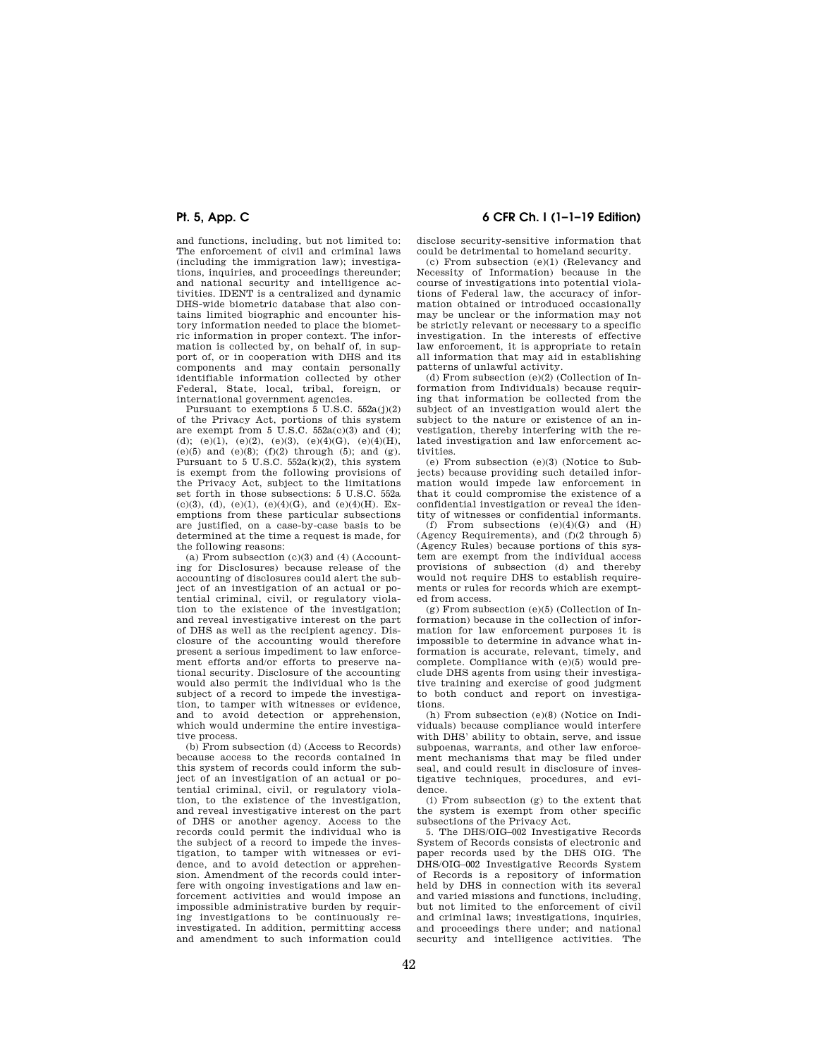and functions, including, but not limited to: The enforcement of civil and criminal laws (including the immigration law); investigations, inquiries, and proceedings thereunder; and national security and intelligence activities. IDENT is a centralized and dynamic DHS-wide biometric database that also contains limited biographic and encounter history information needed to place the biometric information in proper context. The information is collected by, on behalf of, in support of, or in cooperation with DHS and its components and may contain personally identifiable information collected by other Federal, State, local, tribal, foreign, or international government agencies.

Pursuant to exemptions 5 U.S.C. 552a(j)(2) of the Privacy Act, portions of this system are exempt from 5 U.S.C. 552a(c)(3) and (4); (d); (e)(1), (e)(2), (e)(3), (e)(4)(G), (e)(4)(H), (e)(5) and (e)(8);  $(f)(2)$  through (5); and (g). Pursuant to 5 U.S.C.  $552a(k)(2)$ , this system is exempt from the following provisions of the Privacy Act, subject to the limitations set forth in those subsections: 5 U.S.C. 552a (c)(3), (d), (e)(1), (e)(4)(G), and (e)(4)(H). Exemptions from these particular subsections are justified, on a case-by-case basis to be determined at the time a request is made, for the following reasons:

(a) From subsection (c)(3) and (4) (Accounting for Disclosures) because release of the accounting of disclosures could alert the subject of an investigation of an actual or potential criminal, civil, or regulatory violation to the existence of the investigation; and reveal investigative interest on the part of DHS as well as the recipient agency. Disclosure of the accounting would therefore present a serious impediment to law enforcement efforts and/or efforts to preserve national security. Disclosure of the accounting would also permit the individual who is the subject of a record to impede the investigation, to tamper with witnesses or evidence, and to avoid detection or apprehension, which would undermine the entire investigative process.

(b) From subsection (d) (Access to Records) because access to the records contained in this system of records could inform the subject of an investigation of an actual or potential criminal, civil, or regulatory violation, to the existence of the investigation, and reveal investigative interest on the part of DHS or another agency. Access to the records could permit the individual who is the subject of a record to impede the investigation, to tamper with witnesses or evidence, and to avoid detection or apprehension. Amendment of the records could interfere with ongoing investigations and law enforcement activities and would impose an impossible administrative burden by requiring investigations to be continuously reinvestigated. In addition, permitting access and amendment to such information could

# **Pt. 5, App. C 6 CFR Ch. I (1–1–19 Edition)**

disclose security-sensitive information that could be detrimental to homeland security.

(c) From subsection (e)(1) (Relevancy and Necessity of Information) because in the course of investigations into potential violations of Federal law, the accuracy of information obtained or introduced occasionally may be unclear or the information may not be strictly relevant or necessary to a specific investigation. In the interests of effective law enforcement, it is appropriate to retain all information that may aid in establishing patterns of unlawful activity.

(d) From subsection  $(e)(2)$  (Collection of Information from Individuals) because requiring that information be collected from the subject of an investigation would alert the subject to the nature or existence of an investigation, thereby interfering with the related investigation and law enforcement activities.

(e) From subsection (e)(3) (Notice to Subjects) because providing such detailed information would impede law enforcement in that it could compromise the existence of a confidential investigation or reveal the identity of witnesses or confidential informants.

(f) From subsections  $(e)(4)(G)$  and  $(H)$ (Agency Requirements), and (f)(2 through 5) (Agency Rules) because portions of this system are exempt from the individual access provisions of subsection (d) and thereby would not require DHS to establish requirements or rules for records which are exempted from access.

(g) From subsection (e)(5) (Collection of Information) because in the collection of information for law enforcement purposes it is impossible to determine in advance what information is accurate, relevant, timely, and complete. Compliance with (e)(5) would preclude DHS agents from using their investigative training and exercise of good judgment to both conduct and report on investigations.

(h) From subsection (e)(8) (Notice on Individuals) because compliance would interfere with DHS' ability to obtain, serve, and issue subpoenas, warrants, and other law enforcement mechanisms that may be filed under seal, and could result in disclosure of investigative techniques, procedures, and evidence.

(i) From subsection (g) to the extent that the system is exempt from other specific subsections of the Privacy Act.

5. The DHS/OIG–002 Investigative Records System of Records consists of electronic and paper records used by the DHS OIG. The DHS/OIG–002 Investigative Records System of Records is a repository of information held by DHS in connection with its several and varied missions and functions, including, but not limited to the enforcement of civil and criminal laws; investigations, inquiries, and proceedings there under; and national security and intelligence activities. The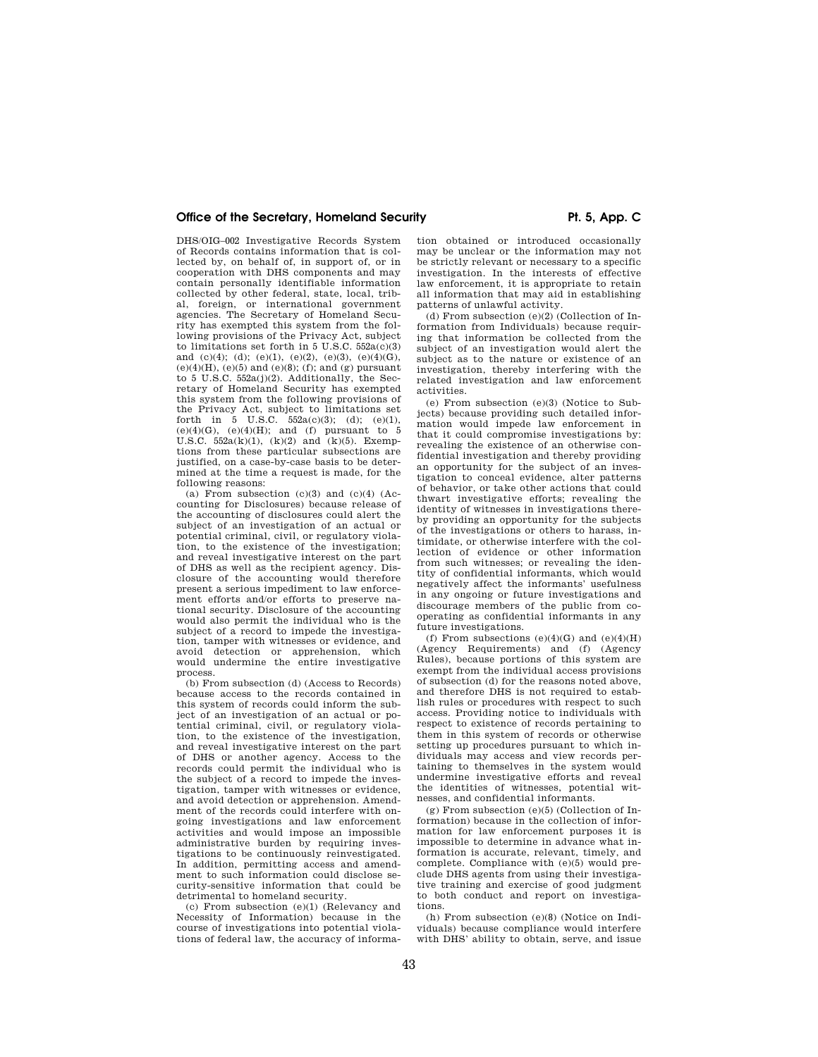DHS/OIG–002 Investigative Records System of Records contains information that is collected by, on behalf of, in support of, or in cooperation with DHS components and may contain personally identifiable information collected by other federal, state, local, tribal, foreign, or international government agencies. The Secretary of Homeland Security has exempted this system from the following provisions of the Privacy Act, subject to limitations set forth in  $5 \text{ U.S. C. } 552a(c)(3)$ and  $(c)(4)$ ; (d);  $(e)(1)$ ,  $(e)(2)$ ,  $(e)(3)$ ,  $(e)(4)(G)$ ,  $(e)(4)(H)$ ,  $(e)(5)$  and  $(e)(8)$ ; (f); and (g) pursuant to 5 U.S.C. 552a(j)(2). Additionally, the Secretary of Homeland Security has exempted this system from the following provisions of the Privacy Act, subject to limitations set forth in  $5 \text{ U.S.C. } 552a(c)(3); (d); (e)(1),$ (e)(4)(G), (e)(4)(H); and (f) pursuant to 5 U.S.C. 552a(k)(1), (k)(2) and (k)(5). Exemptions from these particular subsections are justified, on a case-by-case basis to be determined at the time a request is made, for the following reasons:

(a) From subsection  $(c)(3)$  and  $(c)(4)$  (Accounting for Disclosures) because release of the accounting of disclosures could alert the subject of an investigation of an actual or potential criminal, civil, or regulatory violation, to the existence of the investigation; and reveal investigative interest on the part of DHS as well as the recipient agency. Disclosure of the accounting would therefore present a serious impediment to law enforcement efforts and/or efforts to preserve national security. Disclosure of the accounting would also permit the individual who is the subject of a record to impede the investigation, tamper with witnesses or evidence, and avoid detection or apprehension, which would undermine the entire investigative process.

(b) From subsection (d) (Access to Records) because access to the records contained in this system of records could inform the subject of an investigation of an actual or potential criminal, civil, or regulatory violation, to the existence of the investigation, and reveal investigative interest on the part of DHS or another agency. Access to the records could permit the individual who is the subject of a record to impede the investigation, tamper with witnesses or evidence, and avoid detection or apprehension. Amendment of the records could interfere with ongoing investigations and law enforcement activities and would impose an impossible administrative burden by requiring investigations to be continuously reinvestigated. In addition, permitting access and amendment to such information could disclose security-sensitive information that could be detrimental to homeland security.

(c) From subsection (e)(1) (Relevancy and Necessity of Information) because in the course of investigations into potential violations of federal law, the accuracy of informa-

tion obtained or introduced occasionally may be unclear or the information may not be strictly relevant or necessary to a specific investigation. In the interests of effective law enforcement, it is appropriate to retain all information that may aid in establishing patterns of unlawful activity.

(d) From subsection (e)(2) (Collection of Information from Individuals) because requiring that information be collected from the subject of an investigation would alert the subject as to the nature or existence of an investigation, thereby interfering with the related investigation and law enforcement activities.

(e) From subsection (e)(3) (Notice to Subjects) because providing such detailed information would impede law enforcement in that it could compromise investigations by: revealing the existence of an otherwise confidential investigation and thereby providing an opportunity for the subject of an investigation to conceal evidence, alter patterns of behavior, or take other actions that could thwart investigative efforts; revealing the identity of witnesses in investigations thereby providing an opportunity for the subjects of the investigations or others to harass, intimidate, or otherwise interfere with the collection of evidence or other information from such witnesses; or revealing the identity of confidential informants, which would negatively affect the informants' usefulness in any ongoing or future investigations and discourage members of the public from cooperating as confidential informants in any future investigations.

(f) From subsections  $(e)(4)(G)$  and  $(e)(4)(H)$ (Agency Requirements) and (f) (Agency Rules), because portions of this system are exempt from the individual access provisions of subsection (d) for the reasons noted above, and therefore DHS is not required to establish rules or procedures with respect to such access. Providing notice to individuals with respect to existence of records pertaining to them in this system of records or otherwise setting up procedures pursuant to which individuals may access and view records pertaining to themselves in the system would undermine investigative efforts and reveal the identities of witnesses, potential witnesses, and confidential informants.

(g) From subsection (e)(5) (Collection of Information) because in the collection of information for law enforcement purposes it is impossible to determine in advance what information is accurate, relevant, timely, and complete. Compliance with (e)(5) would preclude DHS agents from using their investigative training and exercise of good judgment to both conduct and report on investigations.

(h) From subsection (e)(8) (Notice on Individuals) because compliance would interfere with DHS' ability to obtain, serve, and issue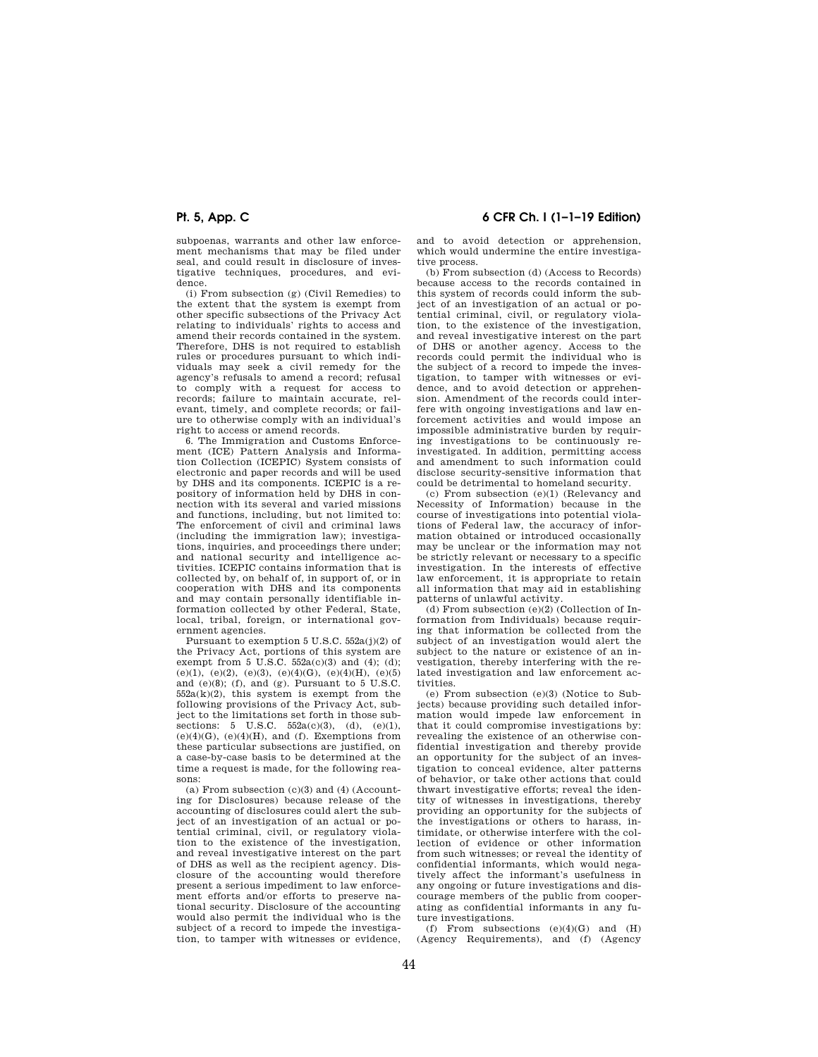subpoenas, warrants and other law enforcement mechanisms that may be filed under seal, and could result in disclosure of investigative techniques, procedures, and evidence.

(i) From subsection (g) (Civil Remedies) to the extent that the system is exempt from other specific subsections of the Privacy Act relating to individuals' rights to access and amend their records contained in the system. Therefore, DHS is not required to establish rules or procedures pursuant to which individuals may seek a civil remedy for the agency's refusals to amend a record; refusal to comply with a request for access to records; failure to maintain accurate, relevant, timely, and complete records; or failure to otherwise comply with an individual's right to access or amend records.

6. The Immigration and Customs Enforcement (ICE) Pattern Analysis and Information Collection (ICEPIC) System consists of electronic and paper records and will be used by DHS and its components. ICEPIC is a repository of information held by DHS in connection with its several and varied missions and functions, including, but not limited to: The enforcement of civil and criminal laws (including the immigration law); investigations, inquiries, and proceedings there under; and national security and intelligence activities. ICEPIC contains information that is collected by, on behalf of, in support of, or in cooperation with DHS and its components and may contain personally identifiable information collected by other Federal, State, local, tribal, foreign, or international government agencies.

Pursuant to exemption 5 U.S.C. 552a(j)(2) of the Privacy Act, portions of this system are exempt from 5 U.S.C.  $552a(c)(3)$  and  $(4)$ ;  $(d)$ ; (e)(1), (e)(2), (e)(3), (e)(4)(G), (e)(4)(H), (e)(5) and (e)(8); (f), and (g). Pursuant to 5 U.S.C.  $552a(k)(2)$ , this system is exempt from the following provisions of the Privacy Act, subject to the limitations set forth in those subsections: 5 U.S.C.  $552a(c)(3)$ , (d), (e)(1),  $(e)(4)(G)$ ,  $(e)(4)(H)$ , and  $(f)$ . Exemptions from these particular subsections are justified, on a case-by-case basis to be determined at the time a request is made, for the following reasons:

(a) From subsection (c)(3) and (4) (Accounting for Disclosures) because release of the accounting of disclosures could alert the subject of an investigation of an actual or potential criminal, civil, or regulatory violation to the existence of the investigation, and reveal investigative interest on the part of DHS as well as the recipient agency. Disclosure of the accounting would therefore present a serious impediment to law enforcement efforts and/or efforts to preserve national security. Disclosure of the accounting would also permit the individual who is the subject of a record to impede the investigation, to tamper with witnesses or evidence,

## **Pt. 5, App. C 6 CFR Ch. I (1–1–19 Edition)**

and to avoid detection or apprehension, which would undermine the entire investigative process.

(b) From subsection (d) (Access to Records) because access to the records contained in this system of records could inform the subject of an investigation of an actual or potential criminal, civil, or regulatory violation, to the existence of the investigation, and reveal investigative interest on the part of DHS or another agency. Access to the records could permit the individual who is the subject of a record to impede the investigation, to tamper with witnesses or evidence, and to avoid detection or apprehension. Amendment of the records could interfere with ongoing investigations and law enforcement activities and would impose an impossible administrative burden by requiring investigations to be continuously reinvestigated. In addition, permitting access and amendment to such information could disclose security-sensitive information that could be detrimental to homeland security.

(c) From subsection (e)(1) (Relevancy and Necessity of Information) because in the course of investigations into potential violations of Federal law, the accuracy of information obtained or introduced occasionally may be unclear or the information may not be strictly relevant or necessary to a specific investigation. In the interests of effective law enforcement, it is appropriate to retain all information that may aid in establishing patterns of unlawful activity.

(d) From subsection (e)(2) (Collection of Information from Individuals) because requiring that information be collected from the subject of an investigation would alert the subject to the nature or existence of an investigation, thereby interfering with the related investigation and law enforcement activities.

(e) From subsection (e)(3) (Notice to Subjects) because providing such detailed information would impede law enforcement in that it could compromise investigations by: revealing the existence of an otherwise confidential investigation and thereby provide an opportunity for the subject of an investigation to conceal evidence, alter patterns of behavior, or take other actions that could thwart investigative efforts; reveal the identity of witnesses in investigations, thereby providing an opportunity for the subjects of the investigations or others to harass, intimidate, or otherwise interfere with the collection of evidence or other information from such witnesses; or reveal the identity of confidential informants, which would negatively affect the informant's usefulness in any ongoing or future investigations and discourage members of the public from cooperating as confidential informants in any future investigations.

(f) From subsections  $(e)(4)(G)$  and  $(H)$ (Agency Requirements), and (f) (Agency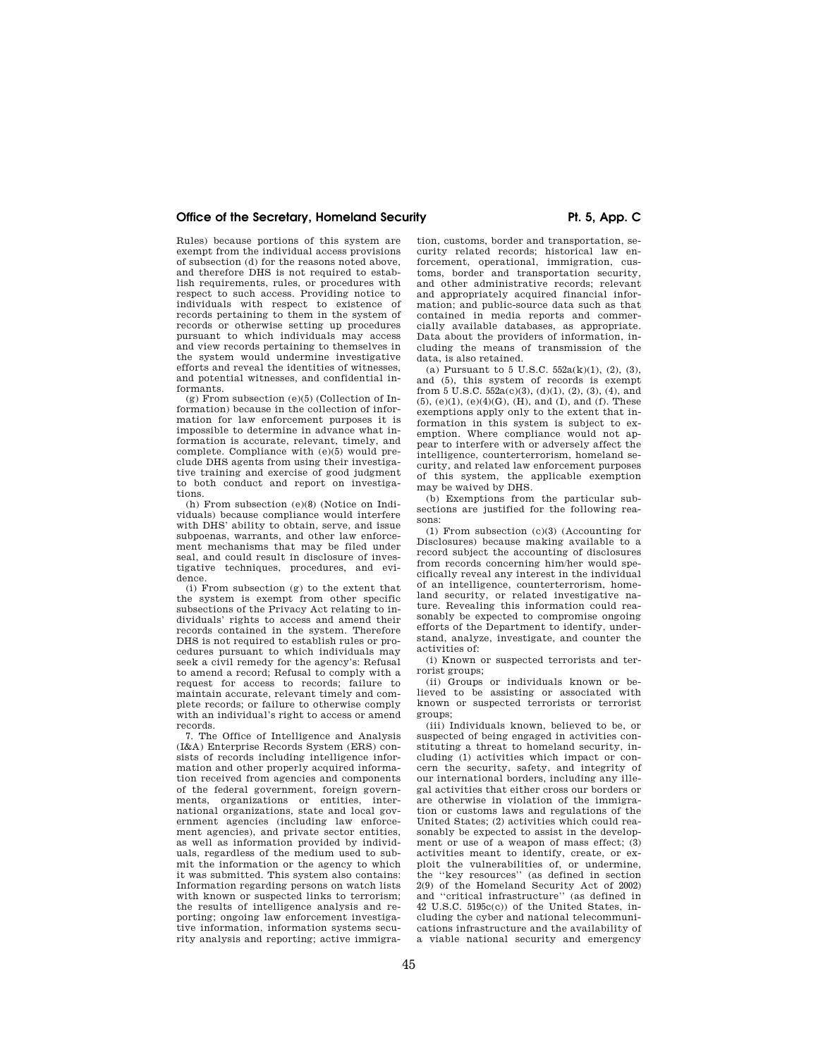Rules) because portions of this system are exempt from the individual access provisions of subsection (d) for the reasons noted above, and therefore DHS is not required to establish requirements, rules, or procedures with respect to such access. Providing notice to individuals with respect to existence of records pertaining to them in the system of records or otherwise setting up procedures pursuant to which individuals may access and view records pertaining to themselves in the system would undermine investigative efforts and reveal the identities of witnesses, and potential witnesses, and confidential informants.

(g) From subsection (e)(5) (Collection of Information) because in the collection of information for law enforcement purposes it is impossible to determine in advance what information is accurate, relevant, timely, and complete. Compliance with (e)(5) would preclude DHS agents from using their investigative training and exercise of good judgment to both conduct and report on investigations.

(h) From subsection (e)(8) (Notice on Individuals) because compliance would interfere with DHS' ability to obtain, serve, and issue subpoenas, warrants, and other law enforcement mechanisms that may be filed under seal, and could result in disclosure of investigative techniques, procedures, and evidence.

(i) From subsection (g) to the extent that the system is exempt from other specific subsections of the Privacy Act relating to individuals' rights to access and amend their records contained in the system. Therefore DHS is not required to establish rules or procedures pursuant to which individuals may seek a civil remedy for the agency's: Refusal to amend a record; Refusal to comply with a request for access to records; failure to maintain accurate, relevant timely and complete records; or failure to otherwise comply with an individual's right to access or amend records.

7. The Office of Intelligence and Analysis (I&A) Enterprise Records System (ERS) consists of records including intelligence information and other properly acquired information received from agencies and components of the federal government, foreign governments, organizations or entities, international organizations, state and local government agencies (including law enforcement agencies), and private sector entities, as well as information provided by individuals, regardless of the medium used to submit the information or the agency to which it was submitted. This system also contains: Information regarding persons on watch lists with known or suspected links to terrorism; the results of intelligence analysis and reporting; ongoing law enforcement investigative information, information systems security analysis and reporting; active immigra-

tion, customs, border and transportation, security related records; historical law enforcement, operational, immigration, customs, border and transportation security, and other administrative records; relevant and appropriately acquired financial information; and public-source data such as that contained in media reports and commercially available databases, as appropriate. Data about the providers of information, including the means of transmission of the data, is also retained.

(a) Pursuant to 5 U.S.C. 552a(k)(1), (2), (3), and (5), this system of records is exempt from  $5$  U.S.C.  $552a(c)(3)$ ,  $(d)(1)$ ,  $(2)$ ,  $(3)$ ,  $(4)$ , and (5), (e)(1), (e)(4)(G), (H), and (I), and (f). These exemptions apply only to the extent that information in this system is subject to exemption. Where compliance would not appear to interfere with or adversely affect the intelligence, counterterrorism, homeland security, and related law enforcement purposes of this system, the applicable exemption may be waived by DHS.

(b) Exemptions from the particular subsections are justified for the following reasons:

(1) From subsection (c)(3) (Accounting for Disclosures) because making available to a record subject the accounting of disclosures from records concerning him/her would specifically reveal any interest in the individual of an intelligence, counterterrorism, homeland security, or related investigative nature. Revealing this information could reasonably be expected to compromise ongoing efforts of the Department to identify, understand, analyze, investigate, and counter the activities of:

(i) Known or suspected terrorists and terrorist groups;

(ii) Groups or individuals known or believed to be assisting or associated with known or suspected terrorists or terrorist groups;

(iii) Individuals known, believed to be, or suspected of being engaged in activities constituting a threat to homeland security, including (1) activities which impact or concern the security, safety, and integrity of our international borders, including any illegal activities that either cross our borders or are otherwise in violation of the immigration or customs laws and regulations of the United States; (2) activities which could reasonably be expected to assist in the development or use of a weapon of mass effect; (3) activities meant to identify, create, or exploit the vulnerabilities of, or undermine, the ''key resources'' (as defined in section 2(9) of the Homeland Security Act of 2002) and ''critical infrastructure'' (as defined in 42 U.S.C. 5195c(c)) of the United States, including the cyber and national telecommunications infrastructure and the availability of a viable national security and emergency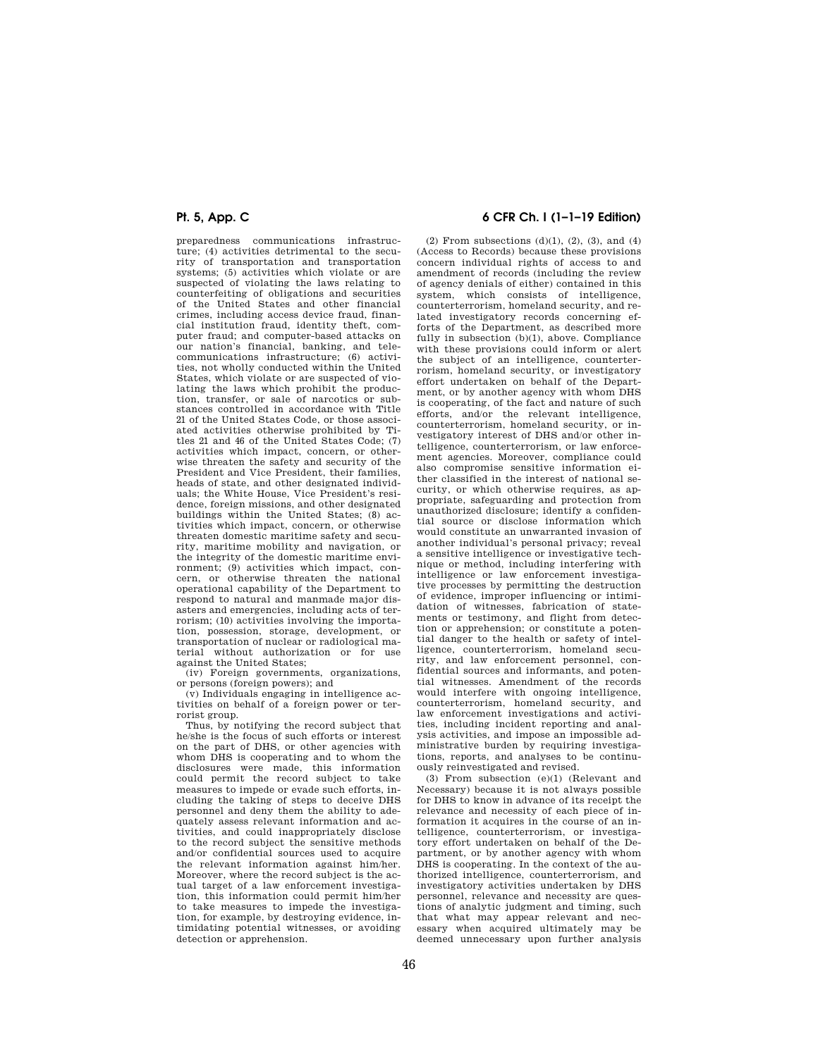preparedness communications infrastructure; (4) activities detrimental to the security of transportation and transportation systems; (5) activities which violate or are suspected of violating the laws relating to counterfeiting of obligations and securities of the United States and other financial crimes, including access device fraud, financial institution fraud, identity theft, computer fraud; and computer-based attacks on our nation's financial, banking, and telecommunications infrastructure; (6) activities, not wholly conducted within the United States, which violate or are suspected of violating the laws which prohibit the production, transfer, or sale of narcotics or substances controlled in accordance with Title 21 of the United States Code, or those associated activities otherwise prohibited by Titles 21 and 46 of the United States Code; (7) activities which impact, concern, or otherwise threaten the safety and security of the President and Vice President, their families, heads of state, and other designated individuals; the White House, Vice President's residence, foreign missions, and other designated buildings within the United States; (8) activities which impact, concern, or otherwise threaten domestic maritime safety and security, maritime mobility and navigation, or the integrity of the domestic maritime environment; (9) activities which impact, concern, or otherwise threaten the national operational capability of the Department to respond to natural and manmade major disasters and emergencies, including acts of terrorism; (10) activities involving the importation, possession, storage, development, or transportation of nuclear or radiological material without authorization or for use against the United States;

(iv) Foreign governments, organizations, or persons (foreign powers); and

(v) Individuals engaging in intelligence activities on behalf of a foreign power or terrorist group.

Thus, by notifying the record subject that he/she is the focus of such efforts or interest on the part of DHS, or other agencies with whom DHS is cooperating and to whom the disclosures were made, this information could permit the record subject to take measures to impede or evade such efforts, including the taking of steps to deceive DHS personnel and deny them the ability to adequately assess relevant information and activities, and could inappropriately disclose to the record subject the sensitive methods and/or confidential sources used to acquire the relevant information against him/her. Moreover, where the record subject is the actual target of a law enforcement investigation, this information could permit him/her to take measures to impede the investigation, for example, by destroying evidence, intimidating potential witnesses, or avoiding detection or apprehension.

## **Pt. 5, App. C 6 CFR Ch. I (1–1–19 Edition)**

 $(2)$  From subsections  $(d)(1)$ ,  $(2)$ ,  $(3)$ , and  $(4)$ (Access to Records) because these provisions concern individual rights of access to and amendment of records (including the review of agency denials of either) contained in this system, which consists of intelligence, counterterrorism, homeland security, and related investigatory records concerning efforts of the Department, as described more fully in subsection (b)(1), above. Compliance with these provisions could inform or alert the subject of an intelligence, counterterrorism, homeland security, or investigatory effort undertaken on behalf of the Department, or by another agency with whom DHS is cooperating, of the fact and nature of such efforts, and/or the relevant intelligence, counterterrorism, homeland security, or investigatory interest of DHS and/or other intelligence, counterterrorism, or law enforcement agencies. Moreover, compliance could also compromise sensitive information either classified in the interest of national security, or which otherwise requires, as appropriate, safeguarding and protection from unauthorized disclosure; identify a confidential source or disclose information which would constitute an unwarranted invasion of another individual's personal privacy; reveal a sensitive intelligence or investigative technique or method, including interfering with intelligence or law enforcement investigative processes by permitting the destruction of evidence, improper influencing or intimidation of witnesses, fabrication of statements or testimony, and flight from detection or apprehension; or constitute a potential danger to the health or safety of intelligence, counterterrorism, homeland security, and law enforcement personnel, confidential sources and informants, and potential witnesses. Amendment of the records would interfere with ongoing intelligence, counterterrorism, homeland security, and law enforcement investigations and activities, including incident reporting and analysis activities, and impose an impossible administrative burden by requiring investigations, reports, and analyses to be continuously reinvestigated and revised.

(3) From subsection (e)(1) (Relevant and Necessary) because it is not always possible for DHS to know in advance of its receipt the relevance and necessity of each piece of information it acquires in the course of an intelligence, counterterrorism, or investigatory effort undertaken on behalf of the Department, or by another agency with whom DHS is cooperating. In the context of the authorized intelligence, counterterrorism, and investigatory activities undertaken by DHS personnel, relevance and necessity are questions of analytic judgment and timing, such that what may appear relevant and necessary when acquired ultimately may be deemed unnecessary upon further analysis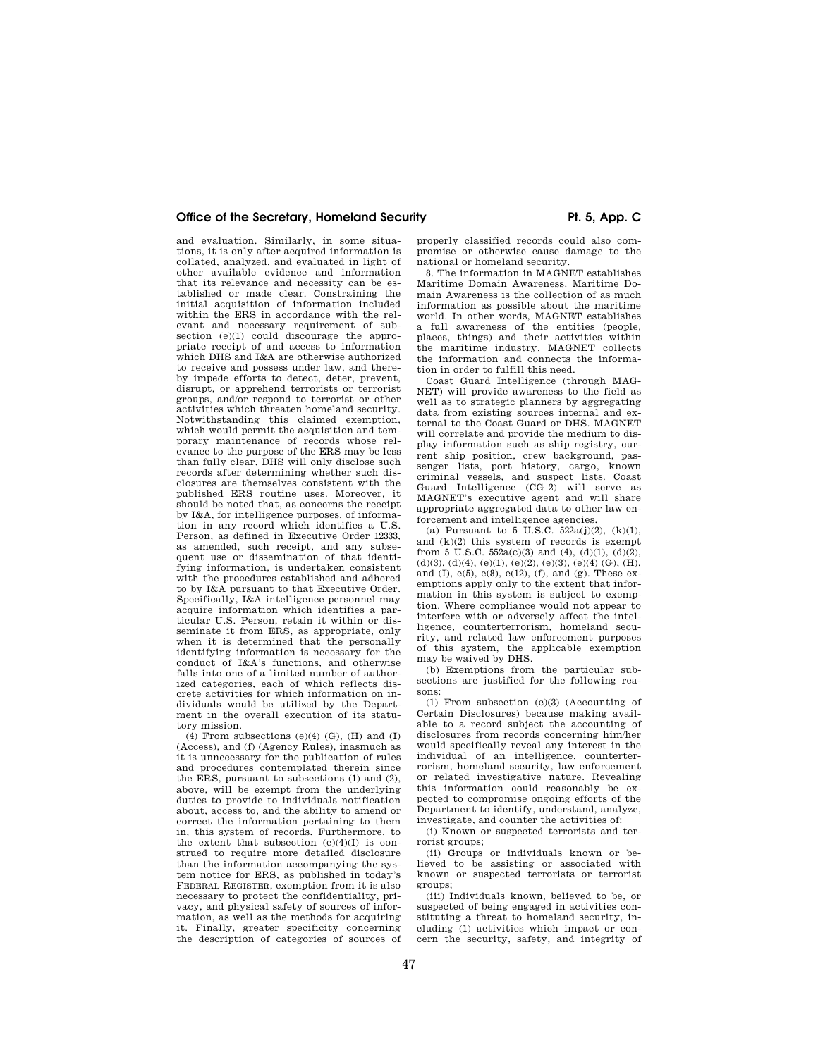and evaluation. Similarly, in some situations, it is only after acquired information is collated, analyzed, and evaluated in light of other available evidence and information that its relevance and necessity can be established or made clear. Constraining the initial acquisition of information included within the ERS in accordance with the relevant and necessary requirement of subsection (e)(1) could discourage the appropriate receipt of and access to information which DHS and I&A are otherwise authorized to receive and possess under law, and thereby impede efforts to detect, deter, prevent, disrupt, or apprehend terrorists or terrorist groups, and/or respond to terrorist or other activities which threaten homeland security. Notwithstanding this claimed exemption, which would permit the acquisition and temporary maintenance of records whose relevance to the purpose of the ERS may be less than fully clear, DHS will only disclose such records after determining whether such disclosures are themselves consistent with the published ERS routine uses. Moreover, it should be noted that, as concerns the receipt by I&A, for intelligence purposes, of information in any record which identifies a U.S. Person, as defined in Executive Order 12333, as amended, such receipt, and any subsequent use or dissemination of that identifying information, is undertaken consistent with the procedures established and adhered to by I&A pursuant to that Executive Order. Specifically, I&A intelligence personnel may acquire information which identifies a particular U.S. Person, retain it within or disseminate it from ERS, as appropriate, only when it is determined that the personally identifying information is necessary for the conduct of I&A's functions, and otherwise falls into one of a limited number of authorized categories, each of which reflects discrete activities for which information on individuals would be utilized by the Department in the overall execution of its statutory mission.

 $(4)$  From subsections  $(e)(4)$   $(G)$ ,  $(H)$  and  $(I)$ (Access), and (f) (Agency Rules), inasmuch as it is unnecessary for the publication of rules and procedures contemplated therein since the ERS, pursuant to subsections (1) and (2), above, will be exempt from the underlying duties to provide to individuals notification about, access to, and the ability to amend or correct the information pertaining to them in, this system of records. Furthermore, to the extent that subsection  $(e)(4)(I)$  is construed to require more detailed disclosure than the information accompanying the system notice for ERS, as published in today's FEDERAL REGISTER, exemption from it is also necessary to protect the confidentiality, privacy, and physical safety of sources of information, as well as the methods for acquiring it. Finally, greater specificity concerning the description of categories of sources of properly classified records could also compromise or otherwise cause damage to the national or homeland security.

8. The information in MAGNET establishes Maritime Domain Awareness. Maritime Domain Awareness is the collection of as much information as possible about the maritime world. In other words, MAGNET establishes a full awareness of the entities (people, places, things) and their activities within the maritime industry. MAGNET collects the information and connects the information in order to fulfill this need.

Coast Guard Intelligence (through MAG-NET) will provide awareness to the field as well as to strategic planners by aggregating data from existing sources internal and external to the Coast Guard or DHS. MAGNET will correlate and provide the medium to display information such as ship registry, current ship position, crew background, passenger lists, port history, cargo, known criminal vessels, and suspect lists. Coast Guard Intelligence (CG–2) will serve as MAGNET's executive agent and will share appropriate aggregated data to other law enforcement and intelligence agencies.

(a) Pursuant to 5 U.S.C.  $522a(j)(2)$ ,  $(k)(1)$ , and  $(k)(2)$  this system of records is exempt from 5 U.S.C.  $552a(c)(3)$  and (4), (d)(1), (d)(2),  $(d)(3), (d)(4), (e)(1), (e)(2), (e)(3), (e)(4)$  (G), (H), and (I),  $e(5)$ ,  $e(8)$ ,  $e(12)$ ,  $(f)$ , and  $(g)$ . These exemptions apply only to the extent that information in this system is subject to exemption. Where compliance would not appear to interfere with or adversely affect the intelligence, counterterrorism, homeland security, and related law enforcement purposes of this system, the applicable exemption may be waived by DHS.

(b) Exemptions from the particular subsections are justified for the following reasons:

(1) From subsection (c)(3) (Accounting of Certain Disclosures) because making available to a record subject the accounting of disclosures from records concerning him/her would specifically reveal any interest in the individual of an intelligence, counterterrorism, homeland security, law enforcement or related investigative nature. Revealing this information could reasonably be expected to compromise ongoing efforts of the Department to identify, understand, analyze, investigate, and counter the activities of:

(i) Known or suspected terrorists and terrorist groups;

(ii) Groups or individuals known or believed to be assisting or associated with known or suspected terrorists or terrorist groups;

(iii) Individuals known, believed to be, or suspected of being engaged in activities constituting a threat to homeland security, including (1) activities which impact or concern the security, safety, and integrity of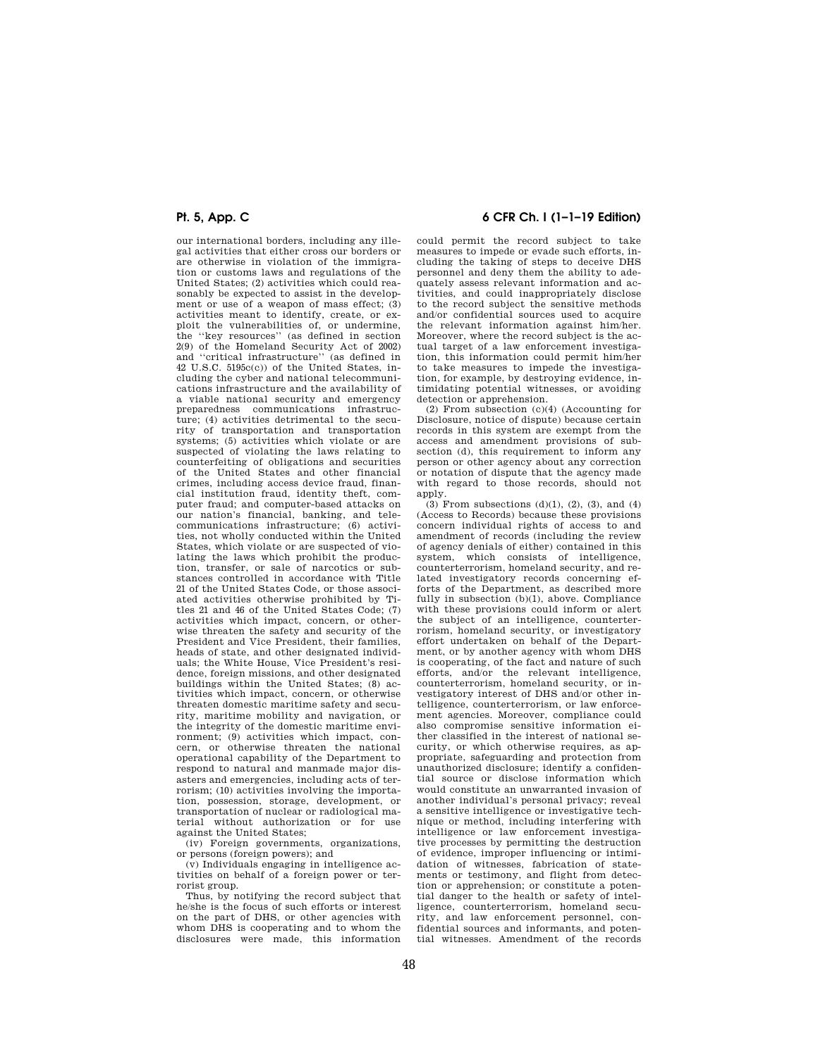our international borders, including any illegal activities that either cross our borders or are otherwise in violation of the immigration or customs laws and regulations of the United States; (2) activities which could reasonably be expected to assist in the development or use of a weapon of mass effect; (3) activities meant to identify, create, or exploit the vulnerabilities of, or undermine, the ''key resources'' (as defined in section 2(9) of the Homeland Security Act of 2002) and ''critical infrastructure'' (as defined in 42 U.S.C. 5195c(c)) of the United States, including the cyber and national telecommunications infrastructure and the availability of a viable national security and emergency preparedness communications infrastructure; (4) activities detrimental to the security of transportation and transportation systems; (5) activities which violate or are suspected of violating the laws relating to counterfeiting of obligations and securities of the United States and other financial crimes, including access device fraud, financial institution fraud, identity theft, computer fraud; and computer-based attacks on our nation's financial, banking, and telecommunications infrastructure; (6) activities, not wholly conducted within the United States, which violate or are suspected of violating the laws which prohibit the production, transfer, or sale of narcotics or substances controlled in accordance with Title 21 of the United States Code, or those associated activities otherwise prohibited by Titles 21 and 46 of the United States Code; (7) activities which impact, concern, or otherwise threaten the safety and security of the President and Vice President, their families, heads of state, and other designated individuals; the White House, Vice President's residence, foreign missions, and other designated buildings within the United States; (8) activities which impact, concern, or otherwise threaten domestic maritime safety and security, maritime mobility and navigation, or the integrity of the domestic maritime environment; (9) activities which impact, concern, or otherwise threaten the national operational capability of the Department to respond to natural and manmade major disasters and emergencies, including acts of terrorism; (10) activities involving the importation, possession, storage, development, or transportation of nuclear or radiological material without authorization or for use against the United States;

(iv) Foreign governments, organizations, or persons (foreign powers); and

(v) Individuals engaging in intelligence activities on behalf of a foreign power or terrorist group.

Thus, by notifying the record subject that he/she is the focus of such efforts or interest on the part of DHS, or other agencies with whom DHS is cooperating and to whom the disclosures were made, this information

## **Pt. 5, App. C 6 CFR Ch. I (1–1–19 Edition)**

could permit the record subject to take measures to impede or evade such efforts, including the taking of steps to deceive DHS personnel and deny them the ability to adequately assess relevant information and activities, and could inappropriately disclose to the record subject the sensitive methods and/or confidential sources used to acquire the relevant information against him/her. Moreover, where the record subject is the actual target of a law enforcement investigation, this information could permit him/her to take measures to impede the investigation, for example, by destroying evidence, intimidating potential witnesses, or avoiding detection or apprehension.

(2) From subsection (c)(4) (Accounting for Disclosure, notice of dispute) because certain records in this system are exempt from the access and amendment provisions of subsection (d), this requirement to inform any person or other agency about any correction or notation of dispute that the agency made with regard to those records, should not apply.

 $(3)$  From subsections  $(d)(1)$ ,  $(2)$ ,  $(3)$ , and  $(4)$ (Access to Records) because these provisions concern individual rights of access to and amendment of records (including the review of agency denials of either) contained in this system, which consists of intelligence, counterterrorism, homeland security, and related investigatory records concerning efforts of the Department, as described more fully in subsection (b)(1), above. Compliance with these provisions could inform or alert the subject of an intelligence, counterterrorism, homeland security, or investigatory effort undertaken on behalf of the Department, or by another agency with whom DHS is cooperating, of the fact and nature of such efforts, and/or the relevant intelligence, counterterrorism, homeland security, or investigatory interest of DHS and/or other intelligence, counterterrorism, or law enforcement agencies. Moreover, compliance could also compromise sensitive information either classified in the interest of national security, or which otherwise requires, as appropriate, safeguarding and protection from unauthorized disclosure; identify a confidential source or disclose information which would constitute an unwarranted invasion of another individual's personal privacy; reveal a sensitive intelligence or investigative technique or method, including interfering with intelligence or law enforcement investigative processes by permitting the destruction of evidence, improper influencing or intimidation of witnesses, fabrication of statements or testimony, and flight from detection or apprehension; or constitute a potential danger to the health or safety of intelligence, counterterrorism, homeland security, and law enforcement personnel, confidential sources and informants, and potential witnesses. Amendment of the records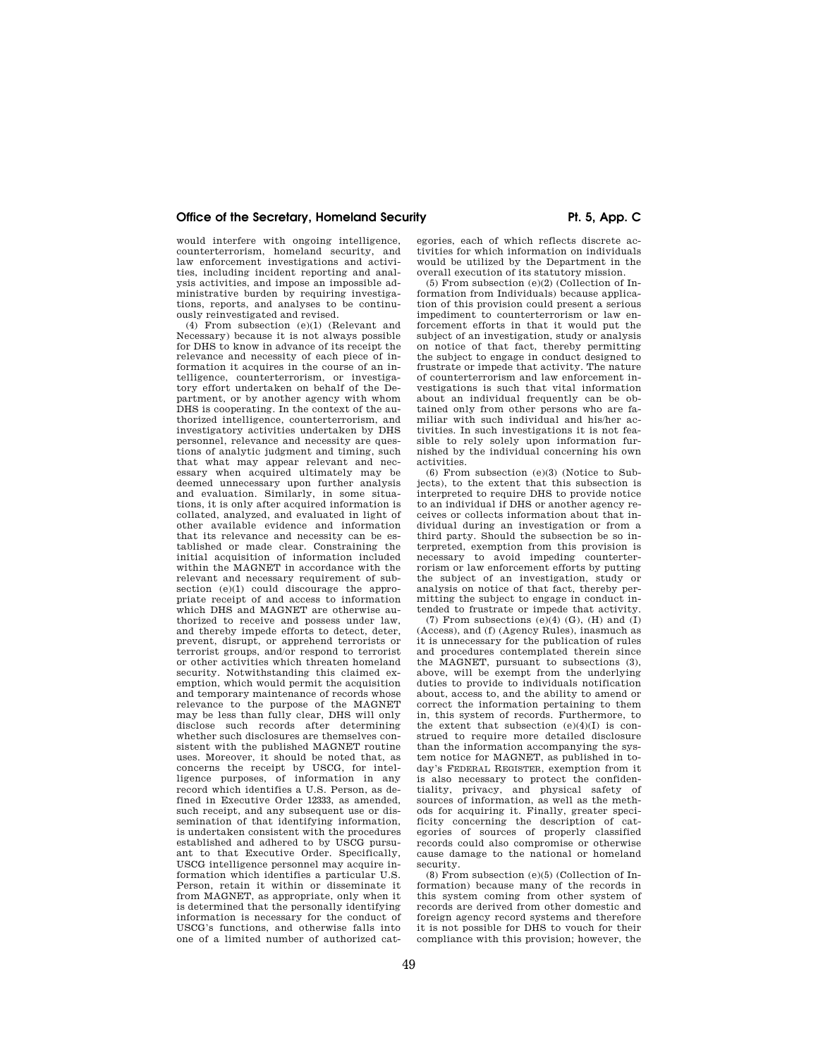would interfere with ongoing intelligence, counterterrorism, homeland security, and law enforcement investigations and activities, including incident reporting and analysis activities, and impose an impossible administrative burden by requiring investigations, reports, and analyses to be continuously reinvestigated and revised.

(4) From subsection (e)(1) (Relevant and Necessary) because it is not always possible for DHS to know in advance of its receipt the relevance and necessity of each piece of information it acquires in the course of an intelligence, counterterrorism, or investigatory effort undertaken on behalf of the Department, or by another agency with whom DHS is cooperating. In the context of the authorized intelligence, counterterrorism, and investigatory activities undertaken by DHS personnel, relevance and necessity are questions of analytic judgment and timing, such that what may appear relevant and necessary when acquired ultimately may be deemed unnecessary upon further analysis and evaluation. Similarly, in some situations, it is only after acquired information is collated, analyzed, and evaluated in light of other available evidence and information that its relevance and necessity can be established or made clear. Constraining the initial acquisition of information included within the MAGNET in accordance with the relevant and necessary requirement of subsection (e)(1) could discourage the appropriate receipt of and access to information which DHS and MAGNET are otherwise authorized to receive and possess under law, and thereby impede efforts to detect, deter, prevent, disrupt, or apprehend terrorists or terrorist groups, and/or respond to terrorist or other activities which threaten homeland security. Notwithstanding this claimed exemption, which would permit the acquisition and temporary maintenance of records whose relevance to the purpose of the MAGNET may be less than fully clear, DHS will only disclose such records after determining whether such disclosures are themselves consistent with the published MAGNET routine uses. Moreover, it should be noted that, as concerns the receipt by USCG, for intelligence purposes, of information in any record which identifies a U.S. Person, as defined in Executive Order 12333, as amended, such receipt, and any subsequent use or dissemination of that identifying information, is undertaken consistent with the procedures established and adhered to by USCG pursuant to that Executive Order. Specifically, USCG intelligence personnel may acquire information which identifies a particular U.S. Person, retain it within or disseminate it from MAGNET, as appropriate, only when it is determined that the personally identifying information is necessary for the conduct of USCG's functions, and otherwise falls into one of a limited number of authorized categories, each of which reflects discrete activities for which information on individuals would be utilized by the Department in the overall execution of its statutory mission.

(5) From subsection (e)(2) (Collection of Information from Individuals) because application of this provision could present a serious impediment to counterterrorism or law enforcement efforts in that it would put the subject of an investigation, study or analysis on notice of that fact, thereby permitting the subject to engage in conduct designed to frustrate or impede that activity. The nature of counterterrorism and law enforcement investigations is such that vital information about an individual frequently can be obtained only from other persons who are familiar with such individual and his/her activities. In such investigations it is not feasible to rely solely upon information furnished by the individual concerning his own activities.

(6) From subsection (e)(3) (Notice to Subjects), to the extent that this subsection is interpreted to require DHS to provide notice to an individual if DHS or another agency receives or collects information about that individual during an investigation or from a third party. Should the subsection be so interpreted, exemption from this provision is necessary to avoid impeding counterterrorism or law enforcement efforts by putting the subject of an investigation, study or analysis on notice of that fact, thereby permitting the subject to engage in conduct intended to frustrate or impede that activity.

(7) From subsections  $(e)(4)$   $(G)$ ,  $(H)$  and  $(I)$ (Access), and (f) (Agency Rules), inasmuch as it is unnecessary for the publication of rules and procedures contemplated therein since the MAGNET, pursuant to subsections (3), above, will be exempt from the underlying duties to provide to individuals notification about, access to, and the ability to amend or correct the information pertaining to them in, this system of records. Furthermore, to the extent that subsection (e)(4)(I) is construed to require more detailed disclosure than the information accompanying the system notice for MAGNET, as published in today's FEDERAL REGISTER, exemption from it is also necessary to protect the confidentiality, privacy, and physical safety of sources of information, as well as the methods for acquiring it. Finally, greater specificity concerning the description of categories of sources of properly classified records could also compromise or otherwise cause damage to the national or homeland security.

(8) From subsection (e)(5) (Collection of Information) because many of the records in this system coming from other system of records are derived from other domestic and foreign agency record systems and therefore it is not possible for DHS to vouch for their compliance with this provision; however, the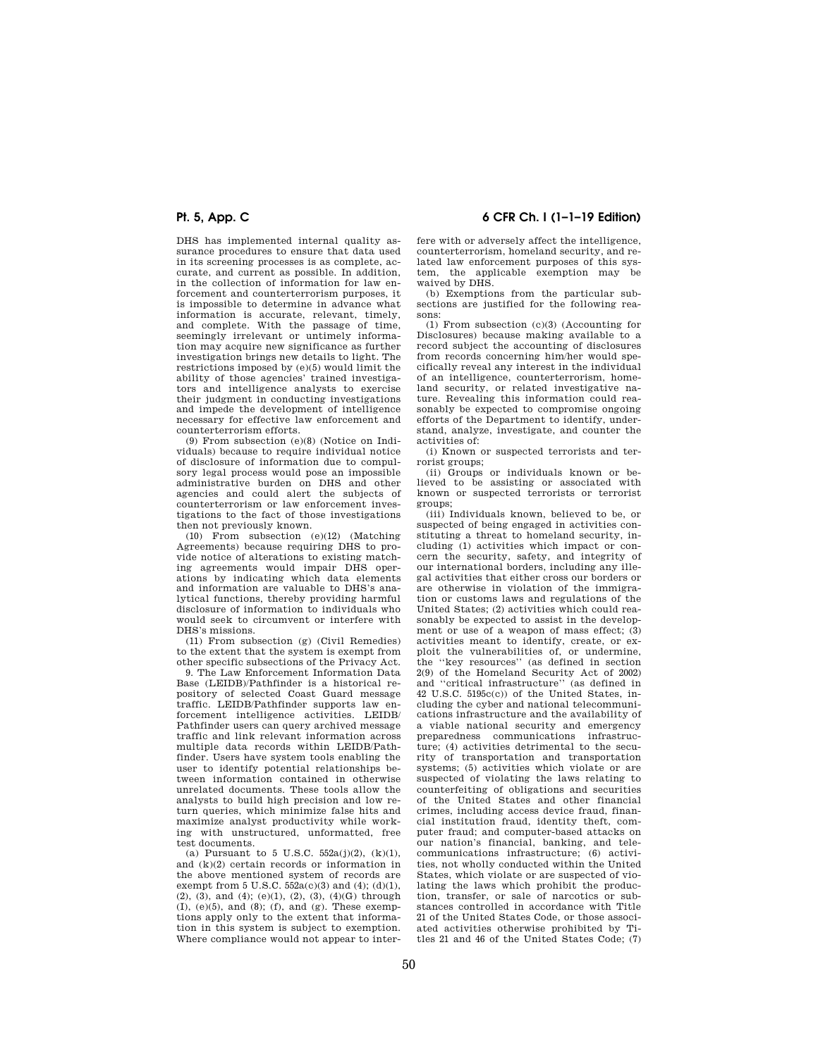DHS has implemented internal quality assurance procedures to ensure that data used in its screening processes is as complete, accurate, and current as possible. In addition, in the collection of information for law enforcement and counterterrorism purposes, it is impossible to determine in advance what information is accurate, relevant, timely, and complete. With the passage of time, seemingly irrelevant or untimely information may acquire new significance as further investigation brings new details to light. The restrictions imposed by (e)(5) would limit the ability of those agencies' trained investigators and intelligence analysts to exercise their judgment in conducting investigations and impede the development of intelligence necessary for effective law enforcement and counterterrorism efforts.

(9) From subsection (e)(8) (Notice on Individuals) because to require individual notice of disclosure of information due to compulsory legal process would pose an impossible administrative burden on DHS and other agencies and could alert the subjects of counterterrorism or law enforcement investigations to the fact of those investigations then not previously known.

(10) From subsection (e)(12) (Matching Agreements) because requiring DHS to provide notice of alterations to existing matching agreements would impair DHS operations by indicating which data elements and information are valuable to DHS's analytical functions, thereby providing harmful disclosure of information to individuals who would seek to circumvent or interfere with DHS's missions.

(11) From subsection (g) (Civil Remedies) to the extent that the system is exempt from other specific subsections of the Privacy Act.

9. The Law Enforcement Information Data Base (LEIDB)/Pathfinder is a historical repository of selected Coast Guard message traffic. LEIDB/Pathfinder supports law enforcement intelligence activities. LEIDB/ Pathfinder users can query archived message traffic and link relevant information across multiple data records within LEIDB/Pathfinder. Users have system tools enabling the user to identify potential relationships between information contained in otherwise unrelated documents. These tools allow the analysts to build high precision and low return queries, which minimize false hits and maximize analyst productivity while working with unstructured, unformatted, free test documents.

(a) Pursuant to 5 U.S.C.  $552a(j)(2)$ ,  $(k)(1)$ , and (k)(2) certain records or information in the above mentioned system of records are exempt from 5 U.S.C.  $552a(c)(3)$  and  $(4)$ ;  $(d)(1)$ , (2), (3), and (4); (e)(1), (2), (3), (4)(G) through  $(I), (e)(5), and (8); (f), and (g). These exemp$ tions apply only to the extent that information in this system is subject to exemption. Where compliance would not appear to inter-

**Pt. 5, App. C 6 CFR Ch. I (1–1–19 Edition)** 

fere with or adversely affect the intelligence, counterterrorism, homeland security, and related law enforcement purposes of this system, the applicable exemption may be waived by DHS.

(b) Exemptions from the particular subsections are justified for the following reasons:

(1) From subsection (c)(3) (Accounting for Disclosures) because making available to a record subject the accounting of disclosures from records concerning him/her would specifically reveal any interest in the individual of an intelligence, counterterrorism, homeland security, or related investigative nature. Revealing this information could reasonably be expected to compromise ongoing efforts of the Department to identify, understand, analyze, investigate, and counter the activities of:

(i) Known or suspected terrorists and terrorist groups;

(ii) Groups or individuals known or believed to be assisting or associated with known or suspected terrorists or terrorist groups;

(iii) Individuals known, believed to be, or suspected of being engaged in activities constituting a threat to homeland security, including (1) activities which impact or concern the security, safety, and integrity of our international borders, including any illegal activities that either cross our borders or are otherwise in violation of the immigration or customs laws and regulations of the United States; (2) activities which could reasonably be expected to assist in the development or use of a weapon of mass effect; (3) activities meant to identify, create, or exploit the vulnerabilities of, or undermine, the ''key resources'' (as defined in section 2(9) of the Homeland Security Act of 2002) and ''critical infrastructure'' (as defined in 42 U.S.C. 5195c(c)) of the United States, including the cyber and national telecommunications infrastructure and the availability of a viable national security and emergency preparedness communications infrastructure; (4) activities detrimental to the security of transportation and transportation systems; (5) activities which violate or are suspected of violating the laws relating to counterfeiting of obligations and securities of the United States and other financial crimes, including access device fraud, financial institution fraud, identity theft, computer fraud; and computer-based attacks on our nation's financial, banking, and telecommunications infrastructure; (6) activities, not wholly conducted within the United States, which violate or are suspected of violating the laws which prohibit the production, transfer, or sale of narcotics or substances controlled in accordance with Title 21 of the United States Code, or those associated activities otherwise prohibited by Titles 21 and 46 of the United States Code; (7)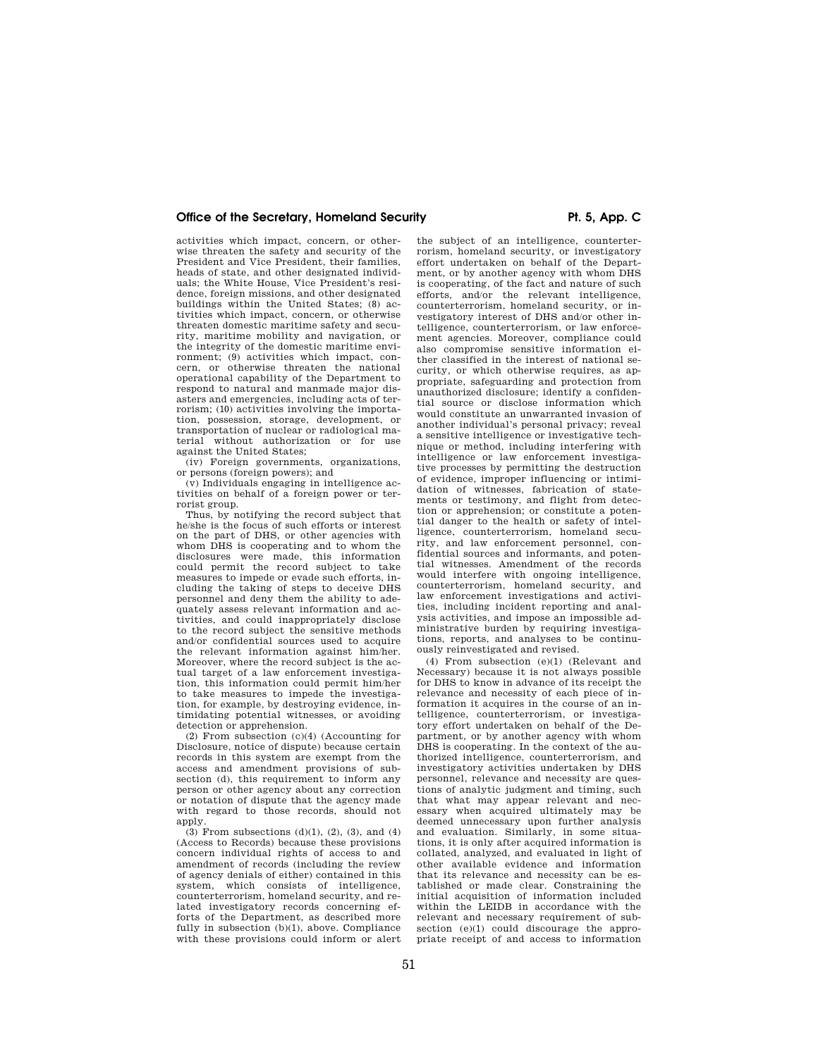activities which impact, concern, or otherwise threaten the safety and security of the President and Vice President, their families, heads of state, and other designated individuals; the White House, Vice President's residence, foreign missions, and other designated buildings within the United States; (8) activities which impact, concern, or otherwise threaten domestic maritime safety and security, maritime mobility and navigation, or the integrity of the domestic maritime environment; (9) activities which impact, concern, or otherwise threaten the national operational capability of the Department to respond to natural and manmade major disasters and emergencies, including acts of terrorism; (10) activities involving the importation, possession, storage, development, or transportation of nuclear or radiological material without authorization or for use against the United States;

(iv) Foreign governments, organizations, or persons (foreign powers); and

(v) Individuals engaging in intelligence activities on behalf of a foreign power or terrorist group.

Thus, by notifying the record subject that he/she is the focus of such efforts or interest on the part of DHS, or other agencies with whom DHS is cooperating and to whom the disclosures were made, this information could permit the record subject to take measures to impede or evade such efforts, including the taking of steps to deceive DHS personnel and deny them the ability to adequately assess relevant information and activities, and could inappropriately disclose to the record subject the sensitive methods and/or confidential sources used to acquire the relevant information against him/her. Moreover, where the record subject is the actual target of a law enforcement investigation, this information could permit him/her to take measures to impede the investigation, for example, by destroying evidence, intimidating potential witnesses, or avoiding detection or apprehension.

(2) From subsection (c)(4) (Accounting for Disclosure, notice of dispute) because certain records in this system are exempt from the access and amendment provisions of subsection (d), this requirement to inform any person or other agency about any correction or notation of dispute that the agency made with regard to those records, should not apply.

(3) From subsections  $(d)(1)$ ,  $(2)$ ,  $(3)$ , and  $(4)$ (Access to Records) because these provisions concern individual rights of access to and amendment of records (including the review of agency denials of either) contained in this system, which consists of intelligence, counterterrorism, homeland security, and related investigatory records concerning efforts of the Department, as described more fully in subsection (b)(1), above. Compliance with these provisions could inform or alert

the subject of an intelligence, counterterrorism, homeland security, or investigatory effort undertaken on behalf of the Department, or by another agency with whom DHS is cooperating, of the fact and nature of such efforts, and/or the relevant intelligence, counterterrorism, homeland security, or investigatory interest of DHS and/or other intelligence, counterterrorism, or law enforcement agencies. Moreover, compliance could also compromise sensitive information either classified in the interest of national security, or which otherwise requires, as appropriate, safeguarding and protection from unauthorized disclosure; identify a confidential source or disclose information which would constitute an unwarranted invasion of another individual's personal privacy; reveal a sensitive intelligence or investigative technique or method, including interfering with intelligence or law enforcement investigative processes by permitting the destruction of evidence, improper influencing or intimidation of witnesses, fabrication of statements or testimony, and flight from detection or apprehension; or constitute a potential danger to the health or safety of intelligence, counterterrorism, homeland security, and law enforcement personnel, confidential sources and informants, and potential witnesses. Amendment of the records would interfere with ongoing intelligence, counterterrorism, homeland security, and law enforcement investigations and activities, including incident reporting and analysis activities, and impose an impossible administrative burden by requiring investigations, reports, and analyses to be continuously reinvestigated and revised.

(4) From subsection (e)(1) (Relevant and Necessary) because it is not always possible for DHS to know in advance of its receipt the relevance and necessity of each piece of information it acquires in the course of an intelligence, counterterrorism, or investigatory effort undertaken on behalf of the Department, or by another agency with whom DHS is cooperating. In the context of the authorized intelligence, counterterrorism, and investigatory activities undertaken by DHS personnel, relevance and necessity are questions of analytic judgment and timing, such that what may appear relevant and necessary when acquired ultimately may be deemed unnecessary upon further analysis and evaluation. Similarly, in some situations, it is only after acquired information is collated, analyzed, and evaluated in light of other available evidence and information that its relevance and necessity can be established or made clear. Constraining the initial acquisition of information included within the LEIDB in accordance with the relevant and necessary requirement of subsection (e)(1) could discourage the appropriate receipt of and access to information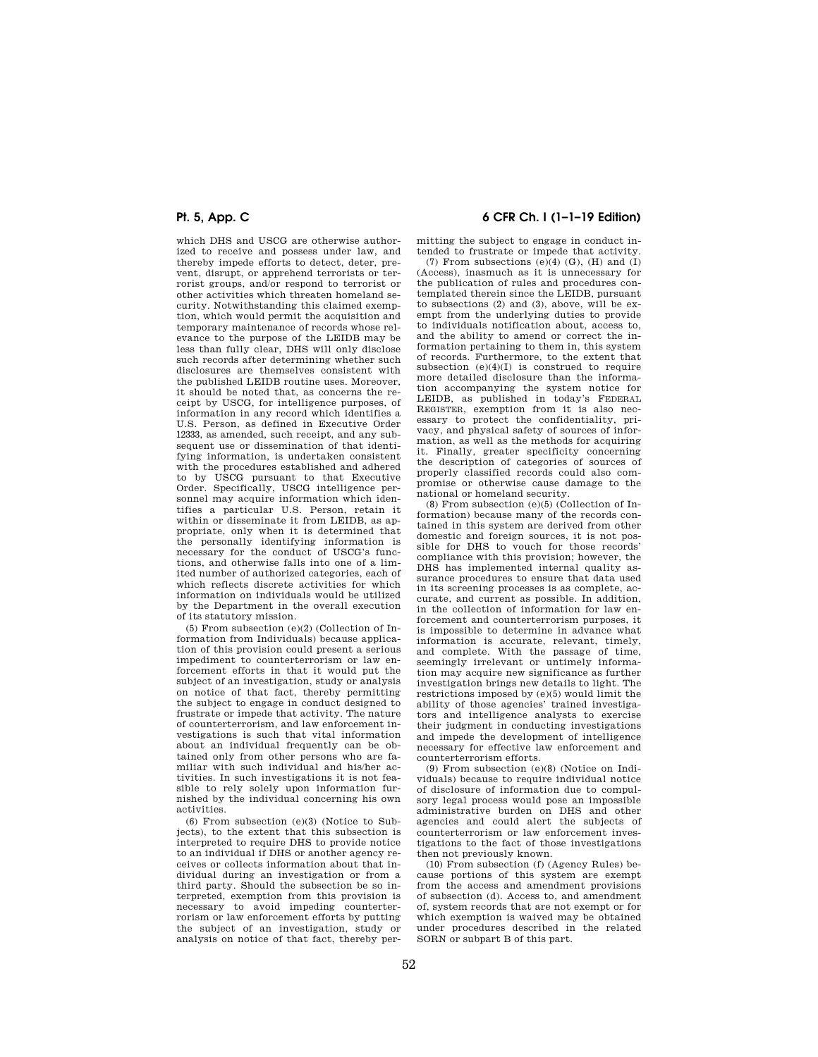which DHS and USCG are otherwise authorized to receive and possess under law, and thereby impede efforts to detect, deter, prevent, disrupt, or apprehend terrorists or terrorist groups, and/or respond to terrorist or other activities which threaten homeland security. Notwithstanding this claimed exemption, which would permit the acquisition and temporary maintenance of records whose relevance to the purpose of the LEIDB may be less than fully clear, DHS will only disclose such records after determining whether such disclosures are themselves consistent with the published LEIDB routine uses. Moreover, it should be noted that, as concerns the receipt by USCG, for intelligence purposes, of information in any record which identifies a U.S. Person, as defined in Executive Order 12333, as amended, such receipt, and any subsequent use or dissemination of that identifying information, is undertaken consistent with the procedures established and adhered to by USCG pursuant to that Executive Order. Specifically, USCG intelligence personnel may acquire information which identifies a particular U.S. Person, retain it within or disseminate it from LEIDB, as appropriate, only when it is determined that the personally identifying information is necessary for the conduct of USCG's functions, and otherwise falls into one of a limited number of authorized categories, each of which reflects discrete activities for which information on individuals would be utilized by the Department in the overall execution of its statutory mission.

(5) From subsection (e)(2) (Collection of Information from Individuals) because application of this provision could present a serious impediment to counterterrorism or law enforcement efforts in that it would put the subject of an investigation, study or analysis on notice of that fact, thereby permitting the subject to engage in conduct designed to frustrate or impede that activity. The nature of counterterrorism, and law enforcement investigations is such that vital information about an individual frequently can be obtained only from other persons who are familiar with such individual and his/her activities. In such investigations it is not feasible to rely solely upon information furnished by the individual concerning his own activities.

(6) From subsection (e)(3) (Notice to Subjects), to the extent that this subsection is interpreted to require DHS to provide notice to an individual if DHS or another agency receives or collects information about that individual during an investigation or from a third party. Should the subsection be so interpreted, exemption from this provision is necessary to avoid impeding counterterrorism or law enforcement efforts by putting the subject of an investigation, study or analysis on notice of that fact, thereby per-

## **Pt. 5, App. C 6 CFR Ch. I (1–1–19 Edition)**

mitting the subject to engage in conduct intended to frustrate or impede that activity.

 $(7)$  From subsections  $(e)(4)$   $(G)$ ,  $(H)$  and  $(I)$ (Access), inasmuch as it is unnecessary for the publication of rules and procedures contemplated therein since the LEIDB, pursuant to subsections (2) and (3), above, will be exempt from the underlying duties to provide to individuals notification about, access to, and the ability to amend or correct the information pertaining to them in, this system of records. Furthermore, to the extent that subsection  $(e)(4)(I)$  is construed to require more detailed disclosure than the information accompanying the system notice for LEIDB, as published in today's FEDERAL REGISTER, exemption from it is also necessary to protect the confidentiality, privacy, and physical safety of sources of information, as well as the methods for acquiring it. Finally, greater specificity concerning the description of categories of sources of properly classified records could also compromise or otherwise cause damage to the national or homeland security.

(8) From subsection (e)(5) (Collection of Information) because many of the records contained in this system are derived from other domestic and foreign sources, it is not possible for DHS to vouch for those records' compliance with this provision; however, the DHS has implemented internal quality assurance procedures to ensure that data used in its screening processes is as complete, accurate, and current as possible. In addition, in the collection of information for law enforcement and counterterrorism purposes, it is impossible to determine in advance what information is accurate, relevant, timely, and complete. With the passage of time, seemingly irrelevant or untimely information may acquire new significance as further investigation brings new details to light. The restrictions imposed by (e)(5) would limit the ability of those agencies' trained investigators and intelligence analysts to exercise their judgment in conducting investigations and impede the development of intelligence necessary for effective law enforcement and counterterrorism efforts.

(9) From subsection (e)(8) (Notice on Individuals) because to require individual notice of disclosure of information due to compulsory legal process would pose an impossible administrative burden on DHS and other agencies and could alert the subjects of counterterrorism or law enforcement investigations to the fact of those investigations then not previously known.

(10) From subsection (f) (Agency Rules) because portions of this system are exempt from the access and amendment provisions of subsection (d). Access to, and amendment of, system records that are not exempt or for which exemption is waived may be obtained under procedures described in the related SORN or subpart B of this part.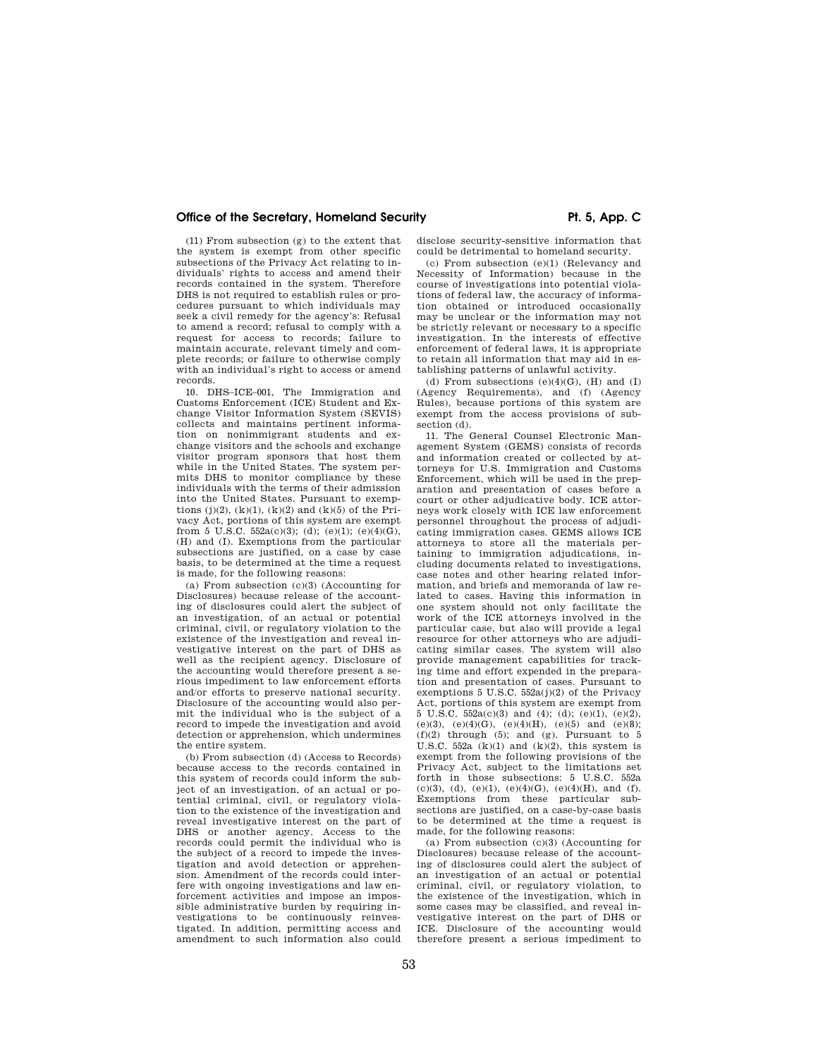### Office of the Secretary, Homeland Security **Pt. 5, App. C**

(11) From subsection (g) to the extent that the system is exempt from other specific subsections of the Privacy Act relating to individuals' rights to access and amend their records contained in the system. Therefore DHS is not required to establish rules or procedures pursuant to which individuals may seek a civil remedy for the agency's: Refusal to amend a record; refusal to comply with a request for access to records; failure to maintain accurate, relevant timely and complete records; or failure to otherwise comply with an individual's right to access or amend records.

10. DHS–ICE–001, The Immigration and Customs Enforcement (ICE) Student and Exchange Visitor Information System (SEVIS) collects and maintains pertinent information on nonimmigrant students and exchange visitors and the schools and exchange visitor program sponsors that host them while in the United States. The system permits DHS to monitor compliance by these individuals with the terms of their admission into the United States. Pursuant to exemptions (j)(2), (k)(1), (k)(2) and (k)(5) of the Privacy Act, portions of this system are exempt from 5 U.S.C. 552a(c)(3); (d); (e)(1); (e)(4)(G), (H) and (I). Exemptions from the particular subsections are justified, on a case by case basis, to be determined at the time a request is made, for the following reasons:

(a) From subsection  $(c)(3)$  (Accounting for Disclosures) because release of the accounting of disclosures could alert the subject of an investigation, of an actual or potential criminal, civil, or regulatory violation to the existence of the investigation and reveal investigative interest on the part of DHS as well as the recipient agency. Disclosure of the accounting would therefore present a serious impediment to law enforcement efforts and/or efforts to preserve national security. Disclosure of the accounting would also permit the individual who is the subject of a record to impede the investigation and avoid detection or apprehension, which undermines the entire system.

(b) From subsection (d) (Access to Records) because access to the records contained in this system of records could inform the subject of an investigation, of an actual or potential criminal, civil, or regulatory violation to the existence of the investigation and reveal investigative interest on the part of DHS or another agency. Access to the records could permit the individual who is the subject of a record to impede the investigation and avoid detection or apprehension. Amendment of the records could interfere with ongoing investigations and law enforcement activities and impose an impossible administrative burden by requiring investigations to be continuously reinvestigated. In addition, permitting access and amendment to such information also could

disclose security-sensitive information that could be detrimental to homeland security.

(c) From subsection (e)(1) (Relevancy and Necessity of Information) because in the course of investigations into potential violations of federal law, the accuracy of information obtained or introduced occasionally may be unclear or the information may not be strictly relevant or necessary to a specific investigation. In the interests of effective enforcement of federal laws, it is appropriate to retain all information that may aid in establishing patterns of unlawful activity.

(d) From subsections  $(e)(4)(G)$ ,  $(H)$  and  $(I)$ (Agency Requirements), and (f) (Agency Rules), because portions of this system are exempt from the access provisions of subsection (d).

11. The General Counsel Electronic Management System (GEMS) consists of records and information created or collected by attorneys for U.S. Immigration and Customs Enforcement, which will be used in the preparation and presentation of cases before a court or other adjudicative body. ICE attorneys work closely with ICE law enforcement personnel throughout the process of adjudicating immigration cases. GEMS allows ICE attorneys to store all the materials pertaining to immigration adjudications, including documents related to investigations, case notes and other hearing related information, and briefs and memoranda of law related to cases. Having this information in one system should not only facilitate the work of the ICE attorneys involved in the particular case, but also will provide a legal resource for other attorneys who are adjudicating similar cases. The system will also provide management capabilities for tracking time and effort expended in the preparation and presentation of cases. Pursuant to exemptions  $5 \text{ U.S.C. } 552a(i)(2)$  of the Privacy Act, portions of this system are exempt from 5 U.S.C. 552a(c)(3) and (4); (d); (e)(1), (e)(2), (e)(3), (e)(4)(G), (e)(4)(H), (e)(5) and (e)(8);  $(f)(2)$  through  $(5)$ ; and  $(g)$ . Pursuant to 5 U.S.C. 552a  $(k)(1)$  and  $(k)(2)$ , this system is exempt from the following provisions of the Privacy Act, subject to the limitations set forth in those subsections: 5 U.S.C. 552a  $(c)(3)$ ,  $(d)$ ,  $(e)(1)$ ,  $(e)(4)(G)$ ,  $(e)(4)(H)$ , and  $(f)$ . Exemptions from these particular subsections are justified, on a case-by-case basis to be determined at the time a request is made, for the following reasons:

(a) From subsection  $(c)(3)$  (Accounting for Disclosures) because release of the accounting of disclosures could alert the subject of an investigation of an actual or potential criminal, civil, or regulatory violation, to the existence of the investigation, which in some cases may be classified, and reveal investigative interest on the part of DHS or ICE. Disclosure of the accounting would therefore present a serious impediment to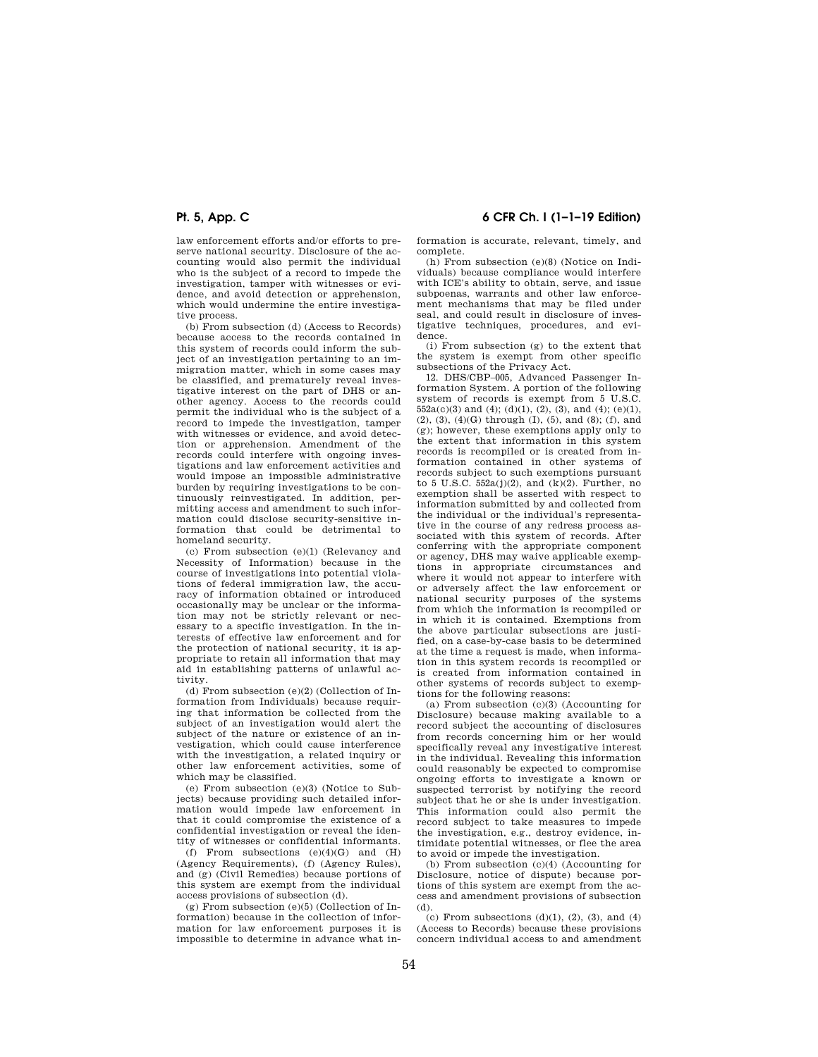law enforcement efforts and/or efforts to preserve national security. Disclosure of the accounting would also permit the individual who is the subject of a record to impede the investigation, tamper with witnesses or evidence, and avoid detection or apprehension, which would undermine the entire investigative process.

(b) From subsection (d) (Access to Records) because access to the records contained in this system of records could inform the subject of an investigation pertaining to an immigration matter, which in some cases may be classified, and prematurely reveal investigative interest on the part of DHS or another agency. Access to the records could permit the individual who is the subject of a record to impede the investigation, tamper with witnesses or evidence, and avoid detection or apprehension. Amendment of the records could interfere with ongoing investigations and law enforcement activities and would impose an impossible administrative burden by requiring investigations to be continuously reinvestigated. In addition, permitting access and amendment to such information could disclose security-sensitive information that could be detrimental to homeland security.

(c) From subsection (e)(1) (Relevancy and Necessity of Information) because in the course of investigations into potential violations of federal immigration law, the accuracy of information obtained or introduced occasionally may be unclear or the information may not be strictly relevant or necessary to a specific investigation. In the interests of effective law enforcement and for the protection of national security, it is appropriate to retain all information that may aid in establishing patterns of unlawful activity.

(d) From subsection (e)(2) (Collection of Information from Individuals) because requiring that information be collected from the subject of an investigation would alert the subject of the nature or existence of an investigation, which could cause interference with the investigation, a related inquiry or other law enforcement activities, some of which may be classified.

(e) From subsection (e)(3) (Notice to Subjects) because providing such detailed information would impede law enforcement in that it could compromise the existence of a confidential investigation or reveal the identity of witnesses or confidential informants.

(f) From subsections  $(e)(4)(G)$  and  $(H)$ (Agency Requirements), (f) (Agency Rules), and (g) (Civil Remedies) because portions of this system are exempt from the individual access provisions of subsection (d).

(g) From subsection (e)(5) (Collection of Information) because in the collection of information for law enforcement purposes it is impossible to determine in advance what in-

**Pt. 5, App. C 6 CFR Ch. I (1–1–19 Edition)** 

formation is accurate, relevant, timely, and complete.

(h) From subsection (e)(8) (Notice on Individuals) because compliance would interfere with ICE's ability to obtain, serve, and issue subpoenas, warrants and other law enforcement mechanisms that may be filed under seal, and could result in disclosure of investigative techniques, procedures, and evidence.

(i) From subsection (g) to the extent that the system is exempt from other specific subsections of the Privacy Act.

12. DHS/CBP–005, Advanced Passenger Information System. A portion of the following system of records is exempt from 5 U.S.C.  $\overline{552a(c)(3)}$  and (4); (d)(1), (2), (3), and (4); (e)(1), (2), (3), (4)(G) through (I), (5), and (8); (f), and (g); however, these exemptions apply only to the extent that information in this system records is recompiled or is created from information contained in other systems of records subject to such exemptions pursuant to 5 U.S.C.  $552a(j)(2)$ , and  $(k)(2)$ . Further, no exemption shall be asserted with respect to information submitted by and collected from the individual or the individual's representative in the course of any redress process associated with this system of records. After conferring with the appropriate component or agency, DHS may waive applicable exemptions in appropriate circumstances and where it would not appear to interfere with or adversely affect the law enforcement or national security purposes of the systems from which the information is recompiled or in which it is contained. Exemptions from the above particular subsections are justified, on a case-by-case basis to be determined at the time a request is made, when information in this system records is recompiled or is created from information contained in other systems of records subject to exemptions for the following reasons:

(a) From subsection (c)(3) (Accounting for Disclosure) because making available to a record subject the accounting of disclosures from records concerning him or her would specifically reveal any investigative interest in the individual. Revealing this information could reasonably be expected to compromise ongoing efforts to investigate a known or suspected terrorist by notifying the record subject that he or she is under investigation. This information could also permit the record subject to take measures to impede the investigation, e.g., destroy evidence, intimidate potential witnesses, or flee the area to avoid or impede the investigation.

(b) From subsection (c)(4) (Accounting for Disclosure, notice of dispute) because portions of this system are exempt from the access and amendment provisions of subsection (d).

 $(c)$  From subsections  $(d)(1), (2), (3),$  and  $(4)$ (Access to Records) because these provisions concern individual access to and amendment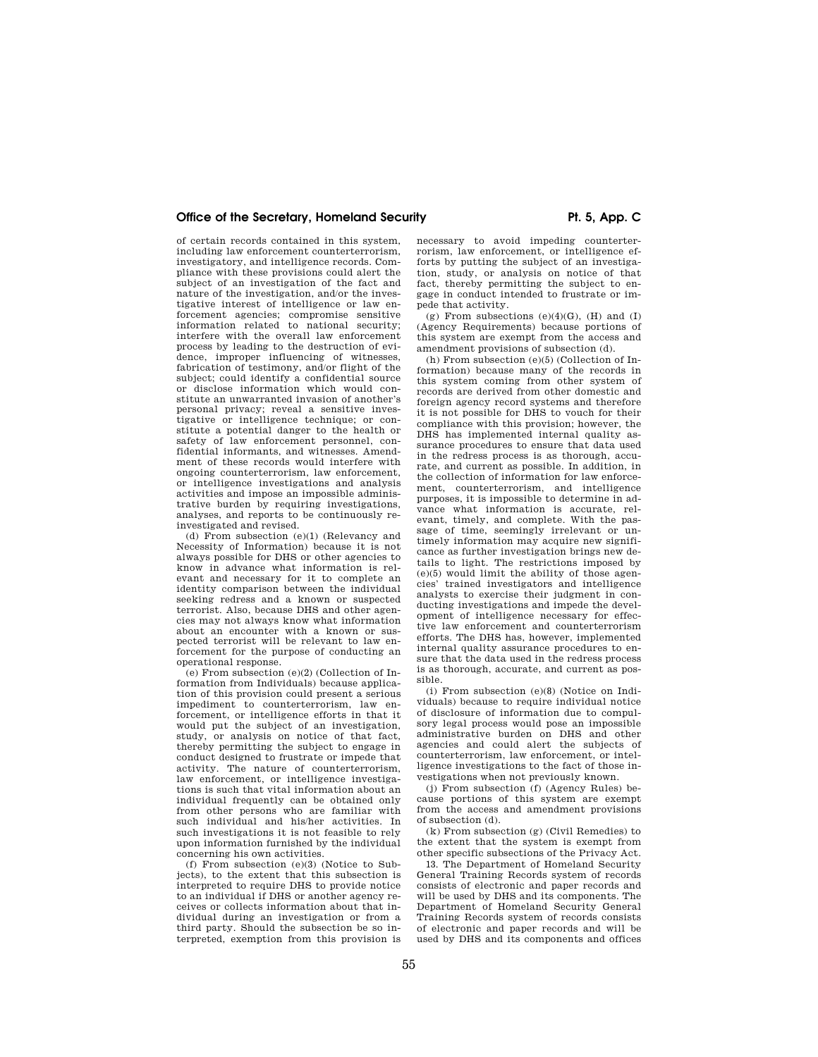of certain records contained in this system, including law enforcement counterterrorism, investigatory, and intelligence records. Compliance with these provisions could alert the subject of an investigation of the fact and nature of the investigation, and/or the investigative interest of intelligence or law enforcement agencies; compromise sensitive information related to national security; interfere with the overall law enforcement process by leading to the destruction of evidence, improper influencing of witnesses, fabrication of testimony, and/or flight of the subject; could identify a confidential source or disclose information which would constitute an unwarranted invasion of another's personal privacy; reveal a sensitive inves-tigative or intelligence technique; or constitute a potential danger to the health or safety of law enforcement personnel, confidential informants, and witnesses. Amendment of these records would interfere with ongoing counterterrorism, law enforcement, or intelligence investigations and analysis activities and impose an impossible administrative burden by requiring investigations, analyses, and reports to be continuously reinvestigated and revised.

(d) From subsection (e)(1) (Relevancy and Necessity of Information) because it is not always possible for DHS or other agencies to know in advance what information is relevant and necessary for it to complete an identity comparison between the individual seeking redress and a known or suspected terrorist. Also, because DHS and other agencies may not always know what information about an encounter with a known or suspected terrorist will be relevant to law enforcement for the purpose of conducting an operational response.

(e) From subsection (e)(2) (Collection of Information from Individuals) because application of this provision could present a serious impediment to counterterrorism, law enforcement, or intelligence efforts in that it would put the subject of an investigation, study, or analysis on notice of that fact, thereby permitting the subject to engage in conduct designed to frustrate or impede that activity. The nature of counterterrorism, law enforcement, or intelligence investigations is such that vital information about an individual frequently can be obtained only from other persons who are familiar with such individual and his/her activities. In such investigations it is not feasible to rely upon information furnished by the individual concerning his own activities.

(f) From subsection (e)(3) (Notice to Subjects), to the extent that this subsection is interpreted to require DHS to provide notice to an individual if DHS or another agency receives or collects information about that individual during an investigation or from a third party. Should the subsection be so interpreted, exemption from this provision is necessary to avoid impeding counterterrorism, law enforcement, or intelligence efforts by putting the subject of an investigation, study, or analysis on notice of that fact, thereby permitting the subject to engage in conduct intended to frustrate or impede that activity.

(g) From subsections  $(e)(4)(G)$ ,  $(H)$  and  $(I)$ (Agency Requirements) because portions of this system are exempt from the access and amendment provisions of subsection (d).

(h) From subsection (e)(5) (Collection of Information) because many of the records in this system coming from other system of records are derived from other domestic and foreign agency record systems and therefore it is not possible for DHS to vouch for their compliance with this provision; however, the DHS has implemented internal quality assurance procedures to ensure that data used in the redress process is as thorough, accurate, and current as possible. In addition, in the collection of information for law enforcement, counterterrorism, and intelligence purposes, it is impossible to determine in advance what information is accurate, relevant, timely, and complete. With the passage of time, seemingly irrelevant or untimely information may acquire new significance as further investigation brings new details to light. The restrictions imposed by (e)(5) would limit the ability of those agencies' trained investigators and intelligence analysts to exercise their judgment in conducting investigations and impede the development of intelligence necessary for effective law enforcement and counterterrorism efforts. The DHS has, however, implemented internal quality assurance procedures to ensure that the data used in the redress process is as thorough, accurate, and current as possible.

(i) From subsection (e)(8) (Notice on Individuals) because to require individual notice of disclosure of information due to compulsory legal process would pose an impossible administrative burden on DHS and other agencies and could alert the subjects of counterterrorism, law enforcement, or intelligence investigations to the fact of those investigations when not previously known.

(j) From subsection (f) (Agency Rules) because portions of this system are exempt from the access and amendment provisions of subsection (d).

(k) From subsection (g) (Civil Remedies) to the extent that the system is exempt from other specific subsections of the Privacy Act.

13. The Department of Homeland Security General Training Records system of records consists of electronic and paper records and will be used by DHS and its components. The Department of Homeland Security General Training Records system of records consists of electronic and paper records and will be used by DHS and its components and offices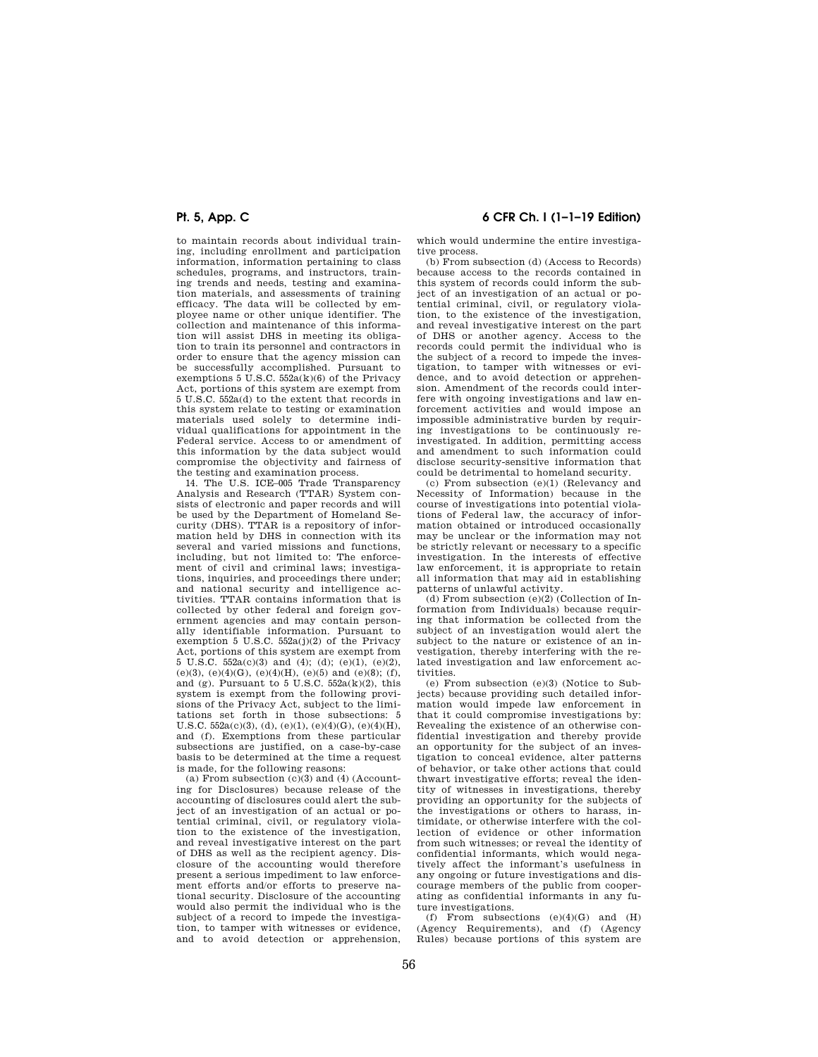to maintain records about individual training, including enrollment and participation information, information pertaining to class schedules, programs, and instructors, training trends and needs, testing and examination materials, and assessments of training efficacy. The data will be collected by employee name or other unique identifier. The collection and maintenance of this information will assist DHS in meeting its obligation to train its personnel and contractors in order to ensure that the agency mission can be successfully accomplished. Pursuant to exemptions 5 U.S.C.  $552a(k)(6)$  of the Privacy Act, portions of this system are exempt from 5 U.S.C. 552a(d) to the extent that records in this system relate to testing or examination materials used solely to determine individual qualifications for appointment in the Federal service. Access to or amendment of this information by the data subject would compromise the objectivity and fairness of the testing and examination process.

14. The U.S. ICE–005 Trade Transparency Analysis and Research (TTAR) System consists of electronic and paper records and will be used by the Department of Homeland Security (DHS). TTAR is a repository of information held by DHS in connection with its several and varied missions and functions, including, but not limited to: The enforcement of civil and criminal laws; investigations, inquiries, and proceedings there under; and national security and intelligence activities. TTAR contains information that is collected by other federal and foreign government agencies and may contain personally identifiable information. Pursuant to exemption 5 U.S.C. 552a(j)(2) of the Privacy Act, portions of this system are exempt from 5 U.S.C. 552a(c)(3) and (4); (d); (e)(1), (e)(2), (e)(3), (e)(4)(G), (e)(4)(H), (e)(5) and (e)(8); (f), and (g). Pursuant to  $5$  U.S.C.  $552a(k)(2)$ , this system is exempt from the following provisions of the Privacy Act, subject to the limitations set forth in those subsections: 5 U.S.C.  $552a(c)(3)$ , (d), (e)(1), (e)(4)(G), (e)(4)(H), and (f). Exemptions from these particular subsections are justified, on a case-by-case basis to be determined at the time a request is made, for the following reasons:

(a) From subsection  $(c)(3)$  and  $(4)$  (Accounting for Disclosures) because release of the accounting of disclosures could alert the subject of an investigation of an actual or potential criminal, civil, or regulatory violation to the existence of the investigation, and reveal investigative interest on the part of DHS as well as the recipient agency. Disclosure of the accounting would therefore present a serious impediment to law enforcement efforts and/or efforts to preserve national security. Disclosure of the accounting would also permit the individual who is the subject of a record to impede the investigation, to tamper with witnesses or evidence, and to avoid detection or apprehension,

## **Pt. 5, App. C 6 CFR Ch. I (1–1–19 Edition)**

which would undermine the entire investigative process.

(b) From subsection (d) (Access to Records) because access to the records contained in this system of records could inform the subject of an investigation of an actual or potential criminal, civil, or regulatory violation, to the existence of the investigation, and reveal investigative interest on the part of DHS or another agency. Access to the records could permit the individual who is the subject of a record to impede the investigation, to tamper with witnesses or evidence, and to avoid detection or apprehension. Amendment of the records could interfere with ongoing investigations and law enforcement activities and would impose an impossible administrative burden by requiring investigations to be continuously reinvestigated. In addition, permitting access and amendment to such information could disclose security-sensitive information that could be detrimental to homeland security.

(c) From subsection (e)(1) (Relevancy and Necessity of Information) because in the course of investigations into potential violations of Federal law, the accuracy of information obtained or introduced occasionally may be unclear or the information may not be strictly relevant or necessary to a specific investigation. In the interests of effective law enforcement, it is appropriate to retain all information that may aid in establishing patterns of unlawful activity.

(d) From subsection (e)(2) (Collection of Information from Individuals) because requiring that information be collected from the subject of an investigation would alert the subject to the nature or existence of an investigation, thereby interfering with the related investigation and law enforcement activities.

(e) From subsection (e)(3) (Notice to Subjects) because providing such detailed information would impede law enforcement in that it could compromise investigations by: Revealing the existence of an otherwise confidential investigation and thereby provide an opportunity for the subject of an investigation to conceal evidence, alter patterns of behavior, or take other actions that could thwart investigative efforts; reveal the identity of witnesses in investigations, thereby providing an opportunity for the subjects of the investigations or others to harass, intimidate, or otherwise interfere with the collection of evidence or other information from such witnesses; or reveal the identity of confidential informants, which would negatively affect the informant's usefulness in any ongoing or future investigations and discourage members of the public from cooperating as confidential informants in any future investigations.

(f) From subsections  $(e)(4)(G)$  and  $(H)$ (Agency Requirements), and (f) (Agency Rules) because portions of this system are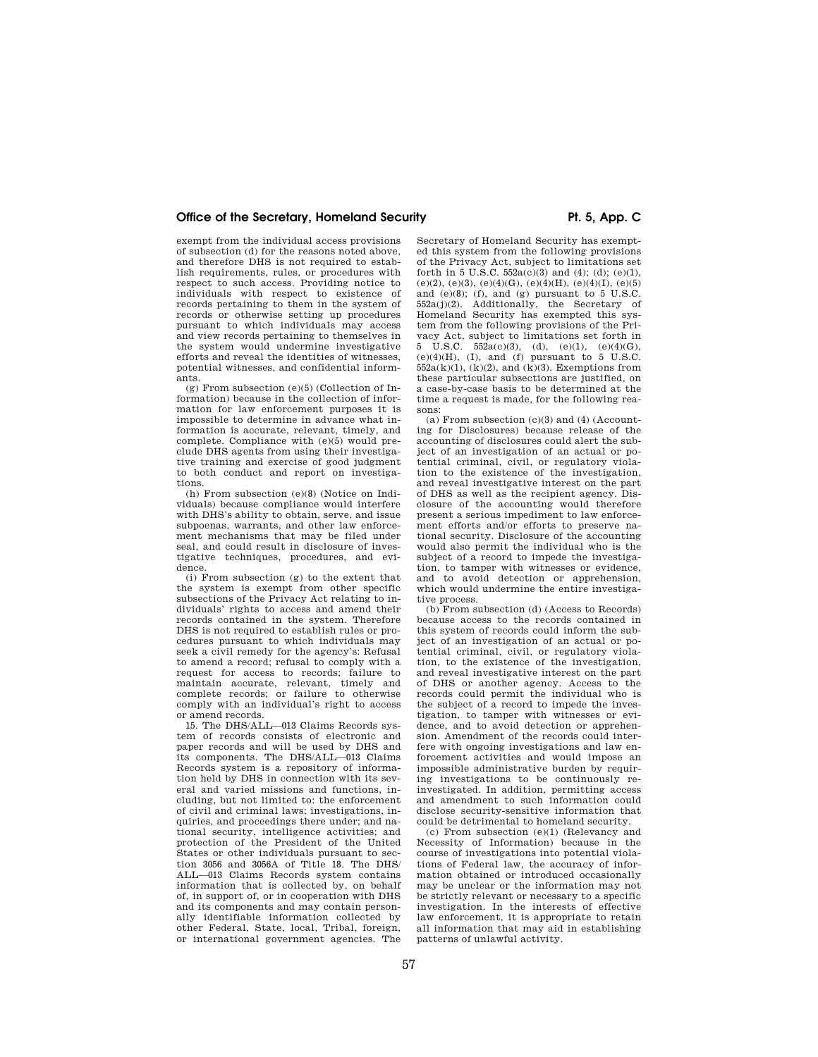exempt from the individual access provisions of subsection (d) for the reasons noted above, and therefore DHS is not required to establish requirements, rules, or procedures with respect to such access. Providing notice to individuals with respect to existence of records pertaining to them in the system of records or otherwise setting up procedures pursuant to which individuals may access and view records pertaining to themselves in the system would undermine investigative efforts and reveal the identities of witnesses, potential witnesses, and confidential informants.

 $(g)$  From subsection  $(e)(5)$  (Collection of Information) because in the collection of information for law enforcement purposes it is impossible to determine in advance what information is accurate, relevant, timely, and complete. Compliance with (e)(5) would preclude DHS agents from using their investigative training and exercise of good judgment to both conduct and report on investigations.

(h) From subsection (e)(8) (Notice on Individuals) because compliance would interfere with DHS's ability to obtain, serve, and issue subpoenas, warrants, and other law enforcement mechanisms that may be filed under seal, and could result in disclosure of investigative techniques, procedures, and evidence.

(i) From subsection (g) to the extent that the system is exempt from other specific subsections of the Privacy Act relating to individuals' rights to access and amend their records contained in the system. Therefore DHS is not required to establish rules or procedures pursuant to which individuals may seek a civil remedy for the agency's: Refusal to amend a record; refusal to comply with a request for access to records; failure to maintain accurate, relevant, timely and complete records; or failure to otherwise comply with an individual's right to access or amend records.

15. The DHS/ALL—013 Claims Records system of records consists of electronic and paper records and will be used by DHS and its components. The DHS/ALL—013 Claims Records system is a repository of information held by DHS in connection with its several and varied missions and functions, including, but not limited to: the enforcement of civil and criminal laws; investigations, inquiries, and proceedings there under; and national security, intelligence activities; and protection of the President of the United States or other individuals pursuant to section 3056 and 3056A of Title 18. The DHS/ ALL—013 Claims Records system contains information that is collected by, on behalf of, in support of, or in cooperation with DHS and its components and may contain personally identifiable information collected by other Federal, State, local, Tribal, foreign, or international government agencies. The

Secretary of Homeland Security has exempted this system from the following provisions of the Privacy Act, subject to limitations set forth in 5 U.S.C.  $552a(c)(3)$  and  $(4)$ ;  $(d)$ ;  $(e)(1)$ , (e)(2), (e)(3), (e)(4)(G), (e)(4)(H), (e)(4)(I), (e)(5) and (e)(8); (f), and (g) pursuant to  $5 \text{ U.S.C.}$  $552a(j)(2)$ . Additionally, the Secretary of Homeland Security has exempted this system from the following provisions of the Privacy Act, subject to limitations set forth in 5 U.S.C.  $552a(c)(3)$ , (d),  $(e)(1)$ ,  $(e)(4)(G)$ ,  $(e)(4)(H)$ , (I), and (f) pursuant to 5 U.S.C.  $552a(k)(1)$ ,  $(k)(2)$ , and  $(k)(3)$ . Exemptions from these particular subsections are justified, on a case-by-case basis to be determined at the time a request is made, for the following reasons:

(a) From subsection (c)(3) and (4) (Accounting for Disclosures) because release of the accounting of disclosures could alert the subject of an investigation of an actual or potential criminal, civil, or regulatory violation to the existence of the investigation, and reveal investigative interest on the part of DHS as well as the recipient agency. Disclosure of the accounting would therefore present a serious impediment to law enforcement efforts and/or efforts to preserve national security. Disclosure of the accounting would also permit the individual who is the subject of a record to impede the investigation, to tamper with witnesses or evidence, and to avoid detection or apprehension, which would undermine the entire investigative process.

(b) From subsection (d) (Access to Records) because access to the records contained in this system of records could inform the subject of an investigation of an actual or potential criminal, civil, or regulatory violation, to the existence of the investigation, and reveal investigative interest on the part of DHS or another agency. Access to the records could permit the individual who is the subject of a record to impede the investigation, to tamper with witnesses or evidence, and to avoid detection or apprehension. Amendment of the records could interfere with ongoing investigations and law enforcement activities and would impose an impossible administrative burden by requiring investigations to be continuously reinvestigated. In addition, permitting access and amendment to such information could disclose security-sensitive information that could be detrimental to homeland security.

(c) From subsection (e)(1) (Relevancy and Necessity of Information) because in the course of investigations into potential violations of Federal law, the accuracy of information obtained or introduced occasionally may be unclear or the information may not be strictly relevant or necessary to a specific investigation. In the interests of effective law enforcement, it is appropriate to retain all information that may aid in establishing patterns of unlawful activity.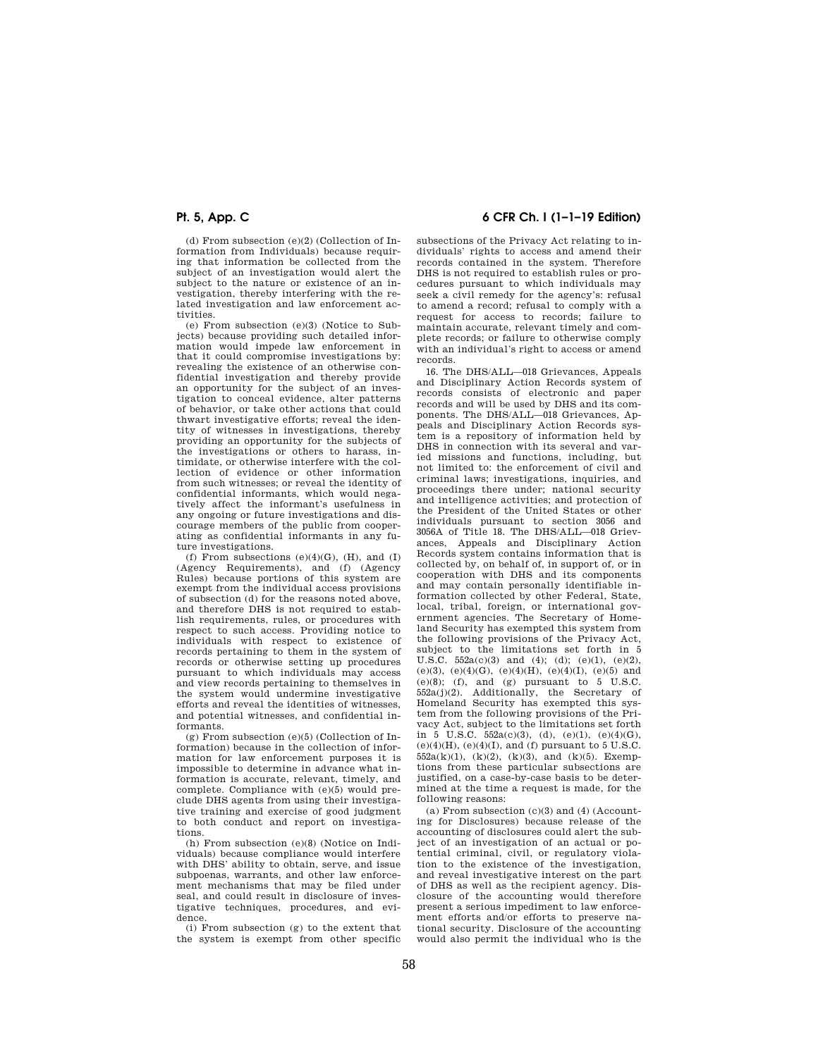(d) From subsection (e)(2) (Collection of Information from Individuals) because requiring that information be collected from the subject of an investigation would alert the subject to the nature or existence of an investigation, thereby interfering with the related investigation and law enforcement activities.

(e) From subsection (e)(3) (Notice to Subjects) because providing such detailed information would impede law enforcement in that it could compromise investigations by: revealing the existence of an otherwise confidential investigation and thereby provide an opportunity for the subject of an investigation to conceal evidence, alter patterns of behavior, or take other actions that could thwart investigative efforts; reveal the identity of witnesses in investigations, thereby providing an opportunity for the subjects of the investigations or others to harass, intimidate, or otherwise interfere with the collection of evidence or other information from such witnesses; or reveal the identity of confidential informants, which would negatively affect the informant's usefulness in any ongoing or future investigations and discourage members of the public from cooperating as confidential informants in any future investigations.

(f) From subsections  $(e)(4)(G)$ ,  $(H)$ , and  $(I)$ (Agency Requirements), and (f) (Agency Rules) because portions of this system are exempt from the individual access provisions of subsection (d) for the reasons noted above, and therefore DHS is not required to establish requirements, rules, or procedures with respect to such access. Providing notice to individuals with respect to existence of records pertaining to them in the system of records or otherwise setting up procedures pursuant to which individuals may access and view records pertaining to themselves in the system would undermine investigative efforts and reveal the identities of witnesses, and potential witnesses, and confidential informants.

(g) From subsection (e)(5) (Collection of Information) because in the collection of information for law enforcement purposes it is impossible to determine in advance what information is accurate, relevant, timely, and complete. Compliance with (e)(5) would preclude DHS agents from using their investigative training and exercise of good judgment to both conduct and report on investigations.

(h) From subsection (e)(8) (Notice on Individuals) because compliance would interfere with DHS' ability to obtain, serve, and issue subpoenas, warrants, and other law enforcement mechanisms that may be filed under seal, and could result in disclosure of investigative techniques, procedures, and evidence.

(i) From subsection (g) to the extent that the system is exempt from other specific

## **Pt. 5, App. C 6 CFR Ch. I (1–1–19 Edition)**

subsections of the Privacy Act relating to individuals' rights to access and amend their records contained in the system. Therefore DHS is not required to establish rules or procedures pursuant to which individuals may seek a civil remedy for the agency's: refusal to amend a record; refusal to comply with a request for access to records; failure to maintain accurate, relevant timely and complete records; or failure to otherwise comply with an individual's right to access or amend records.

16. The DHS/ALL—018 Grievances, Appeals and Disciplinary Action Records system of records consists of electronic and paper records and will be used by DHS and its components. The DHS/ALL—018 Grievances, Appeals and Disciplinary Action Records system is a repository of information held by DHS in connection with its several and varied missions and functions, including, but not limited to: the enforcement of civil and criminal laws; investigations, inquiries, and proceedings there under; national security and intelligence activities; and protection of the President of the United States or other individuals pursuant to section 3056 and 3056A of Title 18. The DHS/ALL—018 Grievances, Appeals and Disciplinary Action Records system contains information that is collected by, on behalf of, in support of, or in cooperation with DHS and its components and may contain personally identifiable information collected by other Federal, State, local, tribal, foreign, or international government agencies. The Secretary of Homeland Security has exempted this system from the following provisions of the Privacy Act, subject to the limitations set forth in 5 U.S.C.  $552a(c)(3)$  and (4); (d); (e)(1), (e)(2), (e)(3), (e)(4)(G), (e)(4)(H), (e)(4)(I), (e)(5) and (e)(8); (f), and (g) pursuant to 5 U.S.C. 552a(j)(2). Additionally, the Secretary of Homeland Security has exempted this system from the following provisions of the Privacy Act, subject to the limitations set forth in 5 U.S.C.  $552a(c)(3)$ , (d), (e)(1), (e)(4)(G),  $(e)(4)(H)$ ,  $(e)(4)(I)$ , and  $(f)$  pursuant to 5 U.S.C. 552a(k)(1), (k)(2), (k)(3), and (k)(5). Exemptions from these particular subsections are justified, on a case-by-case basis to be determined at the time a request is made, for the following reasons:

(a) From subsection  $(c)(3)$  and  $(4)$  (Accounting for Disclosures) because release of the accounting of disclosures could alert the subject of an investigation of an actual or potential criminal, civil, or regulatory violation to the existence of the investigation, and reveal investigative interest on the part of DHS as well as the recipient agency. Disclosure of the accounting would therefore present a serious impediment to law enforcement efforts and/or efforts to preserve national security. Disclosure of the accounting would also permit the individual who is the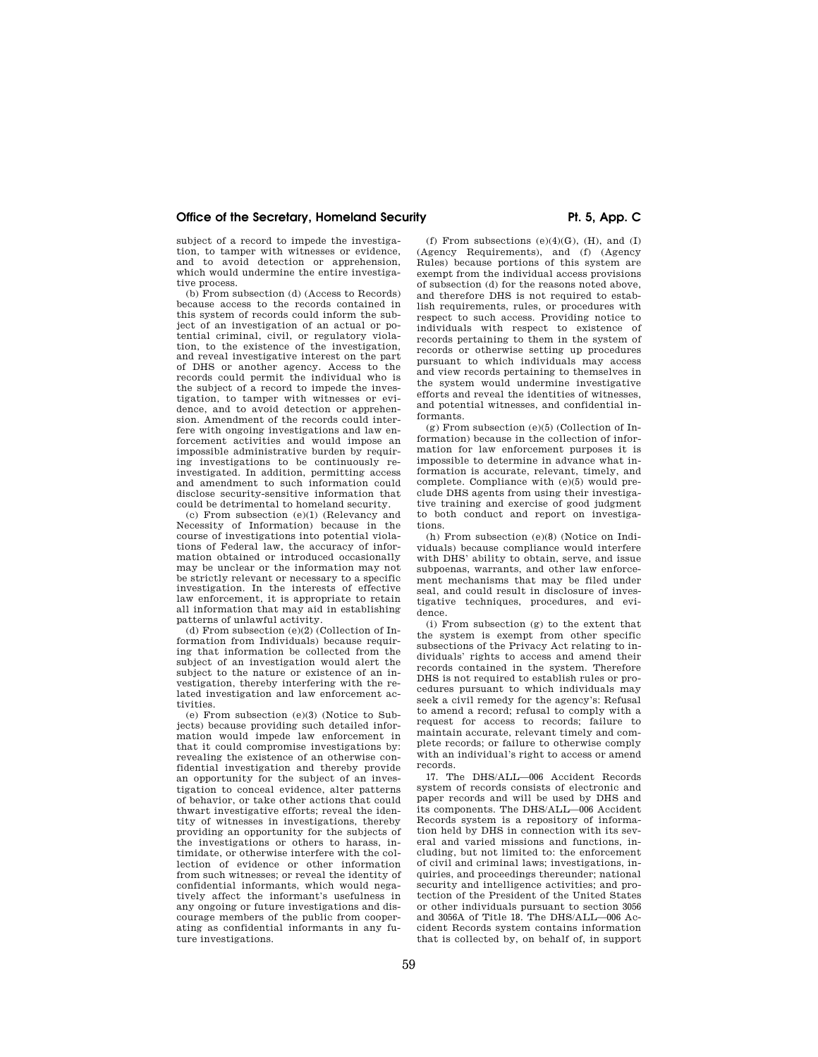subject of a record to impede the investigation, to tamper with witnesses or evidence, and to avoid detection or apprehension. which would undermine the entire investigative process.

(b) From subsection (d) (Access to Records) because access to the records contained in this system of records could inform the subject of an investigation of an actual or potential criminal, civil, or regulatory violation, to the existence of the investigation, and reveal investigative interest on the part of DHS or another agency. Access to the records could permit the individual who is the subject of a record to impede the investigation, to tamper with witnesses or evidence, and to avoid detection or apprehension. Amendment of the records could interfere with ongoing investigations and law enforcement activities and would impose an impossible administrative burden by requiring investigations to be continuously reinvestigated. In addition, permitting access and amendment to such information could disclose security-sensitive information that could be detrimental to homeland security.

(c) From subsection (e)(1) (Relevancy and Necessity of Information) because in the course of investigations into potential violations of Federal law, the accuracy of information obtained or introduced occasionally may be unclear or the information may not be strictly relevant or necessary to a specific investigation. In the interests of effective law enforcement, it is appropriate to retain all information that may aid in establishing patterns of unlawful activity.

(d) From subsection (e)(2) (Collection of Information from Individuals) because requiring that information be collected from the subject of an investigation would alert the subject to the nature or existence of an investigation, thereby interfering with the related investigation and law enforcement activities.

(e) From subsection (e)(3) (Notice to Subjects) because providing such detailed information would impede law enforcement in that it could compromise investigations by: revealing the existence of an otherwise confidential investigation and thereby provide an opportunity for the subject of an investigation to conceal evidence, alter patterns of behavior, or take other actions that could thwart investigative efforts; reveal the identity of witnesses in investigations, thereby providing an opportunity for the subjects of the investigations or others to harass, intimidate, or otherwise interfere with the collection of evidence or other information from such witnesses; or reveal the identity of confidential informants, which would negatively affect the informant's usefulness in any ongoing or future investigations and discourage members of the public from cooperating as confidential informants in any future investigations.

(f) From subsections  $(e)(4)(G)$ ,  $(H)$ , and  $(I)$ (Agency Requirements), and (f) (Agency Rules) because portions of this system are exempt from the individual access provisions of subsection (d) for the reasons noted above, and therefore DHS is not required to establish requirements, rules, or procedures with respect to such access. Providing notice to individuals with respect to existence of records pertaining to them in the system of records or otherwise setting up procedures pursuant to which individuals may access and view records pertaining to themselves in the system would undermine investigative efforts and reveal the identities of witnesses, and potential witnesses, and confidential informants.

(g) From subsection (e)(5) (Collection of Information) because in the collection of information for law enforcement purposes it is impossible to determine in advance what information is accurate, relevant, timely, and complete. Compliance with (e)(5) would preclude DHS agents from using their investigative training and exercise of good judgment to both conduct and report on investigations.

(h) From subsection (e)(8) (Notice on Individuals) because compliance would interfere with DHS' ability to obtain, serve, and issue subpoenas, warrants, and other law enforcement mechanisms that may be filed under seal, and could result in disclosure of investigative techniques, procedures, and evidence.

(i) From subsection (g) to the extent that the system is exempt from other specific subsections of the Privacy Act relating to individuals' rights to access and amend their records contained in the system. Therefore DHS is not required to establish rules or procedures pursuant to which individuals may seek a civil remedy for the agency's: Refusal to amend a record; refusal to comply with a request for access to records; failure to maintain accurate, relevant timely and complete records; or failure to otherwise comply with an individual's right to access or amend records.

17. The DHS/ALL—006 Accident Records system of records consists of electronic and paper records and will be used by DHS and its components. The DHS/ALL—006 Accident Records system is a repository of information held by DHS in connection with its several and varied missions and functions, including, but not limited to: the enforcement of civil and criminal laws; investigations, inquiries, and proceedings thereunder; national security and intelligence activities; and protection of the President of the United States or other individuals pursuant to section 3056 and 3056A of Title 18. The DHS/ALL—006 Accident Records system contains information that is collected by, on behalf of, in support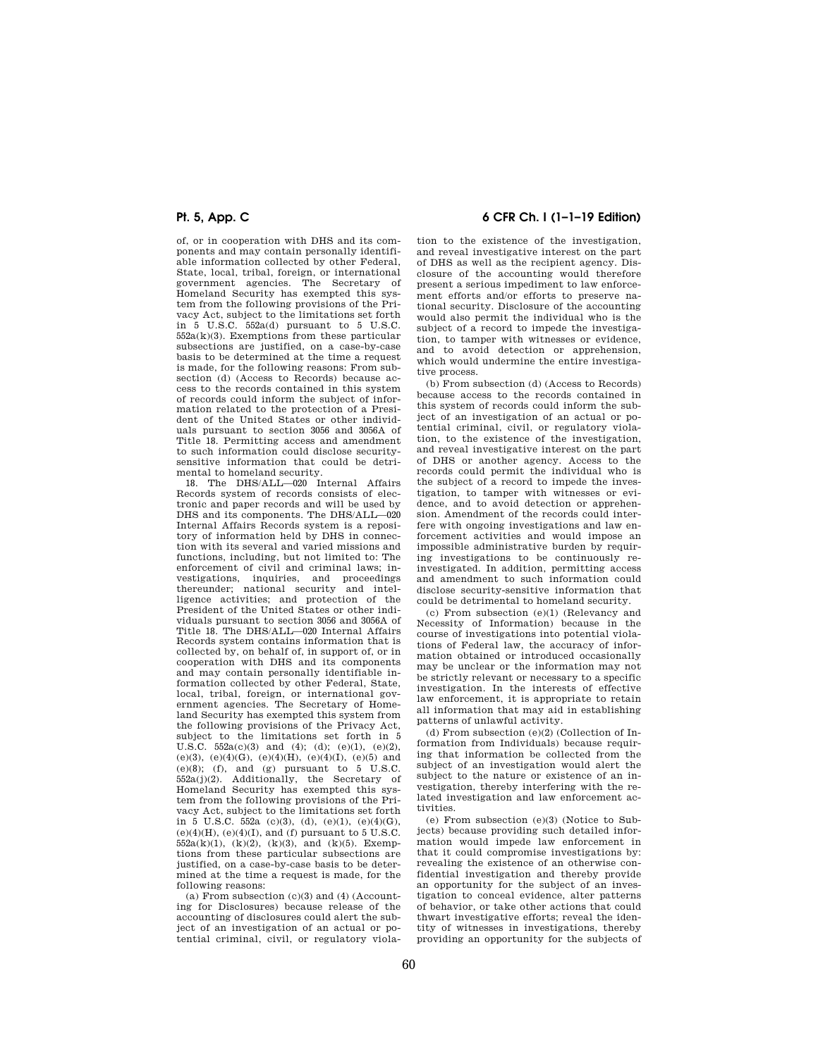of, or in cooperation with DHS and its components and may contain personally identifiable information collected by other Federal, State, local, tribal, foreign, or international government agencies. The Secretary of Homeland Security has exempted this system from the following provisions of the Privacy Act, subject to the limitations set forth in 5 U.S.C. 552a(d) pursuant to 5 U.S.C. 552a(k)(3). Exemptions from these particular subsections are justified, on a case-by-case basis to be determined at the time a request is made, for the following reasons: From subsection (d) (Access to Records) because access to the records contained in this system of records could inform the subject of information related to the protection of a President of the United States or other individuals pursuant to section 3056 and 3056A of Title 18. Permitting access and amendment to such information could disclose securitysensitive information that could be detrimental to homeland security.

18. The DHS/ALL—020 Internal Affairs Records system of records consists of electronic and paper records and will be used by DHS and its components. The DHS/ALL—020 Internal Affairs Records system is a repository of information held by DHS in connection with its several and varied missions and functions, including, but not limited to: The enforcement of civil and criminal laws; investigations, inquiries, and proceedings thereunder; national security and intelligence activities; and protection of the President of the United States or other individuals pursuant to section 3056 and 3056A of Title 18. The DHS/ALL—020 Internal Affairs Records system contains information that is collected by, on behalf of, in support of, or in cooperation with DHS and its components and may contain personally identifiable information collected by other Federal, State, local, tribal, foreign, or international government agencies. The Secretary of Homeland Security has exempted this system from the following provisions of the Privacy Act, subject to the limitations set forth in 5 U.S.C.  $552a(c)(3)$  and  $(4)$ ;  $(d)$ ;  $(e)(1)$ ,  $(e)(2)$ , (e)(3), (e)(4)(G), (e)(4)(H), (e)(4)(I), (e)(5) and  $(e)(8)$ ; (f), and (g) pursuant to  $5$  U.S.C. 552a(j)(2). Additionally, the Secretary of Homeland Security has exempted this system from the following provisions of the Privacy Act, subject to the limitations set forth in  $\bar{5}$  U.S.C.  $\bar{5}2a$  (c)(3), (d), (e)(1), (e)(4)(G),  $(e)(4)(H)$ ,  $(e)(4)(I)$ , and  $(f)$  pursuant to 5 U.S.C.  $552a(k)(1)$ ,  $(k)(2)$ ,  $(k)(3)$ , and  $(k)(5)$ . Exemptions from these particular subsections are justified, on a case-by-case basis to be determined at the time a request is made, for the following reasons:

(a) From subsection  $(c)(3)$  and  $(4)$  (Accounting for Disclosures) because release of the accounting of disclosures could alert the subject of an investigation of an actual or potential criminal, civil, or regulatory viola-

## **Pt. 5, App. C 6 CFR Ch. I (1–1–19 Edition)**

tion to the existence of the investigation, and reveal investigative interest on the part of DHS as well as the recipient agency. Disclosure of the accounting would therefore present a serious impediment to law enforcement efforts and/or efforts to preserve national security. Disclosure of the accounting would also permit the individual who is the subject of a record to impede the investigation, to tamper with witnesses or evidence, and to avoid detection or apprehension which would undermine the entire investigative process.

(b) From subsection (d) (Access to Records) because access to the records contained in this system of records could inform the subject of an investigation of an actual or potential criminal, civil, or regulatory violation, to the existence of the investigation, and reveal investigative interest on the part of DHS or another agency. Access to the records could permit the individual who is the subject of a record to impede the investigation, to tamper with witnesses or evidence, and to avoid detection or apprehension. Amendment of the records could interfere with ongoing investigations and law enforcement activities and would impose an impossible administrative burden by requiring investigations to be continuously reinvestigated. In addition, permitting access and amendment to such information could disclose security-sensitive information that could be detrimental to homeland security.

(c) From subsection (e)(1) (Relevancy and Necessity of Information) because in the course of investigations into potential violations of Federal law, the accuracy of information obtained or introduced occasionally may be unclear or the information may not be strictly relevant or necessary to a specific investigation. In the interests of effective law enforcement, it is appropriate to retain all information that may aid in establishing patterns of unlawful activity.

(d) From subsection (e)(2) (Collection of Information from Individuals) because requiring that information be collected from the subject of an investigation would alert the subject to the nature or existence of an investigation, thereby interfering with the related investigation and law enforcement activities.

(e) From subsection (e)(3) (Notice to Subjects) because providing such detailed information would impede law enforcement in that it could compromise investigations by: revealing the existence of an otherwise confidential investigation and thereby provide an opportunity for the subject of an investigation to conceal evidence, alter patterns of behavior, or take other actions that could thwart investigative efforts; reveal the identity of witnesses in investigations, thereby providing an opportunity for the subjects of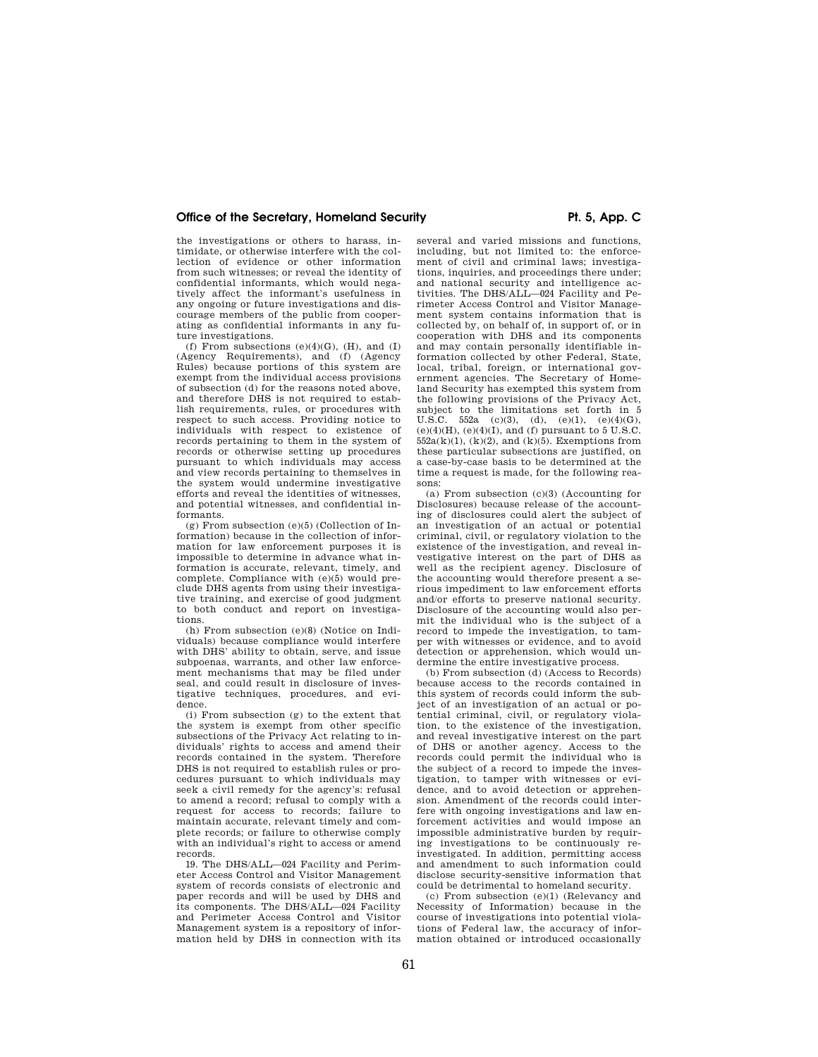the investigations or others to harass, intimidate, or otherwise interfere with the collection of evidence or other information from such witnesses; or reveal the identity of confidential informants, which would negatively affect the informant's usefulness in any ongoing or future investigations and discourage members of the public from cooperating as confidential informants in any future investigations.

(f) From subsections  $(e)(4)(G)$ ,  $(H)$ , and  $(I)$ (Agency Requirements), and (f) (Agency Rules) because portions of this system are exempt from the individual access provisions of subsection (d) for the reasons noted above, and therefore DHS is not required to establish requirements, rules, or procedures with respect to such access. Providing notice to individuals with respect to existence of records pertaining to them in the system of records or otherwise setting up procedures pursuant to which individuals may access and view records pertaining to themselves in the system would undermine investigative efforts and reveal the identities of witnesses, and potential witnesses, and confidential informants.

(g) From subsection (e)(5) (Collection of Information) because in the collection of information for law enforcement purposes it is impossible to determine in advance what information is accurate, relevant, timely, and complete. Compliance with (e)(5) would preclude DHS agents from using their investigative training, and exercise of good judgment to both conduct and report on investigations.

(h) From subsection (e)(8) (Notice on Individuals) because compliance would interfere with DHS' ability to obtain, serve, and issue subpoenas, warrants, and other law enforcement mechanisms that may be filed under seal, and could result in disclosure of investigative techniques, procedures, and evidence.

(i) From subsection (g) to the extent that the system is exempt from other specific subsections of the Privacy Act relating to individuals' rights to access and amend their records contained in the system. Therefore DHS is not required to establish rules or procedures pursuant to which individuals may seek a civil remedy for the agency's: refusal to amend a record; refusal to comply with a request for access to records; failure to maintain accurate, relevant timely and complete records; or failure to otherwise comply with an individual's right to access or amend records.

19. The DHS/ALL—024 Facility and Perimeter Access Control and Visitor Management system of records consists of electronic and paper records and will be used by DHS and its components. The DHS/ALL—024 Facility and Perimeter Access Control and Visitor Management system is a repository of information held by DHS in connection with its

several and varied missions and functions, including, but not limited to: the enforcement of civil and criminal laws; investigations, inquiries, and proceedings there under; and national security and intelligence ac-tivities. The DHS/ALL—024 Facility and Perimeter Access Control and Visitor Management system contains information that is collected by, on behalf of, in support of, or in cooperation with DHS and its components and may contain personally identifiable information collected by other Federal, State, local, tribal, foreign, or international government agencies. The Secretary of Homeland Security has exempted this system from the following provisions of the Privacy Act, subject to the limitations set forth in 5 U.S.C. 552a (c)(3), (d), (e)(1), (e)(4)(G), (e)(4)(H), (e)(4)(I), and (f) pursuant to 5 U.S.C.  $552a(k)(1)$ ,  $(k)(2)$ , and  $(k)(5)$ . Exemptions from these particular subsections are justified, on a case-by-case basis to be determined at the time a request is made, for the following reasons:

(a) From subsection (c)(3) (Accounting for Disclosures) because release of the accounting of disclosures could alert the subject of an investigation of an actual or potential criminal, civil, or regulatory violation to the existence of the investigation, and reveal investigative interest on the part of DHS as well as the recipient agency. Disclosure of the accounting would therefore present a serious impediment to law enforcement efforts and/or efforts to preserve national security. Disclosure of the accounting would also permit the individual who is the subject of a record to impede the investigation, to tamper with witnesses or evidence, and to avoid detection or apprehension, which would undermine the entire investigative process.

(b) From subsection (d) (Access to Records) because access to the records contained in this system of records could inform the subject of an investigation of an actual or potential criminal, civil, or regulatory violation, to the existence of the investigation, and reveal investigative interest on the part of DHS or another agency. Access to the records could permit the individual who is the subject of a record to impede the investigation, to tamper with witnesses or evidence, and to avoid detection or apprehension. Amendment of the records could interfere with ongoing investigations and law enforcement activities and would impose an impossible administrative burden by requiring investigations to be continuously reinvestigated. In addition, permitting access and amendment to such information could disclose security-sensitive information that could be detrimental to homeland security.

(c) From subsection (e)(1) (Relevancy and Necessity of Information) because in the course of investigations into potential violations of Federal law, the accuracy of information obtained or introduced occasionally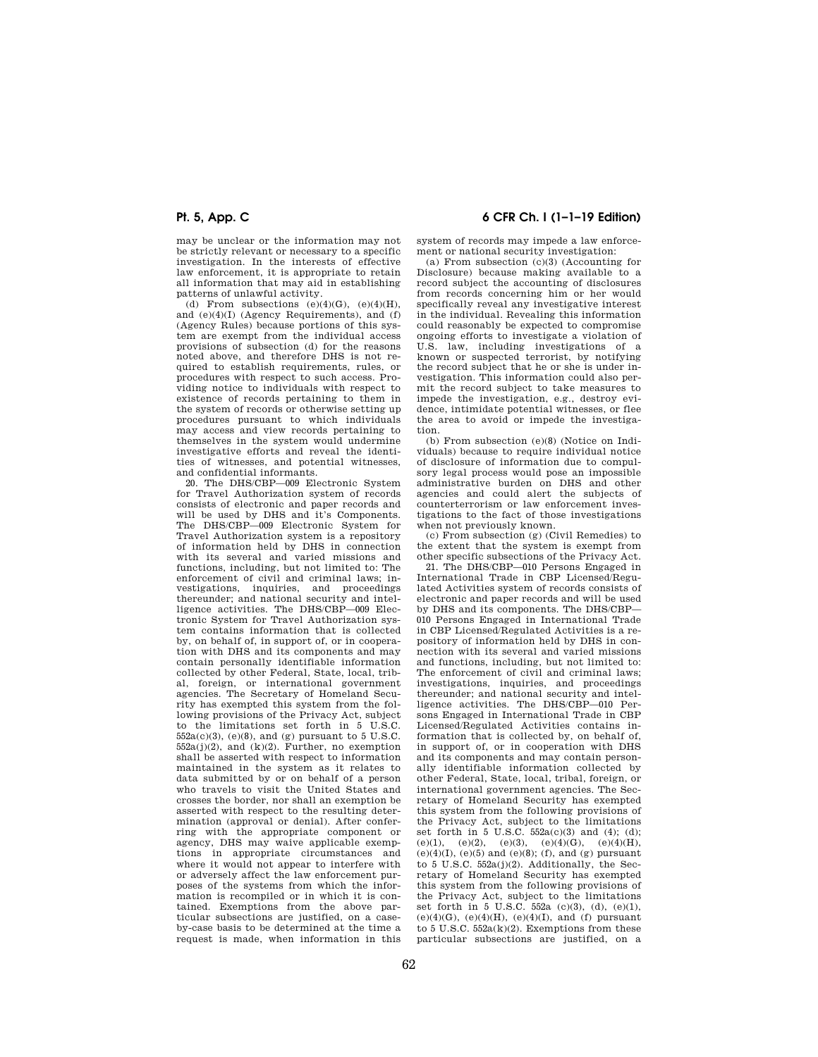may be unclear or the information may not be strictly relevant or necessary to a specific investigation. In the interests of effective law enforcement, it is appropriate to retain all information that may aid in establishing patterns of unlawful activity.

(d) From subsections  $(e)(4)(G)$ ,  $(e)(4)(H)$ , and (e)(4)(I) (Agency Requirements), and (f) (Agency Rules) because portions of this system are exempt from the individual access provisions of subsection (d) for the reasons noted above, and therefore DHS is not required to establish requirements, rules, or procedures with respect to such access. Providing notice to individuals with respect to existence of records pertaining to them in the system of records or otherwise setting up procedures pursuant to which individuals may access and view records pertaining to themselves in the system would undermine investigative efforts and reveal the identities of witnesses, and potential witnesses, and confidential informants.

20. The DHS/CBP—009 Electronic System for Travel Authorization system of records consists of electronic and paper records and will be used by DHS and it's Components. The DHS/CBP—009 Electronic System for Travel Authorization system is a repository of information held by DHS in connection with its several and varied missions and functions, including, but not limited to: The enforcement of civil and criminal laws; investigations, inquiries, and proceedings thereunder; and national security and intelligence activities. The DHS/CBP—009 Electronic System for Travel Authorization system contains information that is collected by, on behalf of, in support of, or in cooperation with DHS and its components and may contain personally identifiable information collected by other Federal, State, local, tribal, foreign, or international government agencies. The Secretary of Homeland Security has exempted this system from the following provisions of the Privacy Act, subject to the limitations set forth in 5 U.S.C.  $552a(c)(3)$ , (e)(8), and (g) pursuant to 5 U.S.C.  $552a(j)(2)$ , and  $(k)(2)$ . Further, no exemption shall be asserted with respect to information maintained in the system as it relates to data submitted by or on behalf of a person who travels to visit the United States and crosses the border, nor shall an exemption be asserted with respect to the resulting determination (approval or denial). After conferring with the appropriate component or agency, DHS may waive applicable exemptions in appropriate circumstances and where it would not appear to interfere with or adversely affect the law enforcement purposes of the systems from which the information is recompiled or in which it is contained. Exemptions from the above particular subsections are justified, on a caseby-case basis to be determined at the time a request is made, when information in this

## **Pt. 5, App. C 6 CFR Ch. I (1–1–19 Edition)**

system of records may impede a law enforcement or national security investigation:

(a) From subsection (c)(3) (Accounting for Disclosure) because making available to a record subject the accounting of disclosures from records concerning him or her would specifically reveal any investigative interest in the individual. Revealing this information could reasonably be expected to compromise ongoing efforts to investigate a violation of U.S. law, including investigations of a known or suspected terrorist, by notifying the record subject that he or she is under investigation. This information could also permit the record subject to take measures to impede the investigation, e.g., destroy evidence, intimidate potential witnesses, or flee the area to avoid or impede the investigation.

(b) From subsection (e)(8) (Notice on Individuals) because to require individual notice of disclosure of information due to compulsory legal process would pose an impossible administrative burden on DHS and other agencies and could alert the subjects of counterterrorism or law enforcement investigations to the fact of those investigations when not previously known.

(c) From subsection (g) (Civil Remedies) to the extent that the system is exempt from other specific subsections of the Privacy Act.

21. The DHS/CBP—010 Persons Engaged in International Trade in CBP Licensed/Regulated Activities system of records consists of electronic and paper records and will be used by DHS and its components. The DHS/CBP— 010 Persons Engaged in International Trade in CBP Licensed/Regulated Activities is a repository of information held by DHS in connection with its several and varied missions and functions, including, but not limited to: The enforcement of civil and criminal laws; investigations, inquiries, and proceedings thereunder; and national security and intelligence activities. The DHS/CBP—010 Persons Engaged in International Trade in CBP Licensed/Regulated Activities contains information that is collected by, on behalf of, in support of, or in cooperation with DHS and its components and may contain personally identifiable information collected by other Federal, State, local, tribal, foreign, or international government agencies. The Secretary of Homeland Security has exempted this system from the following provisions of the Privacy Act, subject to the limitations set forth in 5 U.S.C.  $552a(c)(3)$  and (4); (d); (e)(1), (e)(2), (e)(3), (e)(4)(G), (e)(4)(H),  $(e)(4)(I), (e)(5)$  and  $(e)(8)$ ; (f), and (g) pursuant to 5 U.S.C. 552a(j)(2). Additionally, the Secretary of Homeland Security has exempted this system from the following provisions of the Privacy Act, subject to the limitations set forth in 5 U.S.C. 552a (c)(3), (d), (e)(1),  $(e)(4)(G)$ ,  $(e)(4)(H)$ ,  $(e)(4)(I)$ , and  $(f)$  pursuant to 5 U.S.C.  $552a(k)(2)$ . Exemptions from these particular subsections are justified, on a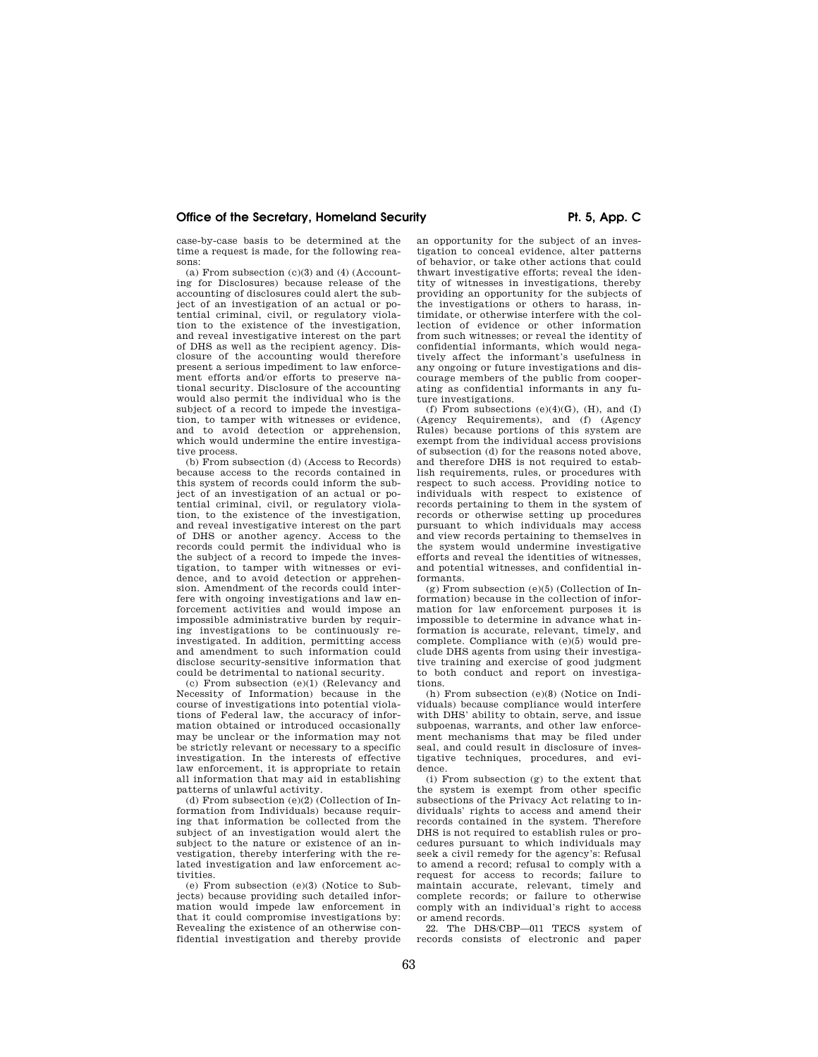case-by-case basis to be determined at the time a request is made, for the following reasons:

 $(a)$  From subsection  $(c)(3)$  and  $(4)$  (Accounting for Disclosures) because release of the accounting of disclosures could alert the subject of an investigation of an actual or potential criminal, civil, or regulatory violation to the existence of the investigation, and reveal investigative interest on the part of DHS as well as the recipient agency. Disclosure of the accounting would therefore present a serious impediment to law enforcement efforts and/or efforts to preserve national security. Disclosure of the accounting would also permit the individual who is the subject of a record to impede the investigation, to tamper with witnesses or evidence, and to avoid detection or apprehension, which would undermine the entire investigative process.

(b) From subsection (d) (Access to Records) because access to the records contained in this system of records could inform the subject of an investigation of an actual or potential criminal, civil, or regulatory violation, to the existence of the investigation, and reveal investigative interest on the part of DHS or another agency. Access to the records could permit the individual who is the subject of a record to impede the investigation, to tamper with witnesses or evidence, and to avoid detection or apprehension. Amendment of the records could interfere with ongoing investigations and law enforcement activities and would impose an impossible administrative burden by requiring investigations to be continuously reinvestigated. In addition, permitting access and amendment to such information could disclose security-sensitive information that could be detrimental to national security.

(c) From subsection (e)(1) (Relevancy and Necessity of Information) because in the course of investigations into potential violations of Federal law, the accuracy of information obtained or introduced occasionally may be unclear or the information may not be strictly relevant or necessary to a specific investigation. In the interests of effective law enforcement, it is appropriate to retain all information that may aid in establishing patterns of unlawful activity.

(d) From subsection  $(e)(2)$  (Collection of Information from Individuals) because requiring that information be collected from the subject of an investigation would alert the subject to the nature or existence of an investigation, thereby interfering with the related investigation and law enforcement activities.

(e) From subsection (e)(3) (Notice to Subjects) because providing such detailed information would impede law enforcement in that it could compromise investigations by: Revealing the existence of an otherwise confidential investigation and thereby provide

an opportunity for the subject of an inves-

tigation to conceal evidence, alter patterns of behavior, or take other actions that could thwart investigative efforts; reveal the identity of witnesses in investigations, thereby providing an opportunity for the subjects of the investigations or others to harass, intimidate, or otherwise interfere with the collection of evidence or other information from such witnesses; or reveal the identity of confidential informants, which would negatively affect the informant's usefulness in any ongoing or future investigations and discourage members of the public from cooperating as confidential informants in any future investigations.

(f) From subsections  $(e)(4)(G)$ ,  $(H)$ , and  $(I)$ (Agency Requirements), and (f) (Agency Rules) because portions of this system are exempt from the individual access provisions of subsection (d) for the reasons noted above, and therefore DHS is not required to establish requirements, rules, or procedures with respect to such access. Providing notice to individuals with respect to existence of records pertaining to them in the system of records or otherwise setting up procedures pursuant to which individuals may access and view records pertaining to themselves in the system would undermine investigative efforts and reveal the identities of witnesses, and potential witnesses, and confidential informants.

 $(g)$  From subsection  $(e)(5)$  (Collection of Information) because in the collection of information for law enforcement purposes it is impossible to determine in advance what information is accurate, relevant, timely, and complete. Compliance with (e)(5) would preclude DHS agents from using their investigative training and exercise of good judgment to both conduct and report on investigations.

(h) From subsection (e)(8) (Notice on Individuals) because compliance would interfere with DHS' ability to obtain, serve, and issue subpoenas, warrants, and other law enforcement mechanisms that may be filed under seal, and could result in disclosure of investigative techniques, procedures, and evidence.

(i) From subsection (g) to the extent that the system is exempt from other specific subsections of the Privacy Act relating to individuals' rights to access and amend their records contained in the system. Therefore DHS is not required to establish rules or procedures pursuant to which individuals may seek a civil remedy for the agency's: Refusal to amend a record; refusal to comply with a request for access to records; failure to maintain accurate, relevant, timely and complete records; or failure to otherwise comply with an individual's right to access or amend records.

22. The DHS/CBP—011 TECS system of records consists of electronic and paper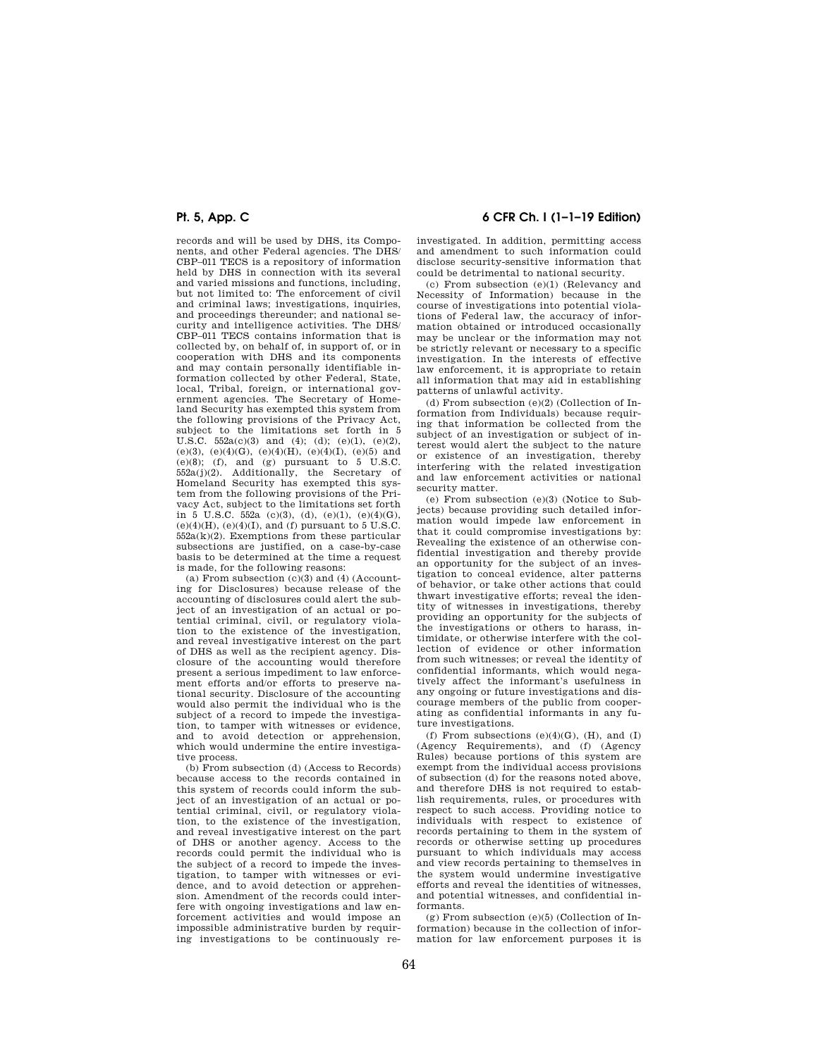records and will be used by DHS, its Components, and other Federal agencies. The DHS/ CBP–011 TECS is a repository of information held by DHS in connection with its several and varied missions and functions, including, but not limited to: The enforcement of civil and criminal laws; investigations, inquiries, and proceedings thereunder; and national security and intelligence activities. The DHS/ CBP–011 TECS contains information that is collected by, on behalf of, in support of, or in cooperation with DHS and its components and may contain personally identifiable information collected by other Federal, State, local, Tribal, foreign, or international government agencies. The Secretary of Homeland Security has exempted this system from the following provisions of the Privacy Act, subject to the limitations set forth in 5 U.S.C.  $552a(c)(3)$  and  $(4)$ ;  $(d)$ ;  $(e)(1)$ ,  $(e)(2)$ , (e)(3), (e)(4)(G), (e)(4)(H), (e)(4)(I), (e)(5) and (e)(8); (f), and (g) pursuant to 5 U.S.C. 552a(j)(2). Additionally, the Secretary of Homeland Security has exempted this system from the following provisions of the Privacy Act, subject to the limitations set forth in  $\bar{5}$  U.S.C.  $\bar{5}52a$  (c)(3), (d), (e)(1), (e)(4)(G),  $(e)(4)(H)$ ,  $(e)(4)(I)$ , and (f) pursuant to 5 U.S.C.  $552a(k)(2)$ . Exemptions from these particular subsections are justified, on a case-by-case basis to be determined at the time a request is made, for the following reasons:

(a) From subsection  $(c)(3)$  and  $(4)$  (Accounting for Disclosures) because release of the accounting of disclosures could alert the subject of an investigation of an actual or potential criminal, civil, or regulatory violation to the existence of the investigation, and reveal investigative interest on the part of DHS as well as the recipient agency. Disclosure of the accounting would therefore present a serious impediment to law enforcement efforts and/or efforts to preserve national security. Disclosure of the accounting would also permit the individual who is the subject of a record to impede the investigation, to tamper with witnesses or evidence, and to avoid detection or apprehension, which would undermine the entire investigative process.

(b) From subsection (d) (Access to Records) because access to the records contained in this system of records could inform the subject of an investigation of an actual or potential criminal, civil, or regulatory violation, to the existence of the investigation, and reveal investigative interest on the part of DHS or another agency. Access to the records could permit the individual who is the subject of a record to impede the investigation, to tamper with witnesses or evidence, and to avoid detection or apprehension. Amendment of the records could interfere with ongoing investigations and law enforcement activities and would impose an impossible administrative burden by requiring investigations to be continuously re-

## **Pt. 5, App. C 6 CFR Ch. I (1–1–19 Edition)**

investigated. In addition, permitting access and amendment to such information could disclose security-sensitive information that could be detrimental to national security.

(c) From subsection (e)(1) (Relevancy and Necessity of Information) because in the course of investigations into potential violations of Federal law, the accuracy of information obtained or introduced occasionally may be unclear or the information may not be strictly relevant or necessary to a specific investigation. In the interests of effective law enforcement, it is appropriate to retain all information that may aid in establishing patterns of unlawful activity.

(d) From subsection (e)(2) (Collection of Information from Individuals) because requiring that information be collected from the subject of an investigation or subject of interest would alert the subject to the nature or existence of an investigation, thereby interfering with the related investigation and law enforcement activities or national security matter.

(e) From subsection (e)(3) (Notice to Subjects) because providing such detailed information would impede law enforcement in that it could compromise investigations by: Revealing the existence of an otherwise confidential investigation and thereby provide an opportunity for the subject of an investigation to conceal evidence, alter patterns of behavior, or take other actions that could thwart investigative efforts; reveal the identity of witnesses in investigations, thereby providing an opportunity for the subjects of the investigations or others to harass, intimidate, or otherwise interfere with the collection of evidence or other information from such witnesses; or reveal the identity of confidential informants, which would negatively affect the informant's usefulness in any ongoing or future investigations and discourage members of the public from cooperating as confidential informants in any future investigations.

(f) From subsections  $(e)(4)(G)$ ,  $(H)$ , and  $(I)$ (Agency Requirements), and (f) (Agency Rules) because portions of this system are exempt from the individual access provisions of subsection (d) for the reasons noted above, and therefore DHS is not required to establish requirements, rules, or procedures with respect to such access. Providing notice to individuals with respect to existence of records pertaining to them in the system of records or otherwise setting up procedures pursuant to which individuals may access and view records pertaining to themselves in the system would undermine investigative efforts and reveal the identities of witnesses, and potential witnesses, and confidential informants.

 $(g)$  From subsection  $(e)(5)$  (Collection of Information) because in the collection of information for law enforcement purposes it is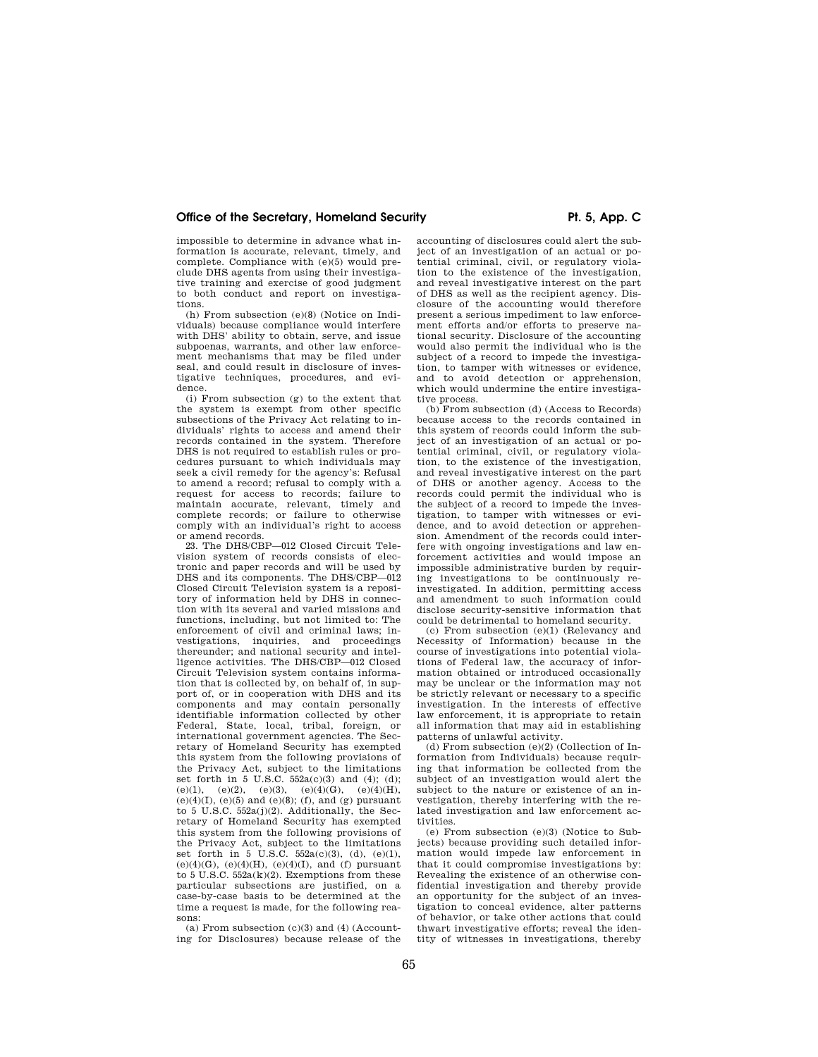## Office of the Secretary, Homeland Security **Pt. 5, App. C**

impossible to determine in advance what information is accurate, relevant, timely, and complete. Compliance with (e)(5) would preclude DHS agents from using their investigative training and exercise of good judgment to both conduct and report on investigations.

(h) From subsection (e)(8) (Notice on Individuals) because compliance would interfere with DHS' ability to obtain, serve, and issue subpoenas, warrants, and other law enforcement mechanisms that may be filed under seal, and could result in disclosure of investigative techniques, procedures, and evidence.

(i) From subsection (g) to the extent that the system is exempt from other specific subsections of the Privacy Act relating to individuals' rights to access and amend their records contained in the system. Therefore DHS is not required to establish rules or procedures pursuant to which individuals may seek a civil remedy for the agency's: Refusal to amend a record; refusal to comply with a request for access to records; failure to maintain accurate, relevant, timely and complete records; or failure to otherwise comply with an individual's right to access or amend records.

23. The DHS/CBP—012 Closed Circuit Television system of records consists of electronic and paper records and will be used by DHS and its components. The DHS/CBP—012 Closed Circuit Television system is a repository of information held by DHS in connection with its several and varied missions and functions, including, but not limited to: The enforcement of civil and criminal laws; investigations, inquiries, and proceedings thereunder; and national security and intelligence activities. The DHS/CBP—012 Closed Circuit Television system contains information that is collected by, on behalf of, in support of, or in cooperation with DHS and its components and may contain personally identifiable information collected by other Federal, State, local, tribal, foreign, or international government agencies. The Secretary of Homeland Security has exempted this system from the following provisions of the Privacy Act, subject to the limitations set forth in 5 U.S.C. 552a(c)(3) and (4); (d); (e)(1), (e)(2), (e)(3), (e)(4)(G), (e)(4)(H), (e)(4)(I), (e)(5) and (e)(8); (f), and (g) pursuant to 5 U.S.C. 552a(j)(2). Additionally, the Secretary of Homeland Security has exempted this system from the following provisions of the Privacy Act, subject to the limitations set forth in 5 U.S.C.  $552a(c)(3)$ , (d), (e)(1),  $(e)(4)(G)$ ,  $(e)(4)(H)$ ,  $(e)(4)(I)$ , and  $(f)$  pursuant to 5 U.S.C.  $552a(k)(2)$ . Exemptions from these particular subsections are justified, on a case-by-case basis to be determined at the time a request is made, for the following reasons:

(a) From subsection  $(c)(3)$  and  $(4)$  (Accounting for Disclosures) because release of the

accounting of disclosures could alert the subject of an investigation of an actual or potential criminal, civil, or regulatory violation to the existence of the investigation, and reveal investigative interest on the part of DHS as well as the recipient agency. Disclosure of the accounting would therefore present a serious impediment to law enforcement efforts and/or efforts to preserve national security. Disclosure of the accounting would also permit the individual who is the subject of a record to impede the investigation, to tamper with witnesses or evidence, and to avoid detection or apprehension, which would undermine the entire investigative process.

(b) From subsection (d) (Access to Records) because access to the records contained in this system of records could inform the subject of an investigation of an actual or potential criminal, civil, or regulatory violation, to the existence of the investigation, and reveal investigative interest on the part of DHS or another agency. Access to the records could permit the individual who is the subject of a record to impede the investigation, to tamper with witnesses or evidence, and to avoid detection or apprehension. Amendment of the records could interfere with ongoing investigations and law enforcement activities and would impose an impossible administrative burden by requiring investigations to be continuously reinvestigated. In addition, permitting access and amendment to such information could disclose security-sensitive information that could be detrimental to homeland security.

(c) From subsection (e)(1) (Relevancy and Necessity of Information) because in the course of investigations into potential violations of Federal law, the accuracy of information obtained or introduced occasionally may be unclear or the information may not be strictly relevant or necessary to a specific investigation. In the interests of effective law enforcement, it is appropriate to retain all information that may aid in establishing patterns of unlawful activity.

(d) From subsection (e)(2) (Collection of Information from Individuals) because requiring that information be collected from the subject of an investigation would alert the subject to the nature or existence of an investigation, thereby interfering with the related investigation and law enforcement activities.

(e) From subsection (e)(3) (Notice to Subjects) because providing such detailed information would impede law enforcement in that it could compromise investigations by: Revealing the existence of an otherwise confidential investigation and thereby provide an opportunity for the subject of an investigation to conceal evidence, alter patterns of behavior, or take other actions that could thwart investigative efforts; reveal the identity of witnesses in investigations, thereby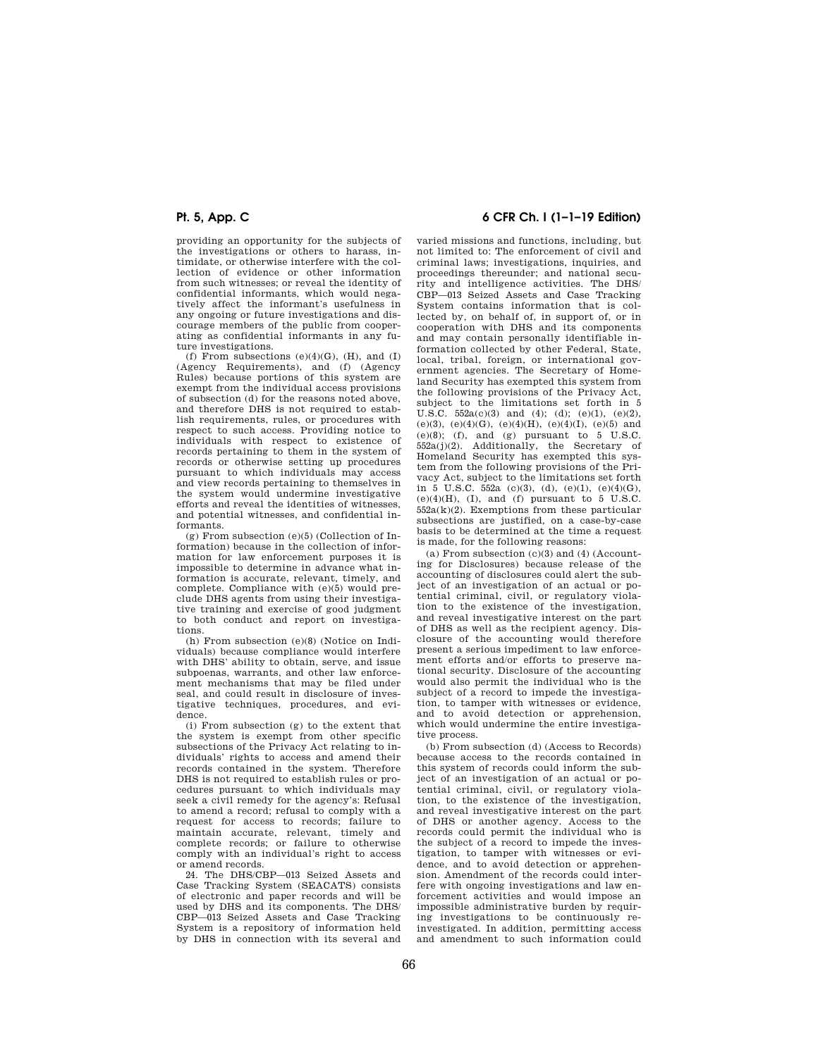providing an opportunity for the subjects of the investigations or others to harass, intimidate, or otherwise interfere with the collection of evidence or other information from such witnesses; or reveal the identity of confidential informants, which would negatively affect the informant's usefulness in any ongoing or future investigations and discourage members of the public from cooperating as confidential informants in any future investigations.

(f) From subsections  $(e)(4)(G)$ ,  $(H)$ , and  $(I)$ (Agency Requirements), and (f) (Agency Rules) because portions of this system are exempt from the individual access provisions of subsection (d) for the reasons noted above, and therefore DHS is not required to establish requirements, rules, or procedures with respect to such access. Providing notice to individuals with respect to existence of records pertaining to them in the system of records or otherwise setting up procedures pursuant to which individuals may access and view records pertaining to themselves in the system would undermine investigative efforts and reveal the identities of witnesses, and potential witnesses, and confidential informants.

(g) From subsection (e)(5) (Collection of Information) because in the collection of information for law enforcement purposes it is impossible to determine in advance what information is accurate, relevant, timely, and complete. Compliance with (e)(5) would preclude DHS agents from using their investigative training and exercise of good judgment to both conduct and report on investigations.

(h) From subsection (e)(8) (Notice on Individuals) because compliance would interfere with DHS' ability to obtain, serve, and issue subpoenas, warrants, and other law enforcement mechanisms that may be filed under seal, and could result in disclosure of investigative techniques, procedures, and evidence.

(i) From subsection (g) to the extent that the system is exempt from other specific subsections of the Privacy Act relating to individuals' rights to access and amend their records contained in the system. Therefore DHS is not required to establish rules or procedures pursuant to which individuals may seek a civil remedy for the agency's: Refusal to amend a record; refusal to comply with a request for access to records; failure to maintain accurate, relevant, timely and complete records; or failure to otherwise comply with an individual's right to access or amend records.

24. The DHS/CBP—013 Seized Assets and Case Tracking System (SEACATS) consists of electronic and paper records and will be used by DHS and its components. The DHS/ CBP—013 Seized Assets and Case Tracking System is a repository of information held by DHS in connection with its several and

## **Pt. 5, App. C 6 CFR Ch. I (1–1–19 Edition)**

varied missions and functions, including, but not limited to: The enforcement of civil and criminal laws; investigations, inquiries, and proceedings thereunder; and national security and intelligence activities. The DHS/ CBP—013 Seized Assets and Case Tracking System contains information that is collected by, on behalf of, in support of, or in cooperation with DHS and its components and may contain personally identifiable information collected by other Federal, State, local, tribal, foreign, or international government agencies. The Secretary of Homeland Security has exempted this system from the following provisions of the Privacy Act, subject to the limitations set forth in 5 U.S.C.  $552a(c)(3)$  and (4); (d); (e)(1), (e)(2), (e)(3), (e)(4)(G), (e)(4)(H), (e)(4)(I), (e)(5) and (e)(8); (f), and (g) pursuant to  $5$  U.S.C. 552a(j)(2). Additionally, the Secretary of Homeland Security has exempted this system from the following provisions of the Privacy Act, subject to the limitations set forth in 5 U.S.C. 552a (c)(3), (d), (e)(1), (e)(4)(G),  $(e)(4)(H)$ ,  $(I)$ , and  $(f)$  pursuant to 5 U.S.C. 552a(k)(2). Exemptions from these particular subsections are justified, on a case-by-case basis to be determined at the time a request is made, for the following reasons:

(a) From subsection  $(c)(3)$  and  $(4)$  (Accounting for Disclosures) because release of the accounting of disclosures could alert the subject of an investigation of an actual or potential criminal, civil, or regulatory violation to the existence of the investigation, and reveal investigative interest on the part of DHS as well as the recipient agency. Disclosure of the accounting would therefore present a serious impediment to law enforcement efforts and/or efforts to preserve national security. Disclosure of the accounting would also permit the individual who is the subject of a record to impede the investigation, to tamper with witnesses or evidence, and to avoid detection or apprehension, which would undermine the entire investigative process.

(b) From subsection (d) (Access to Records) because access to the records contained in this system of records could inform the subject of an investigation of an actual or potential criminal, civil, or regulatory violation, to the existence of the investigation, and reveal investigative interest on the part of DHS or another agency. Access to the records could permit the individual who is the subject of a record to impede the investigation, to tamper with witnesses or evidence, and to avoid detection or apprehension. Amendment of the records could interfere with ongoing investigations and law enforcement activities and would impose an impossible administrative burden by requiring investigations to be continuously reinvestigated. In addition, permitting access and amendment to such information could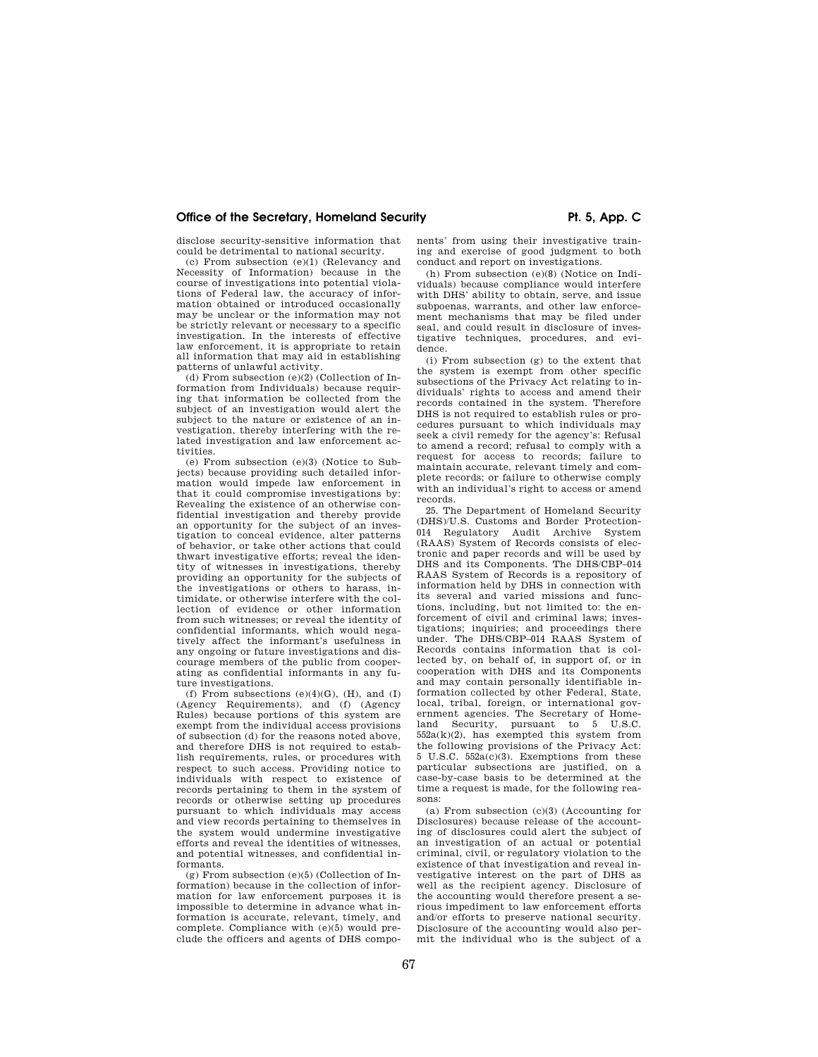disclose security-sensitive information that could be detrimental to national security.

(c) From subsection (e)(1) (Relevancy and Necessity of Information) because in the course of investigations into potential violations of Federal law, the accuracy of information obtained or introduced occasionally may be unclear or the information may not be strictly relevant or necessary to a specific investigation. In the interests of effective law enforcement, it is appropriate to retain all information that may aid in establishing patterns of unlawful activity.

(d) From subsection  $(e)(2)$  (Collection of Information from Individuals) because requiring that information be collected from the subject of an investigation would alert the subject to the nature or existence of an investigation, thereby interfering with the related investigation and law enforcement activities.

(e) From subsection (e)(3) (Notice to Subjects) because providing such detailed information would impede law enforcement in that it could compromise investigations by: Revealing the existence of an otherwise confidential investigation and thereby provide an opportunity for the subject of an investigation to conceal evidence, alter patterns of behavior, or take other actions that could thwart investigative efforts; reveal the identity of witnesses in investigations, thereby providing an opportunity for the subjects of the investigations or others to harass, intimidate, or otherwise interfere with the collection of evidence or other information from such witnesses; or reveal the identity of confidential informants, which would negatively affect the informant's usefulness in any ongoing or future investigations and discourage members of the public from cooperating as confidential informants in any future investigations.

(f) From subsections  $(e)(4)(G)$ ,  $(H)$ , and  $(I)$ (Agency Requirements), and (f) (Agency Rules) because portions of this system are exempt from the individual access provisions of subsection (d) for the reasons noted above, and therefore DHS is not required to establish requirements, rules, or procedures with respect to such access. Providing notice to individuals with respect to existence of records pertaining to them in the system of records or otherwise setting up procedures pursuant to which individuals may access and view records pertaining to themselves in the system would undermine investigative efforts and reveal the identities of witnesses, and potential witnesses, and confidential informants.

 $(g)$  From subsection  $(e)(5)$  (Collection of Information) because in the collection of information for law enforcement purposes it is impossible to determine in advance what information is accurate, relevant, timely, and complete. Compliance with (e)(5) would preclude the officers and agents of DHS components' from using their investigative training and exercise of good judgment to both conduct and report on investigations.

(h) From subsection (e)(8) (Notice on Individuals) because compliance would interfere with DHS' ability to obtain, serve, and issue subpoenas, warrants, and other law enforcement mechanisms that may be filed under seal, and could result in disclosure of investigative techniques, procedures, and evidence.

(i) From subsection (g) to the extent that the system is exempt from other specific subsections of the Privacy Act relating to individuals' rights to access and amend their records contained in the system. Therefore DHS is not required to establish rules or procedures pursuant to which individuals may seek a civil remedy for the agency's: Refusal to amend a record; refusal to comply with a request for access to records; failure to maintain accurate, relevant timely and complete records; or failure to otherwise comply with an individual's right to access or amend records.

25. The Department of Homeland Security (DHS)/U.S. Customs and Border Protection-014 Regulatory Audit Archive System (RAAS) System of Records consists of electronic and paper records and will be used by DHS and its Components. The DHS/CBP–014 RAAS System of Records is a repository of information held by DHS in connection with its several and varied missions and functions, including, but not limited to: the enforcement of civil and criminal laws; investigations; inquiries; and proceedings there under. The DHS/CBP–014 RAAS System of Records contains information that is collected by, on behalf of, in support of, or in cooperation with DHS and its Components and may contain personally identifiable information collected by other Federal, State, local, tribal, foreign, or international government agencies. The Secretary of Homeland Security, pursuant to 5 U.S.C. 552a(k)(2), has exempted this system from the following provisions of the Privacy Act: 5 U.S.C. 552a(c)(3). Exemptions from these particular subsections are justified, on a case-by-case basis to be determined at the time a request is made, for the following reasons:

(a) From subsection (c)(3) (Accounting for Disclosures) because release of the accounting of disclosures could alert the subject of an investigation of an actual or potential criminal, civil, or regulatory violation to the existence of that investigation and reveal investigative interest on the part of DHS as well as the recipient agency. Disclosure of the accounting would therefore present a serious impediment to law enforcement efforts and/or efforts to preserve national security. Disclosure of the accounting would also permit the individual who is the subject of a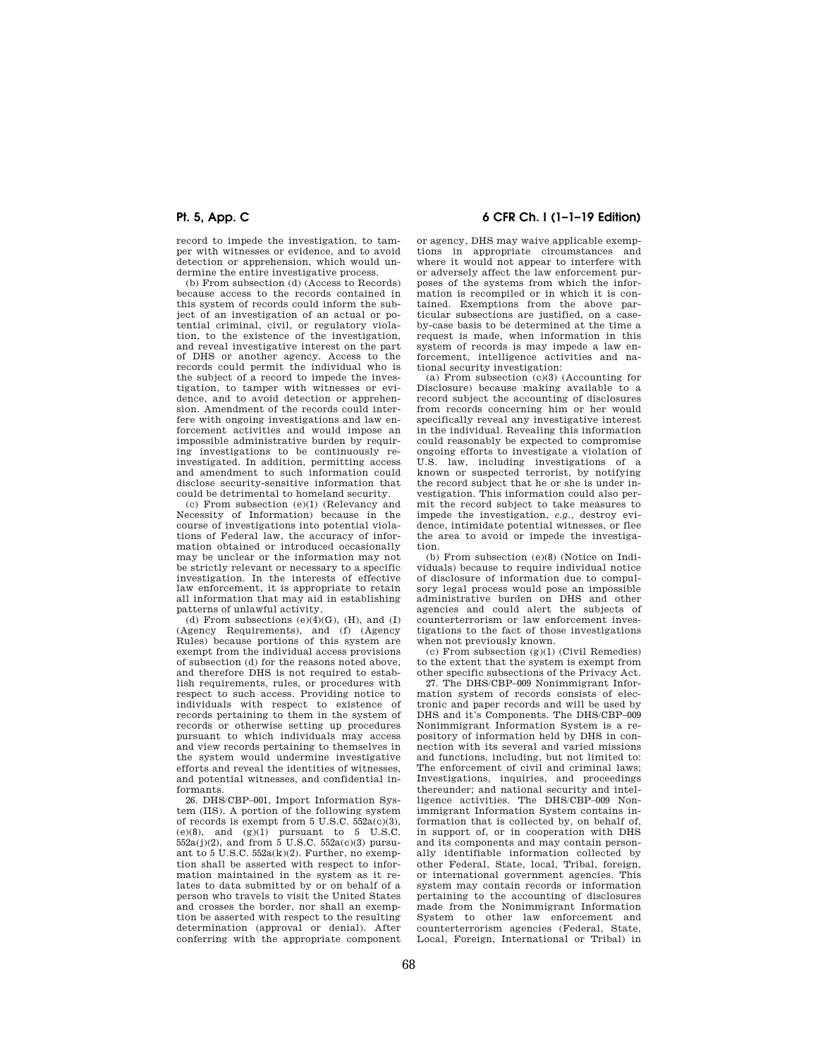record to impede the investigation, to tamper with witnesses or evidence, and to avoid detection or apprehension, which would undermine the entire investigative process.

(b) From subsection (d) (Access to Records) because access to the records contained in this system of records could inform the subject of an investigation of an actual or potential criminal, civil, or regulatory violation, to the existence of the investigation, and reveal investigative interest on the part of DHS or another agency. Access to the records could permit the individual who is the subject of a record to impede the investigation, to tamper with witnesses or evidence, and to avoid detection or apprehension. Amendment of the records could interfere with ongoing investigations and law enforcement activities and would impose an impossible administrative burden by requiring investigations to be continuously reinvestigated. In addition, permitting access and amendment to such information could disclose security-sensitive information that could be detrimental to homeland security.

(c) From subsection (e)(1) (Relevancy and Necessity of Information) because in the course of investigations into potential violations of Federal law, the accuracy of information obtained or introduced occasionally may be unclear or the information may not be strictly relevant or necessary to a specific investigation. In the interests of effective law enforcement, it is appropriate to retain all information that may aid in establishing patterns of unlawful activity.

(d) From subsections  $(e)(4)(G)$ ,  $(H)$ , and  $(I)$ (Agency Requirements), and (f) (Agency Rules) because portions of this system are exempt from the individual access provisions of subsection (d) for the reasons noted above, and therefore DHS is not required to establish requirements, rules, or procedures with respect to such access. Providing notice to individuals with respect to existence of records pertaining to them in the system of records or otherwise setting up procedures pursuant to which individuals may access and view records pertaining to themselves in the system would undermine investigative efforts and reveal the identities of witnesses, and potential witnesses, and confidential informants.

26. DHS/CBP–001, Import Information System (IIS). A portion of the following system of records is exempt from  $5 \text{ U.S.C. } 552a(c)(3)$ ,  $(e)(8)$ , and  $(g)(1)$  pursuant to 5 U.S.C.  $552a(j)(2)$ , and from 5 U.S.C.  $552a(c)(3)$  pursuant to  $5$  U.S.C.  $552a(k)(2)$ . Further, no exemption shall be asserted with respect to information maintained in the system as it relates to data submitted by or on behalf of a person who travels to visit the United States and crosses the border, nor shall an exemption be asserted with respect to the resulting determination (approval or denial). After conferring with the appropriate component

# **Pt. 5, App. C 6 CFR Ch. I (1–1–19 Edition)**

or agency, DHS may waive applicable exemptions in appropriate circumstances and where it would not appear to interfere with or adversely affect the law enforcement purposes of the systems from which the information is recompiled or in which it is contained. Exemptions from the above particular subsections are justified, on a caseby-case basis to be determined at the time a request is made, when information in this system of records is may impede a law enforcement, intelligence activities and national security investigation:

(a) From subsection (c)(3) (Accounting for Disclosure) because making available to a record subject the accounting of disclosures from records concerning him or her would specifically reveal any investigative interest in the individual. Revealing this information could reasonably be expected to compromise ongoing efforts to investigate a violation of U.S. law, including investigations of a known or suspected terrorist, by notifying the record subject that he or she is under investigation. This information could also permit the record subject to take measures to impede the investigation, *e.g.,* destroy evidence, intimidate potential witnesses, or flee the area to avoid or impede the investigation.

(b) From subsection (e)(8) (Notice on Individuals) because to require individual notice of disclosure of information due to compulsory legal process would pose an impossible administrative burden on DHS and other agencies and could alert the subjects of counterterrorism or law enforcement investigations to the fact of those investigations when not previously known.

(c) From subsection (g)(1) (Civil Remedies) to the extent that the system is exempt from other specific subsections of the Privacy Act.

27. The DHS/CBP–009 Nonimmigrant Information system of records consists of electronic and paper records and will be used by DHS and it's Components. The DHS/CBP–009 Nonimmigrant Information System is a repository of information held by DHS in connection with its several and varied missions and functions, including, but not limited to: The enforcement of civil and criminal laws; Investigations, inquiries, and proceedings thereunder; and national security and intelligence activities. The DHS/CBP–009 Nonimmigrant Information System contains information that is collected by, on behalf of, in support of, or in cooperation with DHS and its components and may contain personally identifiable information collected by other Federal, State, local, Tribal, foreign, or international government agencies. This system may contain records or information pertaining to the accounting of disclosures made from the Nonimmigrant Information System to other law enforcement and counterterrorism agencies (Federal, State, Local, Foreign, International or Tribal) in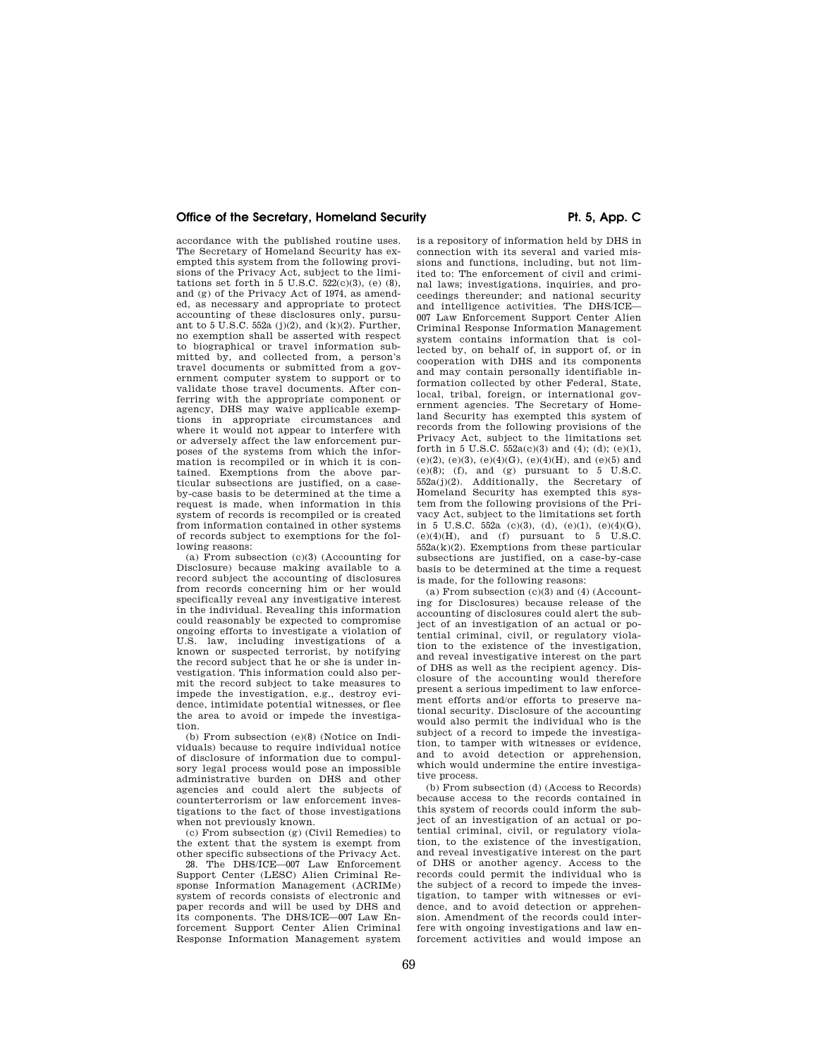accordance with the published routine uses. The Secretary of Homeland Security has exempted this system from the following provisions of the Privacy Act, subject to the limitations set forth in  $5 \text{ U.S.C. } 522(c)(3)$ , (e)  $(8)$ , and (g) of the Privacy Act of 1974, as amended, as necessary and appropriate to protect accounting of these disclosures only, pursuant to 5 U.S.C. 552a (j)(2), and  $(k)(2)$ . Further, no exemption shall be asserted with respect to biographical or travel information submitted by, and collected from, a person's travel documents or submitted from a government computer system to support or to validate those travel documents. After conferring with the appropriate component or agency, DHS may waive applicable exemptions in appropriate circumstances and where it would not appear to interfere with or adversely affect the law enforcement purposes of the systems from which the information is recompiled or in which it is contained. Exemptions from the above particular subsections are justified, on a caseby-case basis to be determined at the time a request is made, when information in this system of records is recompiled or is created from information contained in other systems of records subject to exemptions for the following reasons:

(a) From subsection  $(c)(3)$  (Accounting for Disclosure) because making available to a record subject the accounting of disclosures from records concerning him or her would specifically reveal any investigative interest in the individual. Revealing this information could reasonably be expected to compromise ongoing efforts to investigate a violation of U.S. law, including investigations of a known or suspected terrorist, by notifying the record subject that he or she is under investigation. This information could also permit the record subject to take measures to impede the investigation, e.g., destroy evidence, intimidate potential witnesses, or flee the area to avoid or impede the investigation.

(b) From subsection (e)(8) (Notice on Individuals) because to require individual notice of disclosure of information due to compulsory legal process would pose an impossible administrative burden on DHS and other agencies and could alert the subjects of counterterrorism or law enforcement investigations to the fact of those investigations when not previously known.

(c) From subsection (g) (Civil Remedies) to the extent that the system is exempt from other specific subsections of the Privacy Act.

28. The DHS/ICE—007 Law Enforcement Support Center (LESC) Alien Criminal Response Information Management (ACRIMe) system of records consists of electronic and paper records and will be used by DHS and its components. The DHS/ICE—007 Law Enforcement Support Center Alien Criminal Response Information Management system

is a repository of information held by DHS in connection with its several and varied missions and functions, including, but not limited to: The enforcement of civil and criminal laws; investigations, inquiries, and proceedings thereunder; and national security and intelligence activities. The DHS/ICE— 007 Law Enforcement Support Center Alien Criminal Response Information Management system contains information that is collected by, on behalf of, in support of, or in cooperation with DHS and its components and may contain personally identifiable information collected by other Federal, State, local, tribal, foreign, or international government agencies. The Secretary of Homeland Security has exempted this system of records from the following provisions of the Privacy Act, subject to the limitations set forth in 5 U.S.C.  $552a(c)(3)$  and  $(4)$ ;  $(d)$ ;  $(e)(1)$ , (e)(2), (e)(3), (e)(4)(G), (e)(4)(H), and (e)(5) and (e)(8); (f), and (g) pursuant to 5 U.S.C. 552a(j)(2). Additionally, the Secretary of Homeland Security has exempted this system from the following provisions of the Privacy Act, subject to the limitations set forth in 5 U.S.C. 552a (c)(3), (d), (e)(1), (e)(4)(G),  $(e)(4)(H)$ , and  $(f)$  pursuant to 5 U.S.C.  $552a(k)(2)$ . Exemptions from these particular subsections are justified, on a case-by-case basis to be determined at the time a request is made, for the following reasons:

(a) From subsection (c)(3) and (4) (Accounting for Disclosures) because release of the accounting of disclosures could alert the subject of an investigation of an actual or potential criminal, civil, or regulatory violation to the existence of the investigation, and reveal investigative interest on the part of DHS as well as the recipient agency. Disclosure of the accounting would therefore present a serious impediment to law enforcement efforts and/or efforts to preserve national security. Disclosure of the accounting would also permit the individual who is the subject of a record to impede the investigation, to tamper with witnesses or evidence, and to avoid detection or apprehension, which would undermine the entire investigative process.

(b) From subsection (d) (Access to Records) because access to the records contained in this system of records could inform the subject of an investigation of an actual or potential criminal, civil, or regulatory violation, to the existence of the investigation, and reveal investigative interest on the part of DHS or another agency. Access to the records could permit the individual who is the subject of a record to impede the investigation, to tamper with witnesses or evidence, and to avoid detection or apprehension. Amendment of the records could interfere with ongoing investigations and law enforcement activities and would impose an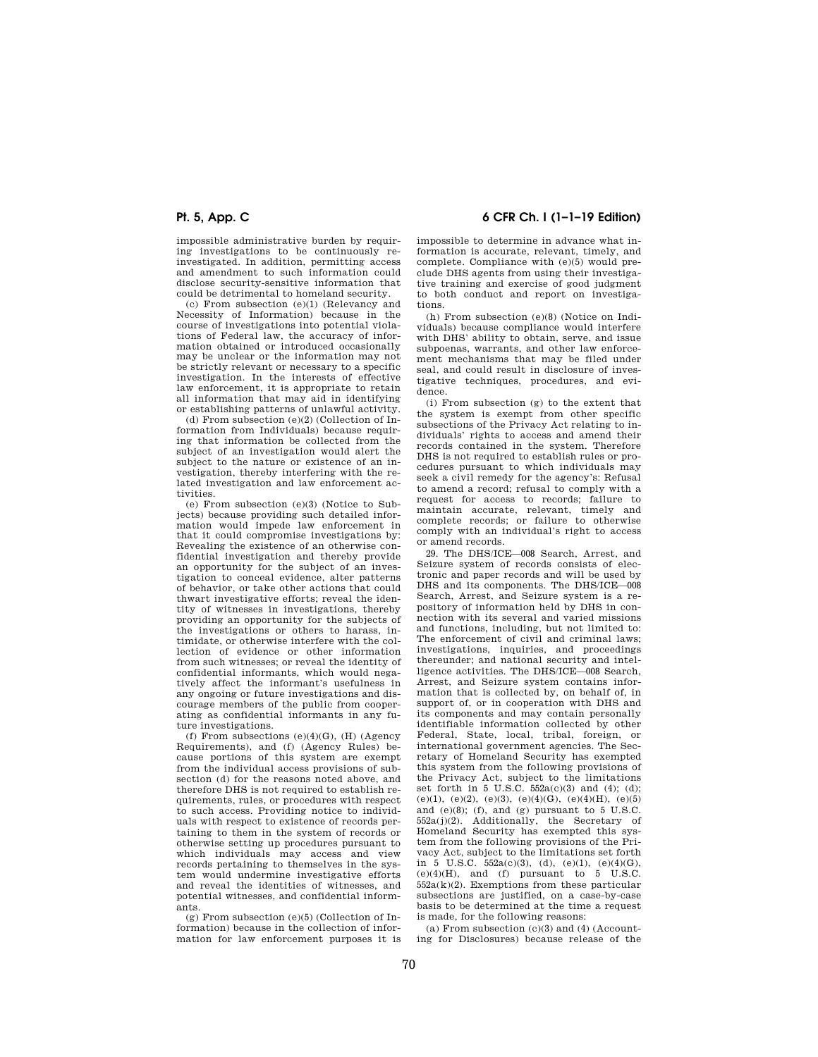impossible administrative burden by requiring investigations to be continuously reinvestigated. In addition, permitting access and amendment to such information could disclose security-sensitive information that could be detrimental to homeland security.

(c) From subsection (e)(1) (Relevancy and Necessity of Information) because in the course of investigations into potential violations of Federal law, the accuracy of information obtained or introduced occasionally may be unclear or the information may not be strictly relevant or necessary to a specific investigation. In the interests of effective law enforcement, it is appropriate to retain all information that may aid in identifying or establishing patterns of unlawful activity.

(d) From subsection (e)(2) (Collection of Information from Individuals) because requiring that information be collected from the subject of an investigation would alert the subject to the nature or existence of an investigation, thereby interfering with the related investigation and law enforcement activities.

(e) From subsection (e)(3) (Notice to Subjects) because providing such detailed information would impede law enforcement in that it could compromise investigations by: Revealing the existence of an otherwise confidential investigation and thereby provide an opportunity for the subject of an investigation to conceal evidence, alter patterns of behavior, or take other actions that could thwart investigative efforts; reveal the identity of witnesses in investigations, thereby providing an opportunity for the subjects of the investigations or others to harass, intimidate, or otherwise interfere with the collection of evidence or other information from such witnesses; or reveal the identity of confidential informants, which would negatively affect the informant's usefulness in any ongoing or future investigations and discourage members of the public from cooperating as confidential informants in any future investigations.

(f) From subsections  $(e)(4)(G)$ ,  $(H)$  (Agency Requirements), and (f) (Agency Rules) because portions of this system are exempt from the individual access provisions of subsection (d) for the reasons noted above, and therefore DHS is not required to establish requirements, rules, or procedures with respect to such access. Providing notice to individuals with respect to existence of records pertaining to them in the system of records or otherwise setting up procedures pursuant to which individuals may access and view records pertaining to themselves in the system would undermine investigative efforts and reveal the identities of witnesses, and potential witnesses, and confidential informants.

 $(g)$  From subsection  $(e)(5)$  (Collection of Information) because in the collection of information for law enforcement purposes it is

# **Pt. 5, App. C 6 CFR Ch. I (1–1–19 Edition)**

impossible to determine in advance what information is accurate, relevant, timely, and complete. Compliance with (e)(5) would preclude DHS agents from using their investigative training and exercise of good judgment to both conduct and report on investigations.

(h) From subsection (e)(8) (Notice on Individuals) because compliance would interfere with DHS' ability to obtain, serve, and issue subpoenas, warrants, and other law enforcement mechanisms that may be filed under seal, and could result in disclosure of investigative techniques, procedures, and evidence.

(i) From subsection (g) to the extent that the system is exempt from other specific subsections of the Privacy Act relating to individuals' rights to access and amend their records contained in the system. Therefore DHS is not required to establish rules or procedures pursuant to which individuals may seek a civil remedy for the agency's: Refusal to amend a record; refusal to comply with a request for access to records; failure to maintain accurate, relevant, timely and complete records; or failure to otherwise comply with an individual's right to access or amend records.

29. The DHS/ICE—008 Search, Arrest, and Seizure system of records consists of electronic and paper records and will be used by DHS and its components. The DHS/ICE—008 Search, Arrest, and Seizure system is a repository of information held by DHS in connection with its several and varied missions and functions, including, but not limited to: The enforcement of civil and criminal laws; investigations, inquiries, and proceedings thereunder; and national security and intelligence activities. The DHS/ICE—008 Search, Arrest, and Seizure system contains information that is collected by, on behalf of, in support of, or in cooperation with DHS and its components and may contain personally identifiable information collected by other Federal, State, local, tribal, foreign, or international government agencies. The Secretary of Homeland Security has exempted this system from the following provisions of the Privacy Act, subject to the limitations set forth in 5 U.S.C. 552a(c)(3) and (4); (d); (e)(1), (e)(2), (e)(3), (e)(4)(G), (e)(4)(H), (e)(5) and  $(e)(8)$ ; (f), and  $(g)$  pursuant to 5 U.S.C. 552a(j)(2). Additionally, the Secretary of Homeland Security has exempted this system from the following provisions of the Privacy Act, subject to the limitations set forth in 5 U.S.C.  $552a(c)(3)$ , (d),  $(e)(1)$ ,  $(e)(4)(G)$ ,  $(e)(4)(H)$ , and  $(f)$  pursuant to  $5$  U.S.C.  $552a(k)(2)$ . Exemptions from these particular subsections are justified, on a case-by-case basis to be determined at the time a request is made, for the following reasons:

(a) From subsection  $(c)(3)$  and  $(4)$  (Accounting for Disclosures) because release of the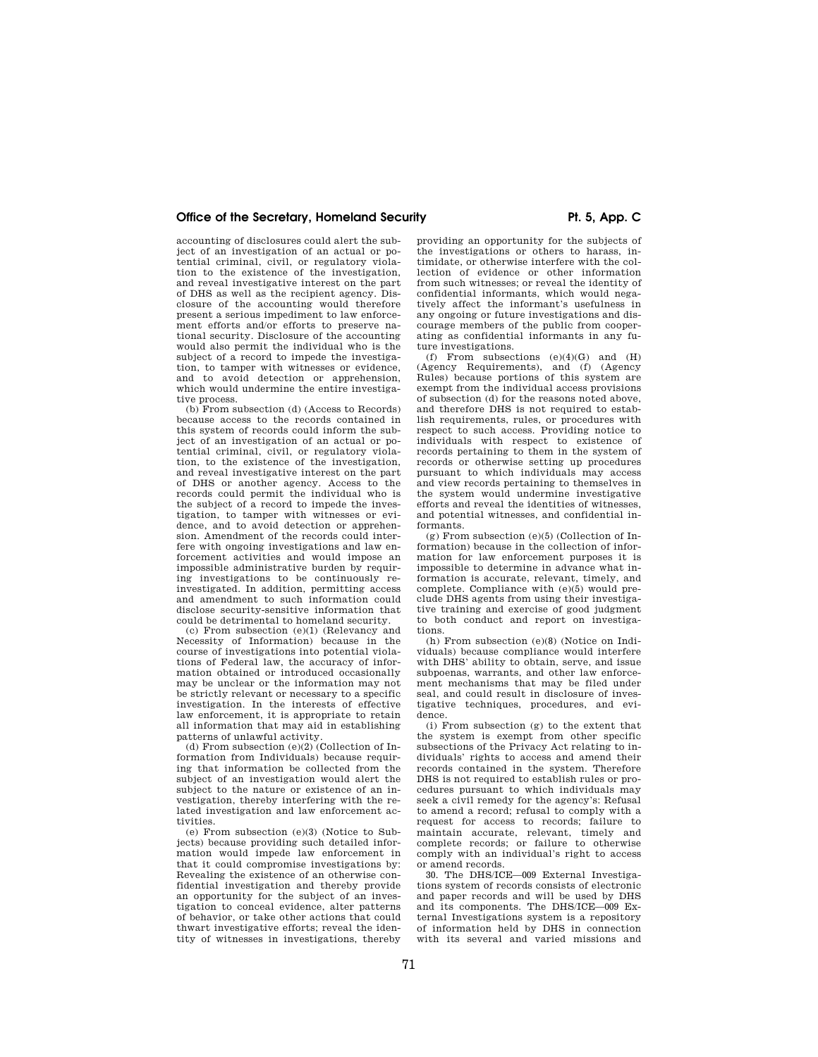accounting of disclosures could alert the subject of an investigation of an actual or potential criminal, civil, or regulatory violation to the existence of the investigation, and reveal investigative interest on the part of DHS as well as the recipient agency. Disclosure of the accounting would therefore present a serious impediment to law enforcement efforts and/or efforts to preserve national security. Disclosure of the accounting would also permit the individual who is the subject of a record to impede the investigation, to tamper with witnesses or evidence, and to avoid detection or apprehension, which would undermine the entire investigative process.

(b) From subsection (d) (Access to Records) because access to the records contained in this system of records could inform the subject of an investigation of an actual or potential criminal, civil, or regulatory violation, to the existence of the investigation, and reveal investigative interest on the part of DHS or another agency. Access to the records could permit the individual who is the subject of a record to impede the investigation, to tamper with witnesses or evidence, and to avoid detection or apprehension. Amendment of the records could interfere with ongoing investigations and law enforcement activities and would impose an impossible administrative burden by requiring investigations to be continuously reinvestigated. In addition, permitting access and amendment to such information could disclose security-sensitive information that could be detrimental to homeland security.

(c) From subsection (e)(1) (Relevancy and Necessity of Information) because in the course of investigations into potential violations of Federal law, the accuracy of information obtained or introduced occasionally may be unclear or the information may not be strictly relevant or necessary to a specific investigation. In the interests of effective law enforcement, it is appropriate to retain all information that may aid in establishing patterns of unlawful activity.

(d) From subsection (e)(2) (Collection of Information from Individuals) because requiring that information be collected from the subject of an investigation would alert the subject to the nature or existence of an investigation, thereby interfering with the related investigation and law enforcement activities.

(e) From subsection (e)(3) (Notice to Subjects) because providing such detailed information would impede law enforcement in that it could compromise investigations by: Revealing the existence of an otherwise confidential investigation and thereby provide an opportunity for the subject of an investigation to conceal evidence, alter patterns of behavior, or take other actions that could thwart investigative efforts; reveal the identity of witnesses in investigations, thereby

providing an opportunity for the subjects of the investigations or others to harass, intimidate, or otherwise interfere with the collection of evidence or other information from such witnesses; or reveal the identity of confidential informants, which would negatively affect the informant's usefulness in any ongoing or future investigations and discourage members of the public from cooperating as confidential informants in any future investigations.

(f) From subsections  $(e)(4)(G)$  and  $(H)$ (Agency Requirements), and (f) (Agency Rules) because portions of this system are exempt from the individual access provisions of subsection (d) for the reasons noted above, and therefore DHS is not required to establish requirements, rules, or procedures with respect to such access. Providing notice to individuals with respect to existence of records pertaining to them in the system of records or otherwise setting up procedures pursuant to which individuals may access and view records pertaining to themselves in the system would undermine investigative efforts and reveal the identities of witnesses, and potential witnesses, and confidential informants.

(g) From subsection (e)(5) (Collection of Information) because in the collection of information for law enforcement purposes it is impossible to determine in advance what information is accurate, relevant, timely, and complete. Compliance with (e)(5) would preclude DHS agents from using their investigative training and exercise of good judgment to both conduct and report on investigations.

(h) From subsection (e)(8) (Notice on Individuals) because compliance would interfere with DHS' ability to obtain, serve, and issue subpoenas, warrants, and other law enforcement mechanisms that may be filed under seal, and could result in disclosure of investigative techniques, procedures, and evidence.

(i) From subsection (g) to the extent that the system is exempt from other specific subsections of the Privacy Act relating to individuals' rights to access and amend their records contained in the system. Therefore DHS is not required to establish rules or procedures pursuant to which individuals may seek a civil remedy for the agency's: Refusal to amend a record; refusal to comply with a request for access to records; failure to maintain accurate, relevant, timely and complete records; or failure to otherwise comply with an individual's right to access or amend records.

30. The DHS/ICE—009 External Investigations system of records consists of electronic and paper records and will be used by DHS and its components. The DHS/ICE—009 External Investigations system is a repository of information held by DHS in connection with its several and varied missions and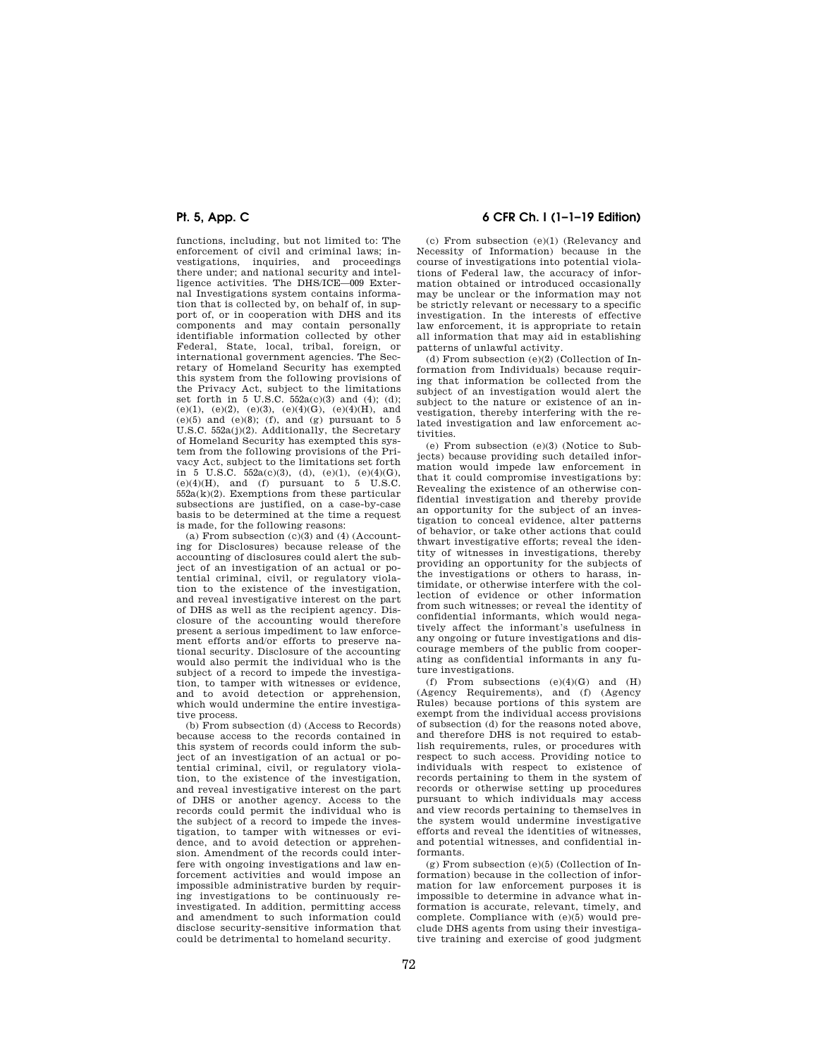functions, including, but not limited to: The enforcement of civil and criminal laws; investigations, inquiries, and proceedings there under; and national security and intelligence activities. The DHS/ICE—009 External Investigations system contains information that is collected by, on behalf of, in support of, or in cooperation with DHS and its components and may contain personally identifiable information collected by other Federal, State, local, tribal, foreign, or international government agencies. The Secretary of Homeland Security has exempted this system from the following provisions of the Privacy Act, subject to the limitations set forth in 5 U.S.C.  $552a(c)(3)$  and (4); (d); (e)(1), (e)(2), (e)(3), (e)(4)(G), (e)(4)(H), and  $(e)(5)$  and  $(e)(8)$ ; (f), and (g) pursuant to 5 U.S.C. 552a(j)(2). Additionally, the Secretary of Homeland Security has exempted this system from the following provisions of the Privacy Act, subject to the limitations set forth in 5 U.S.C.  $552a(c)(3)$ , (d),  $(e)(1)$ ,  $(e)(4)(G)$ ,  $(e)(4)(H)$ , and  $(f)$  pursuant to 5 U.S.C.  $552a(k)(2)$ . Exemptions from these particular subsections are justified, on a case-by-case basis to be determined at the time a request is made, for the following reasons:

(a) From subsection  $(c)(3)$  and  $(4)$  (Accounting for Disclosures) because release of the accounting of disclosures could alert the subject of an investigation of an actual or potential criminal, civil, or regulatory violation to the existence of the investigation, and reveal investigative interest on the part of DHS as well as the recipient agency. Disclosure of the accounting would therefore present a serious impediment to law enforcement efforts and/or efforts to preserve national security. Disclosure of the accounting would also permit the individual who is the subject of a record to impede the investigation, to tamper with witnesses or evidence, and to avoid detection or apprehension, which would undermine the entire investigative process.

(b) From subsection (d) (Access to Records) because access to the records contained in this system of records could inform the subject of an investigation of an actual or potential criminal, civil, or regulatory violation, to the existence of the investigation, and reveal investigative interest on the part of DHS or another agency. Access to the records could permit the individual who is the subject of a record to impede the investigation, to tamper with witnesses or evidence, and to avoid detection or apprehension. Amendment of the records could interfere with ongoing investigations and law enforcement activities and would impose an impossible administrative burden by requiring investigations to be continuously reinvestigated. In addition, permitting access and amendment to such information could disclose security-sensitive information that could be detrimental to homeland security.

## **Pt. 5, App. C 6 CFR Ch. I (1–1–19 Edition)**

(c) From subsection (e)(1) (Relevancy and Necessity of Information) because in the course of investigations into potential violations of Federal law, the accuracy of information obtained or introduced occasionally may be unclear or the information may not be strictly relevant or necessary to a specific investigation. In the interests of effective law enforcement, it is appropriate to retain all information that may aid in establishing patterns of unlawful activity.

(d) From subsection (e)(2) (Collection of Information from Individuals) because requiring that information be collected from the subject of an investigation would alert the subject to the nature or existence of an investigation, thereby interfering with the related investigation and law enforcement activities.

(e) From subsection (e)(3) (Notice to Subjects) because providing such detailed information would impede law enforcement in that it could compromise investigations by: Revealing the existence of an otherwise confidential investigation and thereby provide an opportunity for the subject of an investigation to conceal evidence, alter patterns of behavior, or take other actions that could thwart investigative efforts; reveal the identity of witnesses in investigations, thereby providing an opportunity for the subjects of the investigations or others to harass, intimidate, or otherwise interfere with the collection of evidence or other information from such witnesses; or reveal the identity of confidential informants, which would negatively affect the informant's usefulness in any ongoing or future investigations and discourage members of the public from cooperating as confidential informants in any future investigations.

(f) From subsections  $(e)(4)(G)$  and  $(H)$ (Agency Requirements), and (f) (Agency Rules) because portions of this system are exempt from the individual access provisions of subsection (d) for the reasons noted above, and therefore DHS is not required to establish requirements, rules, or procedures with respect to such access. Providing notice to individuals with respect to existence of records pertaining to them in the system of records or otherwise setting up procedures pursuant to which individuals may access and view records pertaining to themselves in the system would undermine investigative efforts and reveal the identities of witnesses, and potential witnesses, and confidential informants.

 $(g)$  From subsection  $(e)(5)$  (Collection of Information) because in the collection of information for law enforcement purposes it is impossible to determine in advance what information is accurate, relevant, timely, and complete. Compliance with (e)(5) would preclude DHS agents from using their investigative training and exercise of good judgment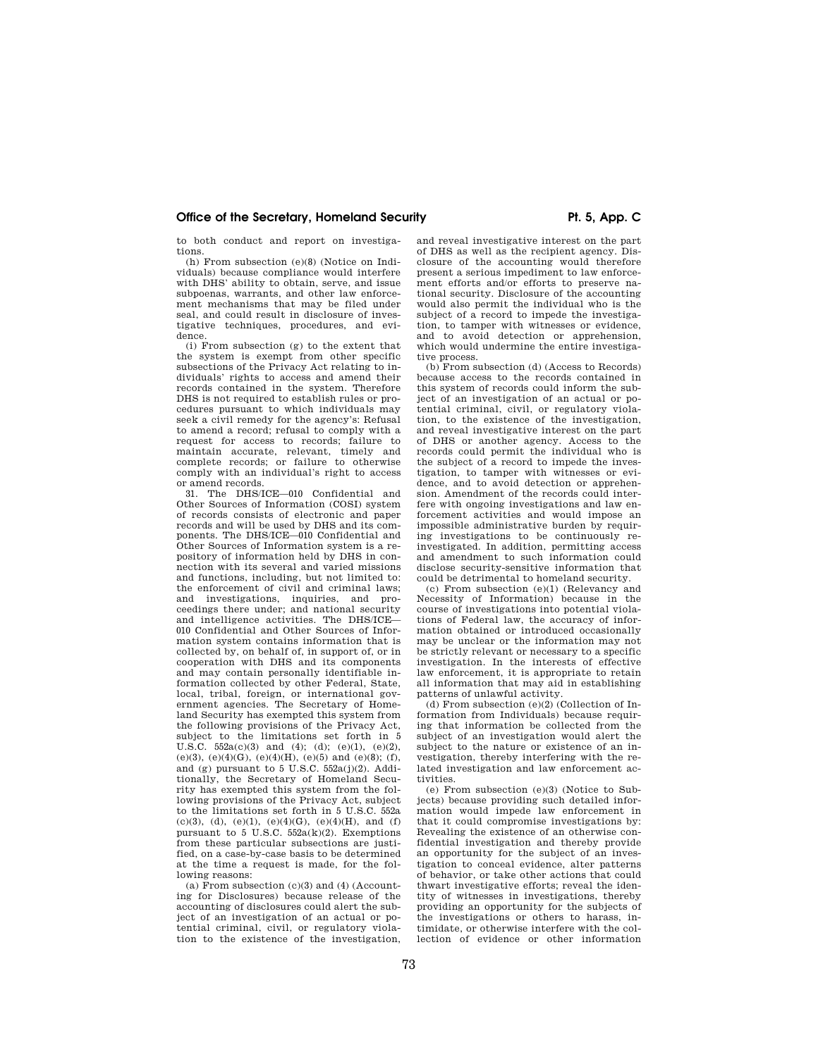to both conduct and report on investigations.

(h) From subsection (e)(8) (Notice on Individuals) because compliance would interfere with DHS' ability to obtain, serve, and issue subpoenas, warrants, and other law enforcement mechanisms that may be filed under seal, and could result in disclosure of investigative techniques, procedures, and evidence.

(i) From subsection (g) to the extent that the system is exempt from other specific subsections of the Privacy Act relating to individuals' rights to access and amend their records contained in the system. Therefore DHS is not required to establish rules or procedures pursuant to which individuals may seek a civil remedy for the agency's: Refusal to amend a record; refusal to comply with a request for access to records; failure to maintain accurate, relevant, timely and complete records; or failure to otherwise comply with an individual's right to access or amend records.

31. The DHS/ICE—010 Confidential and Other Sources of Information (COSI) system of records consists of electronic and paper records and will be used by DHS and its components. The DHS/ICE—010 Confidential and Other Sources of Information system is a repository of information held by DHS in connection with its several and varied missions and functions, including, but not limited to: the enforcement of civil and criminal laws; and investigations, inquiries, and pro-ceedings there under; and national security and intelligence activities. The DHS/ICE— 010 Confidential and Other Sources of Information system contains information that is collected by, on behalf of, in support of, or in cooperation with DHS and its components and may contain personally identifiable information collected by other Federal, State, local, tribal, foreign, or international government agencies. The Secretary of Homeland Security has exempted this system from the following provisions of the Privacy Act, subject to the limitations set forth in 5 U.S.C.  $552a(c)(3)$  and  $(4)$ ;  $(d)$ ;  $(e)(1)$ ,  $(e)(2)$ , (e)(3), (e)(4)(G), (e)(4)(H), (e)(5) and (e)(8); (f), and (g) pursuant to  $5 \text{ U.S.C. } 552a(j)(2)$ . Additionally, the Secretary of Homeland Security has exempted this system from the following provisions of the Privacy Act, subject to the limitations set forth in 5 U.S.C. 552a (c)(3), (d), (e)(1), (e)(4)(G), (e)(4)(H), and (f) pursuant to 5 U.S.C.  $552a(k)(2)$ . Exemptions from these particular subsections are justified, on a case-by-case basis to be determined at the time a request is made, for the following reasons:

(a) From subsection  $(c)(3)$  and  $(4)$  (Accounting for Disclosures) because release of the accounting of disclosures could alert the subject of an investigation of an actual or potential criminal, civil, or regulatory violation to the existence of the investigation, and reveal investigative interest on the part of DHS as well as the recipient agency. Disclosure of the accounting would therefore present a serious impediment to law enforcement efforts and/or efforts to preserve national security. Disclosure of the accounting would also permit the individual who is the subject of a record to impede the investigation, to tamper with witnesses or evidence, and to avoid detection or apprehension. which would undermine the entire investigative process.

(b) From subsection (d) (Access to Records) because access to the records contained in this system of records could inform the subject of an investigation of an actual or potential criminal, civil, or regulatory violation, to the existence of the investigation, and reveal investigative interest on the part of DHS or another agency. Access to the records could permit the individual who is the subject of a record to impede the investigation, to tamper with witnesses or evidence, and to avoid detection or apprehension. Amendment of the records could interfere with ongoing investigations and law enforcement activities and would impose an impossible administrative burden by requiring investigations to be continuously reinvestigated. In addition, permitting access and amendment to such information could disclose security-sensitive information that could be detrimental to homeland security.

(c) From subsection (e)(1) (Relevancy and Necessity of Information) because in the course of investigations into potential violations of Federal law, the accuracy of information obtained or introduced occasionally may be unclear or the information may not be strictly relevant or necessary to a specific investigation. In the interests of effective law enforcement, it is appropriate to retain all information that may aid in establishing patterns of unlawful activity.

(d) From subsection (e)(2) (Collection of Information from Individuals) because requiring that information be collected from the subject of an investigation would alert the subject to the nature or existence of an investigation, thereby interfering with the related investigation and law enforcement activities.

(e) From subsection (e)(3) (Notice to Subjects) because providing such detailed information would impede law enforcement in that it could compromise investigations by: Revealing the existence of an otherwise confidential investigation and thereby provide an opportunity for the subject of an investigation to conceal evidence, alter patterns of behavior, or take other actions that could thwart investigative efforts; reveal the identity of witnesses in investigations, thereby providing an opportunity for the subjects of the investigations or others to harass, intimidate, or otherwise interfere with the collection of evidence or other information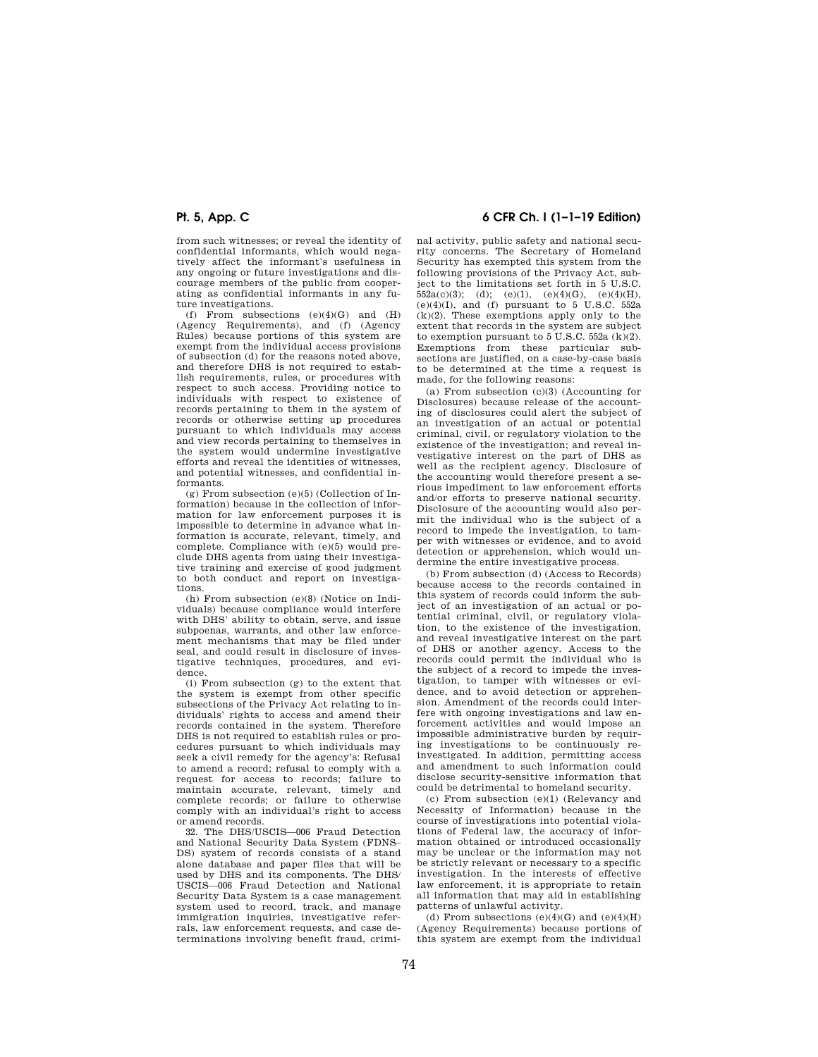from such witnesses; or reveal the identity of confidential informants, which would negatively affect the informant's usefulness in any ongoing or future investigations and discourage members of the public from cooperating as confidential informants in any future investigations.

(f) From subsections  $(e)(4)(\mathrm{G})$  and  $(\mathrm{H})$ (Agency Requirements), and (f) (Agency Rules) because portions of this system are exempt from the individual access provisions of subsection (d) for the reasons noted above, and therefore DHS is not required to establish requirements, rules, or procedures with respect to such access. Providing notice to individuals with respect to existence of records pertaining to them in the system of records or otherwise setting up procedures pursuant to which individuals may access and view records pertaining to themselves in the system would undermine investigative efforts and reveal the identities of witnesses, and potential witnesses, and confidential informants.

(g) From subsection (e)(5) (Collection of Information) because in the collection of information for law enforcement purposes it is impossible to determine in advance what information is accurate, relevant, timely, and complete. Compliance with (e)(5) would preclude DHS agents from using their investigative training and exercise of good judgment to both conduct and report on investigations.

(h) From subsection (e)(8) (Notice on Individuals) because compliance would interfere with DHS' ability to obtain, serve, and issue subpoenas, warrants, and other law enforcement mechanisms that may be filed under seal, and could result in disclosure of investigative techniques, procedures, and evidence.

(i) From subsection (g) to the extent that the system is exempt from other specific subsections of the Privacy Act relating to individuals' rights to access and amend their records contained in the system. Therefore DHS is not required to establish rules or procedures pursuant to which individuals may seek a civil remedy for the agency's: Refusal to amend a record; refusal to comply with a request for access to records; failure to maintain accurate, relevant, timely and complete records; or failure to otherwise comply with an individual's right to access or amend records.

32. The DHS/USCIS—006 Fraud Detection and National Security Data System (FDNS– DS) system of records consists of a stand alone database and paper files that will be used by DHS and its components. The DHS/ USCIS—006 Fraud Detection and National Security Data System is a case management system used to record, track, and manage immigration inquiries, investigative referrals, law enforcement requests, and case determinations involving benefit fraud, crimi-

# **Pt. 5, App. C 6 CFR Ch. I (1–1–19 Edition)**

nal activity, public safety and national security concerns. The Secretary of Homeland Security has exempted this system from the following provisions of the Privacy Act, subject to the limitations set forth in 5 U.S.C.  $552a(c)(3)$ ; (d); (e)(1), (e)(4)(G), (e)(4)(H), (e)(4)(I), and (f) pursuant to 5 U.S.C. 552a (k)(2). These exemptions apply only to the extent that records in the system are subject to exemption pursuant to 5 U.S.C. 552a (k)(2). Exemptions from these particular subsections are justified, on a case-by-case basis to be determined at the time a request is made, for the following reasons:

(a) From subsection (c)(3) (Accounting for Disclosures) because release of the accounting of disclosures could alert the subject of an investigation of an actual or potential criminal, civil, or regulatory violation to the existence of the investigation; and reveal investigative interest on the part of DHS as well as the recipient agency. Disclosure of the accounting would therefore present a serious impediment to law enforcement efforts and/or efforts to preserve national security. Disclosure of the accounting would also permit the individual who is the subject of a record to impede the investigation, to tamper with witnesses or evidence, and to avoid detection or apprehension, which would undermine the entire investigative process.

(b) From subsection (d) (Access to Records) because access to the records contained in this system of records could inform the subject of an investigation of an actual or potential criminal, civil, or regulatory violation, to the existence of the investigation, and reveal investigative interest on the part of DHS or another agency. Access to the records could permit the individual who is the subject of a record to impede the investigation, to tamper with witnesses or evidence, and to avoid detection or apprehension. Amendment of the records could interfere with ongoing investigations and law enforcement activities and would impose an impossible administrative burden by requiring investigations to be continuously reinvestigated. In addition, permitting access and amendment to such information could disclose security-sensitive information that could be detrimental to homeland security.

(c) From subsection (e)(1) (Relevancy and Necessity of Information) because in the course of investigations into potential violations of Federal law, the accuracy of information obtained or introduced occasionally may be unclear or the information may not be strictly relevant or necessary to a specific investigation. In the interests of effective law enforcement, it is appropriate to retain all information that may aid in establishing patterns of unlawful activity.

(d) From subsections  $(e)(4)(G)$  and  $(e)(4)(H)$ (Agency Requirements) because portions of this system are exempt from the individual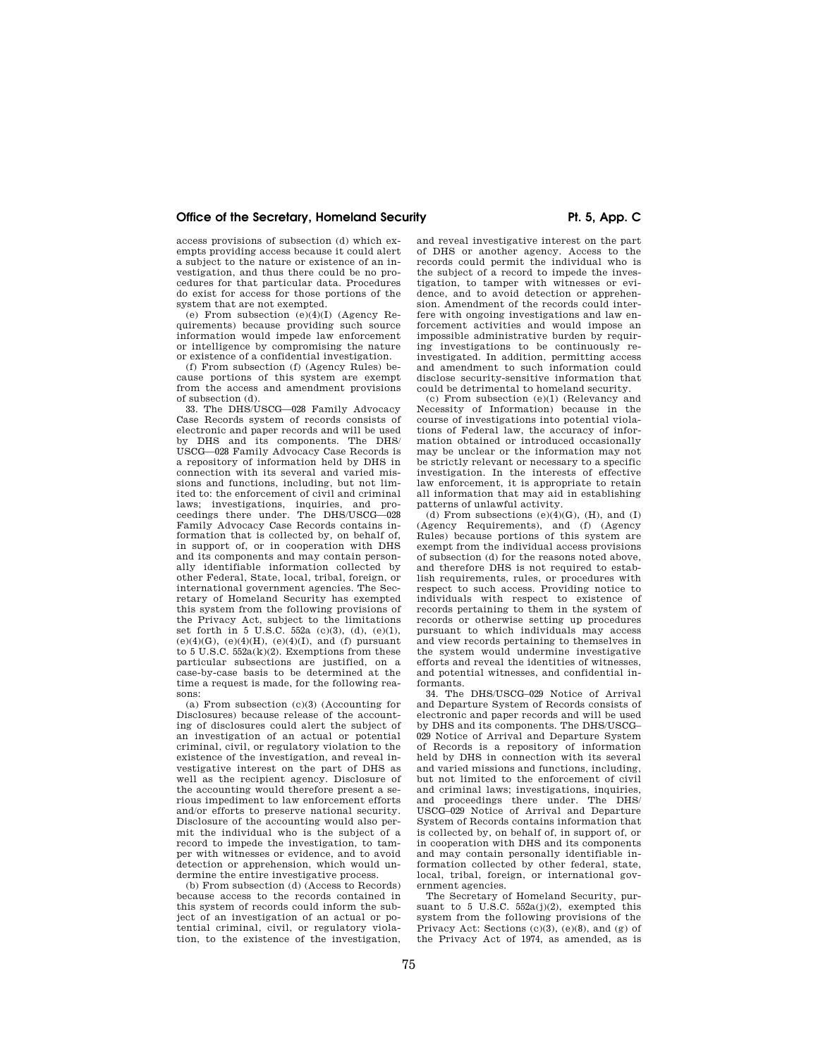access provisions of subsection (d) which exempts providing access because it could alert a subject to the nature or existence of an investigation, and thus there could be no procedures for that particular data. Procedures do exist for access for those portions of the system that are not exempted.

(e) From subsection  $(e)(4)(I)$  (Agency Requirements) because providing such source information would impede law enforcement or intelligence by compromising the nature or existence of a confidential investigation.

(f) From subsection (f) (Agency Rules) because portions of this system are exempt from the access and amendment provisions of subsection (d).

33. The DHS/USCG—028 Family Advocacy Case Records system of records consists of electronic and paper records and will be used by DHS and its components. The DHS/ USCG—028 Family Advocacy Case Records is a repository of information held by DHS in connection with its several and varied missions and functions, including, but not limited to: the enforcement of civil and criminal laws; investigations, inquiries, and pro-ceedings there under. The DHS/USCG—028 Family Advocacy Case Records contains information that is collected by, on behalf of, in support of, or in cooperation with DHS and its components and may contain personally identifiable information collected by other Federal, State, local, tribal, foreign, or international government agencies. The Secretary of Homeland Security has exempted this system from the following provisions of the Privacy Act, subject to the limitations set forth in 5 U.S.C.  $552a$  (c)(3), (d), (e)(1),  $(e)(4)(G)$ ,  $(e)(4)(H)$ ,  $(e)(4)(I)$ , and (f) pursuant to 5 U.S.C. 552a(k)(2). Exemptions from these particular subsections are justified, on a case-by-case basis to be determined at the time a request is made, for the following reasons:

(a) From subsection (c)(3) (Accounting for Disclosures) because release of the accounting of disclosures could alert the subject of an investigation of an actual or potential criminal, civil, or regulatory violation to the existence of the investigation, and reveal investigative interest on the part of DHS as well as the recipient agency. Disclosure of the accounting would therefore present a serious impediment to law enforcement efforts and/or efforts to preserve national security. Disclosure of the accounting would also permit the individual who is the subject of a record to impede the investigation, to tamper with witnesses or evidence, and to avoid detection or apprehension, which would undermine the entire investigative process.

(b) From subsection (d) (Access to Records) because access to the records contained in this system of records could inform the subject of an investigation of an actual or potential criminal, civil, or regulatory violation, to the existence of the investigation, and reveal investigative interest on the part of DHS or another agency. Access to the records could permit the individual who is the subject of a record to impede the investigation, to tamper with witnesses or evidence, and to avoid detection or apprehension. Amendment of the records could interfere with ongoing investigations and law enforcement activities and would impose an impossible administrative burden by requiring investigations to be continuously reinvestigated. In addition, permitting access and amendment to such information could disclose security-sensitive information that could be detrimental to homeland security.

(c) From subsection (e)(1) (Relevancy and Necessity of Information) because in the course of investigations into potential violations of Federal law, the accuracy of information obtained or introduced occasionally may be unclear or the information may not be strictly relevant or necessary to a specific investigation. In the interests of effective law enforcement, it is appropriate to retain all information that may aid in establishing patterns of unlawful activity.

(d) From subsections  $(e)(4)(G)$ ,  $(H)$ , and  $(I)$ (Agency Requirements), and (f) (Agency Rules) because portions of this system are exempt from the individual access provisions of subsection (d) for the reasons noted above, and therefore DHS is not required to establish requirements, rules, or procedures with respect to such access. Providing notice to individuals with respect to existence of records pertaining to them in the system of records or otherwise setting up procedures pursuant to which individuals may access and view records pertaining to themselves in the system would undermine investigative efforts and reveal the identities of witnesses, and potential witnesses, and confidential informants.

34. The DHS/USCG–029 Notice of Arrival and Departure System of Records consists of electronic and paper records and will be used by DHS and its components. The DHS/USCG– 029 Notice of Arrival and Departure System of Records is a repository of information held by DHS in connection with its several and varied missions and functions, including, but not limited to the enforcement of civil and criminal laws; investigations, inquiries, and proceedings there under. The DHS/ USCG–029 Notice of Arrival and Departure System of Records contains information that is collected by, on behalf of, in support of, or in cooperation with DHS and its components and may contain personally identifiable information collected by other federal, state, local, tribal, foreign, or international government agencies.

The Secretary of Homeland Security, pursuant to 5 U.S.C.  $552a(j)(2)$ , exempted this system from the following provisions of the Privacy Act: Sections  $(c)(3)$ ,  $(e)(8)$ , and  $(g)$  of the Privacy Act of 1974, as amended, as is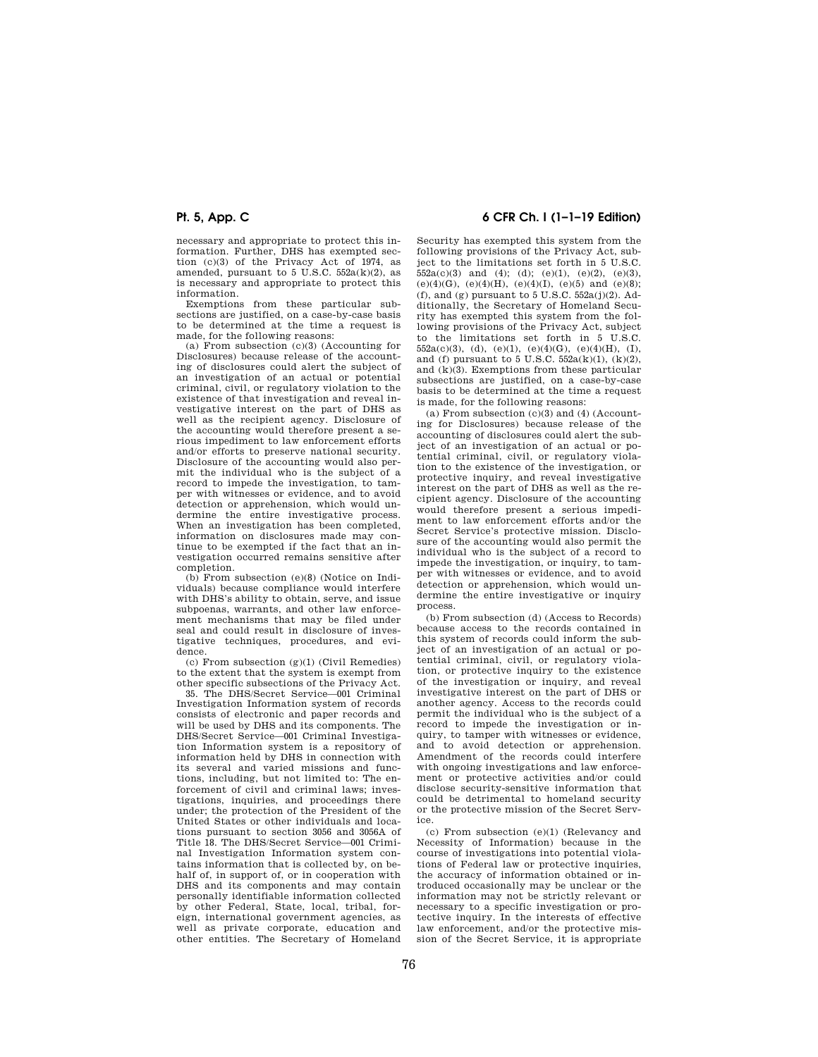necessary and appropriate to protect this information. Further, DHS has exempted sec-tion (c)(3) of the Privacy Act of 1974, as amended, pursuant to 5 U.S.C. 552a(k)(2), as is necessary and appropriate to protect this information.

Exemptions from these particular subsections are justified, on a case-by-case basis to be determined at the time a request is made, for the following reasons:

(a) From subsection  $(c)(3)$  (Accounting for Disclosures) because release of the accounting of disclosures could alert the subject of an investigation of an actual or potential criminal, civil, or regulatory violation to the existence of that investigation and reveal investigative interest on the part of DHS as well as the recipient agency. Disclosure of the accounting would therefore present a serious impediment to law enforcement efforts and/or efforts to preserve national security. Disclosure of the accounting would also permit the individual who is the subject of a record to impede the investigation, to tamper with witnesses or evidence, and to avoid detection or apprehension, which would undermine the entire investigative process. When an investigation has been completed, information on disclosures made may continue to be exempted if the fact that an investigation occurred remains sensitive after completion.

(b) From subsection (e)(8) (Notice on Individuals) because compliance would interfere with DHS's ability to obtain, serve, and issue subpoenas, warrants, and other law enforcement mechanisms that may be filed under seal and could result in disclosure of investigative techniques, procedures, and evidence.

(c) From subsection (g)(1) (Civil Remedies) to the extent that the system is exempt from other specific subsections of the Privacy Act.

35. The DHS/Secret Service—001 Criminal Investigation Information system of records consists of electronic and paper records and will be used by DHS and its components. The DHS/Secret Service—001 Criminal Investigation Information system is a repository of information held by DHS in connection with its several and varied missions and functions, including, but not limited to: The enforcement of civil and criminal laws; investigations, inquiries, and proceedings there under; the protection of the President of the United States or other individuals and locations pursuant to section 3056 and 3056A of Title 18. The DHS/Secret Service—001 Criminal Investigation Information system contains information that is collected by, on behalf of, in support of, or in cooperation with DHS and its components and may contain personally identifiable information collected by other Federal, State, local, tribal, foreign, international government agencies, as well as private corporate, education and other entities. The Secretary of Homeland

# **Pt. 5, App. C 6 CFR Ch. I (1–1–19 Edition)**

Security has exempted this system from the following provisions of the Privacy Act, subject to the limitations set forth in 5 U.S.C.  $552a(c)(3)$  and  $(4)$ ;  $(d)$ ;  $(e)(1)$ ,  $(e)(2)$ ,  $(e)(3)$ , (e)(4)(G), (e)(4)(H), (e)(4)(I), (e)(5) and (e)(8); (f), and (g) pursuant to 5 U.S.C.  $552a(j)(2)$ . Additionally, the Secretary of Homeland Security has exempted this system from the following provisions of the Privacy Act, subject to the limitations set forth in 5 U.S.C.  $552a(c)(3)$ , (d), (e)(1), (e)(4)(G), (e)(4)(H), (I), and (f) pursuant to  $5 \text{ U.S.C. } 552a(k)(1), (k)(2),$ and (k)(3). Exemptions from these particular subsections are justified, on a case-by-case basis to be determined at the time a request is made, for the following reasons:

(a) From subsection  $(c)(3)$  and  $(4)$  (Accounting for Disclosures) because release of the accounting of disclosures could alert the subject of an investigation of an actual or potential criminal, civil, or regulatory violation to the existence of the investigation, or protective inquiry, and reveal investigative interest on the part of DHS as well as the recipient agency. Disclosure of the accounting would therefore present a serious impediment to law enforcement efforts and/or the Secret Service's protective mission. Disclosure of the accounting would also permit the individual who is the subject of a record to impede the investigation, or inquiry, to tamper with witnesses or evidence, and to avoid detection or apprehension, which would undermine the entire investigative or inquiry process.

(b) From subsection (d) (Access to Records) because access to the records contained in this system of records could inform the subject of an investigation of an actual or potential criminal, civil, or regulatory violation, or protective inquiry to the existence of the investigation or inquiry, and reveal investigative interest on the part of DHS or another agency. Access to the records could permit the individual who is the subject of a record to impede the investigation or inquiry, to tamper with witnesses or evidence, and to avoid detection or apprehension. Amendment of the records could interfere with ongoing investigations and law enforcement or protective activities and/or could disclose security-sensitive information that could be detrimental to homeland security or the protective mission of the Secret Service.

(c) From subsection (e)(1) (Relevancy and Necessity of Information) because in the course of investigations into potential violations of Federal law or protective inquiries, the accuracy of information obtained or introduced occasionally may be unclear or the information may not be strictly relevant or necessary to a specific investigation or protective inquiry. In the interests of effective law enforcement, and/or the protective mission of the Secret Service, it is appropriate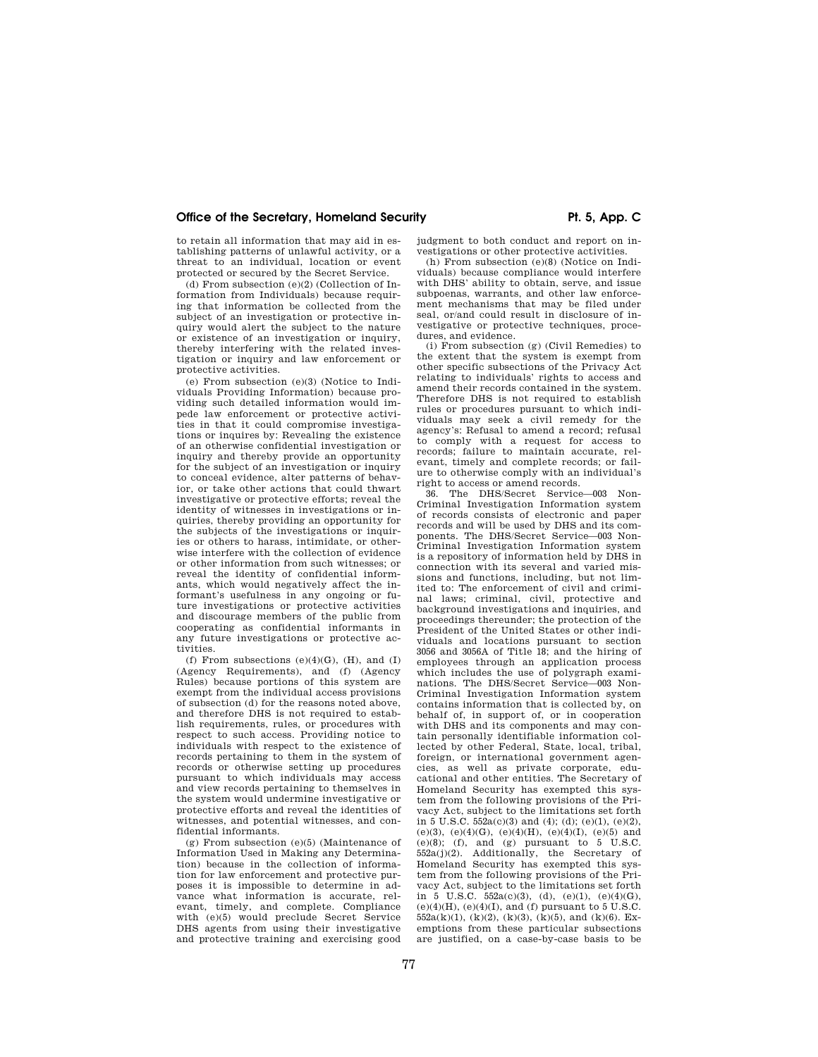to retain all information that may aid in establishing patterns of unlawful activity, or a threat to an individual, location or event protected or secured by the Secret Service.

(d) From subsection (e)(2) (Collection of Information from Individuals) because requiring that information be collected from the subject of an investigation or protective inquiry would alert the subject to the nature or existence of an investigation or inquiry, thereby interfering with the related investigation or inquiry and law enforcement or protective activities.

(e) From subsection (e)(3) (Notice to Individuals Providing Information) because providing such detailed information would impede law enforcement or protective activities in that it could compromise investigations or inquires by: Revealing the existence of an otherwise confidential investigation or inquiry and thereby provide an opportunity for the subject of an investigation or inquiry to conceal evidence, alter patterns of behavior, or take other actions that could thwart investigative or protective efforts; reveal the identity of witnesses in investigations or inquiries, thereby providing an opportunity for the subjects of the investigations or inquiries or others to harass, intimidate, or otherwise interfere with the collection of evidence or other information from such witnesses; or reveal the identity of confidential informants, which would negatively affect the informant's usefulness in any ongoing or future investigations or protective activities and discourage members of the public from cooperating as confidential informants in any future investigations or protective activities.

(f) From subsections  $(e)(4)(G)$ ,  $(H)$ , and  $(I)$ (Agency Requirements), and (f) (Agency Rules) because portions of this system are exempt from the individual access provisions of subsection (d) for the reasons noted above, and therefore DHS is not required to establish requirements, rules, or procedures with respect to such access. Providing notice to individuals with respect to the existence of records pertaining to them in the system of records or otherwise setting up procedures pursuant to which individuals may access and view records pertaining to themselves in the system would undermine investigative or protective efforts and reveal the identities of witnesses, and potential witnesses, and confidential informants.

(g) From subsection (e)(5) (Maintenance of Information Used in Making any Determination) because in the collection of information for law enforcement and protective purposes it is impossible to determine in advance what information is accurate, relevant, timely, and complete. Compliance with (e)(5) would preclude Secret Service DHS agents from using their investigative and protective training and exercising good

judgment to both conduct and report on investigations or other protective activities.

(h) From subsection (e)(8) (Notice on Individuals) because compliance would interfere with DHS' ability to obtain, serve, and issue subpoenas, warrants, and other law enforcement mechanisms that may be filed under seal, or/and could result in disclosure of investigative or protective techniques, procedures, and evidence.

(i) From subsection (g) (Civil Remedies) to the extent that the system is exempt from other specific subsections of the Privacy Act relating to individuals' rights to access and amend their records contained in the system. Therefore DHS is not required to establish rules or procedures pursuant to which individuals may seek a civil remedy for the agency's: Refusal to amend a record; refusal to comply with a request for access to records; failure to maintain accurate, relevant, timely and complete records; or failure to otherwise comply with an individual's right to access or amend records.

36. The DHS/Secret Service—003 Non-Criminal Investigation Information system of records consists of electronic and paper records and will be used by DHS and its components. The DHS/Secret Service—003 Non-Criminal Investigation Information system is a repository of information held by DHS in connection with its several and varied missions and functions, including, but not limited to: The enforcement of civil and criminal laws; criminal, civil, protective and background investigations and inquiries, and proceedings thereunder; the protection of the President of the United States or other individuals and locations pursuant to section 3056 and 3056A of Title 18; and the hiring of employees through an application process which includes the use of polygraph examinations. The DHS/Secret Service—003 Non-Criminal Investigation Information system contains information that is collected by, on behalf of, in support of, or in cooperation with DHS and its components and may contain personally identifiable information collected by other Federal, State, local, tribal, foreign, or international government agencies, as well as private corporate, educational and other entities. The Secretary of Homeland Security has exempted this system from the following provisions of the Privacy Act, subject to the limitations set forth in  $5 \text{ U.S.C. } 552a(c)(3)$  and (4); (d); (e)(1), (e)(2),  $(e)(3)$ ,  $(e)(4)(G)$ ,  $(e)(4)(H)$ ,  $(e)(4)(I)$ ,  $(e)(5)$  and  $(e)(8)$ ; (f), and (g) pursuant to 5 U.S.C.  $552a(j)(2)$ . Additionally, the Secretary of Homeland Security has exempted this system from the following provisions of the Privacy Act, subject to the limitations set forth in 5 U.S.C.  $552a(c)(3)$ , (d),  $(e)(1)$ ,  $(e)(4)(G)$ ,  $(e)(4)(H)$ ,  $(e)(4)(I)$ , and  $(f)$  pursuant to 5 U.S.C.  $552a(k)(1)$ ,  $(k)(2)$ ,  $(k)(3)$ ,  $(k)(5)$ , and  $(k)(6)$ . Exemptions from these particular subsections are justified, on a case-by-case basis to be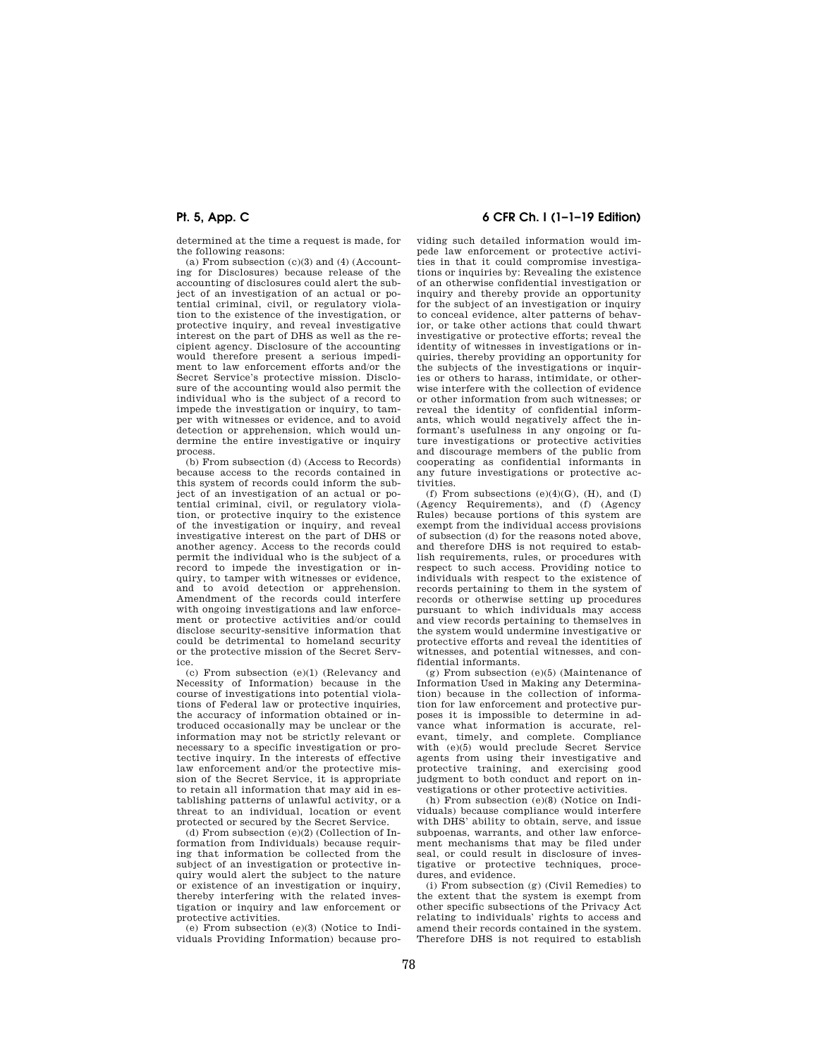determined at the time a request is made, for the following reasons:

(a) From subsection  $(c)(3)$  and  $(4)$  (Accounting for Disclosures) because release of the accounting of disclosures could alert the subject of an investigation of an actual or potential criminal, civil, or regulatory violation to the existence of the investigation, or protective inquiry, and reveal investigative interest on the part of DHS as well as the recipient agency. Disclosure of the accounting would therefore present a serious impediment to law enforcement efforts and/or the Secret Service's protective mission. Disclosure of the accounting would also permit the individual who is the subject of a record to impede the investigation or inquiry, to tamper with witnesses or evidence, and to avoid detection or apprehension, which would undermine the entire investigative or inquiry process.

(b) From subsection (d) (Access to Records) because access to the records contained in this system of records could inform the subject of an investigation of an actual or potential criminal, civil, or regulatory violation, or protective inquiry to the existence of the investigation or inquiry, and reveal investigative interest on the part of DHS or another agency. Access to the records could permit the individual who is the subject of a record to impede the investigation or inquiry, to tamper with witnesses or evidence, and to avoid detection or apprehension. Amendment of the records could interfere with ongoing investigations and law enforcement or protective activities and/or could disclose security-sensitive information that could be detrimental to homeland security or the protective mission of the Secret Service.

(c) From subsection (e)(1) (Relevancy and Necessity of Information) because in the course of investigations into potential violations of Federal law or protective inquiries, the accuracy of information obtained or introduced occasionally may be unclear or the information may not be strictly relevant or necessary to a specific investigation or protective inquiry. In the interests of effective law enforcement and/or the protective mission of the Secret Service, it is appropriate to retain all information that may aid in establishing patterns of unlawful activity, or a threat to an individual, location or event protected or secured by the Secret Service.

(d) From subsection (e)(2) (Collection of Information from Individuals) because requiring that information be collected from the subject of an investigation or protective inquiry would alert the subject to the nature or existence of an investigation or inquiry, thereby interfering with the related investigation or inquiry and law enforcement or protective activities.

(e) From subsection (e)(3) (Notice to Individuals Providing Information) because pro-

# **Pt. 5, App. C 6 CFR Ch. I (1–1–19 Edition)**

viding such detailed information would impede law enforcement or protective activities in that it could compromise investigations or inquiries by: Revealing the existence of an otherwise confidential investigation or inquiry and thereby provide an opportunity for the subject of an investigation or inquiry to conceal evidence, alter patterns of behavior, or take other actions that could thwart investigative or protective efforts; reveal the identity of witnesses in investigations or inquiries, thereby providing an opportunity for the subjects of the investigations or inquiries or others to harass, intimidate, or otherwise interfere with the collection of evidence or other information from such witnesses; or reveal the identity of confidential informants, which would negatively affect the informant's usefulness in any ongoing or future investigations or protective activities and discourage members of the public from cooperating as confidential informants in any future investigations or protective activities.

(f) From subsections  $(e)(4)(G)$ ,  $(H)$ , and  $(I)$ (Agency Requirements), and (f) (Agency Rules) because portions of this system are exempt from the individual access provisions of subsection (d) for the reasons noted above, and therefore DHS is not required to establish requirements, rules, or procedures with respect to such access. Providing notice to individuals with respect to the existence of records pertaining to them in the system of records or otherwise setting up procedures pursuant to which individuals may access and view records pertaining to themselves in the system would undermine investigative or protective efforts and reveal the identities of witnesses, and potential witnesses, and confidential informants.

(g) From subsection (e)(5) (Maintenance of Information Used in Making any Determination) because in the collection of information for law enforcement and protective purposes it is impossible to determine in advance what information is accurate, relevant, timely, and complete. Compliance with (e)(5) would preclude Secret Service agents from using their investigative and protective training, and exercising good judgment to both conduct and report on investigations or other protective activities.

(h) From subsection (e)(8) (Notice on Individuals) because compliance would interfere with DHS' ability to obtain, serve, and issue subpoenas, warrants, and other law enforcement mechanisms that may be filed under seal, or could result in disclosure of investigative or protective techniques, procedures, and evidence.

(i) From subsection (g) (Civil Remedies) to the extent that the system is exempt from other specific subsections of the Privacy Act relating to individuals' rights to access and amend their records contained in the system. Therefore DHS is not required to establish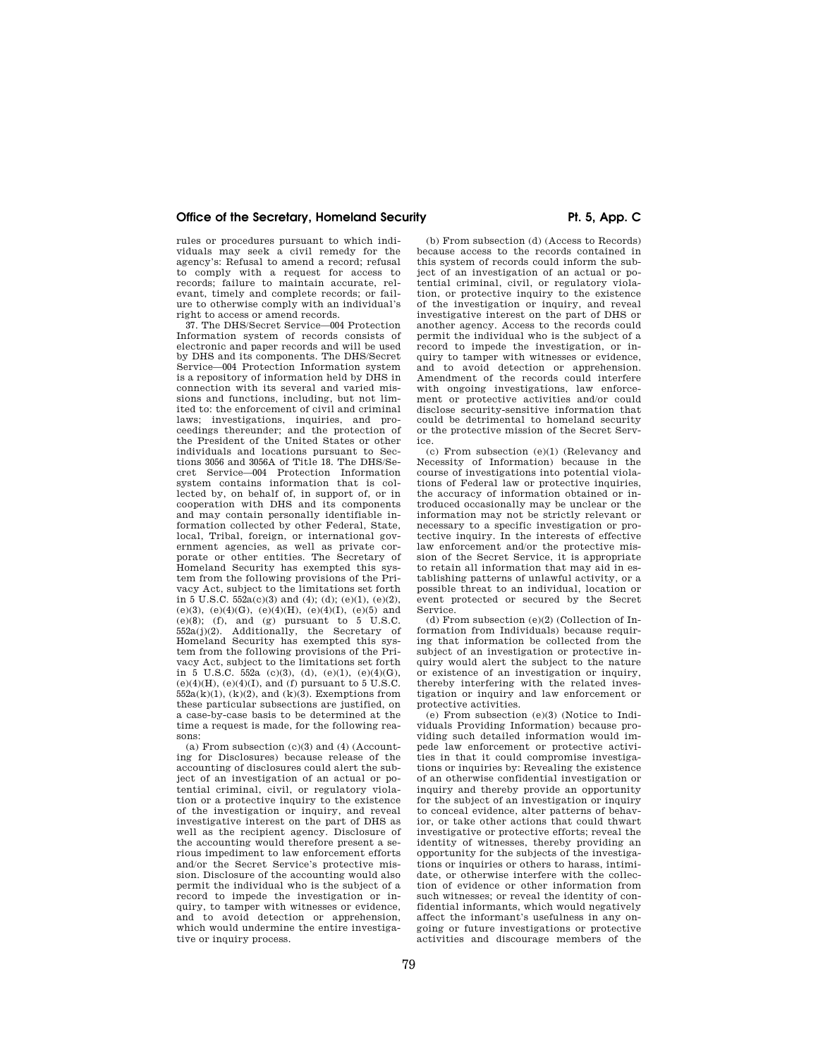rules or procedures pursuant to which individuals may seek a civil remedy for the agency's: Refusal to amend a record; refusal to comply with a request for access to records; failure to maintain accurate, relevant, timely and complete records; or failure to otherwise comply with an individual's right to access or amend records.

37. The DHS/Secret Service—004 Protection Information system of records consists of electronic and paper records and will be used by DHS and its components. The DHS/Secret Service—004 Protection Information system is a repository of information held by DHS in connection with its several and varied missions and functions, including, but not limited to: the enforcement of civil and criminal laws; investigations, inquiries, and pro-ceedings thereunder; and the protection of the President of the United States or other individuals and locations pursuant to Sec-tions 3056 and 3056A of Title 18. The DHS/Secret Service—004 Protection Information system contains information that is collected by, on behalf of, in support of, or in cooperation with DHS and its components and may contain personally identifiable information collected by other Federal, State, local, Tribal, foreign, or international government agencies, as well as private corporate or other entities. The Secretary of Homeland Security has exempted this system from the following provisions of the Privacy Act, subject to the limitations set forth in 5 U.S.C.  $552a(c)(3)$  and  $(4)$ ;  $(d)$ ;  $(e)(1)$ ,  $(e)(2)$ , (e)(3), (e)(4)(G), (e)(4)(H), (e)(4)(I), (e)(5) and  $(e)(8)$ ; (f), and (g) pursuant to 5 U.S.C. 552a(j)(2). Additionally, the Secretary of Homeland Security has exempted this system from the following provisions of the Privacy Act, subject to the limitations set forth in 5 U.S.C. 552a (c)(3), (d), (e)(1), (e)(4)(G),  $(e)(4)(H)$ ,  $(e)(4)(I)$ , and  $(f)$  pursuant to 5 U.S.C.  $552a(k)(1)$ ,  $(k)(2)$ , and  $(k)(3)$ . Exemptions from these particular subsections are justified, on a case-by-case basis to be determined at the time a request is made, for the following reasons:

(a) From subsection  $(c)(3)$  and  $(4)$  (Accounting for Disclosures) because release of the accounting of disclosures could alert the subject of an investigation of an actual or potential criminal, civil, or regulatory violation or a protective inquiry to the existence of the investigation or inquiry, and reveal investigative interest on the part of DHS as well as the recipient agency. Disclosure of the accounting would therefore present a serious impediment to law enforcement efforts and/or the Secret Service's protective mission. Disclosure of the accounting would also permit the individual who is the subject of a record to impede the investigation or inquiry, to tamper with witnesses or evidence, and to avoid detection or apprehension, which would undermine the entire investigative or inquiry process.

(b) From subsection (d) (Access to Records) because access to the records contained in this system of records could inform the subject of an investigation of an actual or potential criminal, civil, or regulatory violation, or protective inquiry to the existence of the investigation or inquiry, and reveal investigative interest on the part of DHS or another agency. Access to the records could permit the individual who is the subject of a record to impede the investigation, or inquiry to tamper with witnesses or evidence, and to avoid detection or apprehension. Amendment of the records could interfere with ongoing investigations, law enforcement or protective activities and/or could disclose security-sensitive information that could be detrimental to homeland security or the protective mission of the Secret Service.

(c) From subsection (e)(1) (Relevancy and Necessity of Information) because in the course of investigations into potential violations of Federal law or protective inquiries, the accuracy of information obtained or introduced occasionally may be unclear or the information may not be strictly relevant or necessary to a specific investigation or protective inquiry. In the interests of effective law enforcement and/or the protective mission of the Secret Service, it is appropriate to retain all information that may aid in establishing patterns of unlawful activity, or a possible threat to an individual, location or event protected or secured by the Secret Service.

(d) From subsection (e)(2) (Collection of Information from Individuals) because requiring that information be collected from the subject of an investigation or protective inquiry would alert the subject to the nature or existence of an investigation or inquiry, thereby interfering with the related investigation or inquiry and law enforcement or protective activities.

(e) From subsection (e)(3) (Notice to Individuals Providing Information) because providing such detailed information would impede law enforcement or protective activities in that it could compromise investigations or inquiries by: Revealing the existence of an otherwise confidential investigation or inquiry and thereby provide an opportunity for the subject of an investigation or inquiry to conceal evidence, alter patterns of behavior, or take other actions that could thwart investigative or protective efforts; reveal the identity of witnesses, thereby providing an opportunity for the subjects of the investigations or inquiries or others to harass, intimidate, or otherwise interfere with the collection of evidence or other information from such witnesses; or reveal the identity of confidential informants, which would negatively affect the informant's usefulness in any ongoing or future investigations or protective activities and discourage members of the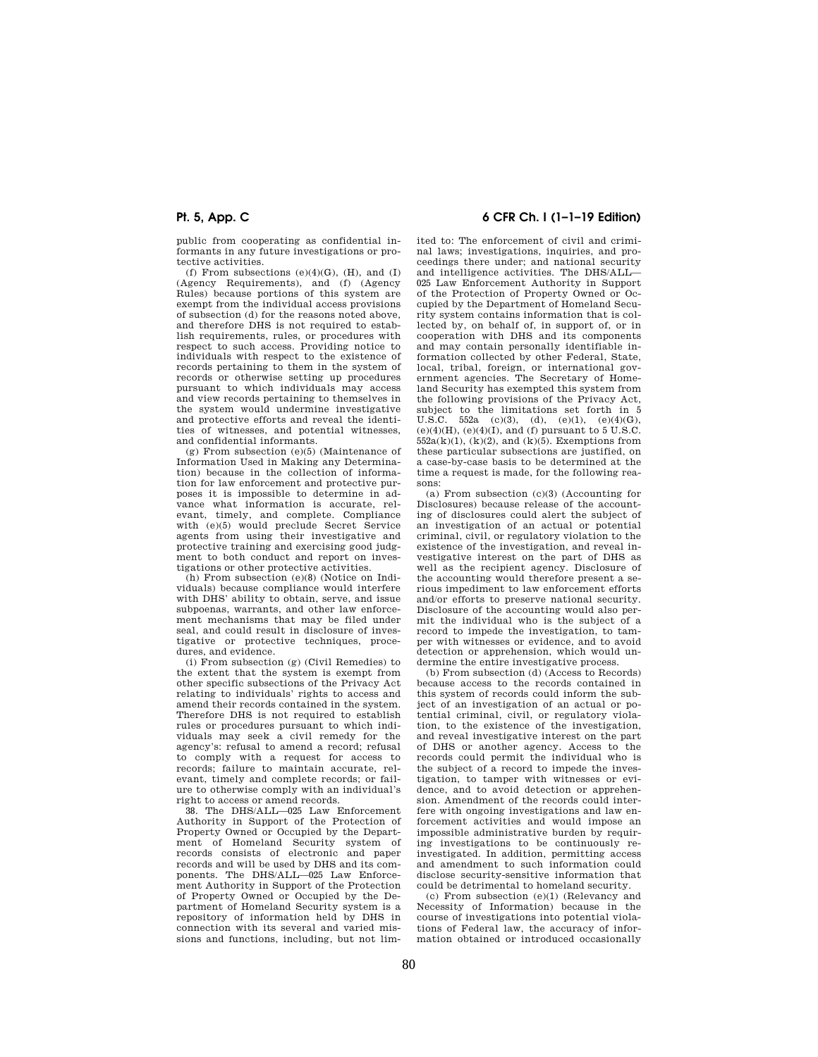public from cooperating as confidential informants in any future investigations or protective activities.

(f) From subsections  $(e)(4)(G)$ ,  $(H)$ , and  $(I)$ (Agency Requirements), and (f) (Agency Rules) because portions of this system are exempt from the individual access provisions of subsection (d) for the reasons noted above, and therefore DHS is not required to establish requirements, rules, or procedures with respect to such access. Providing notice to individuals with respect to the existence of records pertaining to them in the system of records or otherwise setting up procedures pursuant to which individuals may access and view records pertaining to themselves in the system would undermine investigative and protective efforts and reveal the identities of witnesses, and potential witnesses, and confidential informants.

(g) From subsection (e)(5) (Maintenance of Information Used in Making any Determination) because in the collection of information for law enforcement and protective purposes it is impossible to determine in advance what information is accurate, relevant, timely, and complete. Compliance with (e)(5) would preclude Secret Service agents from using their investigative and protective training and exercising good judgment to both conduct and report on investigations or other protective activities.

(h) From subsection (e)(8) (Notice on Individuals) because compliance would interfere with DHS' ability to obtain, serve, and issue subpoenas, warrants, and other law enforcement mechanisms that may be filed under seal, and could result in disclosure of investigative or protective techniques, procedures, and evidence.

(i) From subsection (g) (Civil Remedies) to the extent that the system is exempt from other specific subsections of the Privacy Act relating to individuals' rights to access and amend their records contained in the system. Therefore DHS is not required to establish rules or procedures pursuant to which individuals may seek a civil remedy for the agency's: refusal to amend a record; refusal to comply with a request for access to records; failure to maintain accurate, relevant, timely and complete records; or failure to otherwise comply with an individual's right to access or amend records.

38. The DHS/ALL—025 Law Enforcement Authority in Support of the Protection of Property Owned or Occupied by the Department of Homeland Security system of records consists of electronic and paper records and will be used by DHS and its components. The DHS/ALL—025 Law Enforcement Authority in Support of the Protection of Property Owned or Occupied by the Department of Homeland Security system is a repository of information held by DHS in connection with its several and varied missions and functions, including, but not lim-

# **Pt. 5, App. C 6 CFR Ch. I (1–1–19 Edition)**

ited to: The enforcement of civil and criminal laws; investigations, inquiries, and proceedings there under; and national security and intelligence activities. The DHS/ALL— 025 Law Enforcement Authority in Support of the Protection of Property Owned or Occupied by the Department of Homeland Security system contains information that is collected by, on behalf of, in support of, or in cooperation with DHS and its components and may contain personally identifiable information collected by other Federal, State, local, tribal, foreign, or international government agencies. The Secretary of Homeland Security has exempted this system from the following provisions of the Privacy Act, subject to the limitations set forth in 5 U.S.C. 552a (c)(3), (d), (e)(1), (e)(4)(G), (e)(4)(H), (e)(4)(I), and (f) pursuant to 5 U.S.C.  $552a(k)(1)$ ,  $(k)(2)$ , and  $(k)(5)$ . Exemptions from these particular subsections are justified, on a case-by-case basis to be determined at the time a request is made, for the following reasons:

(a) From subsection (c)(3) (Accounting for Disclosures) because release of the accounting of disclosures could alert the subject of an investigation of an actual or potential criminal, civil, or regulatory violation to the existence of the investigation, and reveal investigative interest on the part of DHS as well as the recipient agency. Disclosure of the accounting would therefore present a serious impediment to law enforcement efforts and/or efforts to preserve national security. Disclosure of the accounting would also permit the individual who is the subject of a record to impede the investigation, to tamper with witnesses or evidence, and to avoid detection or apprehension, which would undermine the entire investigative process.

(b) From subsection (d) (Access to Records) because access to the records contained in this system of records could inform the subject of an investigation of an actual or potential criminal, civil, or regulatory violation, to the existence of the investigation, and reveal investigative interest on the part of DHS or another agency. Access to the records could permit the individual who is the subject of a record to impede the investigation, to tamper with witnesses or evidence, and to avoid detection or apprehension. Amendment of the records could interfere with ongoing investigations and law enforcement activities and would impose an impossible administrative burden by requiring investigations to be continuously reinvestigated. In addition, permitting access and amendment to such information could disclose security-sensitive information that could be detrimental to homeland security.

(c) From subsection (e)(1) (Relevancy and Necessity of Information) because in the course of investigations into potential violations of Federal law, the accuracy of information obtained or introduced occasionally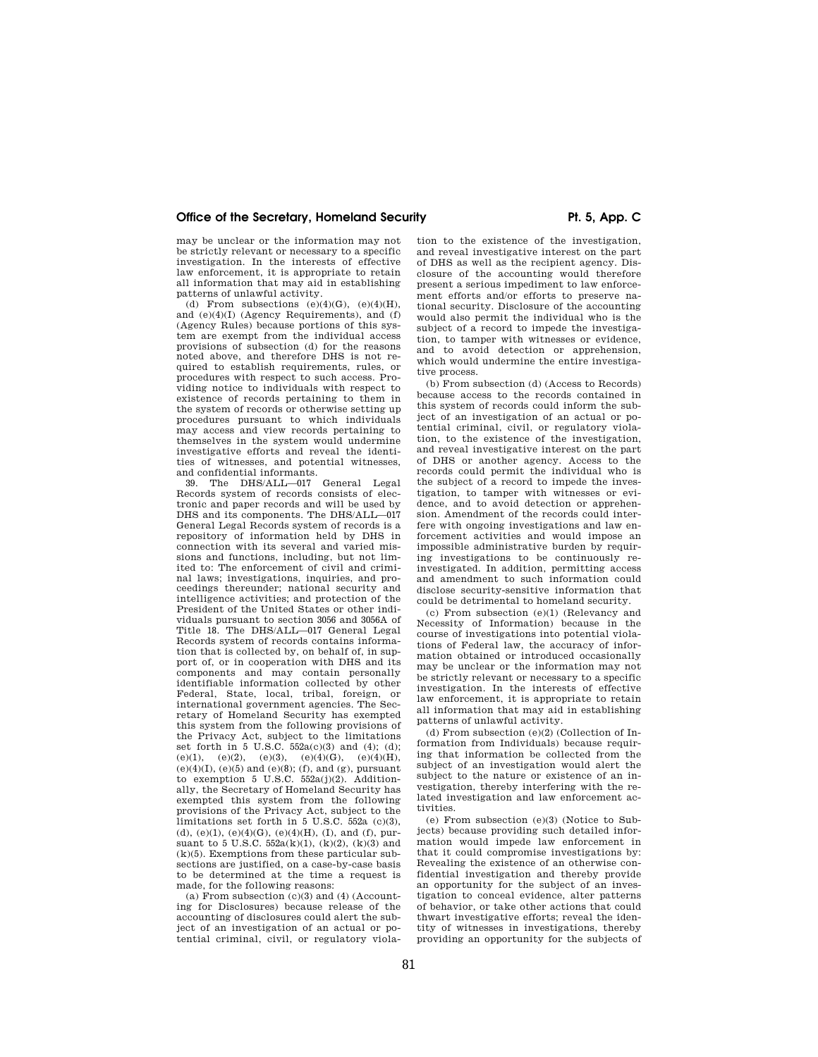may be unclear or the information may not be strictly relevant or necessary to a specific investigation. In the interests of effective law enforcement, it is appropriate to retain all information that may aid in establishing patterns of unlawful activity.

(d) From subsections  $(e)(4)(G)$ ,  $(e)(4)(H)$ , and (e)(4)(I) (Agency Requirements), and (f) (Agency Rules) because portions of this system are exempt from the individual access provisions of subsection (d) for the reasons noted above, and therefore DHS is not required to establish requirements, rules, or procedures with respect to such access. Providing notice to individuals with respect to existence of records pertaining to them in the system of records or otherwise setting up procedures pursuant to which individuals may access and view records pertaining to themselves in the system would undermine investigative efforts and reveal the identities of witnesses, and potential witnesses, and confidential informants.

39. The DHS/ALL—017 General Legal Records system of records consists of electronic and paper records and will be used by DHS and its components. The DHS/ALL—017 General Legal Records system of records is a repository of information held by DHS in connection with its several and varied missions and functions, including, but not limited to: The enforcement of civil and criminal laws; investigations, inquiries, and proceedings thereunder; national security and intelligence activities; and protection of the President of the United States or other individuals pursuant to section 3056 and 3056A of Title 18. The DHS/ALL—017 General Legal Records system of records contains information that is collected by, on behalf of, in support of, or in cooperation with DHS and its components and may contain personally identifiable information collected by other Federal, State, local, tribal, foreign, or international government agencies. The Secretary of Homeland Security has exempted this system from the following provisions of the Privacy Act, subject to the limitations set forth in 5 U.S.C.  $552a(c)(3)$  and (4); (d); (e)(1), (e)(2), (e)(3), (e)(4)(G), (e)(4)(H),  $(e)(4)(I), (e)(5)$  and  $(e)(8)$ ; (f), and (g), pursuant to exemption 5 U.S.C.  $552a(j)(2)$ . Additionally, the Secretary of Homeland Security has exempted this system from the following provisions of the Privacy Act, subject to the limitations set forth in 5 U.S.C. 552a (c)(3), (d), (e)(1), (e)(4)(G), (e)(4)(H), (I), and (f), pursuant to 5 U.S.C.  $552a(k)(1)$ ,  $(k)(2)$ ,  $(k)(3)$  and  $(k)(5)$ . Exemptions from these particular subsections are justified, on a case-by-case basis to be determined at the time a request is made, for the following reasons:

(a) From subsection  $(c)(3)$  and (4) (Accounting for Disclosures) because release of the accounting of disclosures could alert the subject of an investigation of an actual or potential criminal, civil, or regulatory violation to the existence of the investigation, and reveal investigative interest on the part of DHS as well as the recipient agency. Disclosure of the accounting would therefore present a serious impediment to law enforcement efforts and/or efforts to preserve national security. Disclosure of the accounting would also permit the individual who is the subject of a record to impede the investigation, to tamper with witnesses or evidence, and to avoid detection or apprehension which would undermine the entire investigative process.

(b) From subsection (d) (Access to Records) because access to the records contained in this system of records could inform the subject of an investigation of an actual or potential criminal, civil, or regulatory violation, to the existence of the investigation, and reveal investigative interest on the part of DHS or another agency. Access to the records could permit the individual who is the subject of a record to impede the investigation, to tamper with witnesses or evidence, and to avoid detection or apprehension. Amendment of the records could interfere with ongoing investigations and law enforcement activities and would impose an impossible administrative burden by requiring investigations to be continuously reinvestigated. In addition, permitting access and amendment to such information could disclose security-sensitive information that could be detrimental to homeland security.

(c) From subsection (e)(1) (Relevancy and Necessity of Information) because in the course of investigations into potential violations of Federal law, the accuracy of information obtained or introduced occasionally may be unclear or the information may not be strictly relevant or necessary to a specific investigation. In the interests of effective law enforcement, it is appropriate to retain all information that may aid in establishing patterns of unlawful activity.

(d) From subsection (e)(2) (Collection of Information from Individuals) because requiring that information be collected from the subject of an investigation would alert the subject to the nature or existence of an investigation, thereby interfering with the related investigation and law enforcement activities.

(e) From subsection (e)(3) (Notice to Subjects) because providing such detailed information would impede law enforcement in that it could compromise investigations by: Revealing the existence of an otherwise confidential investigation and thereby provide an opportunity for the subject of an investigation to conceal evidence, alter patterns of behavior, or take other actions that could thwart investigative efforts; reveal the identity of witnesses in investigations, thereby providing an opportunity for the subjects of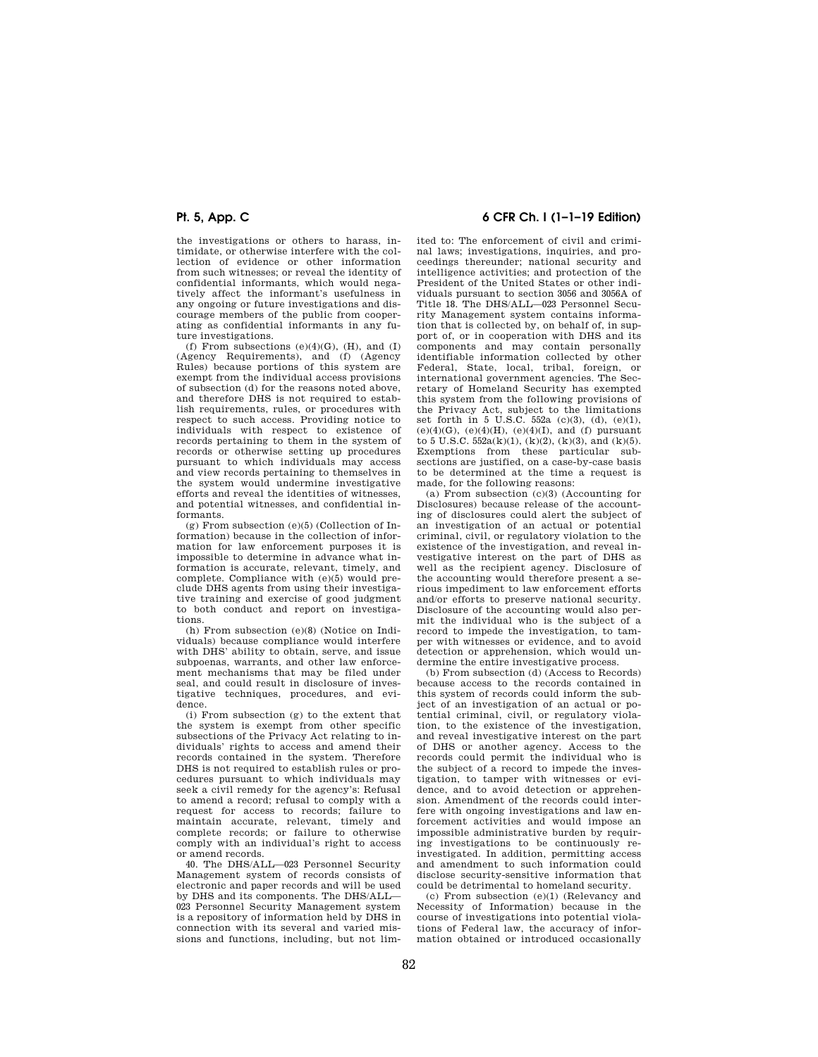the investigations or others to harass, intimidate, or otherwise interfere with the collection of evidence or other information from such witnesses; or reveal the identity of confidential informants, which would negatively affect the informant's usefulness in any ongoing or future investigations and discourage members of the public from cooperating as confidential informants in any future investigations.

(f) From subsections  $(e)(4)(G)$ ,  $(H)$ , and  $(I)$ (Agency Requirements), and (f) (Agency Rules) because portions of this system are exempt from the individual access provisions of subsection (d) for the reasons noted above, and therefore DHS is not required to establish requirements, rules, or procedures with respect to such access. Providing notice to individuals with respect to existence of records pertaining to them in the system of records or otherwise setting up procedures pursuant to which individuals may access and view records pertaining to themselves in the system would undermine investigative efforts and reveal the identities of witnesses, and potential witnesses, and confidential informants.

(g) From subsection (e)(5) (Collection of Information) because in the collection of information for law enforcement purposes it is impossible to determine in advance what information is accurate, relevant, timely, and complete. Compliance with (e)(5) would preclude DHS agents from using their investigative training and exercise of good judgment to both conduct and report on investigations.

(h) From subsection (e)(8) (Notice on Individuals) because compliance would interfere with DHS' ability to obtain, serve, and issue subpoenas, warrants, and other law enforcement mechanisms that may be filed under seal, and could result in disclosure of investigative techniques, procedures, and evidence.

(i) From subsection (g) to the extent that the system is exempt from other specific subsections of the Privacy Act relating to individuals' rights to access and amend their records contained in the system. Therefore DHS is not required to establish rules or procedures pursuant to which individuals may seek a civil remedy for the agency's: Refusal to amend a record; refusal to comply with a request for access to records; failure to maintain accurate, relevant, timely and complete records; or failure to otherwise comply with an individual's right to access or amend records.

40. The DHS/ALL—023 Personnel Security Management system of records consists of electronic and paper records and will be used by DHS and its components. The DHS/ALL— 023 Personnel Security Management system is a repository of information held by DHS in connection with its several and varied missions and functions, including, but not lim-

# **Pt. 5, App. C 6 CFR Ch. I (1–1–19 Edition)**

ited to: The enforcement of civil and criminal laws; investigations, inquiries, and proceedings thereunder; national security and intelligence activities; and protection of the President of the United States or other individuals pursuant to section 3056 and 3056A of Title 18. The DHS/ALL—023 Personnel Security Management system contains information that is collected by, on behalf of, in support of, or in cooperation with DHS and its components and may contain personally identifiable information collected by other Federal, State, local, tribal, foreign, or international government agencies. The Secretary of Homeland Security has exempted this system from the following provisions of the Privacy Act, subject to the limitations set forth in 5 U.S.C. 552a (c)(3), (d), (e)(1), (e)(4)(G), (e)(4)(H), (e)(4)(I), and (f) pursuant to 5 U.S.C.  $552a(k)(1)$ , (k)(2), (k)(3), and (k)(5). Exemptions from these particular subsections are justified, on a case-by-case basis to be determined at the time a request is made, for the following reasons:

(a) From subsection  $(c)(3)$  (Accounting for Disclosures) because release of the accounting of disclosures could alert the subject of an investigation of an actual or potential criminal, civil, or regulatory violation to the existence of the investigation, and reveal investigative interest on the part of DHS as well as the recipient agency. Disclosure of the accounting would therefore present a serious impediment to law enforcement efforts and/or efforts to preserve national security. Disclosure of the accounting would also permit the individual who is the subject of a record to impede the investigation, to tamper with witnesses or evidence, and to avoid detection or apprehension, which would undermine the entire investigative process.

(b) From subsection (d) (Access to Records) because access to the records contained in this system of records could inform the subject of an investigation of an actual or potential criminal, civil, or regulatory violation, to the existence of the investigation, and reveal investigative interest on the part of DHS or another agency. Access to the records could permit the individual who is the subject of a record to impede the investigation, to tamper with witnesses or evidence, and to avoid detection or apprehension. Amendment of the records could interfere with ongoing investigations and law enforcement activities and would impose an impossible administrative burden by requiring investigations to be continuously reinvestigated. In addition, permitting access and amendment to such information could disclose security-sensitive information that could be detrimental to homeland security.

(c) From subsection (e)(1) (Relevancy and Necessity of Information) because in the course of investigations into potential violations of Federal law, the accuracy of information obtained or introduced occasionally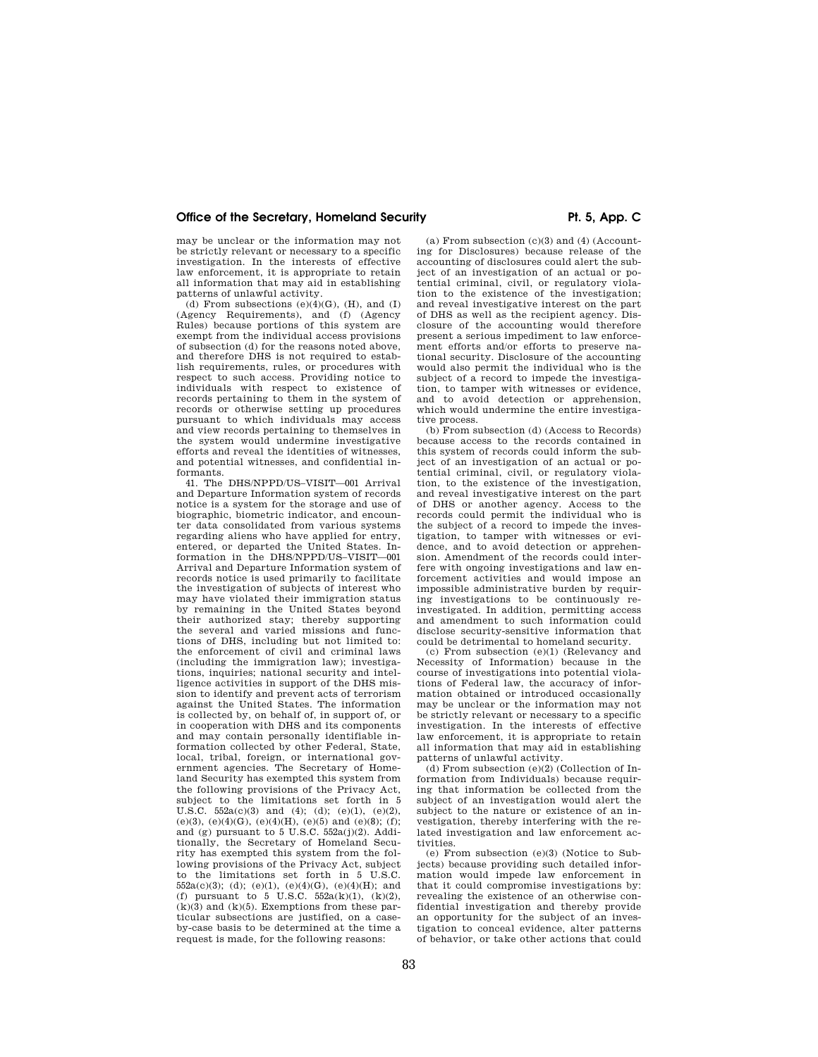### Office of the Secretary, Homeland Security **Pt. 5, App. C**

may be unclear or the information may not be strictly relevant or necessary to a specific investigation. In the interests of effective law enforcement, it is appropriate to retain all information that may aid in establishing patterns of unlawful activity.

(d) From subsections  $(e)(4)(G)$ ,  $(H)$ , and  $(I)$ (Agency Requirements), and (f) (Agency Rules) because portions of this system are exempt from the individual access provisions of subsection (d) for the reasons noted above, and therefore DHS is not required to establish requirements, rules, or procedures with respect to such access. Providing notice to individuals with respect to existence of records pertaining to them in the system of records or otherwise setting up procedures pursuant to which individuals may access and view records pertaining to themselves in the system would undermine investigative efforts and reveal the identities of witnesses, and potential witnesses, and confidential informants.

41. The DHS/NPPD/US–VISIT—001 Arrival and Departure Information system of records notice is a system for the storage and use of biographic, biometric indicator, and encounter data consolidated from various systems regarding aliens who have applied for entry, entered, or departed the United States. Information in the DHS/NPPD/US–VISIT—001 Arrival and Departure Information system of records notice is used primarily to facilitate the investigation of subjects of interest who may have violated their immigration status by remaining in the United States beyond their authorized stay; thereby supporting the several and varied missions and functions of DHS, including but not limited to: the enforcement of civil and criminal laws (including the immigration law); investigations, inquiries; national security and intelligence activities in support of the DHS mission to identify and prevent acts of terrorism against the United States. The information is collected by, on behalf of, in support of, or in cooperation with DHS and its components and may contain personally identifiable information collected by other Federal, State, local, tribal, foreign, or international government agencies. The Secretary of Homeland Security has exempted this system from the following provisions of the Privacy Act, subject to the limitations set forth in 5 U.S.C.  $552a(c)(3)$  and  $(4)$ ;  $(d)$ ;  $(e)(1)$ ,  $(e)(2)$ , (e)(3), (e)(4)(G), (e)(4)(H), (e)(5) and (e)(8); (f); and (g) pursuant to 5 U.S.C. 552a(j)(2). Additionally, the Secretary of Homeland Security has exempted this system from the following provisions of the Privacy Act, subject to the limitations set forth in 5 U.S.C.  $552a(c)(3)$ ; (d); (e)(1), (e)(4)(G), (e)(4)(H); and (f) pursuant to  $5$  U.S.C.  $552a(k)(1)$ ,  $(k)(2)$ ,  $(k)(3)$  and  $(k)(5)$ . Exemptions from these particular subsections are justified, on a caseby-case basis to be determined at the time a request is made, for the following reasons:

(a) From subsection  $(c)(3)$  and  $(4)$  (Accounting for Disclosures) because release of the accounting of disclosures could alert the subject of an investigation of an actual or potential criminal, civil, or regulatory violation to the existence of the investigation; and reveal investigative interest on the part of DHS as well as the recipient agency. Disclosure of the accounting would therefore present a serious impediment to law enforcement efforts and/or efforts to preserve national security. Disclosure of the accounting would also permit the individual who is the subject of a record to impede the investigation, to tamper with witnesses or evidence, and to avoid detection or apprehension, which would undermine the entire investigative process.

(b) From subsection (d) (Access to Records) because access to the records contained in this system of records could inform the subject of an investigation of an actual or potential criminal, civil, or regulatory violation, to the existence of the investigation, and reveal investigative interest on the part of DHS or another agency. Access to the records could permit the individual who is the subject of a record to impede the investigation, to tamper with witnesses or evidence, and to avoid detection or apprehension. Amendment of the records could interfere with ongoing investigations and law enforcement activities and would impose an impossible administrative burden by requiring investigations to be continuously reinvestigated. In addition, permitting access and amendment to such information could disclose security-sensitive information that could be detrimental to homeland security.

(c) From subsection (e)(1) (Relevancy and Necessity of Information) because in the course of investigations into potential violations of Federal law, the accuracy of information obtained or introduced occasionally may be unclear or the information may not be strictly relevant or necessary to a specific investigation. In the interests of effective law enforcement, it is appropriate to retain all information that may aid in establishing patterns of unlawful activity.

(d) From subsection (e)(2) (Collection of Information from Individuals) because requiring that information be collected from the subject of an investigation would alert the subject to the nature or existence of an investigation, thereby interfering with the related investigation and law enforcement activities.

(e) From subsection (e)(3) (Notice to Subjects) because providing such detailed information would impede law enforcement in that it could compromise investigations by: revealing the existence of an otherwise confidential investigation and thereby provide an opportunity for the subject of an investigation to conceal evidence, alter patterns of behavior, or take other actions that could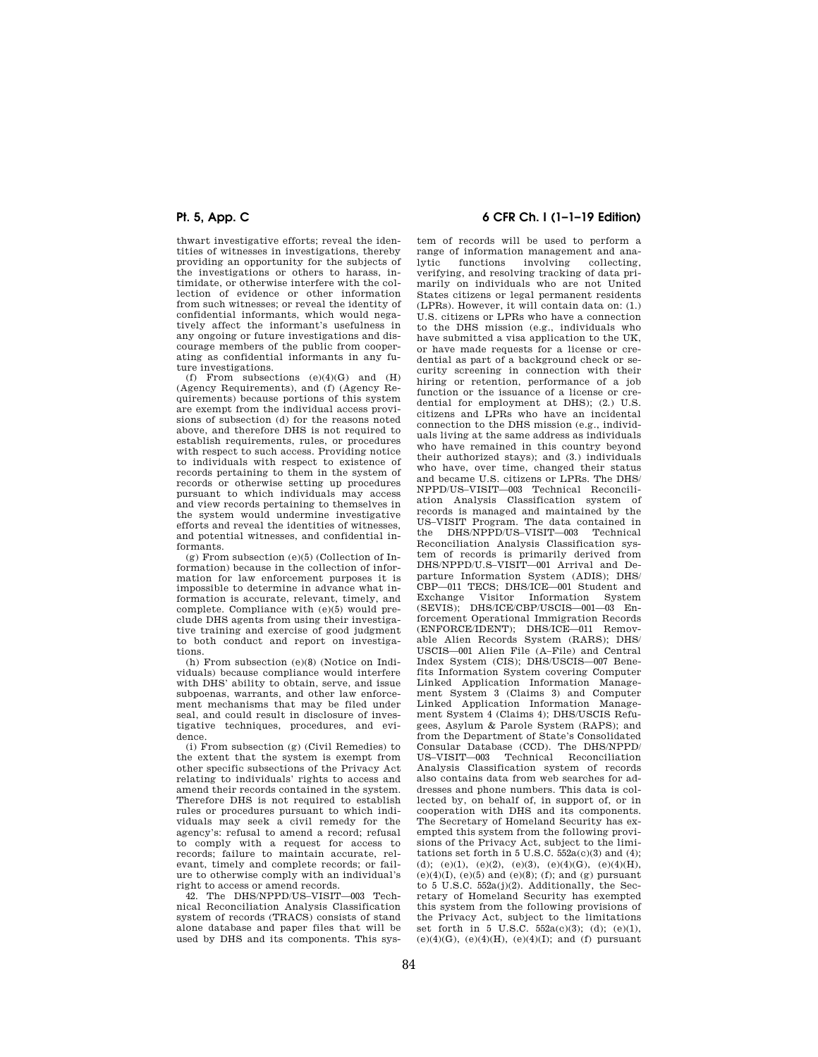thwart investigative efforts; reveal the identities of witnesses in investigations, thereby providing an opportunity for the subjects of the investigations or others to harass, intimidate, or otherwise interfere with the collection of evidence or other information from such witnesses; or reveal the identity of confidential informants, which would negatively affect the informant's usefulness in any ongoing or future investigations and discourage members of the public from cooperating as confidential informants in any future investigations.

(f) From subsections  $(e)(4)(G)$  and  $(H)$ (Agency Requirements), and (f) (Agency Requirements) because portions of this system are exempt from the individual access provisions of subsection (d) for the reasons noted above, and therefore DHS is not required to establish requirements, rules, or procedures with respect to such access. Providing notice to individuals with respect to existence of records pertaining to them in the system of records or otherwise setting up procedures pursuant to which individuals may access and view records pertaining to themselves in the system would undermine investigative efforts and reveal the identities of witnesses, and potential witnesses, and confidential informants.

(g) From subsection (e)(5) (Collection of Information) because in the collection of information for law enforcement purposes it is impossible to determine in advance what information is accurate, relevant, timely, and complete. Compliance with (e)(5) would preclude DHS agents from using their investigative training and exercise of good judgment to both conduct and report on investigations.

(h) From subsection (e)(8) (Notice on Individuals) because compliance would interfere with DHS' ability to obtain, serve, and issue subpoenas, warrants, and other law enforcement mechanisms that may be filed under seal, and could result in disclosure of investigative techniques, procedures, and evidence.

(i) From subsection (g) (Civil Remedies) to the extent that the system is exempt from other specific subsections of the Privacy Act relating to individuals' rights to access and amend their records contained in the system. Therefore DHS is not required to establish rules or procedures pursuant to which individuals may seek a civil remedy for the agency's: refusal to amend a record; refusal to comply with a request for access to records; failure to maintain accurate, relevant, timely and complete records; or failure to otherwise comply with an individual's right to access or amend records.

42. The DHS/NPPD/US–VISIT—003 Technical Reconciliation Analysis Classification system of records (TRACS) consists of stand alone database and paper files that will be used by DHS and its components. This sys-

# **Pt. 5, App. C 6 CFR Ch. I (1–1–19 Edition)**

tem of records will be used to perform a range of information management and analytic functions involving collecting, verifying, and resolving tracking of data primarily on individuals who are not United States citizens or legal permanent residents (LPRs). However, it will contain data on: (1.) U.S. citizens or LPRs who have a connection to the DHS mission (e.g., individuals who have submitted a visa application to the UK, or have made requests for a license or credential as part of a background check or security screening in connection with their hiring or retention, performance of a job function or the issuance of a license or credential for employment at  $DHS$ ;  $(2)$  U.S. citizens and LPRs who have an incidental connection to the DHS mission (e.g., individuals living at the same address as individuals who have remained in this country beyond their authorized stays); and (3.) individuals who have, over time, changed their status and became U.S. citizens or LPRs. The DHS/ NPPD/US–VISIT—003 Technical Reconciliation Analysis Classification system of records is managed and maintained by the US–VISIT Program. The data contained in the DHS/NPPD/US–VISIT—003 Technical Reconciliation Analysis Classification system of records is primarily derived from DHS/NPPD/U.S–VISIT—001 Arrival and Departure Information System (ADIS); DHS/ CBP—011 TECS; DHS/ICE—001 Student and Exchange Visitor Information System (SEVIS); DHS/ICE/CBP/USCIS—001—03 Enforcement Operational Immigration Records (ENFORCE/IDENT); DHS/ICE—011 Removable Alien Records System (RARS); DHS/ USCIS—001 Alien File (A–File) and Central Index System (CIS); DHS/USCIS—007 Benefits Information System covering Computer Linked Application Information Management System 3 (Claims 3) and Computer Linked Application Information Management System 4 (Claims 4); DHS/USCIS Refugees, Asylum & Parole System (RAPS); and from the Department of State's Consolidated Consular Database (CCD). The DHS/NPPD/ US–VISIT—003 Technical Reconciliation Analysis Classification system of records also contains data from web searches for addresses and phone numbers. This data is collected by, on behalf of, in support of, or in cooperation with DHS and its components. The Secretary of Homeland Security has exempted this system from the following provisions of the Privacy Act, subject to the limitations set forth in  $5 \text{ U.S.C. } 552a(c)(3)$  and (4); (d); (e)(1), (e)(2), (e)(3), (e)(4)(G), (e)(4)(H),  $(e)(4)(I)$ ,  $(e)(5)$  and  $(e)(8)$ ; (f); and (g) pursuant to 5 U.S.C. 552a(j)(2). Additionally, the Secretary of Homeland Security has exempted this system from the following provisions of the Privacy Act, subject to the limitations set forth in 5 U.S.C.  $552a(c)(3)$ ; (d); (e)(1), (e)(4)(G), (e)(4)(H), (e)(4)(I); and (f) pursuant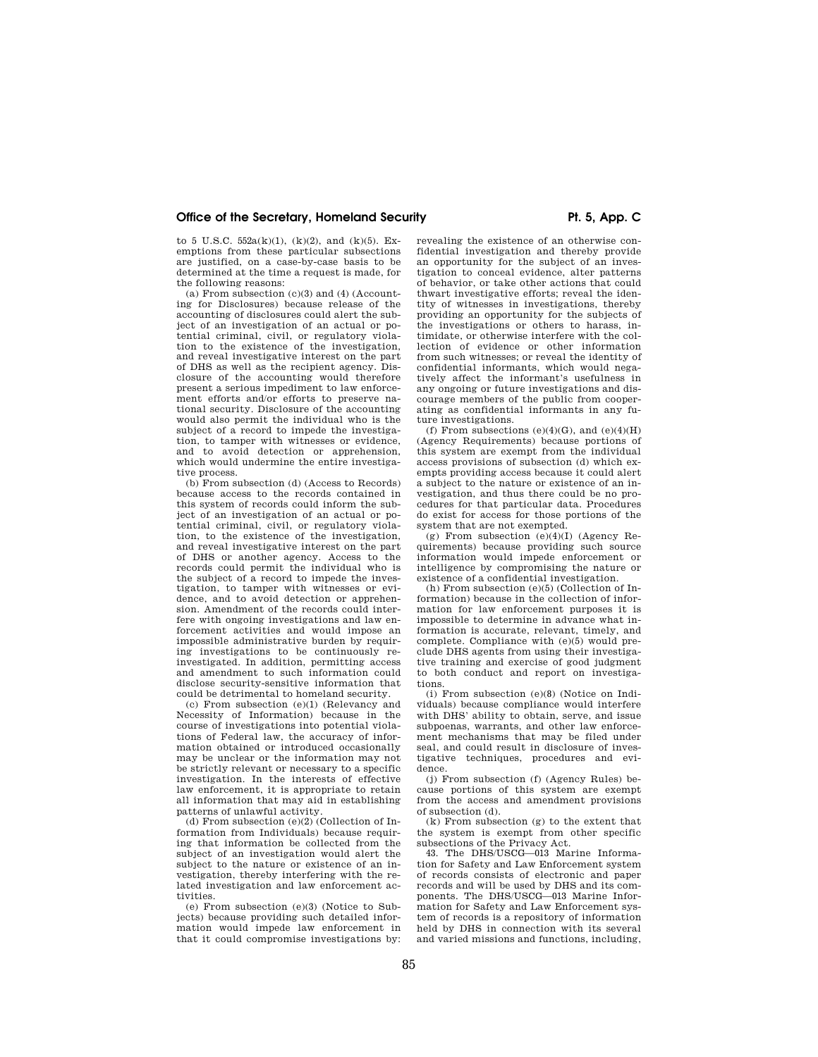to 5 U.S.C. 552a(k)(1),  $(k)(2)$ , and  $(k)(5)$ . Exemptions from these particular subsections are justified, on a case-by-case basis to be determined at the time a request is made, for the following reasons:

(a) From subsection (c)(3) and (4) (Accounting for Disclosures) because release of the accounting of disclosures could alert the subject of an investigation of an actual or potential criminal, civil, or regulatory violation to the existence of the investigation, and reveal investigative interest on the part of DHS as well as the recipient agency. Disclosure of the accounting would therefore present a serious impediment to law enforcement efforts and/or efforts to preserve national security. Disclosure of the accounting would also permit the individual who is the subject of a record to impede the investigation, to tamper with witnesses or evidence, and to avoid detection or apprehension, which would undermine the entire investigative process.

(b) From subsection (d) (Access to Records) because access to the records contained in this system of records could inform the subject of an investigation of an actual or potential criminal, civil, or regulatory violation, to the existence of the investigation, and reveal investigative interest on the part of DHS or another agency. Access to the records could permit the individual who is the subject of a record to impede the investigation, to tamper with witnesses or evidence, and to avoid detection or apprehension. Amendment of the records could interfere with ongoing investigations and law enforcement activities and would impose an impossible administrative burden by requiring investigations to be continuously reinvestigated. In addition, permitting access and amendment to such information could disclose security-sensitive information that could be detrimental to homeland security.

(c) From subsection (e)(1) (Relevancy and Necessity of Information) because in the course of investigations into potential violations of Federal law, the accuracy of information obtained or introduced occasionally may be unclear or the information may not be strictly relevant or necessary to a specific investigation. In the interests of effective law enforcement, it is appropriate to retain all information that may aid in establishing patterns of unlawful activity.

(d) From subsection  $(e)(2)$  (Collection of Information from Individuals) because requiring that information be collected from the subject of an investigation would alert the subject to the nature or existence of an investigation, thereby interfering with the related investigation and law enforcement activities.

(e) From subsection (e)(3) (Notice to Subjects) because providing such detailed information would impede law enforcement in that it could compromise investigations by:

revealing the existence of an otherwise confidential investigation and thereby provide an opportunity for the subject of an investigation to conceal evidence, alter patterns of behavior, or take other actions that could thwart investigative efforts; reveal the identity of witnesses in investigations, thereby providing an opportunity for the subjects of the investigations or others to harass, intimidate, or otherwise interfere with the collection of evidence or other information from such witnesses; or reveal the identity of confidential informants, which would negatively affect the informant's usefulness in any ongoing or future investigations and discourage members of the public from cooperating as confidential informants in any future investigations.

(f) From subsections  $(e)(4)(G)$ , and  $(e)(4)(H)$ (Agency Requirements) because portions of this system are exempt from the individual access provisions of subsection (d) which exempts providing access because it could alert a subject to the nature or existence of an investigation, and thus there could be no procedures for that particular data. Procedures do exist for access for those portions of the system that are not exempted.

(g) From subsection  $(e)(4)(I)$  (Agency Requirements) because providing such source information would impede enforcement or intelligence by compromising the nature or existence of a confidential investigation.

(h) From subsection (e)(5) (Collection of Information) because in the collection of information for law enforcement purposes it is impossible to determine in advance what information is accurate, relevant, timely, and complete. Compliance with (e)(5) would preclude DHS agents from using their investigative training and exercise of good judgment to both conduct and report on investigations.

(i) From subsection (e)(8) (Notice on Individuals) because compliance would interfere with DHS' ability to obtain, serve, and issue subpoenas, warrants, and other law enforcement mechanisms that may be filed under seal, and could result in disclosure of investigative techniques, procedures and evidence.

(j) From subsection (f) (Agency Rules) because portions of this system are exempt from the access and amendment provisions of subsection (d).

(k) From subsection (g) to the extent that the system is exempt from other specific subsections of the Privacy Act.

43. The DHS/USCG—013 Marine Information for Safety and Law Enforcement system of records consists of electronic and paper records and will be used by DHS and its components. The DHS/USCG—013 Marine Information for Safety and Law Enforcement system of records is a repository of information held by DHS in connection with its several and varied missions and functions, including,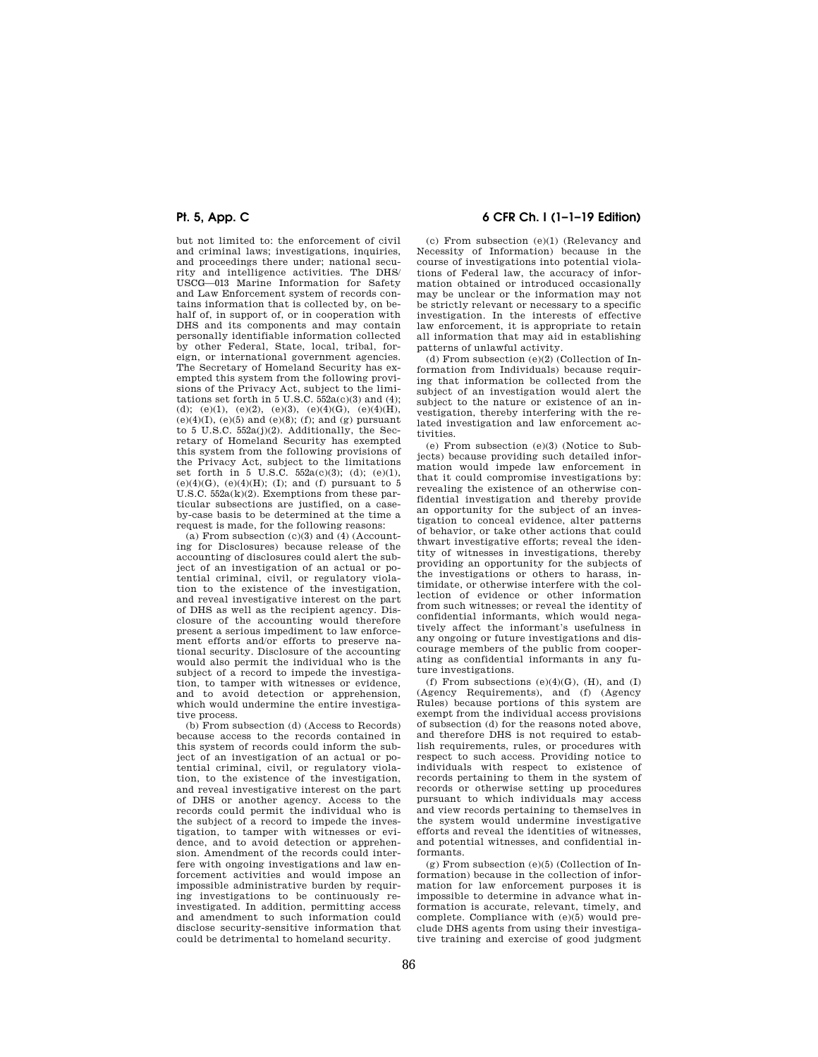but not limited to: the enforcement of civil and criminal laws; investigations, inquiries, and proceedings there under; national security and intelligence activities. The DHS/ USCG—013 Marine Information for Safety and Law Enforcement system of records contains information that is collected by, on behalf of, in support of, or in cooperation with DHS and its components and may contain personally identifiable information collected by other Federal, State, local, tribal, foreign, or international government agencies. The Secretary of Homeland Security has exempted this system from the following provisions of the Privacy Act, subject to the limitations set forth in  $5 \text{ U.S.C. } 552a(c)(3)$  and (4); (d); (e)(1), (e)(2), (e)(3), (e)(4)(G), (e)(4)(H), (e)(4)(I), (e)(5) and (e)(8); (f); and (g) pursuant to 5 U.S.C. 552a(j)(2). Additionally, the Sec-retary of Homeland Security has exempted this system from the following provisions of the Privacy Act, subject to the limitations set forth in 5 U.S.C.  $552a(c)(3)$ ; (d); (e)(1), (e)(4)(G), (e)(4)(H); (I); and (f) pursuant to 5  $U.S.C. 552a(k)(2)$ . Exemptions from these particular subsections are justified, on a caseby-case basis to be determined at the time a request is made, for the following reasons:

(a) From subsection  $(c)(3)$  and  $(4)$  (Accounting for Disclosures) because release of the accounting of disclosures could alert the subject of an investigation of an actual or potential criminal, civil, or regulatory violation to the existence of the investigation, and reveal investigative interest on the part of DHS as well as the recipient agency. Disclosure of the accounting would therefore present a serious impediment to law enforcement efforts and/or efforts to preserve national security. Disclosure of the accounting would also permit the individual who is the subject of a record to impede the investigation, to tamper with witnesses or evidence, and to avoid detection or apprehension, which would undermine the entire investigative process.

(b) From subsection (d) (Access to Records) because access to the records contained in this system of records could inform the subject of an investigation of an actual or potential criminal, civil, or regulatory violation, to the existence of the investigation, and reveal investigative interest on the part of DHS or another agency. Access to the records could permit the individual who is the subject of a record to impede the investigation, to tamper with witnesses or evidence, and to avoid detection or apprehension. Amendment of the records could interfere with ongoing investigations and law enforcement activities and would impose an impossible administrative burden by requiring investigations to be continuously reinvestigated. In addition, permitting access and amendment to such information could disclose security-sensitive information that could be detrimental to homeland security.

# **Pt. 5, App. C 6 CFR Ch. I (1–1–19 Edition)**

(c) From subsection (e)(1) (Relevancy and Necessity of Information) because in the course of investigations into potential violations of Federal law, the accuracy of information obtained or introduced occasionally may be unclear or the information may not be strictly relevant or necessary to a specific investigation. In the interests of effective law enforcement, it is appropriate to retain all information that may aid in establishing patterns of unlawful activity.

(d) From subsection (e)(2) (Collection of Information from Individuals) because requiring that information be collected from the subject of an investigation would alert the subject to the nature or existence of an investigation, thereby interfering with the related investigation and law enforcement activities.

(e) From subsection (e)(3) (Notice to Subjects) because providing such detailed information would impede law enforcement in that it could compromise investigations by: revealing the existence of an otherwise confidential investigation and thereby provide an opportunity for the subject of an investigation to conceal evidence, alter patterns of behavior, or take other actions that could thwart investigative efforts; reveal the identity of witnesses in investigations, thereby providing an opportunity for the subjects of the investigations or others to harass, intimidate, or otherwise interfere with the collection of evidence or other information from such witnesses; or reveal the identity of confidential informants, which would negatively affect the informant's usefulness in any ongoing or future investigations and discourage members of the public from cooperating as confidential informants in any future investigations.

(f) From subsections  $(e)(4)(G)$ ,  $(H)$ , and  $(I)$ (Agency Requirements), and (f) (Agency Rules) because portions of this system are exempt from the individual access provisions of subsection (d) for the reasons noted above, and therefore DHS is not required to establish requirements, rules, or procedures with respect to such access. Providing notice to individuals with respect to existence of records pertaining to them in the system of records or otherwise setting up procedures pursuant to which individuals may access and view records pertaining to themselves in the system would undermine investigative efforts and reveal the identities of witnesses, and potential witnesses, and confidential informants.

 $(g)$  From subsection  $(e)(5)$  (Collection of Information) because in the collection of information for law enforcement purposes it is impossible to determine in advance what information is accurate, relevant, timely, and complete. Compliance with (e)(5) would preclude DHS agents from using their investigative training and exercise of good judgment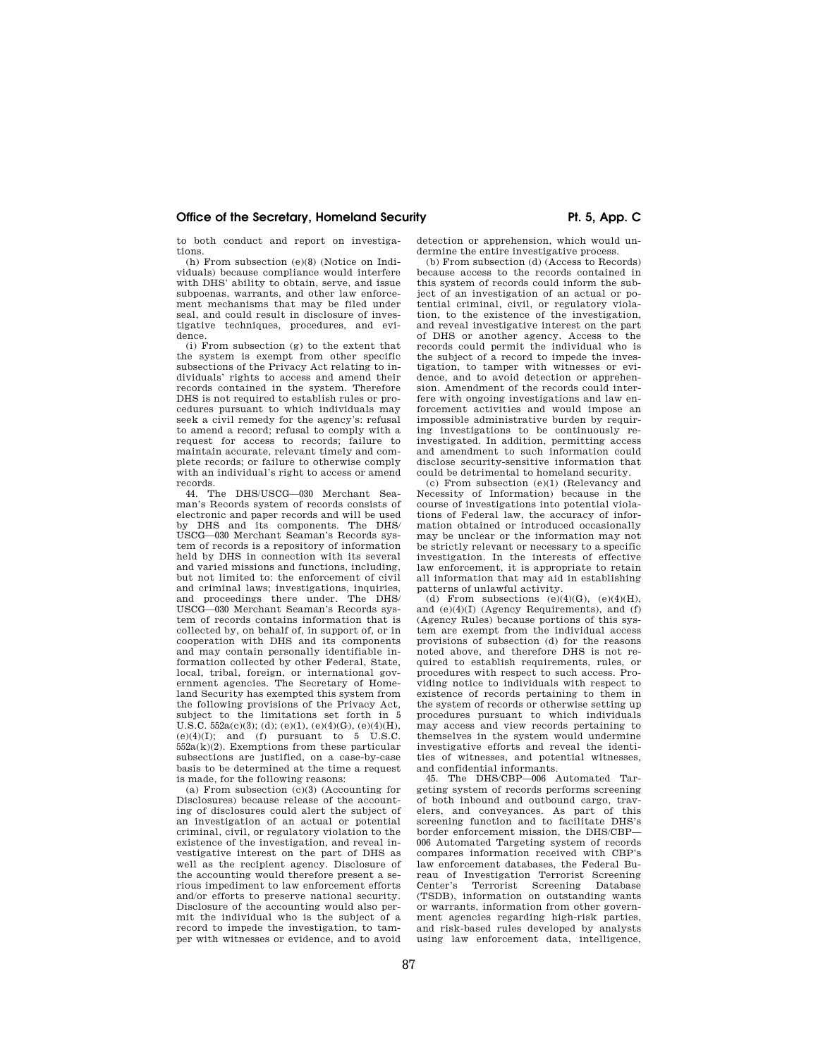### Office of the Secretary, Homeland Security **Pt. 5, App. C**

to both conduct and report on investigations.

(h) From subsection (e)(8) (Notice on Individuals) because compliance would interfere with DHS' ability to obtain, serve, and issue subpoenas, warrants, and other law enforcement mechanisms that may be filed under seal, and could result in disclosure of investigative techniques, procedures, and evidence.

(i) From subsection (g) to the extent that the system is exempt from other specific subsections of the Privacy Act relating to individuals' rights to access and amend their records contained in the system. Therefore DHS is not required to establish rules or procedures pursuant to which individuals may seek a civil remedy for the agency's: refusal to amend a record; refusal to comply with a request for access to records; failure to maintain accurate, relevant timely and complete records; or failure to otherwise comply with an individual's right to access or amend records.

44. The DHS/USCG—030 Merchant Seaman's Records system of records consists of electronic and paper records and will be used by DHS and its components. The DHS/ USCG—030 Merchant Seaman's Records system of records is a repository of information held by DHS in connection with its several and varied missions and functions, including, but not limited to: the enforcement of civil and criminal laws; investigations, inquiries, and proceedings there under. The DHS/ USCG—030 Merchant Seaman's Records system of records contains information that is collected by, on behalf of, in support of, or in cooperation with DHS and its components and may contain personally identifiable information collected by other Federal, State, local, tribal, foreign, or international government agencies. The Secretary of Homeland Security has exempted this system from the following provisions of the Privacy Act, subject to the limitations set forth in 5 U.S.C.  $552a(c)(3)$ ; (d); (e)(1), (e)(4)(G), (e)(4)(H),  $(e)(4)(I)$ ; and  $(f)$  pursuant to 5 U.S.C.  $552a(k)(2)$ . Exemptions from these particular subsections are justified, on a case-by-case basis to be determined at the time a request is made, for the following reasons:

(a) From subsection (c)(3) (Accounting for Disclosures) because release of the accounting of disclosures could alert the subject of an investigation of an actual or potential criminal, civil, or regulatory violation to the existence of the investigation, and reveal investigative interest on the part of DHS as well as the recipient agency. Disclosure of the accounting would therefore present a serious impediment to law enforcement efforts and/or efforts to preserve national security. Disclosure of the accounting would also permit the individual who is the subject of a record to impede the investigation, to tamper with witnesses or evidence, and to avoid

detection or apprehension, which would undermine the entire investigative process.

(b) From subsection (d) (Access to Records) because access to the records contained in this system of records could inform the subject of an investigation of an actual or potential criminal, civil, or regulatory violation, to the existence of the investigation, and reveal investigative interest on the part of DHS or another agency. Access to the records could permit the individual who is the subject of a record to impede the investigation, to tamper with witnesses or evidence, and to avoid detection or apprehension. Amendment of the records could interfere with ongoing investigations and law enforcement activities and would impose an impossible administrative burden by requiring investigations to be continuously reinvestigated. In addition, permitting access and amendment to such information could disclose security-sensitive information that could be detrimental to homeland security.

(c) From subsection (e)(1) (Relevancy and Necessity of Information) because in the course of investigations into potential violations of Federal law, the accuracy of information obtained or introduced occasionally may be unclear or the information may not be strictly relevant or necessary to a specific investigation. In the interests of effective law enforcement, it is appropriate to retain all information that may aid in establishing patterns of unlawful activity.

(d) From subsections  $(e)(4)(G)$ ,  $(e)(4)(H)$ , and (e)(4)(I) (Agency Requirements), and (f) (Agency Rules) because portions of this system are exempt from the individual access provisions of subsection (d) for the reasons noted above, and therefore DHS is not required to establish requirements, rules, or procedures with respect to such access. Providing notice to individuals with respect to existence of records pertaining to them in the system of records or otherwise setting up procedures pursuant to which individuals may access and view records pertaining to themselves in the system would undermine investigative efforts and reveal the identities of witnesses, and potential witnesses, and confidential informants.

45. The DHS/CBP—006 Automated Targeting system of records performs screening of both inbound and outbound cargo, travelers, and conveyances. As part of this screening function and to facilitate DHS's border enforcement mission, the DHS/CBP— 006 Automated Targeting system of records compares information received with CBP's law enforcement databases, the Federal Bureau of Investigation Terrorist Screening Center's Terrorist Screening (TSDB), information on outstanding wants or warrants, information from other government agencies regarding high-risk parties, and risk-based rules developed by analysts using law enforcement data, intelligence,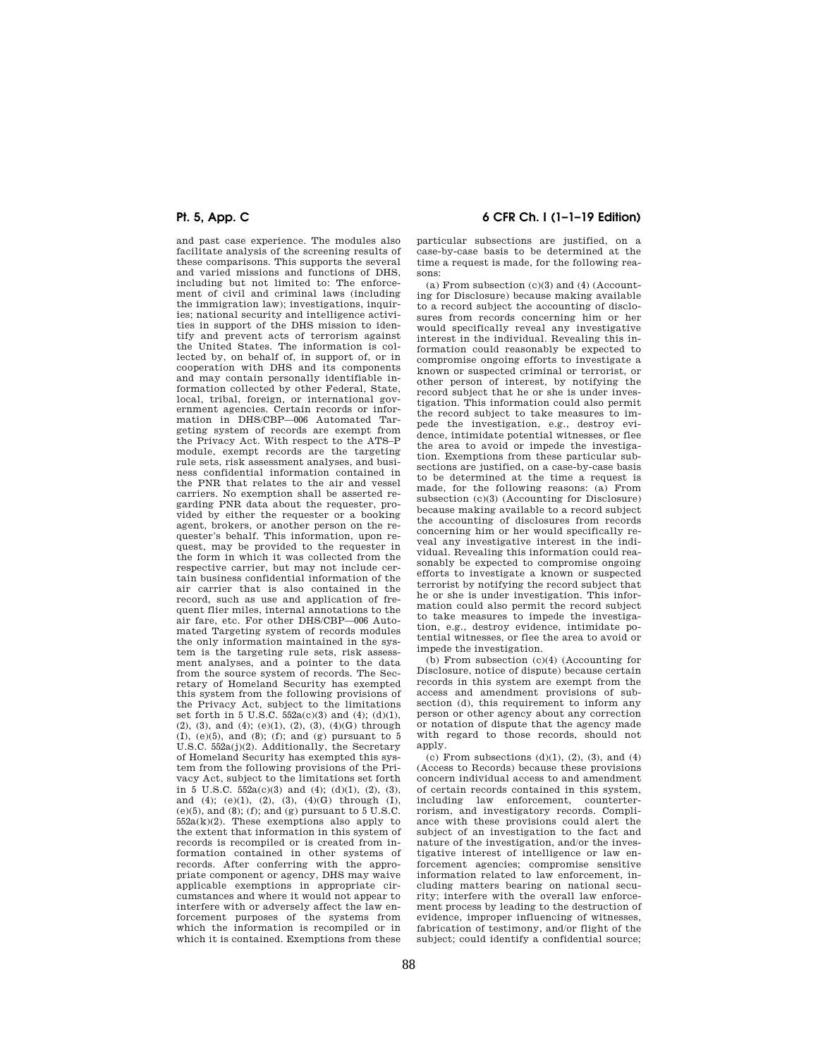and past case experience. The modules also facilitate analysis of the screening results of these comparisons. This supports the several and varied missions and functions of DHS, including but not limited to: The enforcement of civil and criminal laws (including the immigration law); investigations, inquiries; national security and intelligence activities in support of the DHS mission to identify and prevent acts of terrorism against the United States. The information is collected by, on behalf of, in support of, or in cooperation with DHS and its components and may contain personally identifiable information collected by other Federal, State, local, tribal, foreign, or international government agencies. Certain records or information in DHS/CBP—006 Automated Targeting system of records are exempt from the Privacy Act. With respect to the ATS–P module, exempt records are the targeting rule sets, risk assessment analyses, and business confidential information contained in the PNR that relates to the air and vessel carriers. No exemption shall be asserted regarding PNR data about the requester, provided by either the requester or a booking agent, brokers, or another person on the requester's behalf. This information, upon request, may be provided to the requester in the form in which it was collected from the respective carrier, but may not include certain business confidential information of the air carrier that is also contained in the record, such as use and application of frequent flier miles, internal annotations to the air fare, etc. For other DHS/CBP—006 Automated Targeting system of records modules the only information maintained in the system is the targeting rule sets, risk assessment analyses, and a pointer to the data from the source system of records. The Secretary of Homeland Security has exempted this system from the following provisions of the Privacy Act, subject to the limitations set forth in 5 U.S.C. 552a(c)(3) and (4); (d)(1), (2), (3), and (4); (e)(1), (2), (3), (4)(G) through  $(I), (e)(5),$  and  $(8), (f),$  and  $(g)$  pursuant to 5 U.S.C. 552a(j)(2). Additionally, the Secretary of Homeland Security has exempted this system from the following provisions of the Privacy Act, subject to the limitations set forth in 5 U.S.C.  $552a(c)(3)$  and  $(4)$ ;  $(d)(1)$ ,  $(2)$ ,  $(3)$ , and (4); (e)(1), (2), (3), (4)(G) through (I),  $(e)(5)$ , and  $(8)$ ; (f); and  $(g)$  pursuant to 5 U.S.C.  $552a(k)(2)$ . These exemptions also apply to the extent that information in this system of records is recompiled or is created from information contained in other systems of records. After conferring with the appropriate component or agency, DHS may waive applicable exemptions in appropriate circumstances and where it would not appear to interfere with or adversely affect the law enforcement purposes of the systems from which the information is recompiled or in which it is contained. Exemptions from these

## **Pt. 5, App. C 6 CFR Ch. I (1–1–19 Edition)**

particular subsections are justified, on a case-by-case basis to be determined at the time a request is made, for the following reasons:

(a) From subsection (c)(3) and (4) (Accounting for Disclosure) because making available to a record subject the accounting of disclosures from records concerning him or her would specifically reveal any investigative interest in the individual. Revealing this information could reasonably be expected to compromise ongoing efforts to investigate a known or suspected criminal or terrorist, or other person of interest, by notifying the record subject that he or she is under investigation. This information could also permit the record subject to take measures to impede the investigation, e.g., destroy evidence, intimidate potential witnesses, or flee the area to avoid or impede the investigation. Exemptions from these particular subsections are justified, on a case-by-case basis to be determined at the time a request is made, for the following reasons: (a) From subsection (c)(3) (Accounting for Disclosure) because making available to a record subject the accounting of disclosures from records concerning him or her would specifically reveal any investigative interest in the individual. Revealing this information could reasonably be expected to compromise ongoing efforts to investigate a known or suspected terrorist by notifying the record subject that he or she is under investigation. This information could also permit the record subject to take measures to impede the investigation, e.g., destroy evidence, intimidate potential witnesses, or flee the area to avoid or impede the investigation.

(b) From subsection (c)(4) (Accounting for Disclosure, notice of dispute) because certain records in this system are exempt from the access and amendment provisions of subsection (d), this requirement to inform any person or other agency about any correction or notation of dispute that the agency made with regard to those records, should not apply.

(c) From subsections  $(d)(1)$ ,  $(2)$ ,  $(3)$ , and  $(4)$ (Access to Records) because these provisions concern individual access to and amendment of certain records contained in this system, including law enforcement, counterterrorism, and investigatory records. Compliance with these provisions could alert the subject of an investigation to the fact and nature of the investigation, and/or the investigative interest of intelligence or law enforcement agencies; compromise sensitive information related to law enforcement, including matters bearing on national security; interfere with the overall law enforcement process by leading to the destruction of evidence, improper influencing of witnesses, fabrication of testimony, and/or flight of the subject; could identify a confidential source;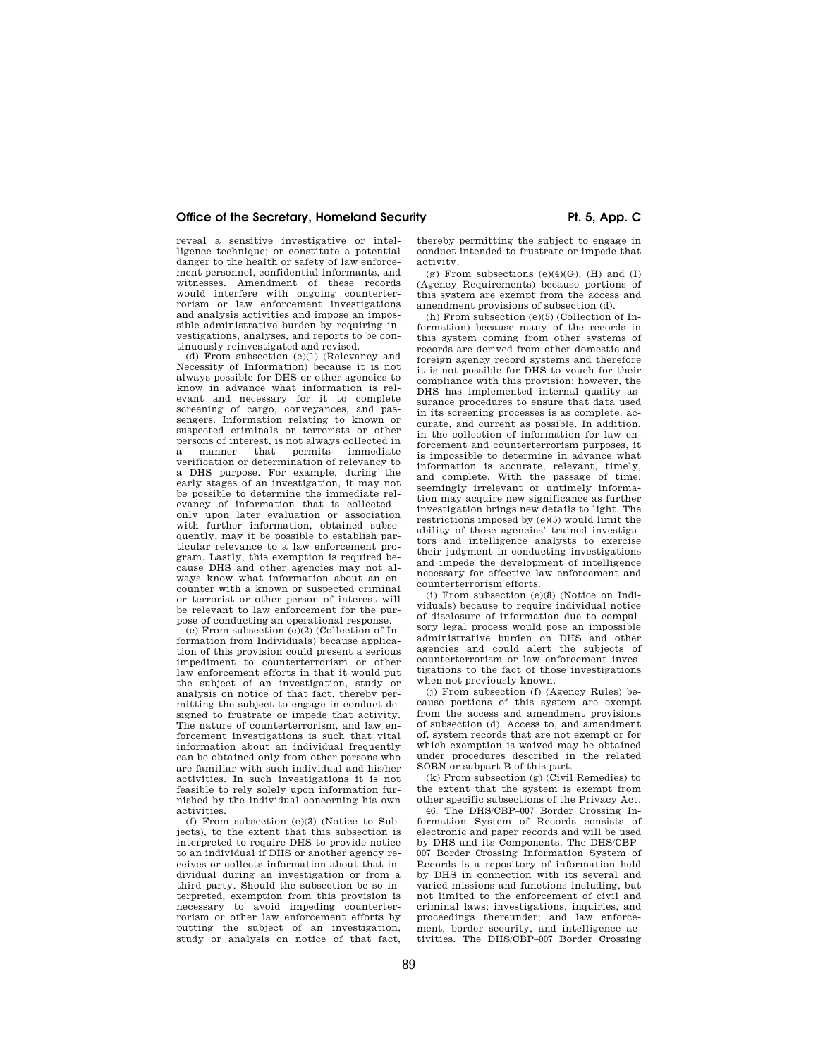reveal a sensitive investigative or intelligence technique; or constitute a potential danger to the health or safety of law enforcement personnel, confidential informants, and witnesses. Amendment of these records would interfere with ongoing counterterrorism or law enforcement investigations and analysis activities and impose an impossible administrative burden by requiring investigations, analyses, and reports to be continuously reinvestigated and revised.

(d) From subsection (e)(1) (Relevancy and Necessity of Information) because it is not always possible for DHS or other agencies to know in advance what information is relevant and necessary for it to complete screening of cargo, conveyances, and passengers. Information relating to known or suspected criminals or terrorists or other persons of interest, is not always collected in a manner that permits immediate verification or determination of relevancy to a DHS purpose. For example, during the early stages of an investigation, it may not be possible to determine the immediate relevancy of information that is collected only upon later evaluation or association with further information, obtained subsequently, may it be possible to establish particular relevance to a law enforcement program. Lastly, this exemption is required because DHS and other agencies may not always know what information about an encounter with a known or suspected criminal or terrorist or other person of interest will be relevant to law enforcement for the purpose of conducting an operational response.

(e) From subsection (e)(2) (Collection of Information from Individuals) because application of this provision could present a serious impediment to counterterrorism or other law enforcement efforts in that it would put the subject of an investigation, study or analysis on notice of that fact, thereby permitting the subject to engage in conduct designed to frustrate or impede that activity. The nature of counterterrorism, and law enforcement investigations is such that vital information about an individual frequently can be obtained only from other persons who are familiar with such individual and his/her activities. In such investigations it is not feasible to rely solely upon information furnished by the individual concerning his own activities.

(f) From subsection (e)(3) (Notice to Subjects), to the extent that this subsection is interpreted to require DHS to provide notice to an individual if DHS or another agency receives or collects information about that individual during an investigation or from a third party. Should the subsection be so interpreted, exemption from this provision is necessary to avoid impeding counterterrorism or other law enforcement efforts by putting the subject of an investigation, study or analysis on notice of that fact,

thereby permitting the subject to engage in conduct intended to frustrate or impede that activity.

(g) From subsections  $(e)(4)(G)$ ,  $(H)$  and  $(I)$ (Agency Requirements) because portions of this system are exempt from the access and amendment provisions of subsection (d).

(h) From subsection (e)(5) (Collection of Information) because many of the records in this system coming from other systems of records are derived from other domestic and foreign agency record systems and therefore it is not possible for DHS to vouch for their compliance with this provision; however, the DHS has implemented internal quality assurance procedures to ensure that data used in its screening processes is as complete, accurate, and current as possible. In addition, in the collection of information for law enforcement and counterterrorism purposes, it is impossible to determine in advance what information is accurate, relevant, timely, and complete. With the passage of time, seemingly irrelevant or untimely information may acquire new significance as further investigation brings new details to light. The restrictions imposed by (e)(5) would limit the ability of those agencies' trained investigators and intelligence analysts to exercise their judgment in conducting investigations and impede the development of intelligence necessary for effective law enforcement and counterterrorism efforts.

(i) From subsection (e)(8) (Notice on Individuals) because to require individual notice of disclosure of information due to compulsory legal process would pose an impossible administrative burden on DHS and other agencies and could alert the subjects of counterterrorism or law enforcement investigations to the fact of those investigations when not previously known.

(j) From subsection (f) (Agency Rules) because portions of this system are exempt from the access and amendment provisions of subsection (d). Access to, and amendment of, system records that are not exempt or for which exemption is waived may be obtained under procedures described in the related SORN or subpart B of this part.

(k) From subsection (g) (Civil Remedies) to the extent that the system is exempt from other specific subsections of the Privacy Act.

46. The DHS/CBP–007 Border Crossing Information System of Records consists of electronic and paper records and will be used by DHS and its Components. The DHS/CBP– 007 Border Crossing Information System of Records is a repository of information held by DHS in connection with its several and varied missions and functions including, but not limited to the enforcement of civil and criminal laws; investigations, inquiries, and proceedings thereunder; and law enforcement, border security, and intelligence activities. The DHS/CBP–007 Border Crossing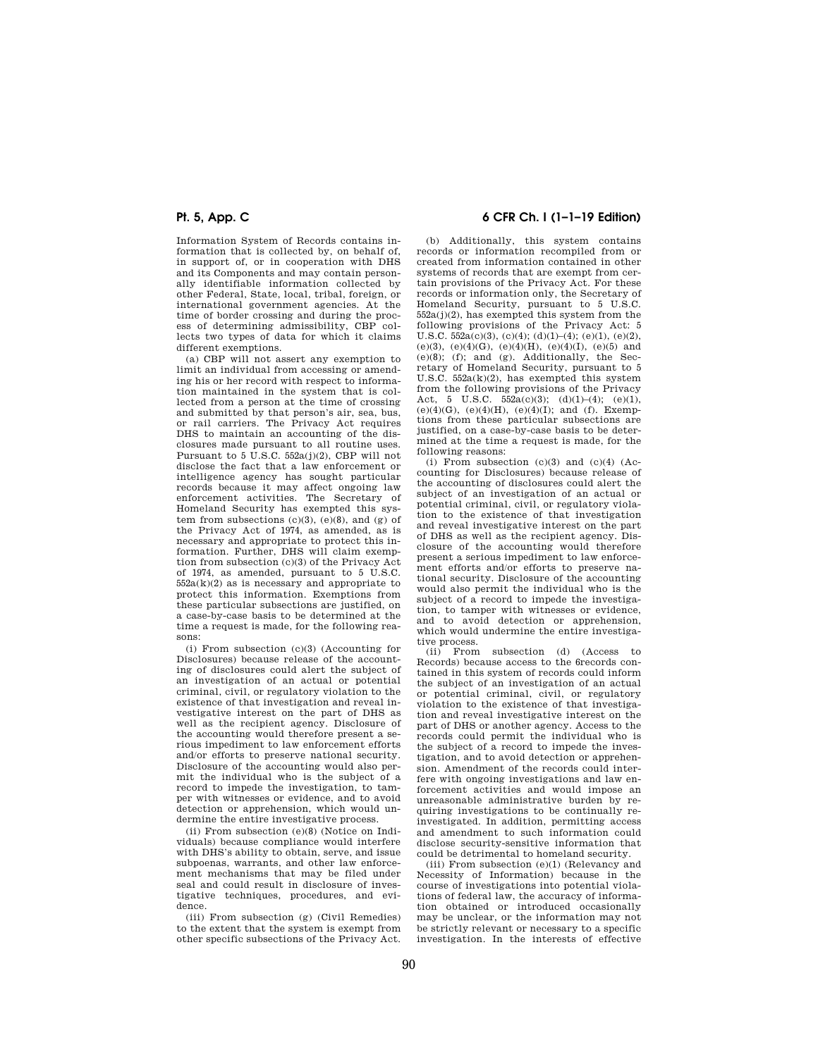Information System of Records contains information that is collected by, on behalf of, in support of, or in cooperation with DHS and its Components and may contain personally identifiable information collected by other Federal, State, local, tribal, foreign, or international government agencies. At the time of border crossing and during the process of determining admissibility, CBP collects two types of data for which it claims different exemptions.

(a) CBP will not assert any exemption to limit an individual from accessing or amending his or her record with respect to information maintained in the system that is collected from a person at the time of crossing and submitted by that person's air, sea, bus, or rail carriers. The Privacy Act requires DHS to maintain an accounting of the disclosures made pursuant to all routine uses. Pursuant to 5 U.S.C. 552a(j)(2), CBP will not disclose the fact that a law enforcement or intelligence agency has sought particular records because it may affect ongoing law enforcement activities. The Secretary of Homeland Security has exempted this system from subsections  $(c)(3)$ ,  $(e)(8)$ , and  $(g)$  of the Privacy Act of 1974, as amended, as is necessary and appropriate to protect this information. Further, DHS will claim exemption from subsection (c)(3) of the Privacy Act of 1974, as amended, pursuant to 5 U.S.C.  $552a(k)(2)$  as is necessary and appropriate to protect this information. Exemptions from these particular subsections are justified, on a case-by-case basis to be determined at the time a request is made, for the following reasons:

(i) From subsection (c)(3) (Accounting for Disclosures) because release of the accounting of disclosures could alert the subject of an investigation of an actual or potential criminal, civil, or regulatory violation to the existence of that investigation and reveal investigative interest on the part of DHS as well as the recipient agency. Disclosure of the accounting would therefore present a serious impediment to law enforcement efforts and/or efforts to preserve national security. Disclosure of the accounting would also permit the individual who is the subject of a record to impede the investigation, to tamper with witnesses or evidence, and to avoid detection or apprehension, which would undermine the entire investigative process.

(ii) From subsection (e)(8) (Notice on Individuals) because compliance would interfere with DHS's ability to obtain, serve, and issue subpoenas, warrants, and other law enforcement mechanisms that may be filed under seal and could result in disclosure of investigative techniques, procedures, and evidence.

(iii) From subsection  $(g)$  (Civil Remedies) to the extent that the system is exempt from other specific subsections of the Privacy Act.

# **Pt. 5, App. C 6 CFR Ch. I (1–1–19 Edition)**

(b) Additionally, this system contains records or information recompiled from or created from information contained in other systems of records that are exempt from certain provisions of the Privacy Act. For these records or information only, the Secretary of Homeland Security, pursuant to 5 U.S.C. 552a(j)(2), has exempted this system from the following provisions of the Privacy Act: 5 U.S.C.  $552a(c)(3)$ , (c)(4); (d)(1)–(4); (e)(1), (e)(2), (e)(3), (e)(4)(G), (e)(4)(H), (e)(4)(I), (e)(5) and  $(e)(8)$ ; (f); and (g). Additionally, the Secretary of Homeland Security, pursuant to 5 U.S.C.  $552a(k)(2)$ , has exempted this system from the following provisions of the Privacy Act, 5 U.S.C.  $552a(c)(3)$ ; (d)(1)–(4); (e)(1), (e)(4)(G), (e)(4)(H), (e)(4)(I); and (f). Exemptions from these particular subsections are justified, on a case-by-case basis to be determined at the time a request is made, for the following reasons:

(i) From subsection  $(c)(3)$  and  $(c)(4)$  (Accounting for Disclosures) because release of the accounting of disclosures could alert the subject of an investigation of an actual or potential criminal, civil, or regulatory violation to the existence of that investigation and reveal investigative interest on the part of DHS as well as the recipient agency. Disclosure of the accounting would therefore present a serious impediment to law enforcement efforts and/or efforts to preserve national security. Disclosure of the accounting would also permit the individual who is the subject of a record to impede the investigation, to tamper with witnesses or evidence, and to avoid detection or apprehension, which would undermine the entire investigative process.<br>(ii) From

subsection (d) (Access to Records) because access to the 6records contained in this system of records could inform the subject of an investigation of an actual or potential criminal, civil, or regulatory violation to the existence of that investigation and reveal investigative interest on the part of DHS or another agency. Access to the records could permit the individual who is the subject of a record to impede the investigation, and to avoid detection or apprehension. Amendment of the records could interfere with ongoing investigations and law enforcement activities and would impose an unreasonable administrative burden by requiring investigations to be continually reinvestigated. In addition, permitting access and amendment to such information could disclose security-sensitive information that could be detrimental to homeland security.

(iii) From subsection (e)(1) (Relevancy and Necessity of Information) because in the course of investigations into potential violations of federal law, the accuracy of information obtained or introduced occasionally may be unclear, or the information may not be strictly relevant or necessary to a specific investigation. In the interests of effective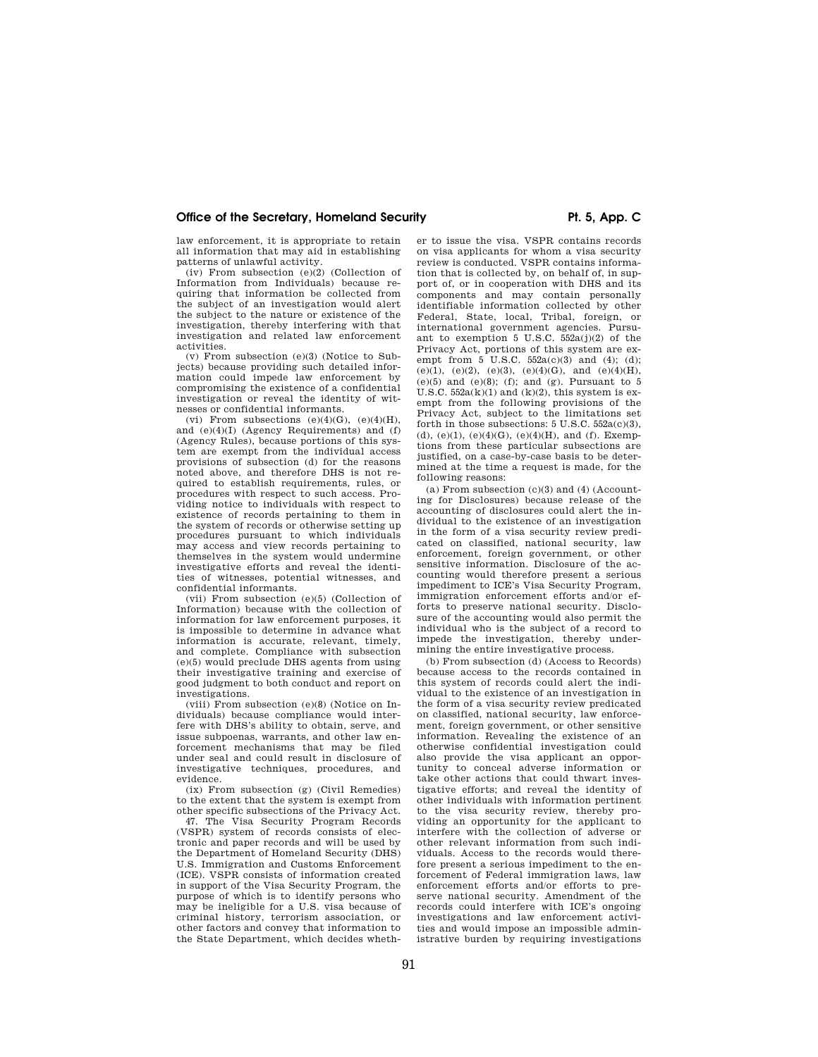law enforcement, it is appropriate to retain all information that may aid in establishing patterns of unlawful activity.

(iv) From subsection  $(e)(2)$  (Collection of Information from Individuals) because requiring that information be collected from the subject of an investigation would alert the subject to the nature or existence of the investigation, thereby interfering with that investigation and related law enforcement activities.

(v) From subsection (e)(3) (Notice to Subjects) because providing such detailed information could impede law enforcement by compromising the existence of a confidential investigation or reveal the identity of witnesses or confidential informants.

(vi) From subsections  $(e)(4)(G)$ ,  $(e)(4)(H)$ , and (e)(4)(I) (Agency Requirements) and (f) (Agency Rules), because portions of this system are exempt from the individual access provisions of subsection (d) for the reasons noted above, and therefore DHS is not required to establish requirements, rules, or procedures with respect to such access. Providing notice to individuals with respect to existence of records pertaining to them in the system of records or otherwise setting up procedures pursuant to which individuals may access and view records pertaining to themselves in the system would undermine investigative efforts and reveal the identities of witnesses, potential witnesses, and confidential informants.

(vii) From subsection (e)(5) (Collection of Information) because with the collection of information for law enforcement purposes, it is impossible to determine in advance what information is accurate, relevant, timely, and complete. Compliance with subsection (e)(5) would preclude DHS agents from using their investigative training and exercise of good judgment to both conduct and report on investigations.

(viii) From subsection (e)(8) (Notice on Individuals) because compliance would interfere with DHS's ability to obtain, serve, and issue subpoenas, warrants, and other law enforcement mechanisms that may be filed under seal and could result in disclosure of investigative techniques, procedures, and evidence.

(ix) From subsection (g) (Civil Remedies) to the extent that the system is exempt from other specific subsections of the Privacy Act.

47. The Visa Security Program Records (VSPR) system of records consists of electronic and paper records and will be used by the Department of Homeland Security (DHS) U.S. Immigration and Customs Enforcement (ICE). VSPR consists of information created in support of the Visa Security Program, the purpose of which is to identify persons who may be ineligible for a U.S. visa because of criminal history, terrorism association, or other factors and convey that information to the State Department, which decides whether to issue the visa. VSPR contains records on visa applicants for whom a visa security review is conducted. VSPR contains information that is collected by, on behalf of, in support of, or in cooperation with DHS and its components and may contain personally identifiable information collected by other Federal, State, local, Tribal, foreign, or international government agencies. Pursuant to exemption 5 U.S.C. 552a(j)(2) of the Privacy Act, portions of this system are exempt from  $5 \text{ U.S.C. } 552a(c)(3)$  and (4); (d);  $(e)(1)$ ,  $(e)(2)$ ,  $(e)(3)$ ,  $(e)(4)(G)$ , and  $(e)(4)(H)$ ,  $(e)(5)$  and  $(e)(8)$ ; (f); and (g). Pursuant to 5 U.S.C.  $552a(k)(1)$  and  $(k)(2)$ , this system is exempt from the following provisions of the Privacy Act, subject to the limitations set forth in those subsections:  $5 \text{ U.S. C. } 552a(c)(3)$ , (d), (e)(1), (e)(4)(G), (e)(4)(H), and (f). Exemptions from these particular subsections are justified, on a case-by-case basis to be determined at the time a request is made, for the following reasons:

(a) From subsection  $(c)(3)$  and  $(4)$  (Accounting for Disclosures) because release of the accounting of disclosures could alert the individual to the existence of an investigation in the form of a visa security review predicated on classified, national security, law enforcement, foreign government, or other sensitive information. Disclosure of the accounting would therefore present a serious impediment to ICE's Visa Security Program, immigration enforcement efforts and/or efforts to preserve national security. Disclosure of the accounting would also permit the individual who is the subject of a record to impede the investigation, thereby undermining the entire investigative process.

(b) From subsection (d) (Access to Records) because access to the records contained in this system of records could alert the individual to the existence of an investigation in the form of a visa security review predicated on classified, national security, law enforcement, foreign government, or other sensitive information. Revealing the existence of an otherwise confidential investigation could also provide the visa applicant an opportunity to conceal adverse information or take other actions that could thwart investigative efforts; and reveal the identity of other individuals with information pertinent to the visa security review, thereby providing an opportunity for the applicant to interfere with the collection of adverse or other relevant information from such individuals. Access to the records would therefore present a serious impediment to the enforcement of Federal immigration laws, law enforcement efforts and/or efforts to preserve national security. Amendment of the records could interfere with ICE's ongoing investigations and law enforcement activities and would impose an impossible administrative burden by requiring investigations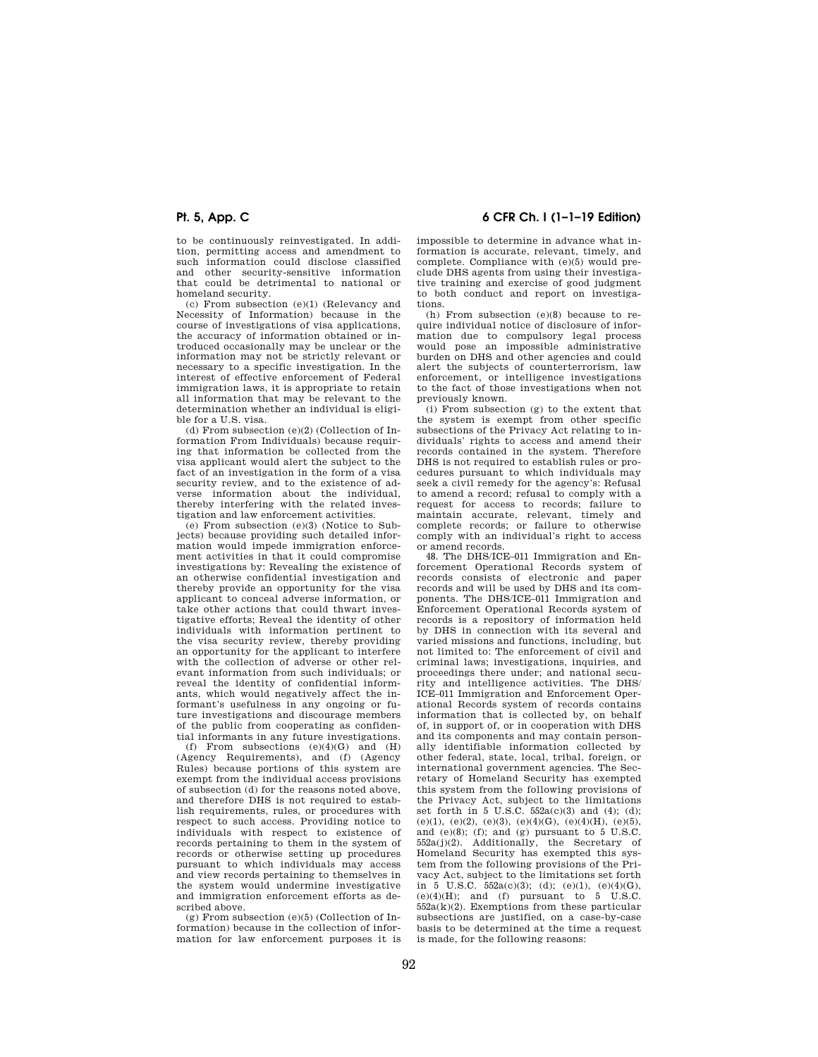to be continuously reinvestigated. In addition, permitting access and amendment to such information could disclose classified and other security-sensitive information that could be detrimental to national or homeland security.

(c) From subsection (e)(1) (Relevancy and Necessity of Information) because in the course of investigations of visa applications, the accuracy of information obtained or introduced occasionally may be unclear or the information may not be strictly relevant or necessary to a specific investigation. In the interest of effective enforcement of Federal immigration laws, it is appropriate to retain all information that may be relevant to the determination whether an individual is eligible for a U.S. visa.

(d) From subsection (e)(2) (Collection of Information From Individuals) because requiring that information be collected from the visa applicant would alert the subject to the fact of an investigation in the form of a visa security review, and to the existence of adverse information about the individual, thereby interfering with the related investigation and law enforcement activities.

(e) From subsection (e)(3) (Notice to Subjects) because providing such detailed information would impede immigration enforcement activities in that it could compromise investigations by: Revealing the existence of an otherwise confidential investigation and thereby provide an opportunity for the visa applicant to conceal adverse information, or take other actions that could thwart investigative efforts; Reveal the identity of other individuals with information pertinent to the visa security review, thereby providing an opportunity for the applicant to interfere with the collection of adverse or other relevant information from such individuals; or reveal the identity of confidential informants, which would negatively affect the informant's usefulness in any ongoing or future investigations and discourage members of the public from cooperating as confidential informants in any future investigations.

(f) From subsections  $(e)(4)(G)$  and  $(H)$ (Agency Requirements), and (f) (Agency Rules) because portions of this system are exempt from the individual access provisions of subsection (d) for the reasons noted above, and therefore DHS is not required to establish requirements, rules, or procedures with respect to such access. Providing notice to individuals with respect to existence of records pertaining to them in the system of records or otherwise setting up procedures pursuant to which individuals may access and view records pertaining to themselves in the system would undermine investigative and immigration enforcement efforts as described above.

 $(g)$  From subsection  $(e)(5)$  (Collection of Information) because in the collection of information for law enforcement purposes it is

# **Pt. 5, App. C 6 CFR Ch. I (1–1–19 Edition)**

impossible to determine in advance what information is accurate, relevant, timely, and complete. Compliance with (e)(5) would preclude DHS agents from using their investigative training and exercise of good judgment to both conduct and report on investigations.

(h) From subsection (e)(8) because to require individual notice of disclosure of information due to compulsory legal process would pose an impossible administrative burden on DHS and other agencies and could alert the subjects of counterterrorism, law enforcement, or intelligence investigations to the fact of those investigations when not previously known.

(i) From subsection (g) to the extent that the system is exempt from other specific subsections of the Privacy Act relating to individuals' rights to access and amend their records contained in the system. Therefore DHS is not required to establish rules or procedures pursuant to which individuals may seek a civil remedy for the agency's: Refusal to amend a record; refusal to comply with a request for access to records; failure to maintain accurate, relevant, timely and complete records; or failure to otherwise comply with an individual's right to access or amend records.

48. The DHS/ICE–011 Immigration and Enforcement Operational Records system of records consists of electronic and paper records and will be used by DHS and its components. The DHS/ICE–011 Immigration and Enforcement Operational Records system of records is a repository of information held by DHS in connection with its several and varied missions and functions, including, but not limited to: The enforcement of civil and criminal laws; investigations, inquiries, and proceedings there under; and national security and intelligence activities. The DHS/ ICE–011 Immigration and Enforcement Operational Records system of records contains information that is collected by, on behalf of, in support of, or in cooperation with DHS and its components and may contain personally identifiable information collected by other federal, state, local, tribal, foreign, or international government agencies. The Secretary of Homeland Security has exempted this system from the following provisions of the Privacy Act, subject to the limitations set forth in 5 U.S.C.  $552a(c)(3)$  and  $(4)$ ;  $(d)$ ; (e)(1), (e)(2), (e)(3), (e)(4)(G), (e)(4)(H), (e)(5), and (e)(8); (f); and (g) pursuant to  $5 \text{ U.S.C.}$  $552a(j)(2)$ . Additionally, the Secretary of Homeland Security has exempted this system from the following provisions of the Privacy Act, subject to the limitations set forth in 5 U.S.C.  $552a(c)(3)$ ; (d); (e)(1), (e)(4)(G),  $(e)(4)(H)$ ; and  $(f)$  pursuant to 5 U.S.C. 552a(k)(2). Exemptions from these particular subsections are justified, on a case-by-case basis to be determined at the time a request is made, for the following reasons: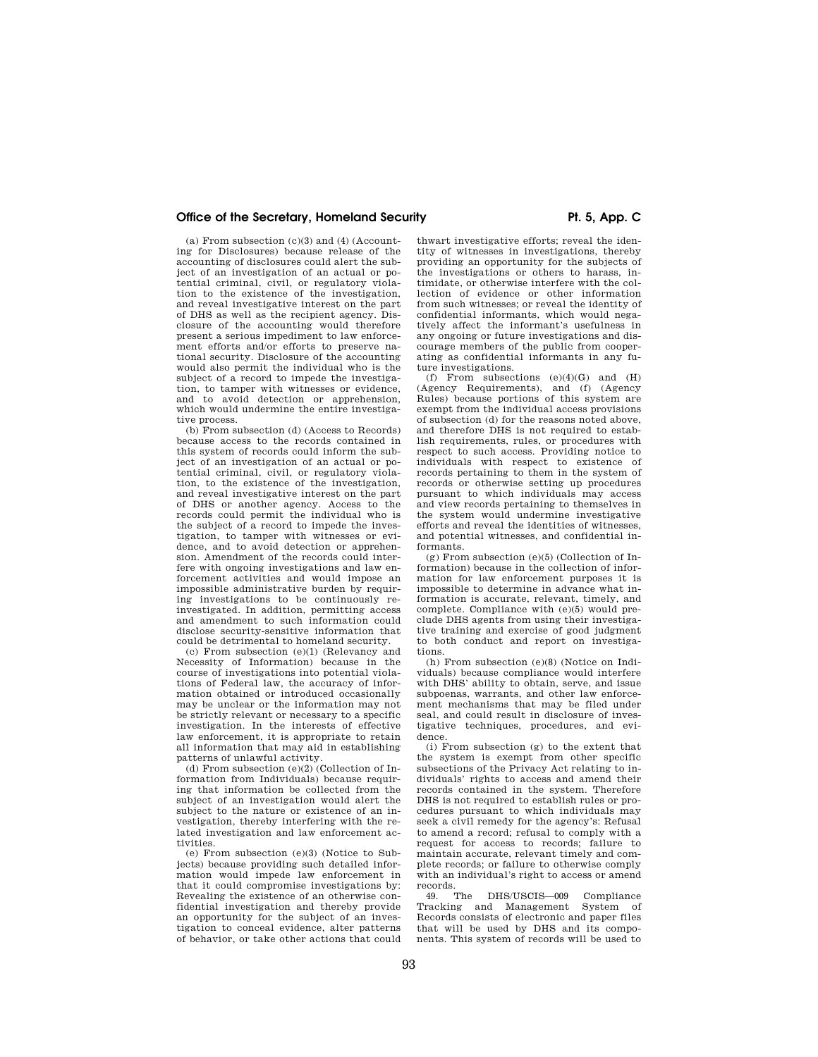(a) From subsection  $(c)(3)$  and  $(4)$  (Accounting for Disclosures) because release of the accounting of disclosures could alert the subject of an investigation of an actual or potential criminal, civil, or regulatory violation to the existence of the investigation, and reveal investigative interest on the part of DHS as well as the recipient agency. Disclosure of the accounting would therefore present a serious impediment to law enforcement efforts and/or efforts to preserve national security. Disclosure of the accounting would also permit the individual who is the subject of a record to impede the investigation, to tamper with witnesses or evidence, and to avoid detection or apprehension, which would undermine the entire investigative process.

(b) From subsection (d) (Access to Records) because access to the records contained in this system of records could inform the subject of an investigation of an actual or potential criminal, civil, or regulatory violation, to the existence of the investigation, and reveal investigative interest on the part of DHS or another agency. Access to the records could permit the individual who is the subject of a record to impede the investigation, to tamper with witnesses or evidence, and to avoid detection or apprehension. Amendment of the records could interfere with ongoing investigations and law enforcement activities and would impose an impossible administrative burden by requiring investigations to be continuously reinvestigated. In addition, permitting access and amendment to such information could disclose security-sensitive information that could be detrimental to homeland security.

(c) From subsection (e)(1) (Relevancy and Necessity of Information) because in the course of investigations into potential violations of Federal law, the accuracy of information obtained or introduced occasionally may be unclear or the information may not be strictly relevant or necessary to a specific investigation. In the interests of effective law enforcement, it is appropriate to retain all information that may aid in establishing patterns of unlawful activity.

(d) From subsection (e)(2) (Collection of Information from Individuals) because requiring that information be collected from the subject of an investigation would alert the subject to the nature or existence of an investigation, thereby interfering with the related investigation and law enforcement activities.

(e) From subsection (e)(3) (Notice to Subjects) because providing such detailed information would impede law enforcement in that it could compromise investigations by: Revealing the existence of an otherwise confidential investigation and thereby provide an opportunity for the subject of an investigation to conceal evidence, alter patterns of behavior, or take other actions that could

thwart investigative efforts; reveal the identity of witnesses in investigations, thereby providing an opportunity for the subjects of the investigations or others to harass, intimidate, or otherwise interfere with the collection of evidence or other information from such witnesses; or reveal the identity of confidential informants, which would negatively affect the informant's usefulness in any ongoing or future investigations and discourage members of the public from cooperating as confidential informants in any future investigations.

(f) From subsections  $(e)(4)(G)$  and  $(H)$ (Agency Requirements), and (f) (Agency Rules) because portions of this system are exempt from the individual access provisions of subsection (d) for the reasons noted above, and therefore DHS is not required to establish requirements, rules, or procedures with respect to such access. Providing notice to individuals with respect to existence of records pertaining to them in the system of records or otherwise setting up procedures pursuant to which individuals may access and view records pertaining to themselves in the system would undermine investigative efforts and reveal the identities of witnesses, and potential witnesses, and confidential informants.

(g) From subsection (e)(5) (Collection of Information) because in the collection of information for law enforcement purposes it is impossible to determine in advance what information is accurate, relevant, timely, and complete. Compliance with (e)(5) would preclude DHS agents from using their investigative training and exercise of good judgment to both conduct and report on investigations.

(h) From subsection (e)(8) (Notice on Individuals) because compliance would interfere with DHS' ability to obtain, serve, and issue subpoenas, warrants, and other law enforcement mechanisms that may be filed under seal, and could result in disclosure of investigative techniques, procedures, and evidence.

(i) From subsection (g) to the extent that the system is exempt from other specific subsections of the Privacy Act relating to individuals' rights to access and amend their records contained in the system. Therefore DHS is not required to establish rules or procedures pursuant to which individuals may seek a civil remedy for the agency's: Refusal to amend a record; refusal to comply with a request for access to records; failure to maintain accurate, relevant timely and complete records; or failure to otherwise comply with an individual's right to access or amend records.<br>49. The

49. The DHS/USCIS—009 Compliance Tracking and Management System of Records consists of electronic and paper files that will be used by DHS and its components. This system of records will be used to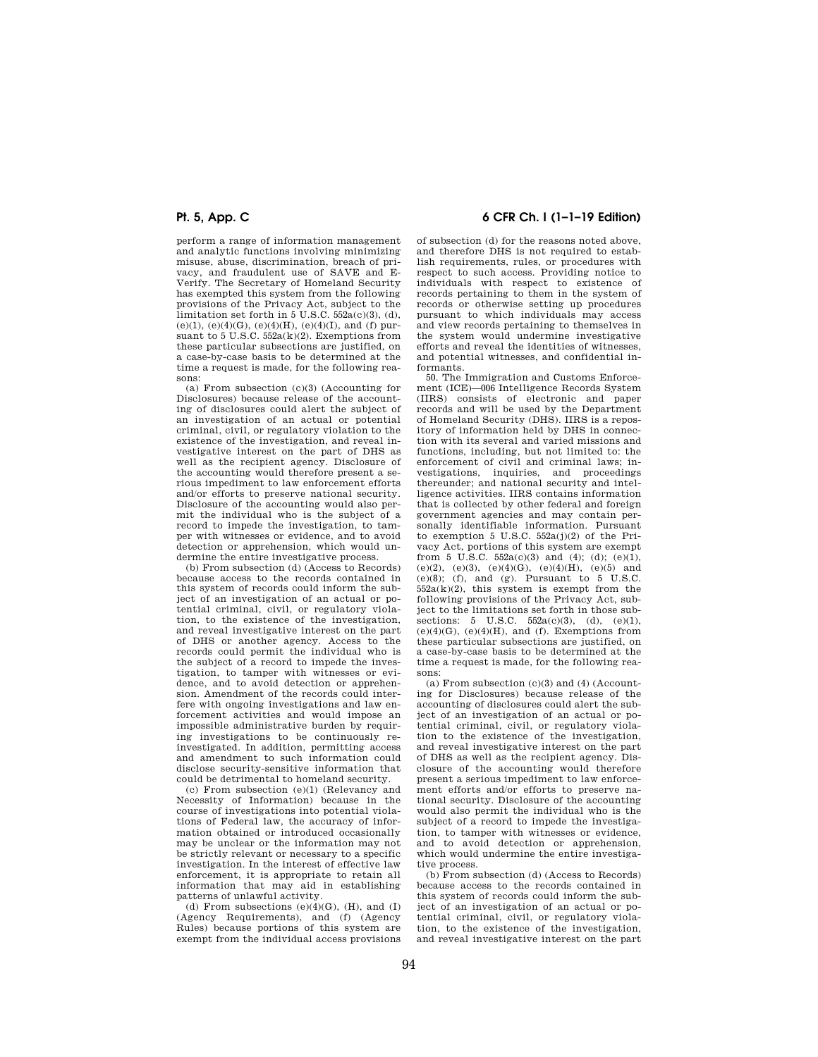perform a range of information management and analytic functions involving minimizing misuse, abuse, discrimination, breach of privacy, and fraudulent use of SAVE and E-Verify. The Secretary of Homeland Security has exempted this system from the following provisions of the Privacy Act, subject to the limitation set forth in 5 U.S.C. 552a(c)(3), (d),  $(e)(1)$ ,  $(e)(4)(G)$ ,  $(e)(4)(H)$ ,  $(e)(4)(T)$ , and (f) pursuant to 5 U.S.C.  $552a(k)(2)$ . Exemptions from these particular subsections are justified, on a case-by-case basis to be determined at the time a request is made, for the following reasons:

(a) From subsection  $(c)(3)$  (Accounting for Disclosures) because release of the accounting of disclosures could alert the subject of an investigation of an actual or potential criminal, civil, or regulatory violation to the existence of the investigation, and reveal investigative interest on the part of DHS as well as the recipient agency. Disclosure of the accounting would therefore present a serious impediment to law enforcement efforts and/or efforts to preserve national security. Disclosure of the accounting would also permit the individual who is the subject of a record to impede the investigation, to tamper with witnesses or evidence, and to avoid detection or apprehension, which would undermine the entire investigative process.

(b) From subsection (d) (Access to Records) because access to the records contained in this system of records could inform the subject of an investigation of an actual or potential criminal, civil, or regulatory violation, to the existence of the investigation, and reveal investigative interest on the part of DHS or another agency. Access to the records could permit the individual who is the subject of a record to impede the investigation, to tamper with witnesses or evidence, and to avoid detection or apprehension. Amendment of the records could interfere with ongoing investigations and law enforcement activities and would impose an impossible administrative burden by requiring investigations to be continuously reinvestigated. In addition, permitting access and amendment to such information could disclose security-sensitive information that could be detrimental to homeland security.

(c) From subsection (e)(1) (Relevancy and Necessity of Information) because in the course of investigations into potential violations of Federal law, the accuracy of information obtained or introduced occasionally may be unclear or the information may not be strictly relevant or necessary to a specific investigation. In the interest of effective law enforcement, it is appropriate to retain all information that may aid in establishing patterns of unlawful activity.

(d) From subsections  $(e)(4)(G)$ ,  $(H)$ , and  $(I)$ (Agency Requirements), and (f) (Agency Rules) because portions of this system are exempt from the individual access provisions

# **Pt. 5, App. C 6 CFR Ch. I (1–1–19 Edition)**

of subsection (d) for the reasons noted above, and therefore DHS is not required to establish requirements, rules, or procedures with respect to such access. Providing notice to individuals with respect to existence of records pertaining to them in the system of records or otherwise setting up procedures pursuant to which individuals may access and view records pertaining to themselves in the system would undermine investigative efforts and reveal the identities of witnesses, and potential witnesses, and confidential informants.

50. The Immigration and Customs Enforcement (ICE)—006 Intelligence Records System (IIRS) consists of electronic and paper records and will be used by the Department of Homeland Security (DHS). IIRS is a repository of information held by DHS in connection with its several and varied missions and functions, including, but not limited to: the enforcement of civil and criminal laws; investigations, inquiries, and proceedings thereunder; and national security and intelligence activities. IIRS contains information that is collected by other federal and foreign government agencies and may contain personally identifiable information. Pursuant to exemption 5 U.S.C.  $552a(j)(2)$  of the Privacy Act, portions of this system are exempt from 5 U.S.C.  $552a(c)(3)$  and  $(4)$ ;  $(d)$ ;  $(e)(1)$ , (e)(2), (e)(3), (e)(4)(G), (e)(4)(H), (e)(5) and  $(e)(8)$ ; (f), and (g). Pursuant to  $5$  U.S.C.  $552a(k)(2)$ , this system is exempt from the following provisions of the Privacy Act, subject to the limitations set forth in those subsections:  $5 \text{ U.S.C. } 552a(c)(3), (d), (e)(1),$  $(e)(4)(G)$ ,  $(e)(4)(H)$ , and  $(f)$ . Exemptions from these particular subsections are justified, on a case-by-case basis to be determined at the time a request is made, for the following reasons:

(a) From subsection (c)(3) and (4) (Accounting for Disclosures) because release of the accounting of disclosures could alert the subject of an investigation of an actual or potential criminal, civil, or regulatory violation to the existence of the investigation, and reveal investigative interest on the part of DHS as well as the recipient agency. Disclosure of the accounting would therefore present a serious impediment to law enforcement efforts and/or efforts to preserve national security. Disclosure of the accounting would also permit the individual who is the subject of a record to impede the investigation, to tamper with witnesses or evidence, and to avoid detection or apprehension, which would undermine the entire investigative process.

(b) From subsection (d) (Access to Records) because access to the records contained in this system of records could inform the subject of an investigation of an actual or potential criminal, civil, or regulatory violation, to the existence of the investigation, and reveal investigative interest on the part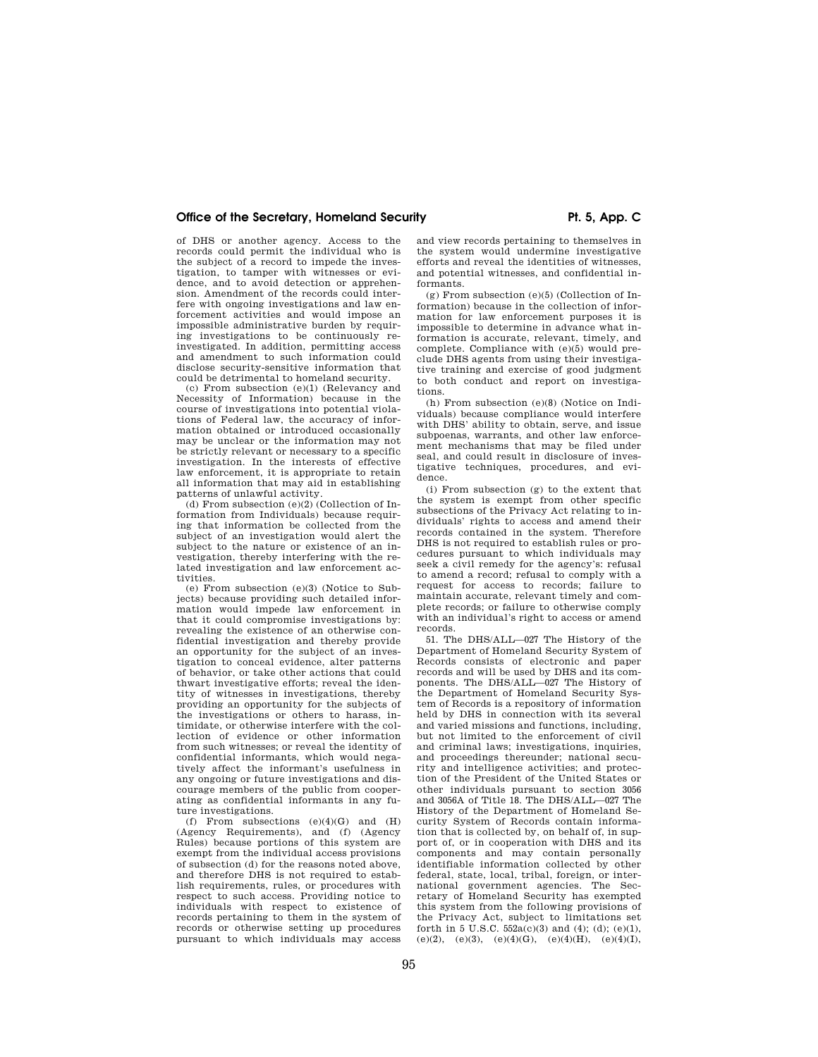of DHS or another agency. Access to the records could permit the individual who is the subject of a record to impede the investigation, to tamper with witnesses or evidence, and to avoid detection or apprehension. Amendment of the records could interfere with ongoing investigations and law enforcement activities and would impose an impossible administrative burden by requiring investigations to be continuously reinvestigated. In addition, permitting access and amendment to such information could disclose security-sensitive information that could be detrimental to homeland security.

(c) From subsection (e)(1) (Relevancy and Necessity of Information) because in the course of investigations into potential violations of Federal law, the accuracy of information obtained or introduced occasionally may be unclear or the information may not be strictly relevant or necessary to a specific investigation. In the interests of effective law enforcement, it is appropriate to retain all information that may aid in establishing patterns of unlawful activity.

(d) From subsection (e)(2) (Collection of Information from Individuals) because requiring that information be collected from the subject of an investigation would alert the subject to the nature or existence of an investigation, thereby interfering with the related investigation and law enforcement activities.

(e) From subsection (e)(3) (Notice to Subjects) because providing such detailed information would impede law enforcement in that it could compromise investigations by: revealing the existence of an otherwise confidential investigation and thereby provide an opportunity for the subject of an investigation to conceal evidence, alter patterns of behavior, or take other actions that could thwart investigative efforts; reveal the identity of witnesses in investigations, thereby providing an opportunity for the subjects of the investigations or others to harass, intimidate, or otherwise interfere with the collection of evidence or other information from such witnesses; or reveal the identity of confidential informants, which would negatively affect the informant's usefulness in any ongoing or future investigations and discourage members of the public from cooperating as confidential informants in any future investigations.

(f) From subsections  $(e)(4)(G)$  and  $(H)$ (Agency Requirements), and (f) (Agency Rules) because portions of this system are exempt from the individual access provisions of subsection (d) for the reasons noted above, and therefore DHS is not required to establish requirements, rules, or procedures with respect to such access. Providing notice to individuals with respect to existence of records pertaining to them in the system of records or otherwise setting up procedures pursuant to which individuals may access and view records pertaining to themselves in the system would undermine investigative efforts and reveal the identities of witnesses, and potential witnesses, and confidential informants.

(g) From subsection (e)(5) (Collection of Information) because in the collection of information for law enforcement purposes it is impossible to determine in advance what information is accurate, relevant, timely, and complete. Compliance with (e)(5) would preclude DHS agents from using their investigative training and exercise of good judgment to both conduct and report on investigations.

(h) From subsection (e)(8) (Notice on Individuals) because compliance would interfere with DHS' ability to obtain, serve, and issue subpoenas, warrants, and other law enforcement mechanisms that may be filed under seal, and could result in disclosure of investigative techniques, procedures, and evidence.

(i) From subsection (g) to the extent that the system is exempt from other specific subsections of the Privacy Act relating to individuals' rights to access and amend their records contained in the system. Therefore DHS is not required to establish rules or procedures pursuant to which individuals may seek a civil remedy for the agency's: refusal to amend a record; refusal to comply with a request for access to records; failure to maintain accurate, relevant timely and complete records; or failure to otherwise comply with an individual's right to access or amend records.

51. The DHS/ALL—027 The History of the Department of Homeland Security System of Records consists of electronic and paper records and will be used by DHS and its components. The DHS/ALL—027 The History of the Department of Homeland Security System of Records is a repository of information held by DHS in connection with its several and varied missions and functions, including, but not limited to the enforcement of civil and criminal laws; investigations, inquiries, and proceedings thereunder; national security and intelligence activities; and protection of the President of the United States or other individuals pursuant to section 3056 and 3056A of Title 18. The DHS/ALL—027 The History of the Department of Homeland Security System of Records contain information that is collected by, on behalf of, in support of, or in cooperation with DHS and its components and may contain personally identifiable information collected by other federal, state, local, tribal, foreign, or international government agencies. The Secretary of Homeland Security has exempted this system from the following provisions of the Privacy Act, subject to limitations set forth in 5 U.S.C.  $552a(c)(3)$  and (4); (d); (e)(1), (e)(2), (e)(3), (e)(4)(G), (e)(4)(H), (e)(4)(I),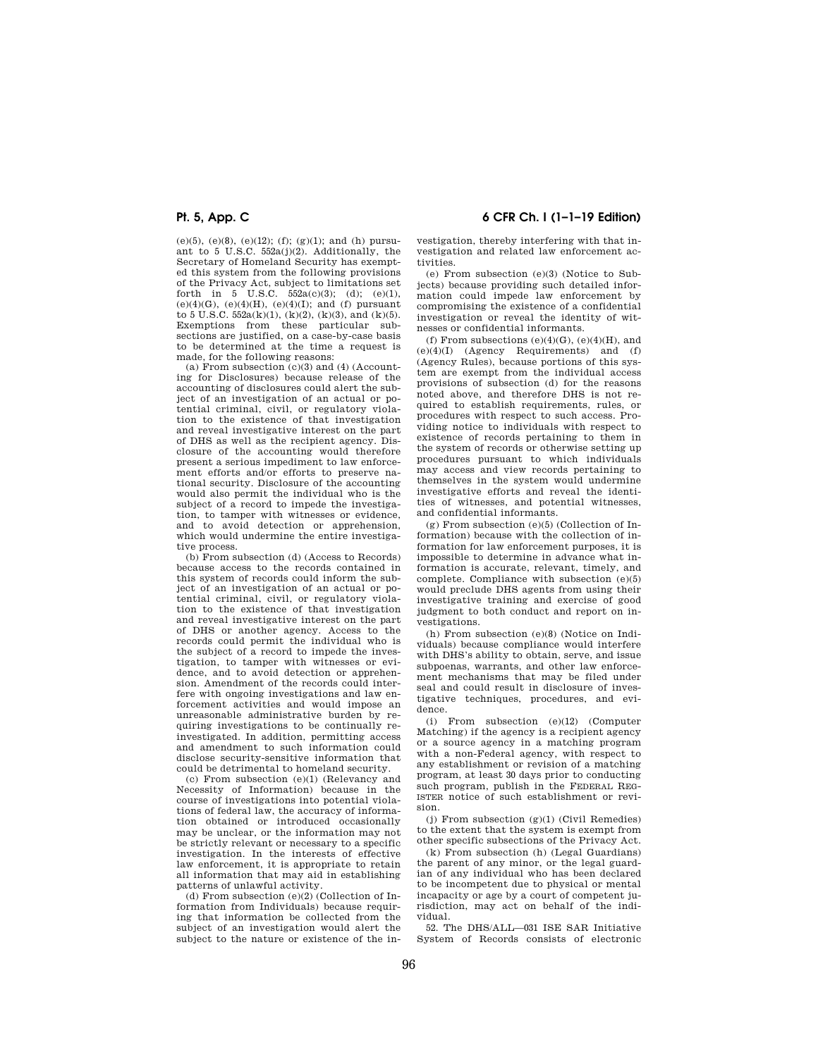(e)(5), (e)(8), (e)(12); (f); (g)(1); and (h) pursuant to 5 U.S.C. 552a(j)(2). Additionally, the Secretary of Homeland Security has exempted this system from the following provisions of the Privacy Act, subject to limitations set forth in 5 U.S.C.  $552a(c)(3)$ ; (d); (e)(1),  $(e)(4)(G)$ ,  $(e)(4)(H)$ ,  $(e)(4)(I)$ ; and (f) pursuant to 5 U.S.C. 552a(k)(1), (k)(2), (k)(3), and (k)(5). Exemptions from these particular sub-sections are justified, on a case-by-case basis to be determined at the time a request is made, for the following reasons:

(a) From subsection  $(c)(3)$  and  $(4)$  (Accounting for Disclosures) because release of the accounting of disclosures could alert the subject of an investigation of an actual or potential criminal, civil, or regulatory violation to the existence of that investigation and reveal investigative interest on the part of DHS as well as the recipient agency. Disclosure of the accounting would therefore present a serious impediment to law enforcement efforts and/or efforts to preserve national security. Disclosure of the accounting would also permit the individual who is the subject of a record to impede the investigation, to tamper with witnesses or evidence, and to avoid detection or apprehension, which would undermine the entire investigative process.

(b) From subsection (d) (Access to Records) because access to the records contained in this system of records could inform the subject of an investigation of an actual or potential criminal, civil, or regulatory violation to the existence of that investigation and reveal investigative interest on the part of DHS or another agency. Access to the records could permit the individual who is the subject of a record to impede the investigation, to tamper with witnesses or evidence, and to avoid detection or apprehension. Amendment of the records could interfere with ongoing investigations and law enforcement activities and would impose an unreasonable administrative burden by requiring investigations to be continually reinvestigated. In addition, permitting access and amendment to such information could disclose security-sensitive information that could be detrimental to homeland security.

(c) From subsection (e)(1) (Relevancy and Necessity of Information) because in the course of investigations into potential violations of federal law, the accuracy of information obtained or introduced occasionally may be unclear, or the information may not be strictly relevant or necessary to a specific investigation. In the interests of effective law enforcement, it is appropriate to retain all information that may aid in establishing patterns of unlawful activity.

(d) From subsection  $(e)(2)$  (Collection of Information from Individuals) because requiring that information be collected from the subject of an investigation would alert the subject to the nature or existence of the in-

**Pt. 5, App. C 6 CFR Ch. I (1–1–19 Edition)** 

vestigation, thereby interfering with that investigation and related law enforcement activities.

(e) From subsection (e)(3) (Notice to Subjects) because providing such detailed information could impede law enforcement by compromising the existence of a confidential investigation or reveal the identity of witnesses or confidential informants.

(f) From subsections  $(e)(4)(G)$ ,  $(e)(4)(H)$ , and (e)(4)(I) (Agency Requirements) and (f) (Agency Rules), because portions of this system are exempt from the individual access provisions of subsection (d) for the reasons noted above, and therefore DHS is not required to establish requirements, rules, or procedures with respect to such access. Providing notice to individuals with respect to existence of records pertaining to them in the system of records or otherwise setting up procedures pursuant to which individuals may access and view records pertaining to themselves in the system would undermine investigative efforts and reveal the identities of witnesses, and potential witnesses, and confidential informants.

(g) From subsection (e)(5) (Collection of Information) because with the collection of information for law enforcement purposes, it is impossible to determine in advance what information is accurate, relevant, timely, and complete. Compliance with subsection (e)(5) would preclude DHS agents from using their investigative training and exercise of good judgment to both conduct and report on investigations.

(h) From subsection (e)(8) (Notice on Individuals) because compliance would interfere with DHS's ability to obtain, serve, and issue subpoenas, warrants, and other law enforcement mechanisms that may be filed under seal and could result in disclosure of investigative techniques, procedures, and evidence.

(i) From subsection (e)(12) (Computer Matching) if the agency is a recipient agency or a source agency in a matching program with a non-Federal agency, with respect to any establishment or revision of a matching program, at least 30 days prior to conducting such program, publish in the FEDERAL REG-ISTER notice of such establishment or revision.

(i) From subsection  $(g)(1)$  (Civil Remedies) to the extent that the system is exempt from other specific subsections of the Privacy Act.

(k) From subsection (h) (Legal Guardians) the parent of any minor, or the legal guardian of any individual who has been declared to be incompetent due to physical or mental incapacity or age by a court of competent jurisdiction, may act on behalf of the individual.

52. The DHS/ALL—031 ISE SAR Initiative System of Records consists of electronic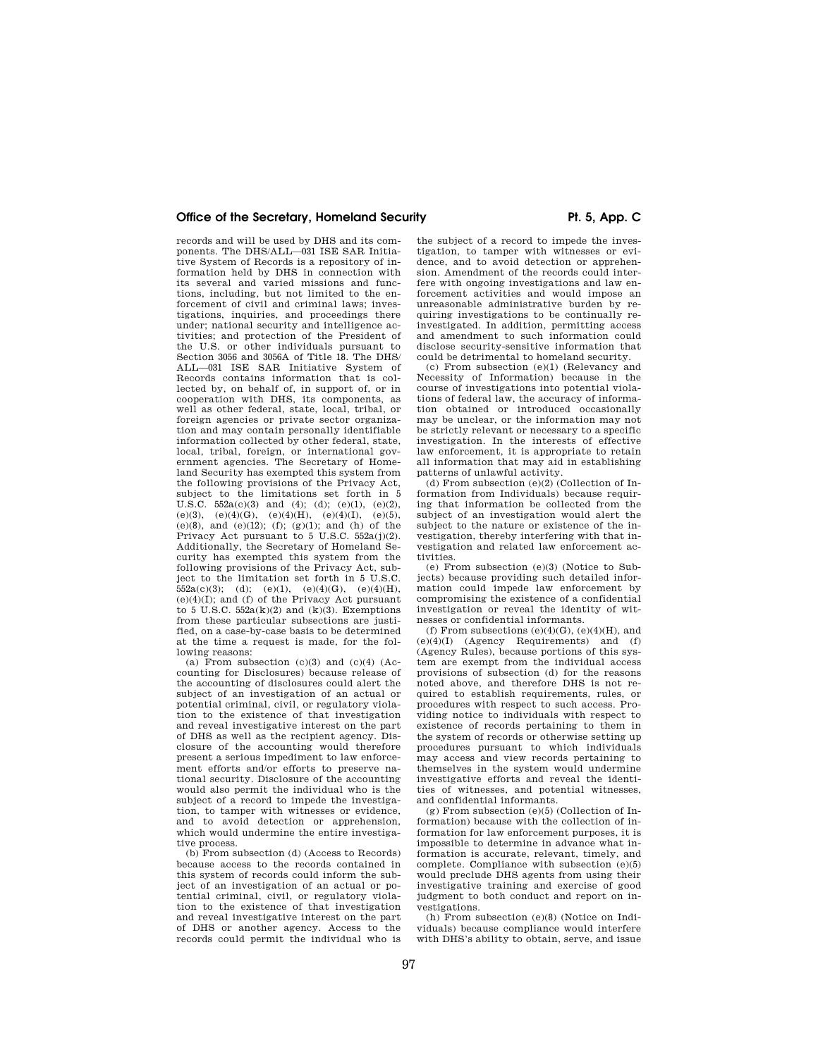records and will be used by DHS and its components. The DHS/ALL—031 ISE SAR Initiative System of Records is a repository of information held by DHS in connection with its several and varied missions and functions, including, but not limited to the enforcement of civil and criminal laws; investigations, inquiries, and proceedings there under; national security and intelligence activities; and protection of the President of the U.S. or other individuals pursuant to Section 3056 and 3056A of Title 18. The DHS/ ALL—031 ISE SAR Initiative System of Records contains information that is collected by, on behalf of, in support of, or in cooperation with DHS, its components, as well as other federal, state, local, tribal, or foreign agencies or private sector organization and may contain personally identifiable information collected by other federal, state, local, tribal, foreign, or international government agencies. The Secretary of Homeland Security has exempted this system from the following provisions of the Privacy Act, subject to the limitations set forth in 5 U.S.C.  $552a(c)(3)$  and  $(4)$ ;  $(d)$ ;  $(e)(1)$ ,  $(e)(2)$ , (e)(3), (e)(4)(G), (e)(4)(H), (e)(4)(I), (e)(5), (e)(8), and (e)(12); (f); (g)(1); and (h) of the Privacy Act pursuant to  $5$  U.S.C.  $552a(j)(2)$ . Additionally, the Secretary of Homeland Security has exempted this system from the following provisions of the Privacy Act, subject to the limitation set forth in 5 U.S.C.  $552a(c)(3);$  (d); (e)(1), (e)(4)(G), (e)(4)(H),  $(e)(4)(I)$ ; and  $(f)$  of the Privacy Act pursuant to 5 U.S.C.  $552a(k)(2)$  and  $(k)(3)$ . Exemptions from these particular subsections are justified, on a case-by-case basis to be determined at the time a request is made, for the following reasons:

(a) From subsection  $(c)(3)$  and  $(c)(4)$  (Accounting for Disclosures) because release of the accounting of disclosures could alert the subject of an investigation of an actual or potential criminal, civil, or regulatory violation to the existence of that investigation and reveal investigative interest on the part of DHS as well as the recipient agency. Disclosure of the accounting would therefore present a serious impediment to law enforcement efforts and/or efforts to preserve national security. Disclosure of the accounting would also permit the individual who is the subject of a record to impede the investigation, to tamper with witnesses or evidence, and to avoid detection or apprehension, which would undermine the entire investigative process.

(b) From subsection (d) (Access to Records) because access to the records contained in this system of records could inform the subject of an investigation of an actual or potential criminal, civil, or regulatory violation to the existence of that investigation and reveal investigative interest on the part of DHS or another agency. Access to the records could permit the individual who is

the subject of a record to impede the investigation, to tamper with witnesses or evidence, and to avoid detection or apprehension. Amendment of the records could interfere with ongoing investigations and law enforcement activities and would impose an unreasonable administrative burden by requiring investigations to be continually reinvestigated. In addition, permitting access and amendment to such information could disclose security-sensitive information that could be detrimental to homeland security.

(c) From subsection (e)(1) (Relevancy and Necessity of Information) because in the course of investigations into potential violations of federal law, the accuracy of information obtained or introduced occasionally may be unclear, or the information may not be strictly relevant or necessary to a specific investigation. In the interests of effective law enforcement, it is appropriate to retain all information that may aid in establishing patterns of unlawful activity.

(d) From subsection  $(e)(2)$  (Collection of Information from Individuals) because requiring that information be collected from the subject of an investigation would alert the subject to the nature or existence of the investigation, thereby interfering with that investigation and related law enforcement activities.

(e) From subsection (e)(3) (Notice to Subjects) because providing such detailed information could impede law enforcement by compromising the existence of a confidential investigation or reveal the identity of witnesses or confidential informants.

(f) From subsections  $(e)(4)(G)$ ,  $(e)(4)(H)$ , and (e)(4)(I) (Agency Requirements) and (f) (Agency Rules), because portions of this system are exempt from the individual access provisions of subsection (d) for the reasons noted above, and therefore DHS is not required to establish requirements, rules, or procedures with respect to such access. Providing notice to individuals with respect to existence of records pertaining to them in the system of records or otherwise setting up procedures pursuant to which individuals may access and view records pertaining to themselves in the system would undermine investigative efforts and reveal the identities of witnesses, and potential witnesses, and confidential informants.

 $(g)$  From subsection  $(e)(5)$  (Collection of Information) because with the collection of information for law enforcement purposes, it is impossible to determine in advance what information is accurate, relevant, timely, and complete. Compliance with subsection (e)(5) would preclude DHS agents from using their investigative training and exercise of good judgment to both conduct and report on investigations.

(h) From subsection (e)(8) (Notice on Individuals) because compliance would interfere with DHS's ability to obtain, serve, and issue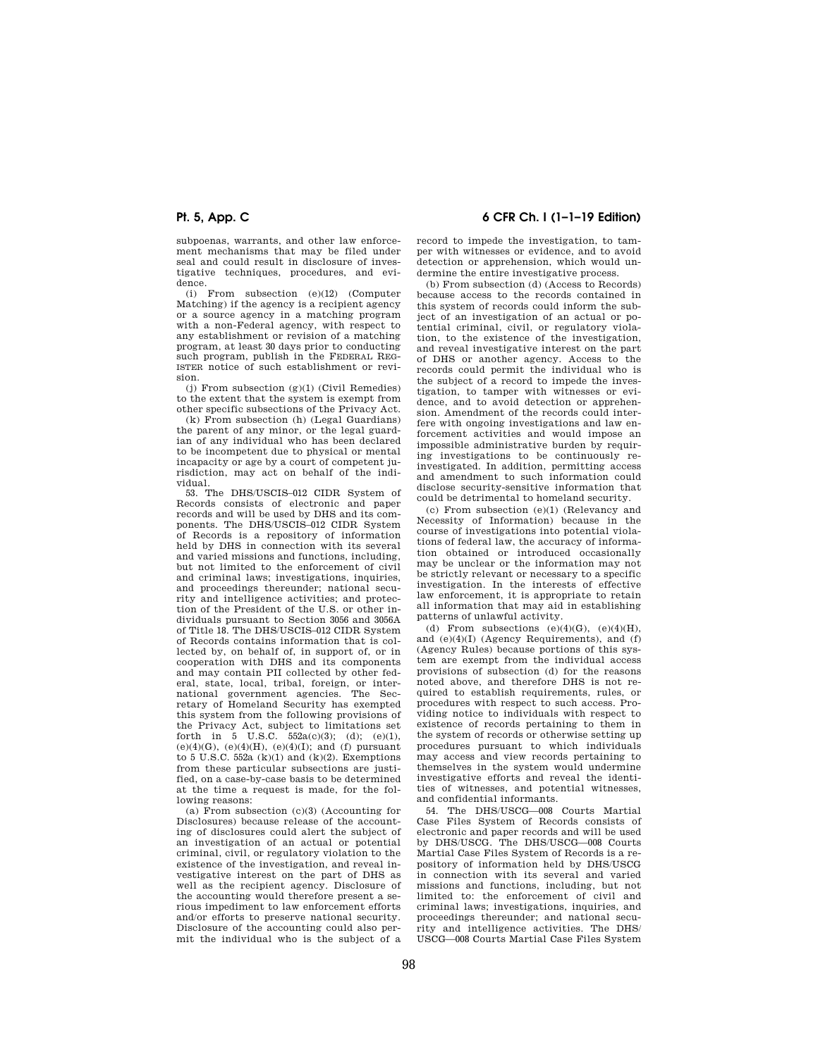subpoenas, warrants, and other law enforcement mechanisms that may be filed under seal and could result in disclosure of investigative techniques, procedures, and evidence.

(i) From subsection (e)(12) (Computer Matching) if the agency is a recipient agency or a source agency in a matching program with a non-Federal agency, with respect to any establishment or revision of a matching program, at least 30 days prior to conducting such program, publish in the FEDERAL REG-ISTER notice of such establishment or revision.

(j) From subsection (g)(1) (Civil Remedies) to the extent that the system is exempt from other specific subsections of the Privacy Act.

(k) From subsection (h) (Legal Guardians) the parent of any minor, or the legal guardian of any individual who has been declared to be incompetent due to physical or mental incapacity or age by a court of competent jurisdiction, may act on behalf of the individual.

53. The DHS/USCIS–012 CIDR System of Records consists of electronic and paper records and will be used by DHS and its components. The DHS/USCIS–012 CIDR System of Records is a repository of information held by DHS in connection with its several and varied missions and functions, including, but not limited to the enforcement of civil and criminal laws; investigations, inquiries, and proceedings thereunder; national security and intelligence activities; and protection of the President of the U.S. or other individuals pursuant to Section 3056 and 3056A of Title 18. The DHS/USCIS–012 CIDR System of Records contains information that is collected by, on behalf of, in support of, or in cooperation with DHS and its components and may contain PII collected by other federal, state, local, tribal, foreign, or international government agencies. The Secretary of Homeland Security has exempted this system from the following provisions of the Privacy Act, subject to limitations set forth in 5 U.S.C.  $552a(c)(3)$ ; (d); (e)(1), (e)(4)(G), (e)(4)(H), (e)(4)(I); and (f) pursuant to 5 U.S.C. 552a  $(k)(1)$  and  $(k)(2)$ . Exemptions from these particular subsections are justified, on a case-by-case basis to be determined at the time a request is made, for the following reasons:

(a) From subsection  $(c)(3)$  (Accounting for Disclosures) because release of the accounting of disclosures could alert the subject of an investigation of an actual or potential criminal, civil, or regulatory violation to the existence of the investigation, and reveal investigative interest on the part of DHS as well as the recipient agency. Disclosure of the accounting would therefore present a serious impediment to law enforcement efforts and/or efforts to preserve national security. Disclosure of the accounting could also permit the individual who is the subject of a

# **Pt. 5, App. C 6 CFR Ch. I (1–1–19 Edition)**

record to impede the investigation, to tamper with witnesses or evidence, and to avoid detection or apprehension, which would undermine the entire investigative process.

(b) From subsection (d) (Access to Records) because access to the records contained in this system of records could inform the subject of an investigation of an actual or potential criminal, civil, or regulatory violation, to the existence of the investigation, and reveal investigative interest on the part of DHS or another agency. Access to the records could permit the individual who is the subject of a record to impede the investigation, to tamper with witnesses or evidence, and to avoid detection or apprehension. Amendment of the records could interfere with ongoing investigations and law enforcement activities and would impose an impossible administrative burden by requiring investigations to be continuously reinvestigated. In addition, permitting access and amendment to such information could disclose security-sensitive information that could be detrimental to homeland security.

(c) From subsection (e)(1) (Relevancy and Necessity of Information) because in the course of investigations into potential violations of federal law, the accuracy of information obtained or introduced occasionally may be unclear or the information may not be strictly relevant or necessary to a specific investigation. In the interests of effective law enforcement, it is appropriate to retain all information that may aid in establishing patterns of unlawful activity.

(d) From subsections  $(e)(4)(G)$ ,  $(e)(4)(H)$ , and (e)(4)(I) (Agency Requirements), and (f) (Agency Rules) because portions of this system are exempt from the individual access provisions of subsection (d) for the reasons noted above, and therefore DHS is not required to establish requirements, rules, or procedures with respect to such access. Providing notice to individuals with respect to existence of records pertaining to them in the system of records or otherwise setting up procedures pursuant to which individuals may access and view records pertaining to themselves in the system would undermine investigative efforts and reveal the identities of witnesses, and potential witnesses, and confidential informants.

54. The DHS/USCG—008 Courts Martial Case Files System of Records consists of electronic and paper records and will be used by DHS/USCG. The DHS/USCG—008 Courts Martial Case Files System of Records is a repository of information held by DHS/USCG in connection with its several and varied missions and functions, including, but not limited to: the enforcement of civil and criminal laws; investigations, inquiries, and proceedings thereunder; and national security and intelligence activities. The DHS/ USCG—008 Courts Martial Case Files System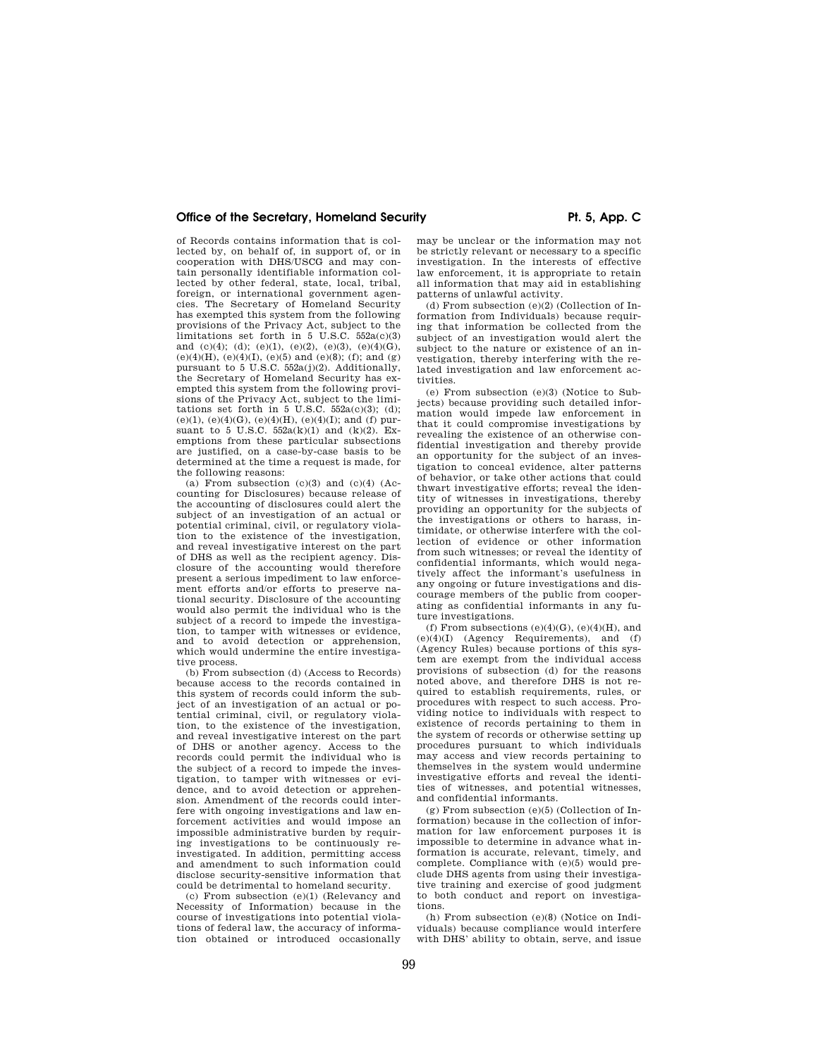of Records contains information that is collected by, on behalf of, in support of, or in cooperation with DHS/USCG and may contain personally identifiable information collected by other federal, state, local, tribal, foreign, or international government agencies. The Secretary of Homeland Security has exempted this system from the following provisions of the Privacy Act, subject to the limitations set forth in 5 U.S.C.  $552a(c)(3)$ and (c)(4); (d); (e)(1), (e)(2), (e)(3), (e)(4)(G), (e)(4)(H), (e)(4)(I), (e)(5) and (e)(8); (f); and (g) pursuant to 5 U.S.C. 552a(j)(2). Additionally, the Secretary of Homeland Security has exempted this system from the following provisions of the Privacy Act, subject to the limitations set forth in  $5 \text{ U.S.C. } 552a(c)(3);$  (d); (e)(1), (e)(4)(G), (e)(4)(H), (e)(4)(I); and (f) pursuant to 5 U.S.C.  $552a(k)(1)$  and  $(k)(2)$ . Exemptions from these particular subsections are justified, on a case-by-case basis to be determined at the time a request is made, for the following reasons:

(a) From subsection  $(c)(3)$  and  $(c)(4)$  (Accounting for Disclosures) because release of the accounting of disclosures could alert the subject of an investigation of an actual or potential criminal, civil, or regulatory violation to the existence of the investigation, and reveal investigative interest on the part of DHS as well as the recipient agency. Disclosure of the accounting would therefore present a serious impediment to law enforcement efforts and/or efforts to preserve national security. Disclosure of the accounting would also permit the individual who is the subject of a record to impede the investigation, to tamper with witnesses or evidence, and to avoid detection or apprehension, which would undermine the entire investigative process.

(b) From subsection (d) (Access to Records) because access to the records contained in this system of records could inform the subject of an investigation of an actual or potential criminal, civil, or regulatory violation, to the existence of the investigation, and reveal investigative interest on the part of DHS or another agency. Access to the records could permit the individual who is the subject of a record to impede the investigation, to tamper with witnesses or evidence, and to avoid detection or apprehension. Amendment of the records could interfere with ongoing investigations and law enforcement activities and would impose an impossible administrative burden by requiring investigations to be continuously reinvestigated. In addition, permitting access and amendment to such information could disclose security-sensitive information that could be detrimental to homeland security.

(c) From subsection (e)(1) (Relevancy and Necessity of Information) because in the course of investigations into potential violations of federal law, the accuracy of information obtained or introduced occasionally

may be unclear or the information may not be strictly relevant or necessary to a specific investigation. In the interests of effective law enforcement, it is appropriate to retain all information that may aid in establishing patterns of unlawful activity.

(d) From subsection (e)(2) (Collection of Information from Individuals) because requiring that information be collected from the subject of an investigation would alert the subject to the nature or existence of an investigation, thereby interfering with the related investigation and law enforcement activities.

(e) From subsection (e)(3) (Notice to Subjects) because providing such detailed information would impede law enforcement in that it could compromise investigations by revealing the existence of an otherwise confidential investigation and thereby provide an opportunity for the subject of an investigation to conceal evidence, alter patterns of behavior, or take other actions that could thwart investigative efforts; reveal the identity of witnesses in investigations, thereby providing an opportunity for the subjects of the investigations or others to harass, intimidate, or otherwise interfere with the collection of evidence or other information from such witnesses; or reveal the identity of confidential informants, which would negatively affect the informant's usefulness in any ongoing or future investigations and discourage members of the public from cooperating as confidential informants in any future investigations.

(f) From subsections  $(e)(4)(G)$ ,  $(e)(4)(H)$ , and  $(e)(4)(I)$  (Agency Requirements), and  $(f)$ (Agency Rules) because portions of this system are exempt from the individual access provisions of subsection (d) for the reasons noted above, and therefore DHS is not required to establish requirements, rules, or procedures with respect to such access. Providing notice to individuals with respect to existence of records pertaining to them in the system of records or otherwise setting up procedures pursuant to which individuals may access and view records pertaining to themselves in the system would undermine investigative efforts and reveal the identities of witnesses, and potential witnesses, and confidential informants.

(g) From subsection (e)(5) (Collection of Information) because in the collection of information for law enforcement purposes it is impossible to determine in advance what information is accurate, relevant, timely, and complete. Compliance with (e)(5) would preclude DHS agents from using their investigative training and exercise of good judgment to both conduct and report on investigations.

(h) From subsection (e)(8) (Notice on Individuals) because compliance would interfere with DHS' ability to obtain, serve, and issue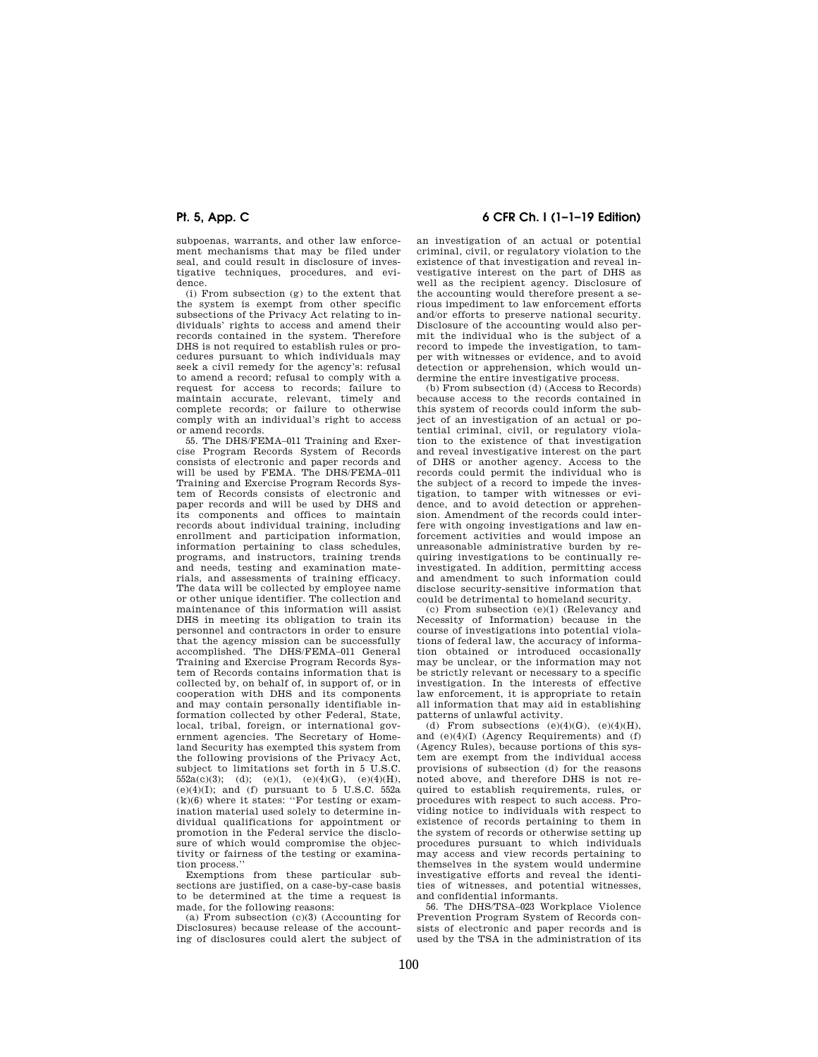subpoenas, warrants, and other law enforcement mechanisms that may be filed under seal, and could result in disclosure of investigative techniques, procedures, and evidence.

(i) From subsection (g) to the extent that the system is exempt from other specific subsections of the Privacy Act relating to individuals' rights to access and amend their records contained in the system. Therefore DHS is not required to establish rules or procedures pursuant to which individuals may seek a civil remedy for the agency's: refusal to amend a record; refusal to comply with a request for access to records; failure to maintain accurate, relevant, timely and complete records; or failure to otherwise comply with an individual's right to access or amend records.

55. The DHS/FEMA–011 Training and Exercise Program Records System of Records consists of electronic and paper records and will be used by FEMA. The DHS/FEMA–011 Training and Exercise Program Records System of Records consists of electronic and paper records and will be used by DHS and its components and offices to maintain records about individual training, including enrollment and participation information, information pertaining to class schedules, programs, and instructors, training trends and needs, testing and examination materials, and assessments of training efficacy. The data will be collected by employee name or other unique identifier. The collection and maintenance of this information will assist DHS in meeting its obligation to train its personnel and contractors in order to ensure that the agency mission can be successfully accomplished. The DHS/FEMA–011 General Training and Exercise Program Records System of Records contains information that is collected by, on behalf of, in support of, or in cooperation with DHS and its components and may contain personally identifiable information collected by other Federal, State, local, tribal, foreign, or international government agencies. The Secretary of Homeland Security has exempted this system from the following provisions of the Privacy Act, subject to limitations set forth in 5 U.S.C.  $552a(c)(3)$ ; (d); (e)(1), (e)(4)(G), (e)(4)(H),  $(e)(4)(I)$ ; and (f) pursuant to 5 U.S.C. 552a  $(k)(6)$  where it states: "For testing or examination material used solely to determine individual qualifications for appointment or promotion in the Federal service the disclosure of which would compromise the objectivity or fairness of the testing or examination process.''

Exemptions from these particular subsections are justified, on a case-by-case basis to be determined at the time a request is made, for the following reasons:

(a) From subsection (c)(3) (Accounting for Disclosures) because release of the accounting of disclosures could alert the subject of

# **Pt. 5, App. C 6 CFR Ch. I (1–1–19 Edition)**

an investigation of an actual or potential criminal, civil, or regulatory violation to the existence of that investigation and reveal investigative interest on the part of DHS as well as the recipient agency. Disclosure of the accounting would therefore present a serious impediment to law enforcement efforts and/or efforts to preserve national security. Disclosure of the accounting would also permit the individual who is the subject of a record to impede the investigation, to tamper with witnesses or evidence, and to avoid detection or apprehension, which would undermine the entire investigative process.

(b) From subsection (d) (Access to Records) because access to the records contained in this system of records could inform the subject of an investigation of an actual or potential criminal, civil, or regulatory violation to the existence of that investigation and reveal investigative interest on the part of DHS or another agency. Access to the records could permit the individual who is the subject of a record to impede the investigation, to tamper with witnesses or evidence, and to avoid detection or apprehension. Amendment of the records could interfere with ongoing investigations and law enforcement activities and would impose an unreasonable administrative burden by requiring investigations to be continually reinvestigated. In addition, permitting access and amendment to such information could disclose security-sensitive information that could be detrimental to homeland security.

(c) From subsection (e)(1) (Relevancy and Necessity of Information) because in the course of investigations into potential violations of federal law, the accuracy of information obtained or introduced occasionally may be unclear, or the information may not be strictly relevant or necessary to a specific investigation. In the interests of effective law enforcement, it is appropriate to retain all information that may aid in establishing patterns of unlawful activity.

(d) From subsections  $(e)(4)(G)$ ,  $(e)(4)(H)$ , and  $(e)(4)(I)$  (Agency Requirements) and  $(f)$ (Agency Rules), because portions of this system are exempt from the individual access provisions of subsection (d) for the reasons noted above, and therefore DHS is not required to establish requirements, rules, or procedures with respect to such access. Providing notice to individuals with respect to existence of records pertaining to them in the system of records or otherwise setting up procedures pursuant to which individuals may access and view records pertaining to themselves in the system would undermine investigative efforts and reveal the identities of witnesses, and potential witnesses, and confidential informants.

56. The DHS/TSA–023 Workplace Violence Prevention Program System of Records consists of electronic and paper records and is used by the TSA in the administration of its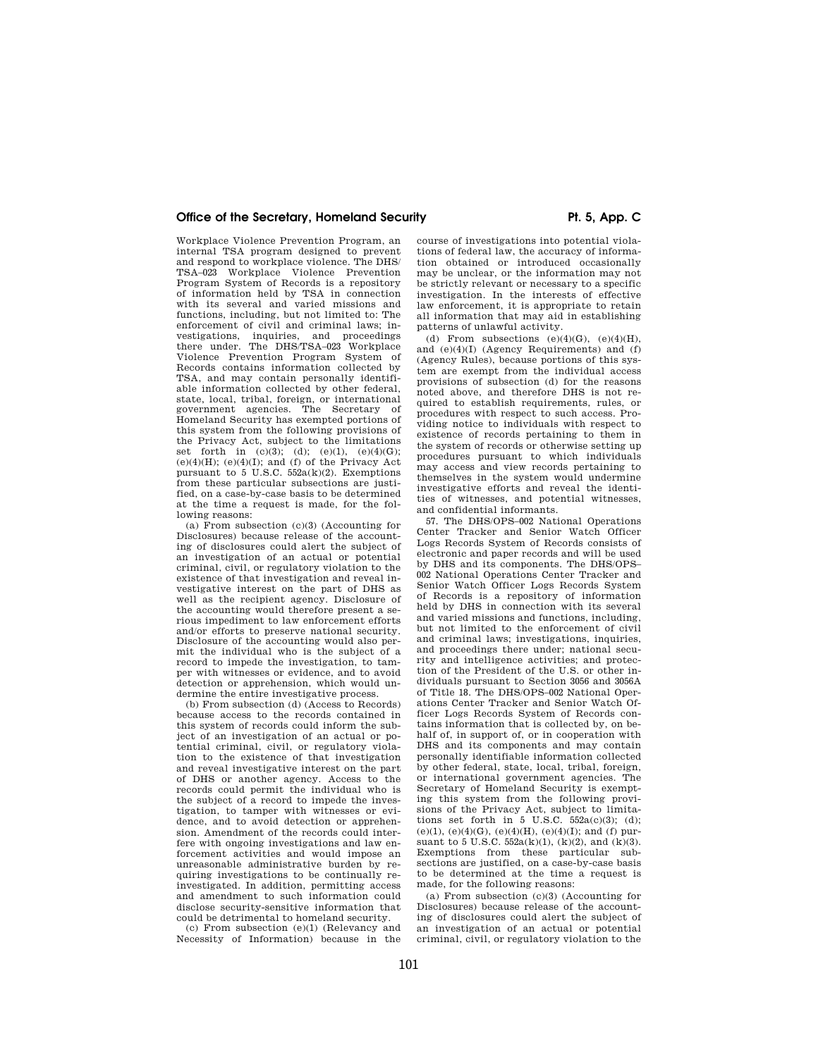Workplace Violence Prevention Program, an internal TSA program designed to prevent and respond to workplace violence. The DHS/ TSA–023 Workplace Violence Prevention Program System of Records is a repository of information held by TSA in connection with its several and varied missions and functions, including, but not limited to: The enforcement of civil and criminal laws; investigations, inquiries, and proceedings there under. The DHS/TSA–023 Workplace Violence Prevention Program System of Records contains information collected by TSA, and may contain personally identifiable information collected by other federal, state, local, tribal, foreign, or international government agencies. The Secretary of Homeland Security has exempted portions of this system from the following provisions of the Privacy Act, subject to the limitations set forth in  $(c)(3)$ ;  $(d)$ ;  $(e)(1)$ ,  $(e)(4)(G)$ ;  $(e)(4)(H)$ ;  $(e)(4)(I)$ ; and  $(f)$  of the Privacy Act pursuant to 5 U.S.C.  $552a(k)(2)$ . Exemptions from these particular subsections are justified, on a case-by-case basis to be determined at the time a request is made, for the following reasons:

(a) From subsection (c)(3) (Accounting for Disclosures) because release of the accounting of disclosures could alert the subject of an investigation of an actual or potential criminal, civil, or regulatory violation to the existence of that investigation and reveal investigative interest on the part of DHS as well as the recipient agency. Disclosure of the accounting would therefore present a serious impediment to law enforcement efforts and/or efforts to preserve national security. Disclosure of the accounting would also permit the individual who is the subject of a record to impede the investigation, to tamper with witnesses or evidence, and to avoid detection or apprehension, which would undermine the entire investigative process.

(b) From subsection (d) (Access to Records) because access to the records contained in this system of records could inform the subject of an investigation of an actual or potential criminal, civil, or regulatory violation to the existence of that investigation and reveal investigative interest on the part of DHS or another agency. Access to the records could permit the individual who is the subject of a record to impede the investigation, to tamper with witnesses or evidence, and to avoid detection or apprehension. Amendment of the records could interfere with ongoing investigations and law enforcement activities and would impose an unreasonable administrative burden by requiring investigations to be continually reinvestigated. In addition, permitting access and amendment to such information could disclose security-sensitive information that could be detrimental to homeland security.

(c) From subsection (e)(1) (Relevancy and Necessity of Information) because in the

course of investigations into potential violations of federal law, the accuracy of information obtained or introduced occasionally may be unclear, or the information may not be strictly relevant or necessary to a specific investigation. In the interests of effective law enforcement, it is appropriate to retain all information that may aid in establishing patterns of unlawful activity.

(d) From subsections  $(e)(4)(G)$ ,  $(e)(4)(H)$ , and (e)(4)(I) (Agency Requirements) and (f) (Agency Rules), because portions of this system are exempt from the individual access provisions of subsection (d) for the reasons noted above, and therefore DHS is not required to establish requirements, rules, or procedures with respect to such access. Providing notice to individuals with respect to existence of records pertaining to them in the system of records or otherwise setting up procedures pursuant to which individuals may access and view records pertaining to themselves in the system would undermine investigative efforts and reveal the identities of witnesses, and potential witnesses, and confidential informants.

57. The DHS/OPS–002 National Operations Center Tracker and Senior Watch Officer Logs Records System of Records consists of electronic and paper records and will be used by DHS and its components. The DHS/OPS– 002 National Operations Center Tracker and Senior Watch Officer Logs Records System of Records is a repository of information held by DHS in connection with its several and varied missions and functions, including, but not limited to the enforcement of civil and criminal laws; investigations, inquiries, and proceedings there under; national security and intelligence activities; and protection of the President of the U.S. or other individuals pursuant to Section 3056 and 3056A of Title 18. The DHS/OPS–002 National Operations Center Tracker and Senior Watch Officer Logs Records System of Records contains information that is collected by, on behalf of, in support of, or in cooperation with DHS and its components and may contain personally identifiable information collected by other federal, state, local, tribal, foreign, or international government agencies. The Secretary of Homeland Security is exempting this system from the following provisions of the Privacy Act, subject to limitations set forth in  $5 \text{ U.S.C. } 552a(c)(3);$  (d); (e)(1), (e)(4)(G), (e)(4)(H), (e)(4)(I); and (f) pursuant to 5 U.S.C.  $552a(k)(1)$ ,  $(k)(2)$ , and  $(k)(3)$ . Exemptions from these particular subsections are justified, on a case-by-case basis to be determined at the time a request is made, for the following reasons:

(a) From subsection (c)(3) (Accounting for Disclosures) because release of the accounting of disclosures could alert the subject of an investigation of an actual or potential criminal, civil, or regulatory violation to the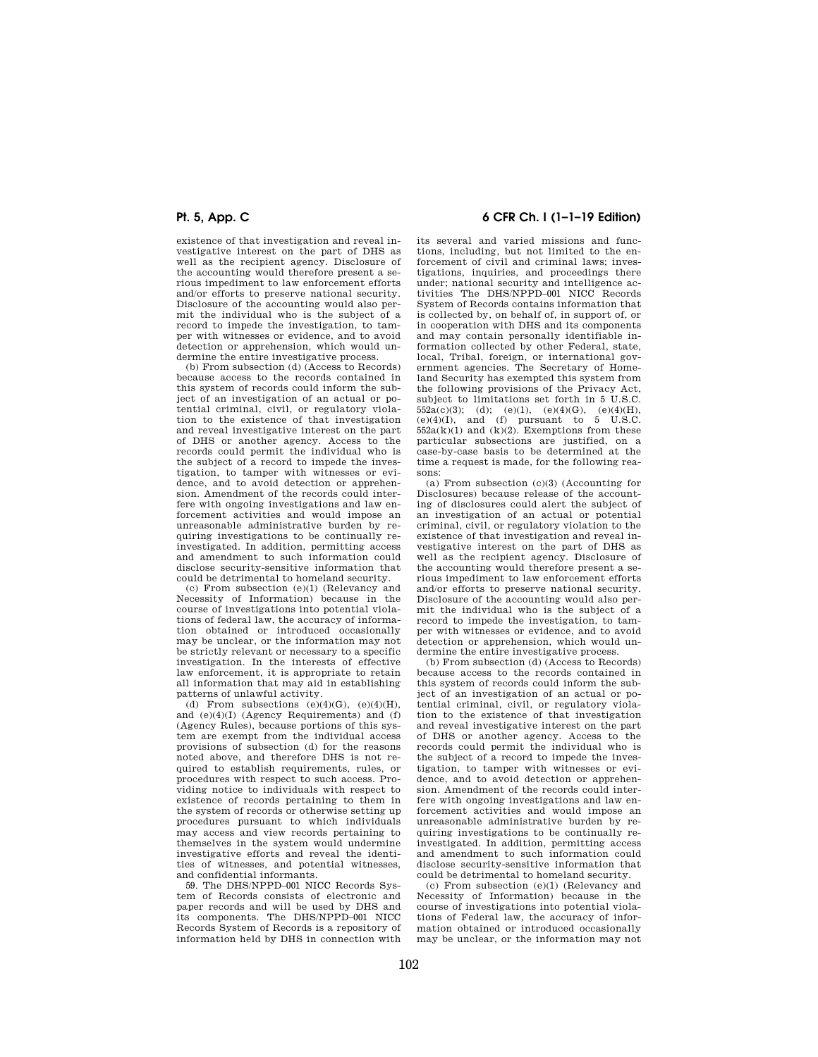existence of that investigation and reveal investigative interest on the part of DHS as well as the recipient agency. Disclosure of the accounting would therefore present a serious impediment to law enforcement efforts and/or efforts to preserve national security. Disclosure of the accounting would also permit the individual who is the subject of a record to impede the investigation, to tamper with witnesses or evidence, and to avoid detection or apprehension, which would undermine the entire investigative process.

(b) From subsection (d) (Access to Records) because access to the records contained in this system of records could inform the subject of an investigation of an actual or potential criminal, civil, or regulatory violation to the existence of that investigation and reveal investigative interest on the part of DHS or another agency. Access to the records could permit the individual who is the subject of a record to impede the investigation, to tamper with witnesses or evidence, and to avoid detection or apprehension. Amendment of the records could interfere with ongoing investigations and law enforcement activities and would impose an unreasonable administrative burden by requiring investigations to be continually reinvestigated. In addition, permitting access and amendment to such information could disclose security-sensitive information that could be detrimental to homeland security.

(c) From subsection (e)(1) (Relevancy and Necessity of Information) because in the course of investigations into potential violations of federal law, the accuracy of information obtained or introduced occasionally may be unclear, or the information may not be strictly relevant or necessary to a specific investigation. In the interests of effective law enforcement, it is appropriate to retain all information that may aid in establishing patterns of unlawful activity.

(d) From subsections  $(e)(4)(G)$ ,  $(e)(4)(H)$ , and (e)(4)(I) (Agency Requirements) and (f) (Agency Rules), because portions of this system are exempt from the individual access provisions of subsection (d) for the reasons noted above, and therefore DHS is not required to establish requirements, rules, or procedures with respect to such access. Providing notice to individuals with respect to existence of records pertaining to them in the system of records or otherwise setting up procedures pursuant to which individuals may access and view records pertaining to themselves in the system would undermine investigative efforts and reveal the identities of witnesses, and potential witnesses, and confidential informants.

59. The DHS/NPPD–001 NICC Records System of Records consists of electronic and paper records and will be used by DHS and its components. The DHS/NPPD–001 NICC Records System of Records is a repository of information held by DHS in connection with

# **Pt. 5, App. C 6 CFR Ch. I (1–1–19 Edition)**

its several and varied missions and functions, including, but not limited to the enforcement of civil and criminal laws; investigations, inquiries, and proceedings there under; national security and intelligence activities The DHS/NPPD–001 NICC Records System of Records contains information that is collected by, on behalf of, in support of, or in cooperation with DHS and its components and may contain personally identifiable information collected by other Federal, state, local, Tribal, foreign, or international government agencies. The Secretary of Homeland Security has exempted this system from the following provisions of the Privacy Act, subject to limitations set forth in 5 U.S.C.  $552a(c)(3);$  (d); (e)(1), (e)(4)(G), (e)(4)(H), (e)(4)(I), and (f) pursuant to 5 U.S.C.  $552a(k)(1)$  and  $(k)(2)$ . Exemptions from these particular subsections are justified, on a case-by-case basis to be determined at the time a request is made, for the following reasons:

(a) From subsection (c)(3) (Accounting for Disclosures) because release of the accounting of disclosures could alert the subject of an investigation of an actual or potential criminal, civil, or regulatory violation to the existence of that investigation and reveal investigative interest on the part of DHS as well as the recipient agency. Disclosure of the accounting would therefore present a serious impediment to law enforcement efforts and/or efforts to preserve national security. Disclosure of the accounting would also permit the individual who is the subject of a record to impede the investigation, to tamper with witnesses or evidence, and to avoid detection or apprehension, which would undermine the entire investigative process.

(b) From subsection (d) (Access to Records) because access to the records contained in this system of records could inform the subject of an investigation of an actual or potential criminal, civil, or regulatory violation to the existence of that investigation and reveal investigative interest on the part of DHS or another agency. Access to the records could permit the individual who is the subject of a record to impede the investigation, to tamper with witnesses or evidence, and to avoid detection or apprehension. Amendment of the records could interfere with ongoing investigations and law enforcement activities and would impose an unreasonable administrative burden by requiring investigations to be continually reinvestigated. In addition, permitting access and amendment to such information could disclose security-sensitive information that could be detrimental to homeland security.

(c) From subsection (e)(1) (Relevancy and Necessity of Information) because in the course of investigations into potential violations of Federal law, the accuracy of information obtained or introduced occasionally may be unclear, or the information may not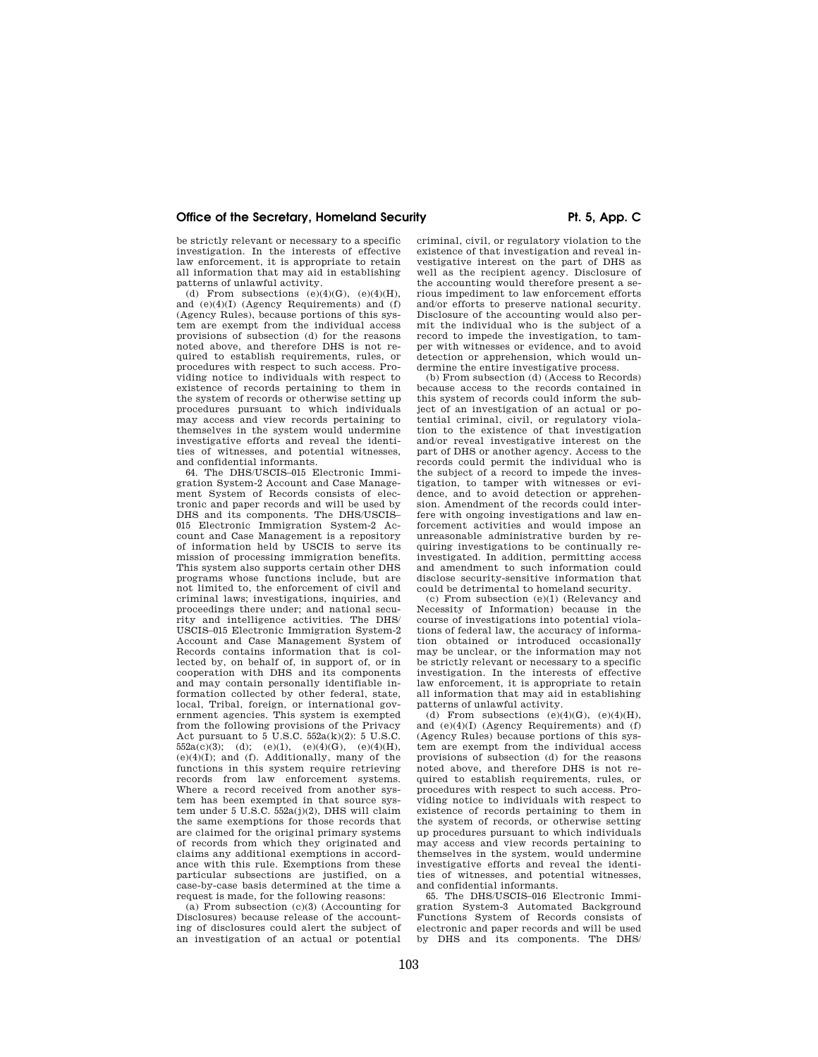be strictly relevant or necessary to a specific investigation. In the interests of effective law enforcement, it is appropriate to retain all information that may aid in establishing patterns of unlawful activity.

(d) From subsections  $(e)(4)(G)$ ,  $(e)(4)(H)$ . and (e)(4)(I) (Agency Requirements) and (f) (Agency Rules), because portions of this system are exempt from the individual access provisions of subsection (d) for the reasons noted above, and therefore DHS is not required to establish requirements, rules, or procedures with respect to such access. Providing notice to individuals with respect to existence of records pertaining to them in the system of records or otherwise setting up procedures pursuant to which individuals may access and view records pertaining to themselves in the system would undermine investigative efforts and reveal the identities of witnesses, and potential witnesses, and confidential informants.

64. The DHS/USCIS–015 Electronic Immigration System-2 Account and Case Management System of Records consists of electronic and paper records and will be used by DHS and its components. The DHS/USCIS– 015 Electronic Immigration System-2 Account and Case Management is a repository of information held by USCIS to serve its mission of processing immigration benefits. This system also supports certain other DHS programs whose functions include, but are not limited to, the enforcement of civil and criminal laws; investigations, inquiries, and proceedings there under; and national security and intelligence activities. The DHS/ USCIS–015 Electronic Immigration System-2 Account and Case Management System of Records contains information that is collected by, on behalf of, in support of, or in cooperation with DHS and its components and may contain personally identifiable information collected by other federal, state, local, Tribal, foreign, or international government agencies. This system is exempted from the following provisions of the Privacy Act pursuant to  $5 \text{ U.S.C. } 552a(k)(2)$ : 5 U.S.C.  $552a(c)(3);$  (d); (e)(1), (e)(4)(G), (e)(4)(H),  $(e)(4)(I)$ ; and  $(f)$ . Additionally, many of the functions in this system require retrieving records from law enforcement systems. Where a record received from another system has been exempted in that source system under 5 U.S.C. 552a(j)(2), DHS will claim the same exemptions for those records that are claimed for the original primary systems of records from which they originated and claims any additional exemptions in accordance with this rule. Exemptions from these particular subsections are justified, on a case-by-case basis determined at the time a request is made, for the following reasons:

(a) From subsection (c)(3) (Accounting for Disclosures) because release of the accounting of disclosures could alert the subject of an investigation of an actual or potential criminal, civil, or regulatory violation to the existence of that investigation and reveal investigative interest on the part of DHS as well as the recipient agency. Disclosure of the accounting would therefore present a serious impediment to law enforcement efforts and/or efforts to preserve national security. Disclosure of the accounting would also permit the individual who is the subject of a record to impede the investigation, to tamper with witnesses or evidence, and to avoid detection or apprehension, which would undermine the entire investigative process.

(b) From subsection (d) (Access to Records) because access to the records contained in this system of records could inform the subject of an investigation of an actual or potential criminal, civil, or regulatory violation to the existence of that investigation and/or reveal investigative interest on the part of DHS or another agency. Access to the records could permit the individual who is the subject of a record to impede the investigation, to tamper with witnesses or evidence, and to avoid detection or apprehension. Amendment of the records could interfere with ongoing investigations and law enforcement activities and would impose an unreasonable administrative burden by requiring investigations to be continually reinvestigated. In addition, permitting access and amendment to such information could disclose security-sensitive information that could be detrimental to homeland security.

(c) From subsection (e)(1) (Relevancy and Necessity of Information) because in the course of investigations into potential violations of federal law, the accuracy of information obtained or introduced occasionally may be unclear, or the information may not be strictly relevant or necessary to a specific investigation. In the interests of effective law enforcement, it is appropriate to retain all information that may aid in establishing patterns of unlawful activity.

(d) From subsections  $(e)(4)(G)$ ,  $(e)(4)(H)$ , and (e)(4)(I) (Agency Requirements) and (f) (Agency Rules) because portions of this system are exempt from the individual access provisions of subsection (d) for the reasons noted above, and therefore DHS is not required to establish requirements, rules, or procedures with respect to such access. Providing notice to individuals with respect to existence of records pertaining to them in the system of records, or otherwise setting up procedures pursuant to which individuals may access and view records pertaining to themselves in the system, would undermine investigative efforts and reveal the identities of witnesses, and potential witnesses, and confidential informants.

65. The DHS/USCIS–016 Electronic Immigration System-3 Automated Background Functions System of Records consists of electronic and paper records and will be used by DHS and its components. The DHS/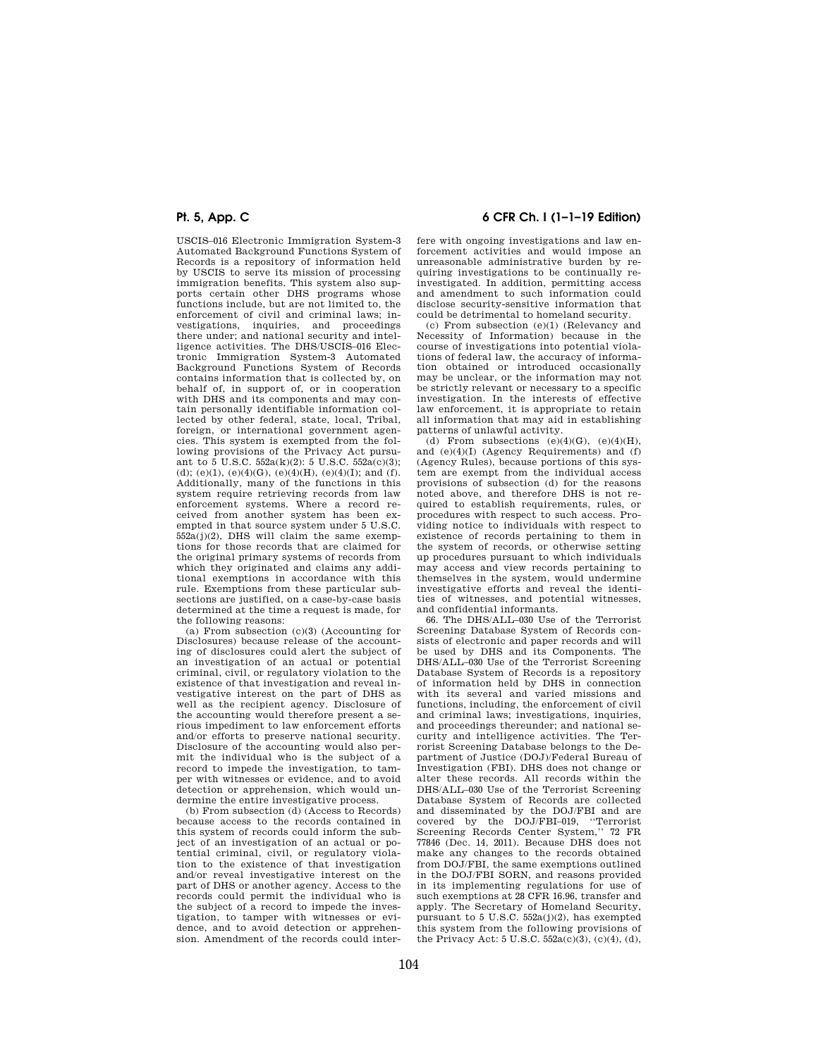USCIS–016 Electronic Immigration System-3 Automated Background Functions System of Records is a repository of information held by USCIS to serve its mission of processing immigration benefits. This system also supports certain other DHS programs whose functions include, but are not limited to, the enforcement of civil and criminal laws; investigations, inquiries, and proceedings there under; and national security and intelligence activities. The DHS/USCIS–016 Electronic Immigration System-3 Automated Background Functions System of Records contains information that is collected by, on behalf of, in support of, or in cooperation with DHS and its components and may contain personally identifiable information collected by other federal, state, local, Tribal, foreign, or international government agencies. This system is exempted from the following provisions of the Privacy Act pursuant to 5 U.S.C.  $552a(k)(2)$ : 5 U.S.C.  $552a(c)(3)$ ; (d); (e)(1), (e)(4)(G), (e)(4)(H), (e)(4)(I); and (f). Additionally, many of the functions in this system require retrieving records from law enforcement systems. Where a record received from another system has been exempted in that source system under 5 U.S.C.  $552a(j)(2)$ , DHS will claim the same exemptions for those records that are claimed for the original primary systems of records from which they originated and claims any additional exemptions in accordance with this rule. Exemptions from these particular subsections are justified, on a case-by-case basis determined at the time a request is made, for the following reasons:

(a) From subsection (c)(3) (Accounting for Disclosures) because release of the accounting of disclosures could alert the subject of an investigation of an actual or potential criminal, civil, or regulatory violation to the existence of that investigation and reveal investigative interest on the part of DHS as well as the recipient agency. Disclosure of the accounting would therefore present a serious impediment to law enforcement efforts and/or efforts to preserve national security. Disclosure of the accounting would also permit the individual who is the subject of a record to impede the investigation, to tamper with witnesses or evidence, and to avoid detection or apprehension, which would undermine the entire investigative process.

(b) From subsection (d) (Access to Records) because access to the records contained in this system of records could inform the subject of an investigation of an actual or potential criminal, civil, or regulatory violation to the existence of that investigation and/or reveal investigative interest on the part of DHS or another agency. Access to the records could permit the individual who is the subject of a record to impede the investigation, to tamper with witnesses or evidence, and to avoid detection or apprehension. Amendment of the records could inter-

# **Pt. 5, App. C 6 CFR Ch. I (1–1–19 Edition)**

fere with ongoing investigations and law enforcement activities and would impose an unreasonable administrative burden by requiring investigations to be continually reinvestigated. In addition, permitting access and amendment to such information could disclose security-sensitive information that could be detrimental to homeland security.

(c) From subsection (e)(1) (Relevancy and Necessity of Information) because in the course of investigations into potential violations of federal law, the accuracy of information obtained or introduced occasionally may be unclear, or the information may not be strictly relevant or necessary to a specific investigation. In the interests of effective law enforcement, it is appropriate to retain all information that may aid in establishing patterns of unlawful activity.

(d) From subsections  $(e)(4)(G)$ ,  $(e)(4)(H)$ , and  $(e)(4)(I)$  (Agency Requirements) and  $(f)$ (Agency Rules), because portions of this system are exempt from the individual access provisions of subsection (d) for the reasons noted above, and therefore DHS is not required to establish requirements, rules, or procedures with respect to such access. Providing notice to individuals with respect to existence of records pertaining to them in the system of records, or otherwise setting up procedures pursuant to which individuals may access and view records pertaining to themselves in the system, would undermine investigative efforts and reveal the identities of witnesses, and potential witnesses, and confidential informants.

66. The DHS/ALL–030 Use of the Terrorist Screening Database System of Records consists of electronic and paper records and will be used by DHS and its Components. The DHS/ALL–030 Use of the Terrorist Screening Database System of Records is a repository of information held by DHS in connection with its several and varied missions and functions, including, the enforcement of civil and criminal laws; investigations, inquiries, and proceedings thereunder; and national security and intelligence activities. The Terrorist Screening Database belongs to the Department of Justice (DOJ)/Federal Bureau of Investigation (FBI). DHS does not change or alter these records. All records within the DHS/ALL–030 Use of the Terrorist Screening Database System of Records are collected and disseminated by the DOJ/FBI and are covered by the DOJ/FBI–019, ''Terrorist Screening Records Center System,'' 72 FR 77846 (Dec. 14, 2011). Because DHS does not make any changes to the records obtained from DOJ/FBI, the same exemptions outlined in the DOJ/FBI SORN, and reasons provided in its implementing regulations for use of such exemptions at 28 CFR 16.96, transfer and apply. The Secretary of Homeland Security, pursuant to 5 U.S.C.  $552a(j)(2)$ , has exempted this system from the following provisions of the Privacy Act: 5 U.S.C. 552a(c)(3), (c)(4), (d),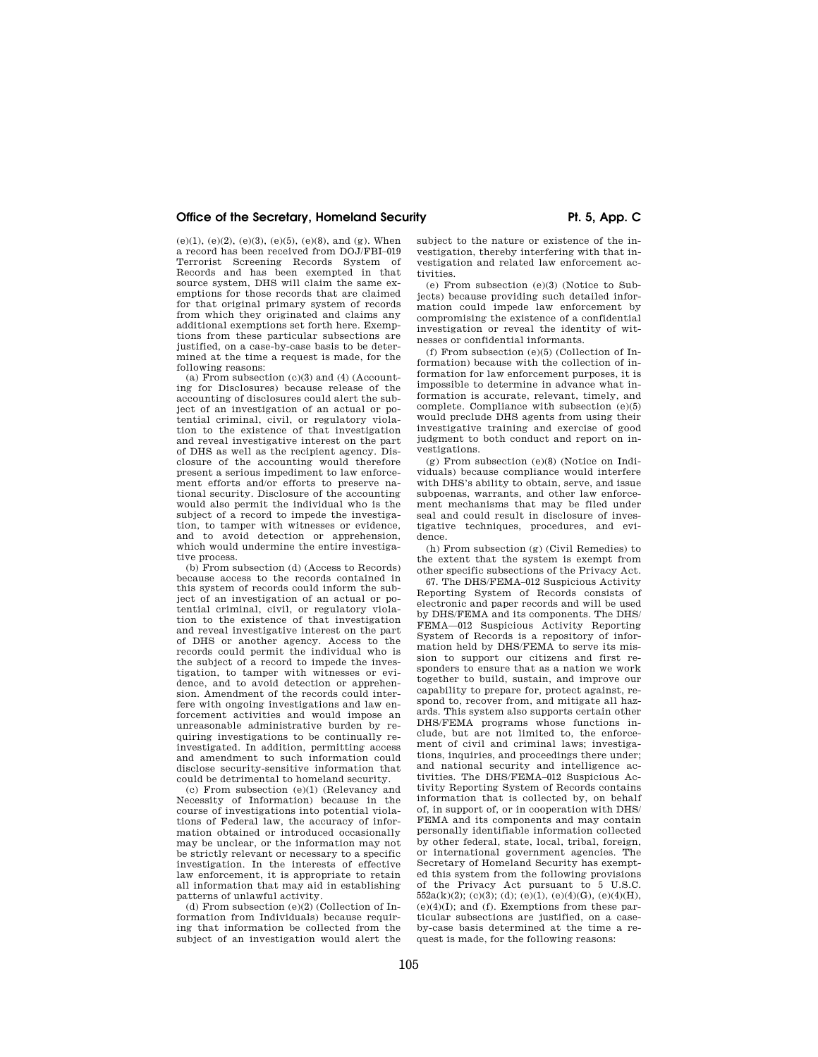(e)(1), (e)(2), (e)(3), (e)(5), (e)(8), and (g). When a record has been received from DOJ/FBI–019 Terrorist Screening Records System of Records and has been exempted in that source system, DHS will claim the same exemptions for those records that are claimed for that original primary system of records from which they originated and claims any additional exemptions set forth here. Exemptions from these particular subsections are justified, on a case-by-case basis to be determined at the time a request is made, for the following reasons:

(a) From subsection  $(c)(3)$  and  $(4)$  (Accounting for Disclosures) because release of the accounting of disclosures could alert the subject of an investigation of an actual or potential criminal, civil, or regulatory violation to the existence of that investigation and reveal investigative interest on the part of DHS as well as the recipient agency. Disclosure of the accounting would therefore present a serious impediment to law enforcement efforts and/or efforts to preserve national security. Disclosure of the accounting would also permit the individual who is the subject of a record to impede the investigation, to tamper with witnesses or evidence, and to avoid detection or apprehension, which would undermine the entire investigative process.

(b) From subsection (d) (Access to Records) because access to the records contained in this system of records could inform the subject of an investigation of an actual or potential criminal, civil, or regulatory violation to the existence of that investigation and reveal investigative interest on the part of DHS or another agency. Access to the records could permit the individual who is the subject of a record to impede the investigation, to tamper with witnesses or evidence, and to avoid detection or apprehension. Amendment of the records could interfere with ongoing investigations and law enforcement activities and would impose an unreasonable administrative burden by requiring investigations to be continually reinvestigated. In addition, permitting access and amendment to such information could disclose security-sensitive information that could be detrimental to homeland security.

(c) From subsection (e)(1) (Relevancy and Necessity of Information) because in the course of investigations into potential violations of Federal law, the accuracy of information obtained or introduced occasionally may be unclear, or the information may not be strictly relevant or necessary to a specific investigation. In the interests of effective law enforcement, it is appropriate to retain all information that may aid in establishing patterns of unlawful activity.

(d) From subsection (e)(2) (Collection of Information from Individuals) because requiring that information be collected from the subject of an investigation would alert the subject to the nature or existence of the investigation, thereby interfering with that investigation and related law enforcement activities.

(e) From subsection (e)(3) (Notice to Subjects) because providing such detailed information could impede law enforcement by compromising the existence of a confidential investigation or reveal the identity of witnesses or confidential informants.

(f) From subsection (e)(5) (Collection of Information) because with the collection of information for law enforcement purposes, it is impossible to determine in advance what information is accurate, relevant, timely, and complete. Compliance with subsection (e)(5) would preclude DHS agents from using their investigative training and exercise of good judgment to both conduct and report on investigations.

(g) From subsection (e)(8) (Notice on Individuals) because compliance would interfere with DHS's ability to obtain, serve, and issue subpoenas, warrants, and other law enforcement mechanisms that may be filed under seal and could result in disclosure of investigative techniques, procedures, and evidence.

(h) From subsection (g) (Civil Remedies) to the extent that the system is exempt from other specific subsections of the Privacy Act.

67. The DHS/FEMA–012 Suspicious Activity Reporting System of Records consists of electronic and paper records and will be used by DHS/FEMA and its components. The DHS/ FEMA—012 Suspicious Activity Reporting System of Records is a repository of information held by DHS/FEMA to serve its mission to support our citizens and first responders to ensure that as a nation we work together to build, sustain, and improve our capability to prepare for, protect against, respond to, recover from, and mitigate all hazards. This system also supports certain other DHS/FEMA programs whose functions include, but are not limited to, the enforcement of civil and criminal laws; investigations, inquiries, and proceedings there under; and national security and intelligence activities. The DHS/FEMA–012 Suspicious Activity Reporting System of Records contains information that is collected by, on behalf of, in support of, or in cooperation with DHS/ FEMA and its components and may contain personally identifiable information collected by other federal, state, local, tribal, foreign, or international government agencies. The Secretary of Homeland Security has exempted this system from the following provisions of the Privacy Act pursuant to 5 U.S.C.  $552a(k)(2)$ ; (c)(3); (d); (e)(1), (e)(4)(G), (e)(4)(H),  $(e)(4)(I)$ ; and  $(f)$ . Exemptions from these particular subsections are justified, on a caseby-case basis determined at the time a request is made, for the following reasons: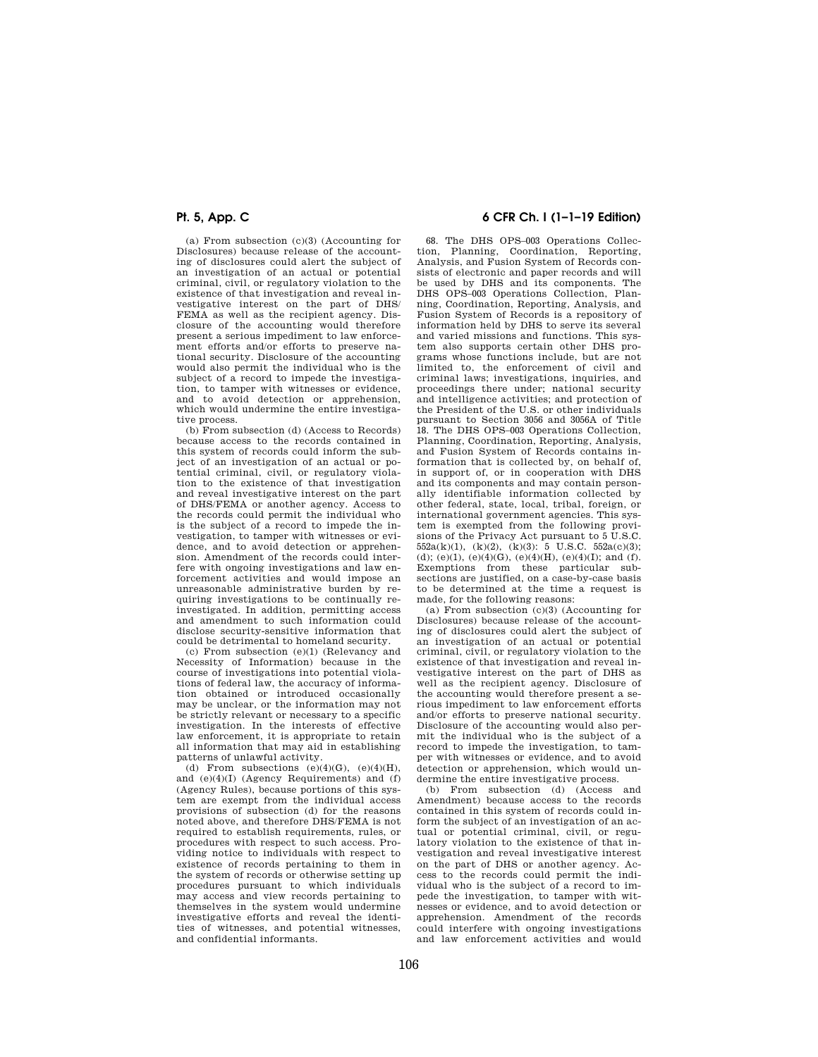(a) From subsection (c)(3) (Accounting for Disclosures) because release of the accounting of disclosures could alert the subject of an investigation of an actual or potential criminal, civil, or regulatory violation to the existence of that investigation and reveal investigative interest on the part of DHS/ FEMA as well as the recipient agency. Disclosure of the accounting would therefore present a serious impediment to law enforcement efforts and/or efforts to preserve national security. Disclosure of the accounting would also permit the individual who is the subject of a record to impede the investigation, to tamper with witnesses or evidence, and to avoid detection or apprehension, which would undermine the entire investigative process.

(b) From subsection (d) (Access to Records) because access to the records contained in this system of records could inform the subject of an investigation of an actual or potential criminal, civil, or regulatory violation to the existence of that investigation and reveal investigative interest on the part of DHS/FEMA or another agency. Access to the records could permit the individual who is the subject of a record to impede the investigation, to tamper with witnesses or evidence, and to avoid detection or apprehension. Amendment of the records could interfere with ongoing investigations and law enforcement activities and would impose an unreasonable administrative burden by requiring investigations to be continually reinvestigated. In addition, permitting access and amendment to such information could disclose security-sensitive information that could be detrimental to homeland security.

(c) From subsection (e)(1) (Relevancy and Necessity of Information) because in the course of investigations into potential violations of federal law, the accuracy of information obtained or introduced occasionally may be unclear, or the information may not be strictly relevant or necessary to a specific investigation. In the interests of effective law enforcement, it is appropriate to retain all information that may aid in establishing patterns of unlawful activity.

(d) From subsections  $(e)(4)(G)$ ,  $(e)(4)(H)$ , and (e)(4)(I) (Agency Requirements) and (f) (Agency Rules), because portions of this system are exempt from the individual access provisions of subsection (d) for the reasons noted above, and therefore DHS/FEMA is not required to establish requirements, rules, or procedures with respect to such access. Providing notice to individuals with respect to existence of records pertaining to them in the system of records or otherwise setting up procedures pursuant to which individuals may access and view records pertaining to themselves in the system would undermine investigative efforts and reveal the identities of witnesses, and potential witnesses, and confidential informants.

## **Pt. 5, App. C 6 CFR Ch. I (1–1–19 Edition)**

68. The DHS OPS–003 Operations Collection, Planning, Coordination, Reporting, Analysis, and Fusion System of Records consists of electronic and paper records and will be used by DHS and its components. The DHS OPS–003 Operations Collection, Planning, Coordination, Reporting, Analysis, and Fusion System of Records is a repository of information held by DHS to serve its several and varied missions and functions. This system also supports certain other DHS programs whose functions include, but are not limited to, the enforcement of civil and criminal laws; investigations, inquiries, and proceedings there under; national security and intelligence activities; and protection of the President of the U.S. or other individuals pursuant to Section 3056 and 3056A of Title 18. The DHS OPS–003 Operations Collection, Planning, Coordination, Reporting, Analysis, and Fusion System of Records contains information that is collected by, on behalf of, in support of, or in cooperation with DHS and its components and may contain personally identifiable information collected by other federal, state, local, tribal, foreign, or international government agencies. This system is exempted from the following provisions of the Privacy Act pursuant to  $\bar{5}$  U.S.C.  $552a(k)(1)$ ,  $(k)(2)$ ,  $(k)(3)$ : 5 U.S.C.  $552a(c)(3)$ ; (d); (e)(1), (e)(4)(G), (e)(4)(H), (e)(4)(I); and (f). Exemptions from these particular subsections are justified, on a case-by-case basis to be determined at the time a request is made, for the following reasons:

(a) From subsection (c)(3) (Accounting for Disclosures) because release of the accounting of disclosures could alert the subject of an investigation of an actual or potential criminal, civil, or regulatory violation to the existence of that investigation and reveal investigative interest on the part of DHS as well as the recipient agency. Disclosure of the accounting would therefore present a serious impediment to law enforcement efforts and/or efforts to preserve national security. Disclosure of the accounting would also permit the individual who is the subject of a record to impede the investigation, to tamper with witnesses or evidence, and to avoid detection or apprehension, which would undermine the entire investigative process.

(b) From subsection (d) (Access and Amendment) because access to the records contained in this system of records could inform the subject of an investigation of an actual or potential criminal, civil, or regulatory violation to the existence of that investigation and reveal investigative interest on the part of DHS or another agency. Access to the records could permit the individual who is the subject of a record to impede the investigation, to tamper with witnesses or evidence, and to avoid detection or apprehension. Amendment of the records could interfere with ongoing investigations and law enforcement activities and would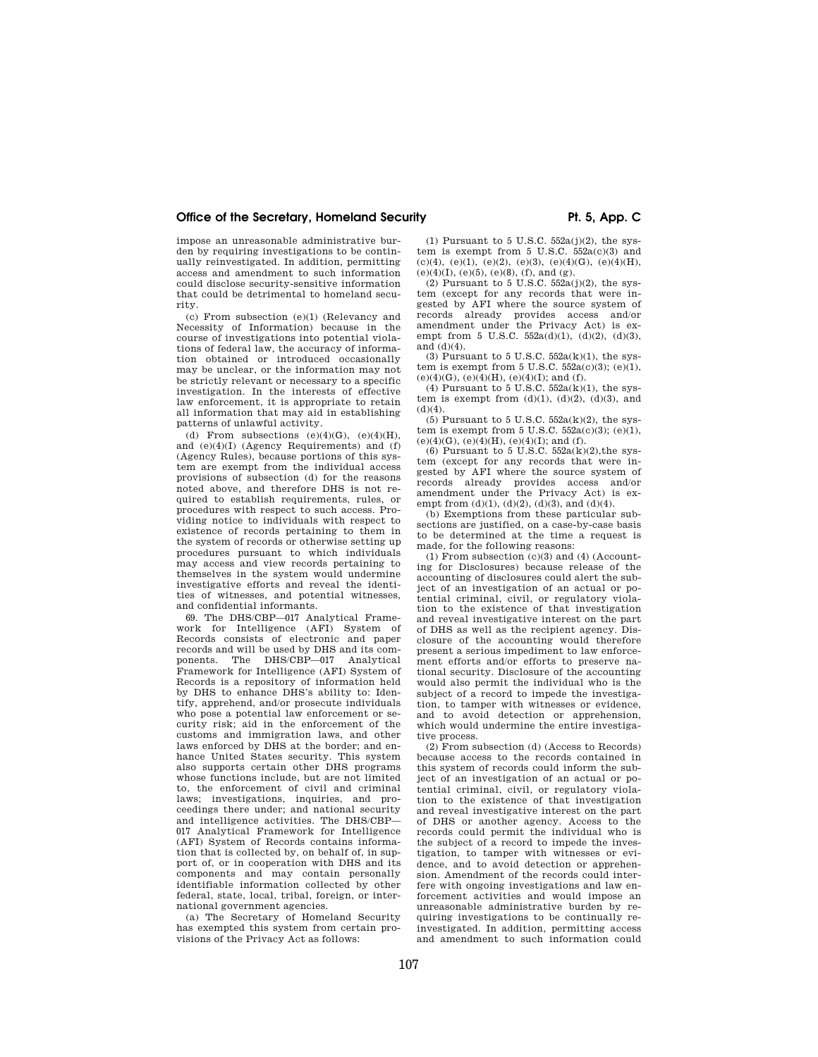impose an unreasonable administrative burden by requiring investigations to be continually reinvestigated. In addition, permitting access and amendment to such information could disclose security-sensitive information that could be detrimental to homeland security.

(c) From subsection (e)(1) (Relevancy and Necessity of Information) because in the course of investigations into potential violations of federal law, the accuracy of information obtained or introduced occasionally may be unclear, or the information may not be strictly relevant or necessary to a specific investigation. In the interests of effective law enforcement, it is appropriate to retain all information that may aid in establishing patterns of unlawful activity.

(d) From subsections  $(e)(4)(G)$ ,  $(e)(4)(H)$ , and (e)(4)(I) (Agency Requirements) and (f) (Agency Rules), because portions of this system are exempt from the individual access provisions of subsection (d) for the reasons noted above, and therefore DHS is not required to establish requirements, rules, or procedures with respect to such access. Providing notice to individuals with respect to existence of records pertaining to them in the system of records or otherwise setting up procedures pursuant to which individuals may access and view records pertaining to themselves in the system would undermine investigative efforts and reveal the identities of witnesses, and potential witnesses, and confidential informants.

69. The DHS/CBP—017 Analytical Framework for Intelligence (AFI) System of Records consists of electronic and paper records and will be used by DHS and its components. The DHS/CBP—017 Analytical Framework for Intelligence (AFI) System of Records is a repository of information held by DHS to enhance DHS's ability to: Identify, apprehend, and/or prosecute individuals who pose a potential law enforcement or security risk; aid in the enforcement of the customs and immigration laws, and other laws enforced by DHS at the border; and enhance United States security. This system also supports certain other DHS programs whose functions include, but are not limited to, the enforcement of civil and criminal laws; investigations, inquiries, and proceedings there under; and national security and intelligence activities. The DHS/CBP— 017 Analytical Framework for Intelligence (AFI) System of Records contains information that is collected by, on behalf of, in support of, or in cooperation with DHS and its components and may contain personally identifiable information collected by other federal, state, local, tribal, foreign, or international government agencies.

(a) The Secretary of Homeland Security has exempted this system from certain provisions of the Privacy Act as follows:

(1) Pursuant to 5 U.S.C.  $552a(i)(2)$ , the system is exempt from 5 U.S.C. 552a(c)(3) and (c)(4), (e)(1), (e)(2), (e)(3), (e)(4)(G), (e)(4)(H),  $(e)(4)(I), (e)(5), (e)(8), (f), and (g).$ 

 $(2)$  Pursuant to 5 U.S.C.  $552a(1)(2)$ , the system (except for any records that were ingested by AFI where the source system of records already provides access and/or amendment under the Privacy Act) is exempt from 5 U.S.C.  $552a(d)(1)$ , (d)(2), (d)(3), and (d)(4).

(3) Pursuant to 5 U.S.C.  $552a(k)(1)$ , the system is exempt from 5 U.S.C.  $552a(c)(3)$ ; (e)(1), (e)(4)(G), (e)(4)(H), (e)(4)(I); and (f).

(4) Pursuant to  $5 \text{ U.S.C. } 552a(k)(1)$ , the system is exempt from  $(d)(1)$ ,  $(d)(2)$ ,  $(d)(3)$ , and  $(d)(4)$ .

 $(5)$  Pursuant to 5 U.S.C.  $552a(k)(2)$ , the system is exempt from  $5 \text{ U.S.C. } 552a(c)(3); (e)(1),$  $(e)(4)(G)$ ,  $(e)(4)(H)$ ,  $(e)(4)(I)$ ; and  $(f)$ .

(6) Pursuant to 5 U.S.C.  $552a(k)(2)$ , the system (except for any records that were ingested by AFI where the source system of records already provides access and/or amendment under the Privacy Act) is exempt from  $(d)(1)$ ,  $(d)(2)$ ,  $(d)(3)$ , and  $(d)(4)$ .

(b) Exemptions from these particular subsections are justified, on a case-by-case basis to be determined at the time a request is made, for the following reasons:

(1) From subsection  $(c)(3)$  and (4) (Accounting for Disclosures) because release of the accounting of disclosures could alert the subject of an investigation of an actual or potential criminal, civil, or regulatory violation to the existence of that investigation and reveal investigative interest on the part of DHS as well as the recipient agency. Disclosure of the accounting would therefore present a serious impediment to law enforcement efforts and/or efforts to preserve national security. Disclosure of the accounting would also permit the individual who is the subject of a record to impede the investigation, to tamper with witnesses or evidence, and to avoid detection or apprehension, which would undermine the entire investigative process.

(2) From subsection (d) (Access to Records) because access to the records contained in this system of records could inform the subject of an investigation of an actual or potential criminal, civil, or regulatory violation to the existence of that investigation and reveal investigative interest on the part of DHS or another agency. Access to the records could permit the individual who is the subject of a record to impede the investigation, to tamper with witnesses or evidence, and to avoid detection or apprehension. Amendment of the records could interfere with ongoing investigations and law enforcement activities and would impose an unreasonable administrative burden by requiring investigations to be continually reinvestigated. In addition, permitting access and amendment to such information could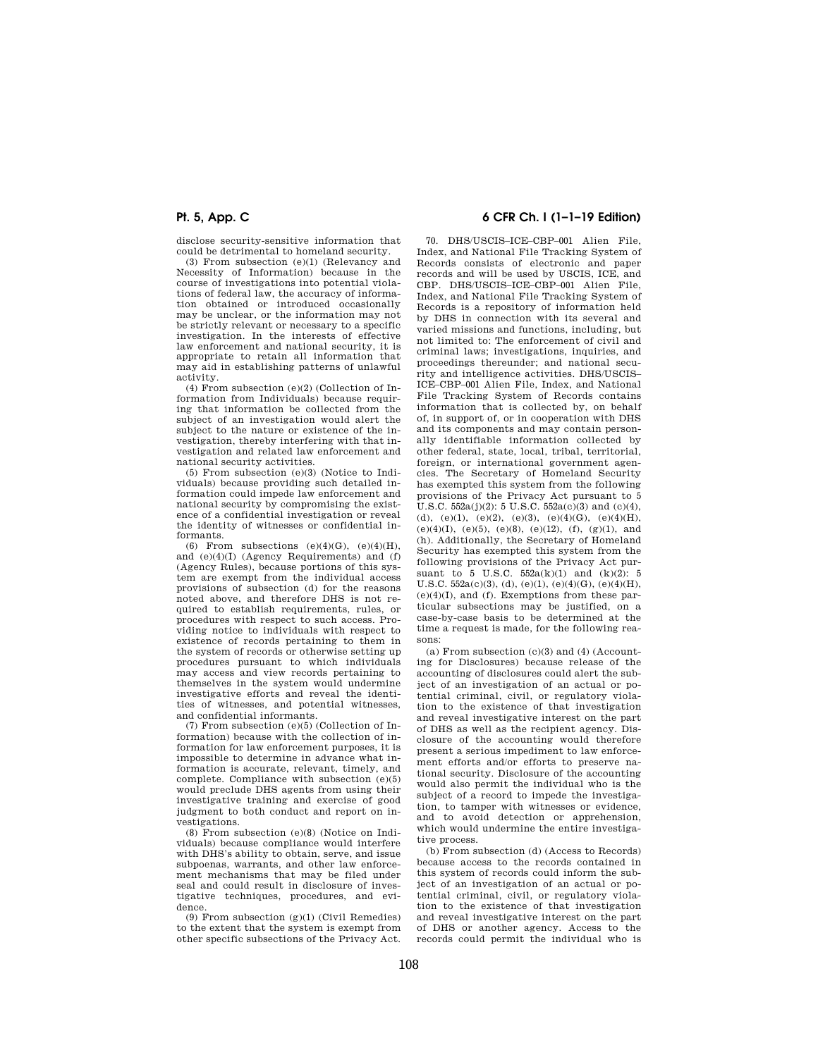disclose security-sensitive information that could be detrimental to homeland security.

(3) From subsection (e)(1) (Relevancy and Necessity of Information) because in the course of investigations into potential violations of federal law, the accuracy of information obtained or introduced occasionally may be unclear, or the information may not be strictly relevant or necessary to a specific investigation. In the interests of effective law enforcement and national security, it is appropriate to retain all information that may aid in establishing patterns of unlawful activity.

(4) From subsection (e)(2) (Collection of Information from Individuals) because requiring that information be collected from the subject of an investigation would alert the subject to the nature or existence of the investigation, thereby interfering with that investigation and related law enforcement and national security activities.

(5) From subsection (e)(3) (Notice to Individuals) because providing such detailed information could impede law enforcement and national security by compromising the existence of a confidential investigation or reveal the identity of witnesses or confidential informants.

(6) From subsections  $(e)(4)(G)$ ,  $(e)(4)(H)$ , and  $(e)(4)(I)$  (Agency Requirements) and  $(f)$ (Agency Rules), because portions of this system are exempt from the individual access provisions of subsection (d) for the reasons noted above, and therefore DHS is not required to establish requirements, rules, or procedures with respect to such access. Providing notice to individuals with respect to existence of records pertaining to them in the system of records or otherwise setting up procedures pursuant to which individuals may access and view records pertaining to themselves in the system would undermine investigative efforts and reveal the identities of witnesses, and potential witnesses, and confidential informants.

(7) From subsection (e)(5) (Collection of Information) because with the collection of information for law enforcement purposes, it is impossible to determine in advance what information is accurate, relevant, timely, and complete. Compliance with subsection (e)(5) would preclude DHS agents from using their investigative training and exercise of good judgment to both conduct and report on investigations.

(8) From subsection (e)(8) (Notice on Individuals) because compliance would interfere with DHS's ability to obtain, serve, and issue subpoenas, warrants, and other law enforcement mechanisms that may be filed under seal and could result in disclosure of investigative techniques, procedures, and evidence.

 $(9)$  From subsection  $(g)(1)$  (Civil Remedies) to the extent that the system is exempt from other specific subsections of the Privacy Act.

# **Pt. 5, App. C 6 CFR Ch. I (1–1–19 Edition)**

70. DHS/USCIS–ICE–CBP–001 Alien File, Index, and National File Tracking System of Records consists of electronic and paper records and will be used by USCIS, ICE, and CBP. DHS/USCIS–ICE–CBP–001 Alien File, Index, and National File Tracking System of Records is a repository of information held by DHS in connection with its several and varied missions and functions, including, but not limited to: The enforcement of civil and criminal laws; investigations, inquiries, and proceedings thereunder; and national security and intelligence activities. DHS/USCIS– ICE–CBP–001 Alien File, Index, and National File Tracking System of Records contains information that is collected by, on behalf of, in support of, or in cooperation with DHS and its components and may contain personally identifiable information collected by other federal, state, local, tribal, territorial, foreign, or international government agencies. The Secretary of Homeland Security has exempted this system from the following provisions of the Privacy Act pursuant to 5 U.S.C.  $552a(j)(2)$ : 5 U.S.C.  $552a(c)(3)$  and  $(c)(4)$ , (d), (e)(1), (e)(2), (e)(3), (e)(4)(G), (e)(4)(H), (e)(4)(I), (e)(5), (e)(8), (e)(12), (f), (g)(1), and (h). Additionally, the Secretary of Homeland Security has exempted this system from the following provisions of the Privacy Act pursuant to 5 U.S.C. 552a(k)(1) and (k)(2): 5 U.S.C.  $552a(c)(3)$ , (d), (e)(1), (e)(4)(G), (e)(4)(H), (e)(4)(I), and (f). Exemptions from these particular subsections may be justified, on a case-by-case basis to be determined at the time a request is made, for the following reasons:

(a) From subsection (c)(3) and (4) (Accounting for Disclosures) because release of the accounting of disclosures could alert the subject of an investigation of an actual or potential criminal, civil, or regulatory violation to the existence of that investigation and reveal investigative interest on the part of DHS as well as the recipient agency. Disclosure of the accounting would therefore present a serious impediment to law enforcement efforts and/or efforts to preserve national security. Disclosure of the accounting would also permit the individual who is the subject of a record to impede the investigation, to tamper with witnesses or evidence, and to avoid detection or apprehension, which would undermine the entire investigative process.

(b) From subsection (d) (Access to Records) because access to the records contained in this system of records could inform the subject of an investigation of an actual or potential criminal, civil, or regulatory violation to the existence of that investigation and reveal investigative interest on the part of DHS or another agency. Access to the records could permit the individual who is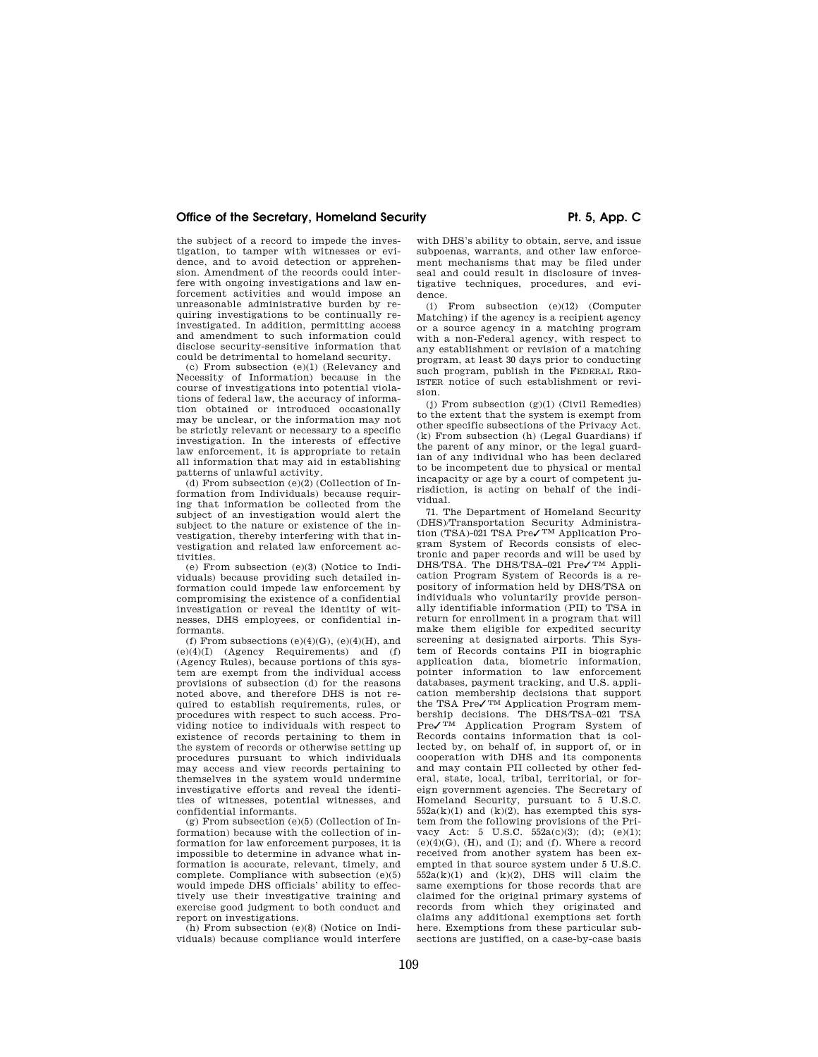the subject of a record to impede the investigation, to tamper with witnesses or evi-dence, and to avoid detection or apprehension. Amendment of the records could interfere with ongoing investigations and law enforcement activities and would impose an unreasonable administrative burden by requiring investigations to be continually reinvestigated. In addition, permitting access and amendment to such information could disclose security-sensitive information that could be detrimental to homeland security.

(c) From subsection (e)(1) (Relevancy and Necessity of Information) because in the course of investigations into potential violations of federal law, the accuracy of information obtained or introduced occasionally may be unclear, or the information may not be strictly relevant or necessary to a specific investigation. In the interests of effective law enforcement, it is appropriate to retain all information that may aid in establishing patterns of unlawful activity.

(d) From subsection  $(e)(2)$  (Collection of Information from Individuals) because requiring that information be collected from the subject of an investigation would alert the subject to the nature or existence of the investigation, thereby interfering with that investigation and related law enforcement activities.

(e) From subsection (e)(3) (Notice to Individuals) because providing such detailed information could impede law enforcement by compromising the existence of a confidential investigation or reveal the identity of witnesses, DHS employees, or confidential informants.

(f) From subsections  $(e)(4)(G)$ ,  $(e)(4)(H)$ , and  $(e)(4)(I)$  (Agency Requirements) and  $(f)$ (Agency Rules), because portions of this system are exempt from the individual access provisions of subsection (d) for the reasons noted above, and therefore DHS is not required to establish requirements, rules, or procedures with respect to such access. Providing notice to individuals with respect to existence of records pertaining to them in the system of records or otherwise setting up procedures pursuant to which individuals may access and view records pertaining to themselves in the system would undermine investigative efforts and reveal the identities of witnesses, potential witnesses, and confidential informants.

 $(g)$  From subsection  $(e)(5)$  (Collection of Information) because with the collection of information for law enforcement purposes, it is impossible to determine in advance what information is accurate, relevant, timely, and complete. Compliance with subsection (e)(5) would impede DHS officials' ability to effectively use their investigative training and exercise good judgment to both conduct and report on investigations.

(h) From subsection (e)(8) (Notice on Individuals) because compliance would interfere

with DHS's ability to obtain, serve, and issue subpoenas, warrants, and other law enforcement mechanisms that may be filed under seal and could result in disclosure of investigative techniques, procedures, and evidence.

(i) From subsection (e)(12) (Computer Matching) if the agency is a recipient agency or a source agency in a matching program with a non-Federal agency, with respect to any establishment or revision of a matching program, at least 30 days prior to conducting such program, publish in the FEDERAL REG-ISTER notice of such establishment or revision.

(j) From subsection (g)(1) (Civil Remedies) to the extent that the system is exempt from other specific subsections of the Privacy Act. (k) From subsection (h) (Legal Guardians) if the parent of any minor, or the legal guardian of any individual who has been declared to be incompetent due to physical or mental incapacity or age by a court of competent jurisdiction, is acting on behalf of the individual.

71. The Department of Homeland Security (DHS)/Transportation Security Administration (TSA)-021 TSA Pre✓ TM Application Program System of Records consists of electronic and paper records and will be used by DHS/TSA. The DHS/TSA–021 Pre√<sup>TM</sup> Application Program System of Records is a repository of information held by DHS/TSA on individuals who voluntarily provide personally identifiable information (PII) to TSA in return for enrollment in a program that will make them eligible for expedited security screening at designated airports. This System of Records contains PII in biographic application data, biometric information, pointer information to law enforcement databases, payment tracking, and U.S. application membership decisions that support the TSA Pre✓ TM Application Program membership decisions. The DHS/TSA–021 TSA<br>Pre√™ Application Program System of Records contains information that is collected by, on behalf of, in support of, or in cooperation with DHS and its components and may contain PII collected by other federal, state, local, tribal, territorial, or foreign government agencies. The Secretary of Homeland Security, pursuant to 5 U.S.C.  $552a(k)(1)$  and  $(k)(2)$ , has exempted this system from the following provisions of the Privacy Act: 5 U.S.C.  $552a(c)(3)$ ; (d); (e)(1);  $(e)(4)(G)$ ,  $(H)$ , and  $(I)$ ; and  $(f)$ . Where a record received from another system has been exempted in that source system under 5 U.S.C.  $552a(k)(1)$  and  $(k)(2)$ , DHS will claim the same exemptions for those records that are claimed for the original primary systems of records from which they originated and claims any additional exemptions set forth here. Exemptions from these particular subsections are justified, on a case-by-case basis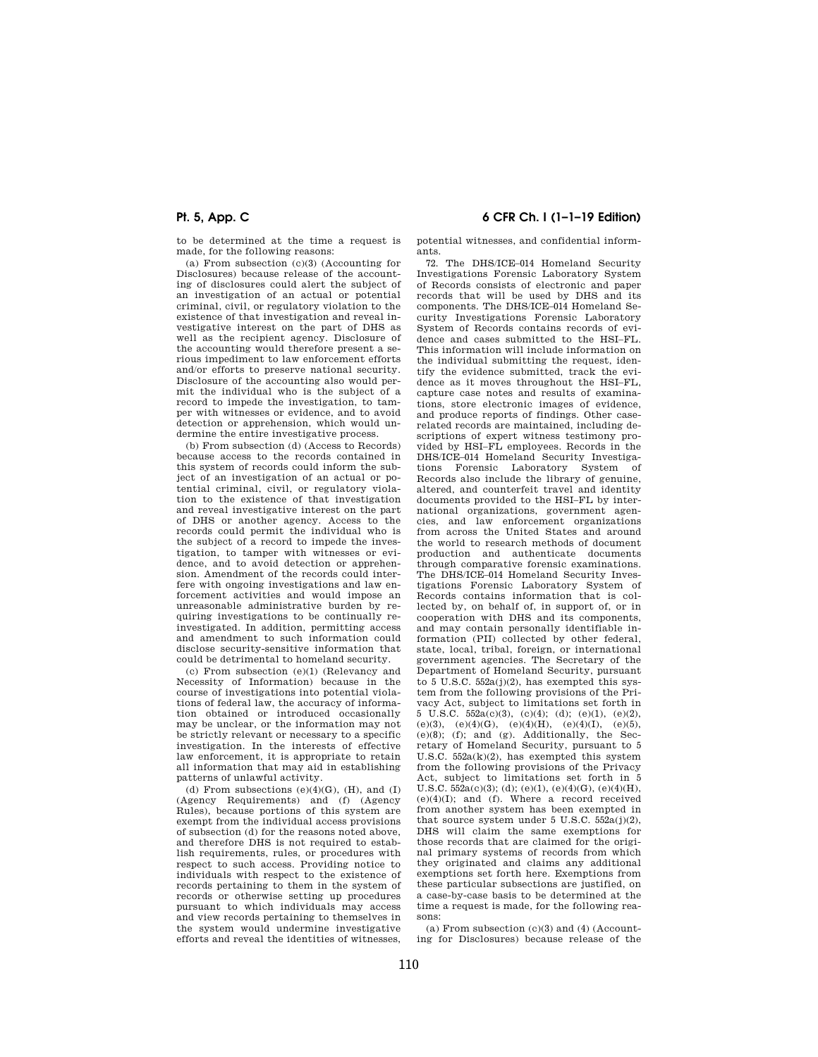to be determined at the time a request is made, for the following reasons:

(a) From subsection (c)(3) (Accounting for Disclosures) because release of the accounting of disclosures could alert the subject of an investigation of an actual or potential criminal, civil, or regulatory violation to the existence of that investigation and reveal investigative interest on the part of DHS as well as the recipient agency. Disclosure of the accounting would therefore present a serious impediment to law enforcement efforts and/or efforts to preserve national security. Disclosure of the accounting also would permit the individual who is the subject of a record to impede the investigation, to tamper with witnesses or evidence, and to avoid detection or apprehension, which would undermine the entire investigative process.

(b) From subsection (d) (Access to Records) because access to the records contained in this system of records could inform the subject of an investigation of an actual or potential criminal, civil, or regulatory violation to the existence of that investigation and reveal investigative interest on the part of DHS or another agency. Access to the records could permit the individual who is the subject of a record to impede the investigation, to tamper with witnesses or evidence, and to avoid detection or apprehension. Amendment of the records could interfere with ongoing investigations and law enforcement activities and would impose an unreasonable administrative burden by requiring investigations to be continually reinvestigated. In addition, permitting access and amendment to such information could disclose security-sensitive information that could be detrimental to homeland security.

(c) From subsection (e)(1) (Relevancy and Necessity of Information) because in the course of investigations into potential violations of federal law, the accuracy of information obtained or introduced occasionally may be unclear, or the information may not be strictly relevant or necessary to a specific investigation. In the interests of effective law enforcement, it is appropriate to retain all information that may aid in establishing patterns of unlawful activity.

(d) From subsections  $(e)(4)(G)$ ,  $(H)$ , and  $(I)$ (Agency Requirements) and (f) (Agency Rules), because portions of this system are exempt from the individual access provisions of subsection (d) for the reasons noted above, and therefore DHS is not required to establish requirements, rules, or procedures with respect to such access. Providing notice to individuals with respect to the existence of records pertaining to them in the system of records or otherwise setting up procedures pursuant to which individuals may access and view records pertaining to themselves in the system would undermine investigative efforts and reveal the identities of witnesses,

**Pt. 5, App. C 6 CFR Ch. I (1–1–19 Edition)** 

potential witnesses, and confidential informants.

72. The DHS/ICE–014 Homeland Security Investigations Forensic Laboratory System of Records consists of electronic and paper records that will be used by DHS and its components. The DHS/ICE–014 Homeland Security Investigations Forensic Laboratory System of Records contains records of evidence and cases submitted to the HSI–FL. This information will include information on the individual submitting the request, identify the evidence submitted, track the evidence as it moves throughout the HSI–FL, capture case notes and results of examinations, store electronic images of evidence, and produce reports of findings. Other caserelated records are maintained, including descriptions of expert witness testimony provided by HSI–FL employees. Records in the DHS/ICE–014 Homeland Security Investigations Forensic Laboratory System of Records also include the library of genuine, altered, and counterfeit travel and identity documents provided to the HSI–FL by international organizations, government agencies, and law enforcement organizations from across the United States and around the world to research methods of document production and authenticate documents through comparative forensic examinations. The DHS/ICE–014 Homeland Security Investigations Forensic Laboratory System of Records contains information that is collected by, on behalf of, in support of, or in cooperation with DHS and its components, and may contain personally identifiable information (PII) collected by other federal, state, local, tribal, foreign, or international government agencies. The Secretary of the Department of Homeland Security, pursuant to 5 U.S.C.  $552a(i)(2)$ , has exempted this system from the following provisions of the Privacy Act, subject to limitations set forth in 5 U.S.C. 552a(c)(3), (c)(4); (d); (e)(1), (e)(2), (e)(3), (e)(4)(G), (e)(4)(H), (e)(4)(I), (e)(5), (e)(8); (f); and (g). Additionally, the Secretary of Homeland Security, pursuant to 5 U.S.C. 552a(k)(2), has exempted this system from the following provisions of the Privacy Act, subject to limitations set forth in 5 U.S.C.  $552a(c)(3)$ ; (d); (e)(1), (e)(4)(G), (e)(4)(H), (e)(4)(I); and (f). Where a record received from another system has been exempted in that source system under 5 U.S.C.  $552a(j)(2)$ , DHS will claim the same exemptions for those records that are claimed for the original primary systems of records from which they originated and claims any additional exemptions set forth here. Exemptions from these particular subsections are justified, on a case-by-case basis to be determined at the time a request is made, for the following reasons:

(a) From subsection  $(c)(3)$  and  $(4)$  (Accounting for Disclosures) because release of the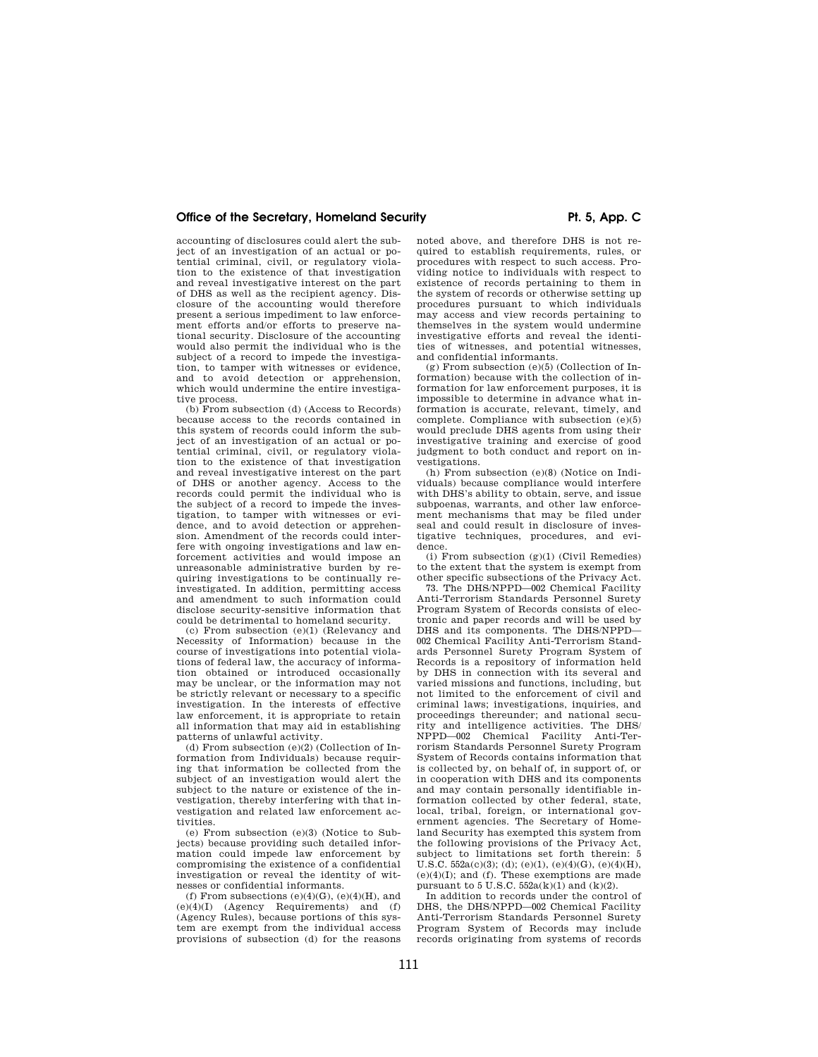## Office of the Secretary, Homeland Security **Pt. 5, App. C**

accounting of disclosures could alert the subject of an investigation of an actual or potential criminal, civil, or regulatory violation to the existence of that investigation and reveal investigative interest on the part of DHS as well as the recipient agency. Disclosure of the accounting would therefore present a serious impediment to law enforcement efforts and/or efforts to preserve national security. Disclosure of the accounting would also permit the individual who is the subject of a record to impede the investigation, to tamper with witnesses or evidence, and to avoid detection or apprehension, which would undermine the entire investigative process.

(b) From subsection (d) (Access to Records) because access to the records contained in this system of records could inform the subject of an investigation of an actual or potential criminal, civil, or regulatory violation to the existence of that investigation and reveal investigative interest on the part of DHS or another agency. Access to the records could permit the individual who is the subject of a record to impede the investigation, to tamper with witnesses or evidence, and to avoid detection or apprehension. Amendment of the records could interfere with ongoing investigations and law enforcement activities and would impose an unreasonable administrative burden by requiring investigations to be continually reinvestigated. In addition, permitting access and amendment to such information could disclose security-sensitive information that could be detrimental to homeland security.

(c) From subsection (e)(1) (Relevancy and Necessity of Information) because in the course of investigations into potential violations of federal law, the accuracy of information obtained or introduced occasionally may be unclear, or the information may not be strictly relevant or necessary to a specific investigation. In the interests of effective law enforcement, it is appropriate to retain all information that may aid in establishing patterns of unlawful activity.

(d) From subsection (e)(2) (Collection of Information from Individuals) because requiring that information be collected from the subject of an investigation would alert the subject to the nature or existence of the investigation, thereby interfering with that investigation and related law enforcement activities.

(e) From subsection (e)(3) (Notice to Subjects) because providing such detailed information could impede law enforcement by compromising the existence of a confidential investigation or reveal the identity of witnesses or confidential informants.

(f) From subsections  $(e)(4)(G)$ ,  $(e)(4)(H)$ , and (e)(4)(I) (Agency Requirements) and (f) (Agency Rules), because portions of this system are exempt from the individual access provisions of subsection (d) for the reasons noted above, and therefore DHS is not required to establish requirements, rules, or procedures with respect to such access. Providing notice to individuals with respect to existence of records pertaining to them in the system of records or otherwise setting up procedures pursuant to which individuals may access and view records pertaining to themselves in the system would undermine investigative efforts and reveal the identities of witnesses, and potential witnesses, and confidential informants.

 $(g)$  From subsection  $(e)(5)$  (Collection of Information) because with the collection of information for law enforcement purposes, it is impossible to determine in advance what information is accurate, relevant, timely, and complete. Compliance with subsection (e)(5) would preclude DHS agents from using their investigative training and exercise of good judgment to both conduct and report on investigations.

(h) From subsection (e)(8) (Notice on Individuals) because compliance would interfere with DHS's ability to obtain, serve, and issue subpoenas, warrants, and other law enforcement mechanisms that may be filed under seal and could result in disclosure of investigative techniques, procedures, and evidence.

(i) From subsection  $(g)(1)$  (Civil Remedies) to the extent that the system is exempt from other specific subsections of the Privacy Act.

73. The DHS/NPPD—002 Chemical Facility Anti-Terrorism Standards Personnel Surety Program System of Records consists of electronic and paper records and will be used by DHS and its components. The DHS/NPPD— 002 Chemical Facility Anti-Terrorism Standards Personnel Surety Program System of Records is a repository of information held by DHS in connection with its several and varied missions and functions, including, but not limited to the enforcement of civil and criminal laws; investigations, inquiries, and proceedings thereunder; and national security and intelligence activities. The DHS/ NPPD—002 Chemical Facility Anti-Terrorism Standards Personnel Surety Program System of Records contains information that is collected by, on behalf of, in support of, or in cooperation with DHS and its components and may contain personally identifiable information collected by other federal, state, local, tribal, foreign, or international government agencies. The Secretary of Homeland Security has exempted this system from the following provisions of the Privacy Act, subject to limitations set forth therein: 5 U.S.C.  $552a(c)(3)$ ; (d); (e)(1), (e)(4)(G), (e)(4)(H),  $(e)(4)(I)$ ; and  $(f)$ . These exemptions are made pursuant to  $5 \text{ U.S.C. } 552a(k)(1)$  and  $(k)(2)$ .

In addition to records under the control of DHS, the DHS/NPPD—002 Chemical Facility Anti-Terrorism Standards Personnel Surety Program System of Records may include records originating from systems of records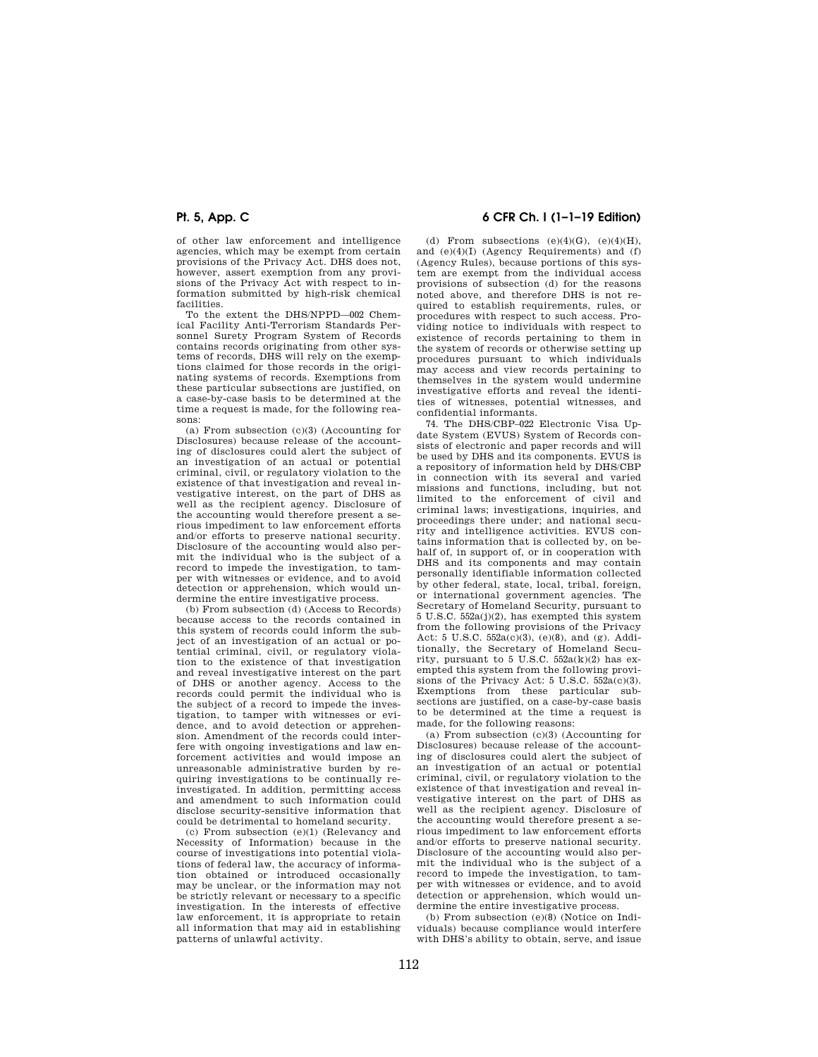of other law enforcement and intelligence agencies, which may be exempt from certain provisions of the Privacy Act. DHS does not, however, assert exemption from any provisions of the Privacy Act with respect to information submitted by high-risk chemical facilities.

To the extent the DHS/NPPD—002 Chemical Facility Anti-Terrorism Standards Personnel Surety Program System of Records contains records originating from other systems of records, DHS will rely on the exemptions claimed for those records in the originating systems of records. Exemptions from these particular subsections are justified, on a case-by-case basis to be determined at the time a request is made, for the following reasons:

(a) From subsection (c)(3) (Accounting for Disclosures) because release of the accounting of disclosures could alert the subject of an investigation of an actual or potential criminal, civil, or regulatory violation to the existence of that investigation and reveal investigative interest, on the part of DHS as well as the recipient agency. Disclosure of the accounting would therefore present a serious impediment to law enforcement efforts and/or efforts to preserve national security. Disclosure of the accounting would also permit the individual who is the subject of a record to impede the investigation, to tamper with witnesses or evidence, and to avoid detection or apprehension, which would undermine the entire investigative process.

(b) From subsection (d) (Access to Records) because access to the records contained in this system of records could inform the subject of an investigation of an actual or potential criminal, civil, or regulatory violation to the existence of that investigation and reveal investigative interest on the part of DHS or another agency. Access to the records could permit the individual who is the subject of a record to impede the investigation, to tamper with witnesses or evidence, and to avoid detection or apprehension. Amendment of the records could interfere with ongoing investigations and law enforcement activities and would impose an unreasonable administrative burden by requiring investigations to be continually reinvestigated. In addition, permitting access and amendment to such information could disclose security-sensitive information that could be detrimental to homeland security.

(c) From subsection (e)(1) (Relevancy and Necessity of Information) because in the course of investigations into potential violations of federal law, the accuracy of information obtained or introduced occasionally may be unclear, or the information may not be strictly relevant or necessary to a specific investigation. In the interests of effective law enforcement, it is appropriate to retain all information that may aid in establishing patterns of unlawful activity.

# **Pt. 5, App. C 6 CFR Ch. I (1–1–19 Edition)**

(d) From subsections  $(e)(4)(G)$ ,  $(e)(4)(H)$ . and (e)(4)(I) (Agency Requirements) and (f) (Agency Rules), because portions of this system are exempt from the individual access provisions of subsection (d) for the reasons noted above, and therefore DHS is not required to establish requirements, rules, or procedures with respect to such access. Providing notice to individuals with respect to existence of records pertaining to them in the system of records or otherwise setting up procedures pursuant to which individuals may access and view records pertaining to themselves in the system would undermine investigative efforts and reveal the identities of witnesses, potential witnesses, and confidential informants.

74. The DHS/CBP–022 Electronic Visa Update System (EVUS) System of Records consists of electronic and paper records and will be used by DHS and its components. EVUS is a repository of information held by DHS/CBP in connection with its several and varied missions and functions, including, but not limited to the enforcement of civil and criminal laws; investigations, inquiries, and proceedings there under; and national security and intelligence activities. EVUS contains information that is collected by, on behalf of, in support of, or in cooperation with DHS and its components and may contain personally identifiable information collected by other federal, state, local, tribal, foreign, or international government agencies. The Secretary of Homeland Security, pursuant to 5 U.S.C. 552a(j)(2), has exempted this system from the following provisions of the Privacy Act: 5 U.S.C. 552a(c)(3), (e)(8), and (g). Additionally, the Secretary of Homeland Security, pursuant to 5 U.S.C.  $552a(k)(2)$  has exempted this system from the following provisions of the Privacy Act:  $5 \text{ U.S.C. } 552a(c)(3)$ . Exemptions from these particular subsections are justified, on a case-by-case basis to be determined at the time a request is made, for the following reasons:

(a) From subsection (c)(3) (Accounting for Disclosures) because release of the accounting of disclosures could alert the subject of an investigation of an actual or potential criminal, civil, or regulatory violation to the existence of that investigation and reveal investigative interest on the part of DHS as well as the recipient agency. Disclosure of the accounting would therefore present a serious impediment to law enforcement efforts and/or efforts to preserve national security. Disclosure of the accounting would also permit the individual who is the subject of a record to impede the investigation, to tamper with witnesses or evidence, and to avoid detection or apprehension, which would undermine the entire investigative process.

(b) From subsection (e)(8) (Notice on Individuals) because compliance would interfere with DHS's ability to obtain, serve, and issue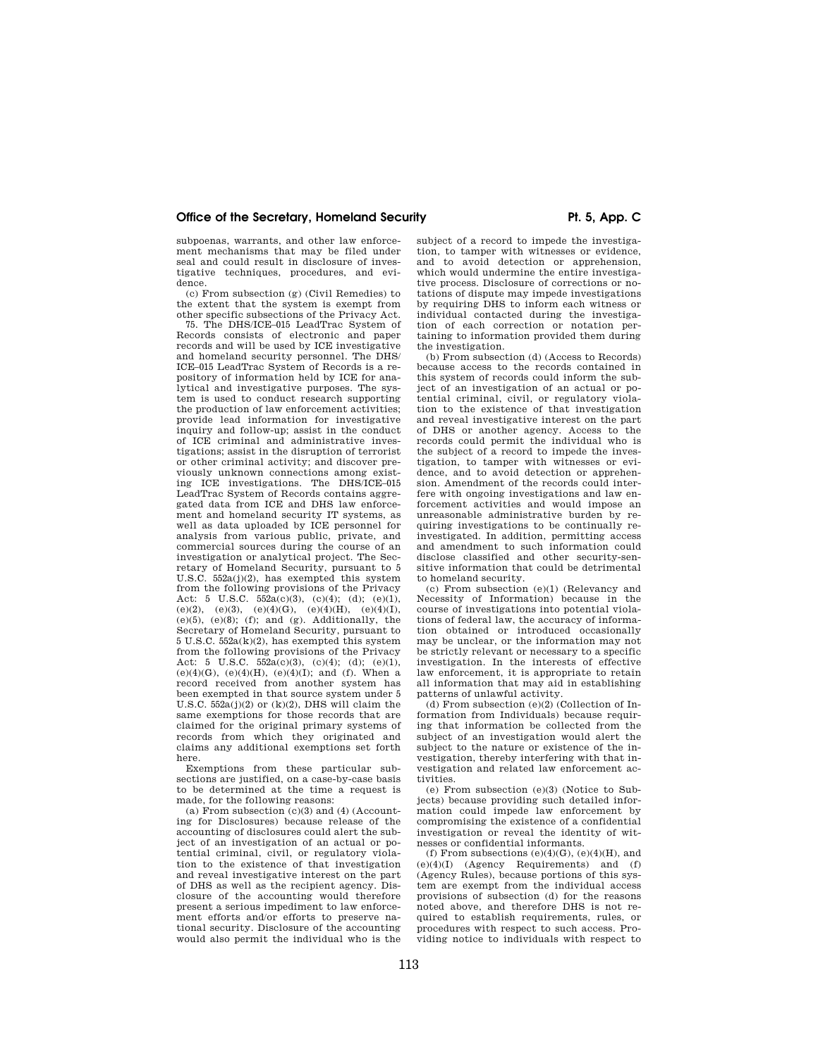## Office of the Secretary, Homeland Security **Pr. 5, App. C Pr. 5, App. C**

subpoenas, warrants, and other law enforcement mechanisms that may be filed under seal and could result in disclosure of investigative techniques, procedures, and evidence.

(c) From subsection (g) (Civil Remedies) to the extent that the system is exempt from other specific subsections of the Privacy Act.

75. The DHS/ICE–015 LeadTrac System of Records consists of electronic and paper records and will be used by ICE investigative and homeland security personnel. The DHS/ ICE–015 LeadTrac System of Records is a repository of information held by ICE for analytical and investigative purposes. The system is used to conduct research supporting the production of law enforcement activities; provide lead information for investigative inquiry and follow-up; assist in the conduct of ICE criminal and administrative investigations; assist in the disruption of terrorist or other criminal activity; and discover previously unknown connections among existing ICE investigations. The DHS/ICE–015 LeadTrac System of Records contains aggregated data from ICE and DHS law enforcement and homeland security IT systems, as well as data uploaded by ICE personnel for analysis from various public, private, and commercial sources during the course of an investigation or analytical project. The Secretary of Homeland Security, pursuant to 5 U.S.C.  $552a(j)(2)$ , has exempted this system from the following provisions of the Privacy Act: 5 U.S.C.  $5\overline{52a}(c)(3)$ ,  $(c)(4)$ ;  $(d)$ ;  $(e)(1)$ , (e)(2), (e)(3), (e)(4)(G), (e)(4)(H), (e)(4)(I),  $(e)(5)$ ,  $(e)(8)$ ; (f); and (g). Additionally, the Secretary of Homeland Security, pursuant to 5 U.S.C. 552a(k)(2), has exempted this system from the following provisions of the Privacy Act: 5 U.S.C.  $552a(c)(3)$ ,  $(c)(4)$ ;  $(d)$ ;  $(e)(1)$ , (e)(4)(G), (e)(4)(H), (e)(4)(I); and (f). When a record received from another system has been exempted in that source system under 5 U.S.C.  $552a(j)(2)$  or  $(k)(2)$ , DHS will claim the same exemptions for those records that are claimed for the original primary systems of records from which they originated and claims any additional exemptions set forth here.

Exemptions from these particular subsections are justified, on a case-by-case basis to be determined at the time a request is made, for the following reasons:

(a) From subsection  $(c)(3)$  and  $(4)$  (Accounting for Disclosures) because release of the accounting of disclosures could alert the subject of an investigation of an actual or potential criminal, civil, or regulatory violation to the existence of that investigation and reveal investigative interest on the part of DHS as well as the recipient agency. Disclosure of the accounting would therefore present a serious impediment to law enforcement efforts and/or efforts to preserve national security. Disclosure of the accounting would also permit the individual who is the

subject of a record to impede the investigation, to tamper with witnesses or evidence, and to avoid detection or apprehension, which would undermine the entire investigative process. Disclosure of corrections or notations of dispute may impede investigations by requiring DHS to inform each witness or individual contacted during the investigation of each correction or notation pertaining to information provided them during the investigation.

(b) From subsection (d) (Access to Records) because access to the records contained in this system of records could inform the subject of an investigation of an actual or potential criminal, civil, or regulatory violation to the existence of that investigation and reveal investigative interest on the part of DHS or another agency. Access to the records could permit the individual who is the subject of a record to impede the investigation, to tamper with witnesses or evidence, and to avoid detection or apprehension. Amendment of the records could interfere with ongoing investigations and law enforcement activities and would impose an unreasonable administrative burden by requiring investigations to be continually reinvestigated. In addition, permitting access and amendment to such information could disclose classified and other security-sensitive information that could be detrimental to homeland security.

(c) From subsection (e)(1) (Relevancy and Necessity of Information) because in the course of investigations into potential violations of federal law, the accuracy of information obtained or introduced occasionally may be unclear, or the information may not be strictly relevant or necessary to a specific investigation. In the interests of effective law enforcement, it is appropriate to retain all information that may aid in establishing patterns of unlawful activity.

(d) From subsection (e)(2) (Collection of Information from Individuals) because requiring that information be collected from the subject of an investigation would alert the subject to the nature or existence of the investigation, thereby interfering with that investigation and related law enforcement activities.

(e) From subsection (e)(3) (Notice to Subjects) because providing such detailed information could impede law enforcement by compromising the existence of a confidential investigation or reveal the identity of witnesses or confidential informants.

(f) From subsections  $(e)(4)(G)$ ,  $(e)(4)(H)$ , and (e)(4)(I) (Agency Requirements) and (f) (Agency Rules), because portions of this system are exempt from the individual access provisions of subsection (d) for the reasons noted above, and therefore DHS is not required to establish requirements, rules, or procedures with respect to such access. Providing notice to individuals with respect to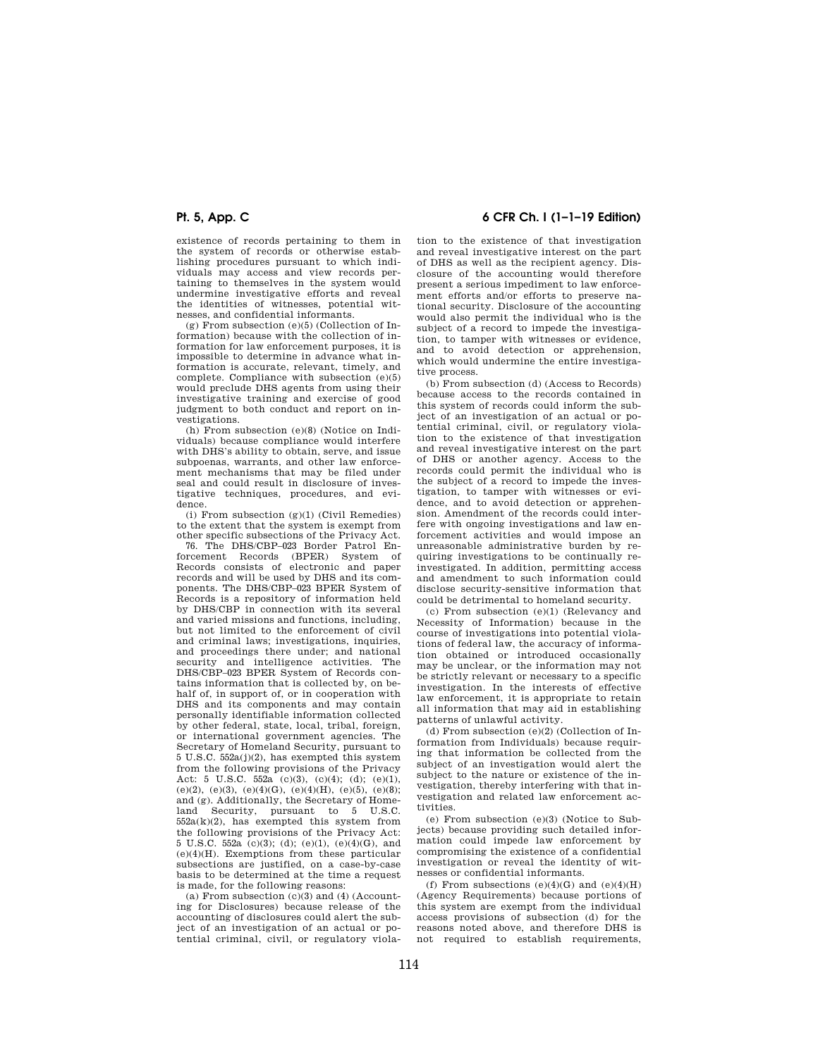existence of records pertaining to them in the system of records or otherwise establishing procedures pursuant to which individuals may access and view records pertaining to themselves in the system would undermine investigative efforts and reveal the identities of witnesses, potential witnesses, and confidential informants.

(g) From subsection (e)(5) (Collection of Information) because with the collection of information for law enforcement purposes, it is impossible to determine in advance what information is accurate, relevant, timely, and complete. Compliance with subsection (e)(5) would preclude DHS agents from using their investigative training and exercise of good judgment to both conduct and report on investigations.

(h) From subsection (e)(8) (Notice on Individuals) because compliance would interfere with DHS's ability to obtain, serve, and issue subpoenas, warrants, and other law enforcement mechanisms that may be filed under seal and could result in disclosure of investigative techniques, procedures, and evidence.

(i) From subsection  $(g)(1)$  (Civil Remedies) to the extent that the system is exempt from other specific subsections of the Privacy Act.

76. The DHS/CBP–023 Border Patrol Enforcement Records (BPER) System of Records consists of electronic and paper records and will be used by DHS and its components. The DHS/CBP–023 BPER System of Records is a repository of information held by DHS/CBP in connection with its several and varied missions and functions, including, but not limited to the enforcement of civil and criminal laws; investigations, inquiries, and proceedings there under; and national security and intelligence activities. The DHS/CBP–023 BPER System of Records contains information that is collected by, on behalf of, in support of, or in cooperation with DHS and its components and may contain personally identifiable information collected by other federal, state, local, tribal, foreign, or international government agencies. The Secretary of Homeland Security, pursuant to 5 U.S.C. 552a(j)(2), has exempted this system from the following provisions of the Privacy Act: 5 U.S.C.  $552a$  (c)(3), (c)(4); (d); (e)(1), (e)(2), (e)(3), (e)(4)(G), (e)(4)(H), (e)(5), (e)(8); and (g). Additionally, the Secretary of Homeland Security, pursuant to 5 U.S.C.  $552a(k)(2)$ , has exempted this system from the following provisions of the Privacy Act: 5 U.S.C. 552a (c)(3); (d); (e)(1), (e)(4)(G), and (e)(4)(H). Exemptions from these particular subsections are justified, on a case-by-case basis to be determined at the time a request is made, for the following reasons:

(a) From subsection  $(c)(3)$  and  $(4)$  (Accounting for Disclosures) because release of the accounting of disclosures could alert the subject of an investigation of an actual or potential criminal, civil, or regulatory viola-

# **Pt. 5, App. C 6 CFR Ch. I (1–1–19 Edition)**

tion to the existence of that investigation and reveal investigative interest on the part of DHS as well as the recipient agency. Disclosure of the accounting would therefore present a serious impediment to law enforcement efforts and/or efforts to preserve national security. Disclosure of the accounting would also permit the individual who is the subject of a record to impede the investigation, to tamper with witnesses or evidence, and to avoid detection or apprehension which would undermine the entire investigative process.

(b) From subsection (d) (Access to Records) because access to the records contained in this system of records could inform the subject of an investigation of an actual or potential criminal, civil, or regulatory violation to the existence of that investigation and reveal investigative interest on the part of DHS or another agency. Access to the records could permit the individual who is the subject of a record to impede the investigation, to tamper with witnesses or evidence, and to avoid detection or apprehension. Amendment of the records could interfere with ongoing investigations and law enforcement activities and would impose an unreasonable administrative burden by requiring investigations to be continually reinvestigated. In addition, permitting access and amendment to such information could disclose security-sensitive information that could be detrimental to homeland security.

(c) From subsection (e)(1) (Relevancy and Necessity of Information) because in the course of investigations into potential violations of federal law, the accuracy of information obtained or introduced occasionally may be unclear, or the information may not be strictly relevant or necessary to a specific investigation. In the interests of effective law enforcement, it is appropriate to retain all information that may aid in establishing patterns of unlawful activity.

(d) From subsection (e)(2) (Collection of Information from Individuals) because requiring that information be collected from the subject of an investigation would alert the subject to the nature or existence of the investigation, thereby interfering with that investigation and related law enforcement activities.

(e) From subsection (e)(3) (Notice to Subjects) because providing such detailed information could impede law enforcement by compromising the existence of a confidential investigation or reveal the identity of witnesses or confidential informants.

(f) From subsections  $(e)(4)(G)$  and  $(e)(4)(H)$ (Agency Requirements) because portions of this system are exempt from the individual access provisions of subsection (d) for the reasons noted above, and therefore DHS is not required to establish requirements,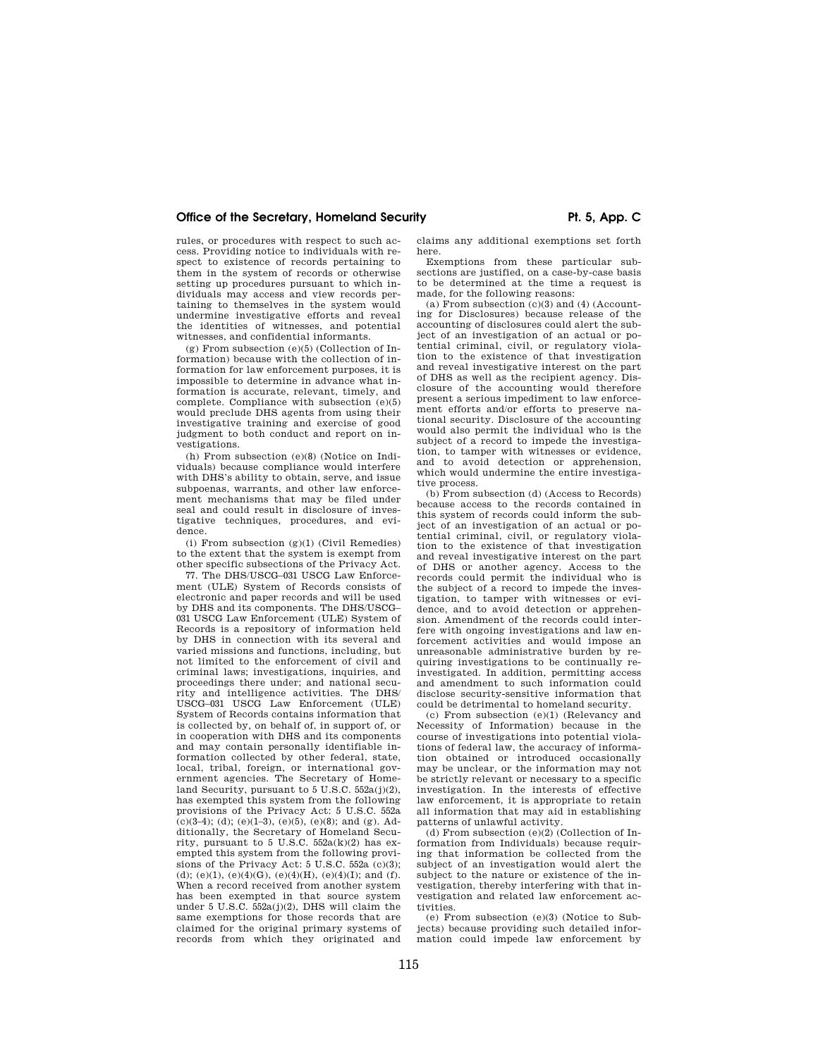## Office of the Secretary, Homeland Security **Pt. 5, App. C**

rules, or procedures with respect to such access. Providing notice to individuals with respect to existence of records pertaining to them in the system of records or otherwise setting up procedures pursuant to which individuals may access and view records pertaining to themselves in the system would undermine investigative efforts and reveal the identities of witnesses, and potential witnesses, and confidential informants.

(g) From subsection (e)(5) (Collection of Information) because with the collection of information for law enforcement purposes, it is impossible to determine in advance what information is accurate, relevant, timely, and complete. Compliance with subsection (e)(5) would preclude DHS agents from using their investigative training and exercise of good judgment to both conduct and report on investigations.

(h) From subsection (e)(8) (Notice on Individuals) because compliance would interfere with DHS's ability to obtain, serve, and issue subpoenas, warrants, and other law enforcement mechanisms that may be filed under seal and could result in disclosure of investigative techniques, procedures, and evidence.

(i) From subsection  $(g)(1)$  (Civil Remedies) to the extent that the system is exempt from other specific subsections of the Privacy Act.

77. The DHS/USCG–031 USCG Law Enforcement (ULE) System of Records consists of electronic and paper records and will be used by DHS and its components. The DHS/USCG– 031 USCG Law Enforcement (ULE) System of Records is a repository of information held by DHS in connection with its several and varied missions and functions, including, but not limited to the enforcement of civil and criminal laws; investigations, inquiries, and proceedings there under; and national security and intelligence activities. The DHS/ USCG–031 USCG Law Enforcement (ULE) System of Records contains information that is collected by, on behalf of, in support of, or in cooperation with DHS and its components and may contain personally identifiable information collected by other federal, state, local, tribal, foreign, or international government agencies. The Secretary of Homeland Security, pursuant to 5 U.S.C. 552a(j)(2), has exempted this system from the following provisions of the Privacy Act: 5 U.S.C. 552a  $(c)(3-4)$ ; (d); (e)(1-3), (e)(5), (e)(8); and (g). Additionally, the Secretary of Homeland Security, pursuant to 5 U.S.C.  $552a(k)(2)$  has exempted this system from the following provisions of the Privacy Act: 5 U.S.C. 552a (c)(3); (d); (e)(1), (e)(4)(G), (e)(4)(H), (e)(4)(I); and (f). When a record received from another system has been exempted in that source system under 5 U.S.C.  $552a(1)(2)$ , DHS will claim the same exemptions for those records that are claimed for the original primary systems of records from which they originated and

claims any additional exemptions set forth here.

Exemptions from these particular subsections are justified, on a case-by-case basis to be determined at the time a request is made, for the following reasons:

(a) From subsection  $(c)(3)$  and  $(4)$  (Accounting for Disclosures) because release of the accounting of disclosures could alert the subject of an investigation of an actual or potential criminal, civil, or regulatory violation to the existence of that investigation and reveal investigative interest on the part of DHS as well as the recipient agency. Disclosure of the accounting would therefore present a serious impediment to law enforcement efforts and/or efforts to preserve national security. Disclosure of the accounting would also permit the individual who is the subject of a record to impede the investigation, to tamper with witnesses or evidence, and to avoid detection or apprehension, which would undermine the entire investigative process.

(b) From subsection (d) (Access to Records) because access to the records contained in this system of records could inform the subject of an investigation of an actual or potential criminal, civil, or regulatory violation to the existence of that investigation and reveal investigative interest on the part of DHS or another agency. Access to the records could permit the individual who is the subject of a record to impede the investigation, to tamper with witnesses or evidence, and to avoid detection or apprehension. Amendment of the records could interfere with ongoing investigations and law enforcement activities and would impose an unreasonable administrative burden by requiring investigations to be continually reinvestigated. In addition, permitting access and amendment to such information could disclose security-sensitive information that could be detrimental to homeland security.

(c) From subsection (e)(1) (Relevancy and Necessity of Information) because in the course of investigations into potential violations of federal law, the accuracy of information obtained or introduced occasionally may be unclear, or the information may not be strictly relevant or necessary to a specific investigation. In the interests of effective law enforcement, it is appropriate to retain all information that may aid in establishing patterns of unlawful activity.

(d) From subsection (e)(2) (Collection of Information from Individuals) because requiring that information be collected from the subject of an investigation would alert the subject to the nature or existence of the investigation, thereby interfering with that investigation and related law enforcement activities.

(e) From subsection (e)(3) (Notice to Subjects) because providing such detailed information could impede law enforcement by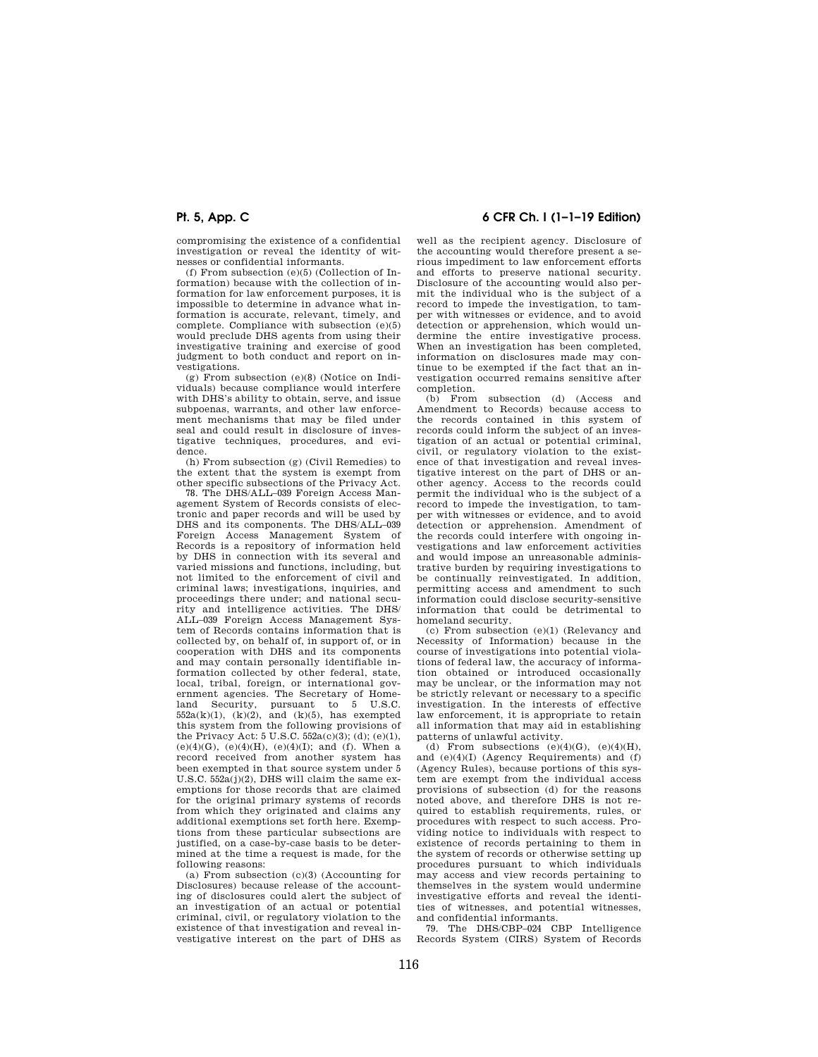compromising the existence of a confidential investigation or reveal the identity of witnesses or confidential informants.

(f) From subsection (e)(5) (Collection of Information) because with the collection of information for law enforcement purposes, it is impossible to determine in advance what information is accurate, relevant, timely, and complete. Compliance with subsection (e)(5) would preclude DHS agents from using their investigative training and exercise of good judgment to both conduct and report on investigations.

(g) From subsection (e)(8) (Notice on Individuals) because compliance would interfere with DHS's ability to obtain, serve, and issue subpoenas, warrants, and other law enforcement mechanisms that may be filed under seal and could result in disclosure of investigative techniques, procedures, and evidence.

(h) From subsection (g) (Civil Remedies) to the extent that the system is exempt from other specific subsections of the Privacy Act.

78. The DHS/ALL–039 Foreign Access Management System of Records consists of electronic and paper records and will be used by DHS and its components. The DHS/ALL–039 Foreign Access Management System of Records is a repository of information held by DHS in connection with its several and varied missions and functions, including, but not limited to the enforcement of civil and criminal laws; investigations, inquiries, and proceedings there under; and national security and intelligence activities. The DHS/ ALL–039 Foreign Access Management System of Records contains information that is collected by, on behalf of, in support of, or in cooperation with DHS and its components and may contain personally identifiable information collected by other federal, state, local, tribal, foreign, or international government agencies. The Secretary of Homeland Security, pursuant to 5 U.S.C.  $552a(k)(1)$ ,  $(k)(2)$ , and  $(k)(5)$ , has exempted this system from the following provisions of the Privacy Act: 5 U.S.C.  $552a(c)(3)$ ; (d); (e)(1), (e)(4)(G), (e)(4)(H), (e)(4)(I); and (f). When a record received from another system has been exempted in that source system under 5 U.S.C. 552a(j)(2), DHS will claim the same exemptions for those records that are claimed for the original primary systems of records from which they originated and claims any additional exemptions set forth here. Exemptions from these particular subsections are justified, on a case-by-case basis to be determined at the time a request is made, for the following reasons:

(a) From subsection  $(c)(3)$  (Accounting for Disclosures) because release of the accounting of disclosures could alert the subject of an investigation of an actual or potential criminal, civil, or regulatory violation to the existence of that investigation and reveal investigative interest on the part of DHS as

# **Pt. 5, App. C 6 CFR Ch. I (1–1–19 Edition)**

well as the recipient agency. Disclosure of the accounting would therefore present a serious impediment to law enforcement efforts and efforts to preserve national security. Disclosure of the accounting would also permit the individual who is the subject of a record to impede the investigation, to tamper with witnesses or evidence, and to avoid detection or apprehension, which would undermine the entire investigative process. When an investigation has been completed, information on disclosures made may continue to be exempted if the fact that an investigation occurred remains sensitive after completion.<br>(b) From

subsection (d) (Access and Amendment to Records) because access to the records contained in this system of records could inform the subject of an investigation of an actual or potential criminal, civil, or regulatory violation to the existence of that investigation and reveal investigative interest on the part of DHS or another agency. Access to the records could permit the individual who is the subject of a record to impede the investigation, to tamper with witnesses or evidence, and to avoid detection or apprehension. Amendment of the records could interfere with ongoing investigations and law enforcement activities and would impose an unreasonable administrative burden by requiring investigations to be continually reinvestigated. In addition, permitting access and amendment to such information could disclose security-sensitive information that could be detrimental to homeland security.

(c) From subsection (e)(1) (Relevancy and Necessity of Information) because in the course of investigations into potential violations of federal law, the accuracy of information obtained or introduced occasionally may be unclear, or the information may not be strictly relevant or necessary to a specific investigation. In the interests of effective law enforcement, it is appropriate to retain all information that may aid in establishing patterns of unlawful activity.

(d) From subsections  $(e)(4)(G)$ ,  $(e)(4)(H)$ , and (e)(4)(I) (Agency Requirements) and (f) (Agency Rules), because portions of this system are exempt from the individual access provisions of subsection (d) for the reasons noted above, and therefore DHS is not required to establish requirements, rules, or procedures with respect to such access. Providing notice to individuals with respect to existence of records pertaining to them in the system of records or otherwise setting up procedures pursuant to which individuals may access and view records pertaining to themselves in the system would undermine investigative efforts and reveal the identities of witnesses, and potential witnesses, and confidential informants.

79. The DHS/CBP–024 CBP Intelligence Records System (CIRS) System of Records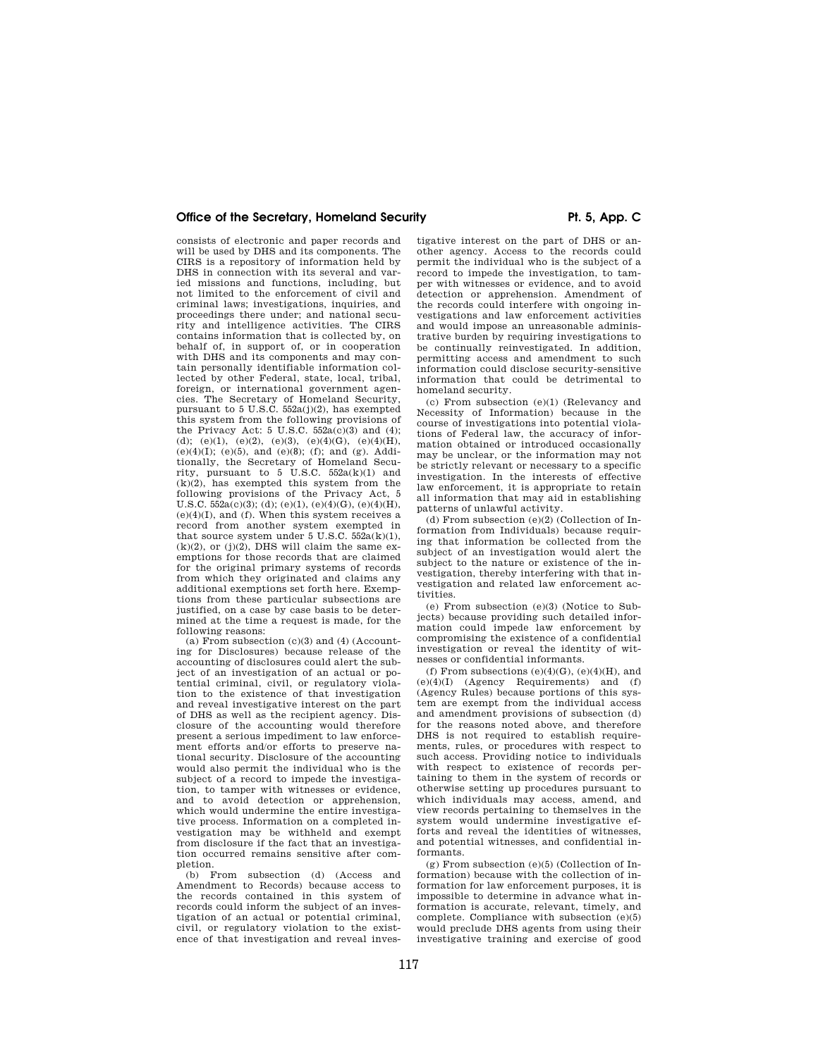## Office of the Secretary, Homeland Security **Pr. 5, App. C Pr. 5, App. C**

consists of electronic and paper records and will be used by DHS and its components. The CIRS is a repository of information held by DHS in connection with its several and varied missions and functions, including, but not limited to the enforcement of civil and criminal laws; investigations, inquiries, and proceedings there under; and national security and intelligence activities. The CIRS contains information that is collected by, on behalf of, in support of, or in cooperation with DHS and its components and may contain personally identifiable information collected by other Federal, state, local, tribal, foreign, or international government agencies. The Secretary of Homeland Security, pursuant to 5 U.S.C. 552a(j)(2), has exempted this system from the following provisions of the Privacy Act: 5 U.S.C.  $552a(c)(3)$  and (4); (d); (e)(1), (e)(2), (e)(3), (e)(4)(G), (e)(4)(H), (e)(4)(I); (e)(5), and (e)(8); (f); and (g). Additionally, the Secretary of Homeland Security, pursuant to 5 U.S.C.  $552a(k)(1)$  and  $(k)(2)$ , has exempted this system from the following provisions of the Privacy Act, 5 U.S.C.  $552a(c)(3)$ ; (d); (e)(1), (e)(4)(G), (e)(4)(H),  $(e)(4)(I)$ , and  $(f)$ . When this system receives a record from another system exempted in that source system under 5 U.S.C.  $552a(k)(1)$ ,  $(k)(2)$ , or  $(j)(2)$ , DHS will claim the same exemptions for those records that are claimed for the original primary systems of records from which they originated and claims any additional exemptions set forth here. Exemptions from these particular subsections are justified, on a case by case basis to be determined at the time a request is made, for the following reasons:

(a) From subsection  $(c)(3)$  and  $(4)$  (Accounting for Disclosures) because release of the accounting of disclosures could alert the subject of an investigation of an actual or potential criminal, civil, or regulatory violation to the existence of that investigation and reveal investigative interest on the part of DHS as well as the recipient agency. Disclosure of the accounting would therefore present a serious impediment to law enforcement efforts and/or efforts to preserve national security. Disclosure of the accounting would also permit the individual who is the subject of a record to impede the investigation, to tamper with witnesses or evidence, and to avoid detection or apprehension, which would undermine the entire investigative process. Information on a completed investigation may be withheld and exempt from disclosure if the fact that an investigation occurred remains sensitive after completion.

(b) From subsection (d) (Access and Amendment to Records) because access to the records contained in this system of records could inform the subject of an investigation of an actual or potential criminal, civil, or regulatory violation to the existence of that investigation and reveal inves-

tigative interest on the part of DHS or another agency. Access to the records could permit the individual who is the subject of a record to impede the investigation, to tamper with witnesses or evidence, and to avoid detection or apprehension. Amendment of the records could interfere with ongoing investigations and law enforcement activities and would impose an unreasonable administrative burden by requiring investigations to be continually reinvestigated. In addition, permitting access and amendment to such information could disclose security-sensitive information that could be detrimental to homeland security.

(c) From subsection (e)(1) (Relevancy and Necessity of Information) because in the course of investigations into potential violations of Federal law, the accuracy of information obtained or introduced occasionally may be unclear, or the information may not be strictly relevant or necessary to a specific investigation. In the interests of effective law enforcement, it is appropriate to retain all information that may aid in establishing patterns of unlawful activity.

(d) From subsection (e)(2) (Collection of Information from Individuals) because requiring that information be collected from the subject of an investigation would alert the subject to the nature or existence of the investigation, thereby interfering with that investigation and related law enforcement activities.

(e) From subsection (e)(3) (Notice to Subjects) because providing such detailed information could impede law enforcement by compromising the existence of a confidential investigation or reveal the identity of witnesses or confidential informants.

(f) From subsections  $(e)(4)(G)$ ,  $(e)(4)(H)$ , and (e)(4)(I) (Agency Requirements) and (f) (Agency Rules) because portions of this system are exempt from the individual access and amendment provisions of subsection (d) for the reasons noted above, and therefore DHS is not required to establish requirements, rules, or procedures with respect to such access. Providing notice to individuals with respect to existence of records pertaining to them in the system of records or otherwise setting up procedures pursuant to which individuals may access, amend, and view records pertaining to themselves in the system would undermine investigative efforts and reveal the identities of witnesses, and potential witnesses, and confidential informants.

(g) From subsection (e)(5) (Collection of Information) because with the collection of information for law enforcement purposes, it is impossible to determine in advance what information is accurate, relevant, timely, and complete. Compliance with subsection (e)(5) would preclude DHS agents from using their investigative training and exercise of good